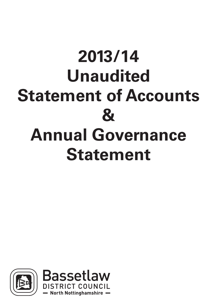# **2013/14 Unaudited Statement of Accounts & Annual Governance Statement**



**Nottinghamshire**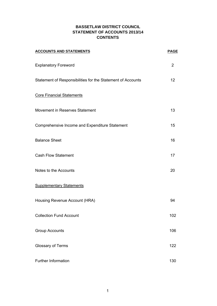# **BASSETLAW DISTRICT COUNCIL STATEMENT OF ACCOUNTS 2013/14 CONTENTS**

| <b>ACCOUNTS AND STATEMENTS</b>                              | <b>PAGE</b> |
|-------------------------------------------------------------|-------------|
| <b>Explanatory Foreword</b>                                 | 2           |
| Statement of Responsibilities for the Statement of Accounts | 12          |
| <b>Core Financial Statements</b>                            |             |
| Movement in Reserves Statement                              | 13          |
| Comprehensive Income and Expenditure Statement              | 15          |
| <b>Balance Sheet</b>                                        | 16          |
| <b>Cash Flow Statement</b>                                  | 17          |
| Notes to the Accounts                                       | 20          |
| <b>Supplementary Statements</b>                             |             |
| Housing Revenue Account (HRA)                               | 94          |
| <b>Collection Fund Account</b>                              | 102         |
| <b>Group Accounts</b>                                       | 106         |
| Glossary of Terms                                           | 122         |
| <b>Further Information</b>                                  | 130         |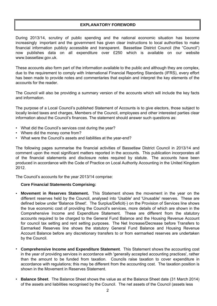# **EXPLANATORY FOREWORD**

During 2013/14, scrutiny of public spending and the national economic situation has become increasingly important and the government has given clear instructions to local authorities to make financial information publicly accessible and transparent. Bassetlaw District Council (the "Council") now publishes data on all expenditure over £250 which is available on our website www.bassetlaw.gov.uk.

These accounts also form part of the information available to the public and although they are complex, due to the requirement to comply with International Financial Reporting Standards (IFRS), every effort has been made to provide notes and commentaries that explain and interpret the key elements of the accounts for the reader.

The Council will also be providing a summary version of the accounts which will include the key facts and information.

The purpose of a Local Council's published Statement of Accounts is to give electors, those subject to locally levied taxes and charges, Members of the Council, employees and other interested parties clear information about the Council's finances. The statement should answer such questions as:

- What did the Council's services cost during the year?
- Where did the money come from?
- What were the Council's assets and liabilities at the year-end?

The following pages summarise the financial activities of Bassetlaw District Council in 2013/14 and comment upon the most significant matters reported in the accounts. This publication incorporates all of the financial statements and disclosure notes required by statute. The accounts have been produced in accordance with the Code of Practice on Local Authority Accounting in the United Kingdom 2012.

The Council's accounts for the year 2013/14 comprise:

#### **Core Financial Statements Comprising:**

- **Movement in Reserves Statement.** This Statement shows the movement in the year on the different reserves held by the Council, analysed into 'Usable' and 'Unusable' reserves. These are defined below under 'Balance Sheet'. The Surplus/Deficit(-) on the Provision of Services line shows the true economic cost of providing the Council's services, more details of which are shown in the Comprehensive Income and Expenditure Statement. These are different from the statutory accounts required to be charged to the General Fund Balance and the Housing Revenue Account for council tax setting and rent setting purposes. The Net Increase/Decrease before Transfers to Earmarked Reserves line shows the statutory General Fund Balance and Housing Revenue Account Balance before any discretionary transfers to or from earmarked reserves are undertaken by the Council.
- **Comprehensive Income and Expenditure Statement**. This Statement shows the accounting cost in the year of providing services in accordance with 'generally accepted accounting practices', rather than the amount to be funded from taxation. Councils raise taxation to cover expenditure in accordance with regulations; this may be different from the accounting cost. The taxation position is shown in the Movement in Reserves Statement.
- **Balance Sheet**. The Balance Sheet shows the value as at the Balance Sheet date (31 March 2014) of the assets and liabilities recognised by the Council. The net assets of the Council (assets less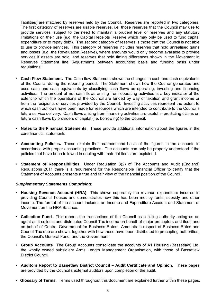liabilities) are matched by reserves held by the Council. Reserves are reported in two categories. The first category of reserves are usable reserves, i.e. those reserves that the Council may use to provide services, subject to the need to maintain a prudent level of reserves and any statutory limitations on their use (e.g. the Capital Receipts Reserve which may only be used to fund capital expenditure or to repay debt). The second category of reserves is those that the Council is not able to use to provide services. This category of reserves includes reserves that hold unrealised gains and losses (e.g. the Revaluation Reserve), where amounts would only become available to provide services if assets are sold; and reserves that hold timing differences shown in the Movement in Reserves Statement line 'Adjustments between accounting basis and funding basis under regulations'.

- **Cash Flow Statement.** The Cash flow Statement shows the changes in cash and cash equivalents of the Council during the reporting period. The Statement shows how the Council generates and uses cash and cash equivalents by classifying cash flows as operating, investing and financing activities. The amount of net cash flows arising from operating activities is a key indicator of the extent to which the operations of the Council are funded by way of taxation and grant income or from the recipients of services provided by the Council. Investing activities represent the extent to which cash outflows have been made for resources which are intended to contribute to the Council's future service delivery. Cash flows arising from financing activities are useful in predicting claims on future cash flows by providers of capital (i.e. borrowing) to the Council.
- **Notes to the Financial Statements**. These provide additional information about the figures in the core financial statements.
- **Accounting Policies.** These explain the treatment and basis of the figures in the accounts in accordance with proper accounting practices. The accounts can only be properly understood if the policies that have been followed in dealing with material items are explained.
- **Statement of Responsibilities.** Under Regulation 8(2) of The Accounts and Audit (England) Regulations 2011 there is a requirement for the Responsible Financial Officer to certify that the Statement of Accounts presents a true and fair view of the financial position of the Council.

#### *Supplementary Statements Comprising:*

- **Housing Revenue Account (HRA)**. This shows separately the revenue expenditure incurred in providing Council houses and demonstrates how this has been met by rents, subsidy and other income. The format of the account includes an Income and Expenditure Account and Statement of Movement on the HRA Balance.
- **Collection Fund**. This reports the transactions of the Council as a billing authority acting as an agent as it collects and distributes Council Tax income on behalf of major preceptors and itself and on behalf of Central Government for Business Rates. Amounts in respect of Business Rates and Council Tax due are shown, together with how these have been distributed to precepting authorities, the Council's General Fund, and the Government.
- **Group Accounts**. The Group Accounts consolidate the accounts of A1 Housing (Bassetlaw) Ltd, the wholly owned subsidiary Arms Length Management Organisation, with those of Bassetlaw District Council.
- **Auditors Report to Bassetlaw District Council Audit Certificate and Opinion**. These pages are provided by the Council's external auditors upon completion of the audit.
- **Glossary of Terms.** Terms used throughout this document are explained further within these pages.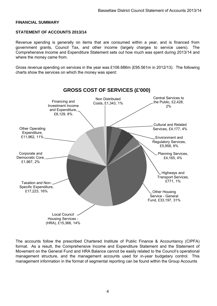#### **FINANCIAL SUMMARY**

#### **STATEMENT OF ACCOUNTS 2013/14**

Revenue spending is generally on items that are consumed within a year, and is financed from government grants, Council Tax, and other income (largely charges to service users). The Comprehensive Income and Expenditure Statement sets out how much was spent during 2013/14 and where the money came from.

Gross revenue spending on services in the year was £106.686m (£95.561m in 2012/13). The following charts show the services on which the money was spent:



The accounts follow the prescribed Chartered Institute of Public Finance & Accountancy (CIPFA) format. As a result, the Comprehensive Income and Expenditure Statement and the Statement of Movement on the General Fund and HRA Balance cannot be easily related to the Council's operational management structure, and the management accounts used for in-year budgetary control. This management information in the format of segmental reporting can be found within the Group Accounts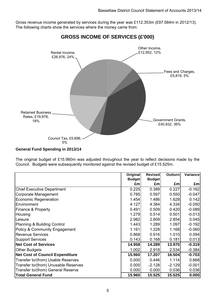Gross revenue income generated by services during the year was £112.353m (£97.584m in 2012/13). The following charts show the services where the money came from:



# **GROSS INCOME OF SERVICES (£'000)**

#### **General Fund Spending in 2013/14**

The original budget of £15.960m was adjusted throughout the year to reflect decisions made by the Council. Budgets were subsequently monitored against the revised budget of £15.525m.

|                                        | Original      | <b>Revised</b> | <b>Outturn</b> | Variance |
|----------------------------------------|---------------|----------------|----------------|----------|
|                                        | <b>Budget</b> | <b>Budget</b>  |                |          |
|                                        | £m            | £m             | £m             | £m       |
| <b>Chief Executive Department</b>      | 0.225         | 0.389          | 0.227          | $-0.162$ |
| Corporate Management                   | 0.785         | 0.597          | 0.550          | $-0.047$ |
| Economic Regeneration                  | 1.454         | 1.486          | 1.628          | 0.142    |
| Environment                            | 4.127         | 4.384          | 4.334          | $-0.050$ |
| Finance & Property                     | 0.491         | 0.509          | 0.420          | $-0.089$ |
| Housing                                | 1.279         | 0.514          | 0.501          | $-0.013$ |
| Leisure                                | 2.982         | 2.809          | 2.854          | 0.045    |
| Planning & Building Control            | 1.443         | 1.289          | 1.097          | $-0.192$ |
| Policy & Community Engagement          | 1.161         | 1.228          | 1.168          | $-0.060$ |
| <b>Revenue Services</b>                | 0.868         | 0.916          | 1.010          | 0.094    |
| <b>Support Services</b>                | 0.143         | 0.168          | 0.181          | 0.013    |
| <b>Net Cost of Services</b>            | 14.958        | 14.289         | 13.970         | $-0.319$ |
| <b>Other Budgets</b>                   | 1.002         | 2.918          | 2.534          | $-0.384$ |
| <b>Net Cost of Council Expenditure</b> | 15.960        | 17.207         | 16.504         | $-0.703$ |
| Transfer to/(from) Usable Reserves     | 0.000         | 0.446          | 1.114          | 0.668    |
| Transfer to/(from) Unusable Reserves   | 0.000         | $-2.128$       | $-2.129$       | $-0.001$ |
| Transfer to/(from) General Reserve     | 0.000         | 0.000          | 0.036          | 0.036    |
| <b>Total General Fund</b>              | 15.960        | 15.525         | 15.525         | 0.000    |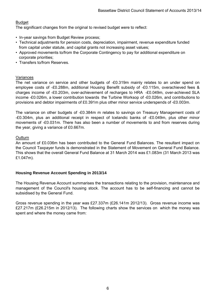# **Budget**

The significant changes from the original to revised budget were to reflect:

- In-year savings from Budget Review process;
- Technical adjustments for pension costs, depreciation, impairment, revenue expenditure funded from capital under statute, and capital grants not increasing asset values;
- Approved movements to/from the Corporate Contingency to pay for additional expenditure on corporate priorities;
- Transfers to/from Reserves.

#### Variances

The net variance on service and other budgets of -£0.319m mainly relates to an under spend on employee costs of -£0.288m, additional Housing Benefit subsidy of -£0.115m, overachieved fees & charges income of -£0.203m, over-achievement of recharges to HRA -£0.049m, over-achieved SLA income -£0.026m, a lower contribution towards the Turbine Worksop of -£0.026m, and contributions to provisions and debtor impairments of £0.391m plus other minor service underspends of -£0.003m.

The variance on other budgets of -£0.384m m relates to savings on Treasury Management costs of -£0.304m, plus an additional receipt in respect of Icelandic banks of -£0.049m, plus other minor movements of -£0.031m. There has also been a number of movements to and from reserves during the year, giving a variance of £0.667m.

#### **Outturn**

An amount of £0.036m has been contributed to the General Fund Balances. The resultant impact on the Council Taxpayer funds is demonstrated in the Statement of Movement on General Fund Balance. This shows that the overall General Fund Balance at 31 March 2014 was £1.083m (31 March 2013 was £1.047m).

# **Housing Revenue Account Spending in 2013/14**

The Housing Revenue Account summarises the transactions relating to the provision, maintenance and management of the Council's housing stock. The account has to be self-financing and cannot be subsidised by the General Fund.

Gross revenue spending in the year was £27.337m (£26.141m 2012/13). Gross revenue income was £27.217m (£26.215m in 2012/13). The following charts show the services on which the money was spent and where the money came from: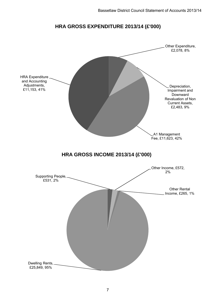# **HRA GROSS EXPENDITURE 2013/14 (£'000)**

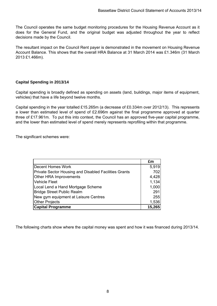The Council operates the same budget monitoring procedures for the Housing Revenue Account as it does for the General Fund, and the original budget was adjusted throughout the year to reflect decisions made by the Council.

The resultant impact on the Council Rent payer is demonstrated in the movement on Housing Revenue Account Balance. This shows that the overall HRA Balance at 31 March 2014 was £1.346m (31 March 2013 £1.466m).

# **Capital Spending in 2013/14**

Capital spending is broadly defined as spending on assets (land, buildings, major items of equipment, vehicles) that have a life beyond twelve months.

Capital spending in the year totalled £15.265m (a decrease of £0.334m over 2012/13). This represents a lower than estimated level of spend of £2.696m against the final programme approved at quarter three of £17.961m. To put this into context, the Council has an approved five-year capital programme, and the lower than estimated level of spend merely represents reprofiling within that programme.

The significant schemes were:

|                                                       | £m     |
|-------------------------------------------------------|--------|
| Decent Homes Work                                     | 5,919  |
| Private Sector Housing and Disabled Facilities Grants | 702    |
| Other HRA Improvements                                | 4,428  |
| <b>Vehicle Fleet</b>                                  | 1,134  |
| Local Lend a Hand Mortgage Scheme                     | 1,000  |
| <b>Bridge Street Public Realm</b>                     | 291    |
| New gym equipment at Leisure Centres                  | 255    |
| <b>Other Projects</b>                                 | 1,536  |
| <b>Capital Programme</b>                              | 15,265 |

The following charts show where the capital money was spent and how it was financed during 2013/14.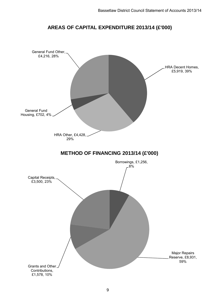

# **AREAS OF CAPITAL EXPENDITURE 2013/14 (£'000)**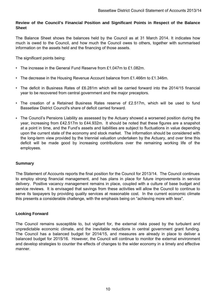# **Review of the Council's Financial Position and Significant Points in Respect of the Balance Sheet**

The Balance Sheet shows the balances held by the Council as at 31 March 2014. It indicates how much is owed to the Council, and how much the Council owes to others, together with summarised information on the assets held and the financing of those assets.

The significant points being:

- The increase in the General Fund Reserve from £1.047m to £1.082m.
- The decrease in the Housing Revenue Account balance from £1.466m to £1.346m.
- The deficit in Business Rates of £6.281m which will be carried forward into the 2014/15 financial year to be recovered from central government and the major preceptors.
- The creation of a Retained Business Rates reserve of £2.517m, which will be used to fund Bassetlaw District Council's share of deficit carried forward.
- The Council's Pensions Liability as assessed by the Actuary showed a worsened position during the year, increasing from £42.517m to £44.932m. It should be noted that these figures are a snapshot at a point in time, and the Fund's assets and liabilities are subject to fluctuations in value depending upon the current state of the economy and stock market. The information should be considered with the long-term view provided by the triennial valuation undertaken by the Actuary, and over time this deficit will be made good by increasing contributions over the remaining working life of the employees.

# **Summary**

The Statement of Accounts reports the final position for the Council for 2013/14. The Council continues to employ strong financial management, and has plans in place for future improvements in service delivery. Positive vacancy management remains in place, coupled with a culture of base budget and service reviews. It is envisaged that savings from these activities will allow the Council to continue to serve its taxpayers by providing quality services at reasonable cost. In the current economic climate this presents a considerable challenge, with the emphasis being on "achieving more with less".

#### **Looking Forward**

The Council remains susceptible to, but vigilant for, the external risks posed by the turbulent and unpredictable economic climate, and the inevitable reductions in central government grant funding. The Council has a balanced budget for 2014/15, and measures are already in place to deliver a balanced budget for 2015/16. However, the Council will continue to monitor the external environment and develop strategies to counter the effects of changes to the wider economy in a timely and effective manner.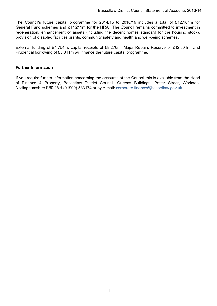The Council's future capital programme for 2014/15 to 2018/19 includes a total of £12.161m for General Fund schemes and £47.211m for the HRA. The Council remains committed to investment in regeneration, enhancement of assets (including the decent homes standard for the housing stock), provision of disabled facilities grants, community safety and health and well-being schemes.

External funding of £4.754m, capital receipts of £8.276m, Major Repairs Reserve of £42.501m, and Prudential borrowing of £3.841m will finance the future capital programme.

#### **Further Information**

If you require further information concerning the accounts of the Council this is available from the Head of Finance & Property, Bassetlaw District Council, Queens Buildings, Potter Street, Worksop, Nottinghamshire S80 2AH (01909) 533174 or by e-mail: corporate.finance@bassetlaw.gov.uk.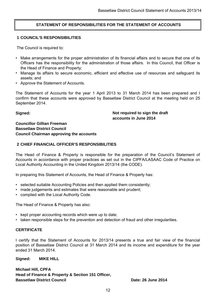# **STATEMENT OF RESPONSIBILITIES FOR THE STATEMENT OF ACCOUNTS**

## **1 COUNCIL'S RESPONSIBILITIES**

The Council is required to:

- Make arrangements for the proper administration of its financial affairs and to secure that one of its Officers has the responsibility for the administration of those affairs. In this Council, that Officer is the Head of Finance and Property;
- Manage its affairs to secure economic, efficient and effective use of resources and safeguard its assets; and
- Approve the Statement of Accounts.

The Statement of Accounts for the year 1 April 2013 to 31 March 2014 has been prepared and I confirm that these accounts were approved by Bassetlaw District Council at the meeting held on 25 September 2014.

**Signed:**

**Not required to sign the draft accounts in June 2014**

# **Councillor Gillian Freeman Bassetlaw District Council Council Chairman approving the accounts**

# **2 CHIEF FINANCIAL OFFICER'S RESPONSIBILITIES**

The Head of Finance & Property is responsible for the preparation of the Council's Statement of Accounts in accordance with proper practices as set out in the CIPFA/LASAAC Code of Practice on Local Authority Accounting in the United Kingdom 2013/14 (the CODE).

In preparing this Statement of Accounts, the Head of Finance & Property has:

- selected suitable Accounting Policies and then applied them consistently;
- made judgements and estimates that were reasonable and prudent:
- complied with the Local Authority Code.

The Head of Finance & Property has also:

- kept proper accounting records which were up to date;
- taken responsible steps for the prevention and detection of fraud and other irregularities.

# **CERTIFICATE**

I certify that the Statement of Accounts for 2013/14 presents a true and fair view of the financial position of Bassetlaw District Council at 31 March 2014 and its income and expenditure for the year ended 31 March 2014.

**Signed: MIKE HILL**

**Michael Hill, CPFA Head of Finance & Property & Section 151 Officer, Bassetlaw District Council Date: 26 June 2014**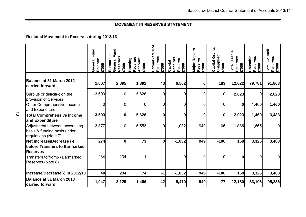#### **MOVEMENT IN RESERVES STATEMENT**

# **Restated Movement in Reserves during 2012/13**

|                                                                                                         | Fund<br><b>Balance</b><br>General<br>£'000 | General Fund<br>Earmarked<br>Reserves<br>£'000 | Revenue<br>Account<br>Housing<br>£'000 | <b>HRA</b><br>Earmarked<br>Reserves<br><b>E'000</b> | Receipts<br>Reserve<br>Capital<br>£'000 | <b>Major Repairs</b><br>Reserve<br>£'000 | Grants<br>Unapplied<br>Capital<br>£'000 | <b>Total Usable</b><br>Reserves<br>£'000 | Unusable<br>Reserves<br>£'000 | <b>Total Council</b><br>Reserves<br>£'000 |
|---------------------------------------------------------------------------------------------------------|--------------------------------------------|------------------------------------------------|----------------------------------------|-----------------------------------------------------|-----------------------------------------|------------------------------------------|-----------------------------------------|------------------------------------------|-------------------------------|-------------------------------------------|
| Balance at 31 March 2012<br>carried forward                                                             | 1,007                                      | 2,895                                          | 1,392                                  | 43                                                  | 6,502                                   | 0                                        | 183                                     | 12,022                                   | 79,781                        | 91,803                                    |
| Surplus or deficit(-) on the                                                                            | $-3,603$                                   | 0                                              | 5,626                                  | 0                                                   | 0                                       | 0                                        | 0                                       | 2,023                                    | 0                             | 2,023                                     |
| provision of Services<br>Other Comprehensive Income<br>and Expenditure                                  | 0                                          | 0                                              | 0                                      | 0                                                   | 0                                       | 0                                        | 0                                       | $\mathbf 0$                              | 1,460                         | 1,460                                     |
| <b>Total Comprehensive Income</b><br>and Expenditure                                                    | $-3,603$                                   | $\mathbf 0$                                    | 5,626                                  | $\bf{0}$                                            | $\bf{0}$                                | $\bf{0}$                                 | $\bf{0}$                                | 2,023                                    | 1,460                         | 3,483                                     |
| Adjustment between accounting<br>basis & funding basis under<br>regulations (Note 7)                    | 3,877                                      | 0                                              | $-5,553$                               | $\overline{0}$                                      | $-1,032$                                | 949                                      | $-106$                                  | $-1,865$                                 | 1,865                         | $\mathbf{0}$                              |
| Net Increase/Decrease (-)                                                                               | 274                                        | 0                                              | 73                                     | $\mathbf 0$                                         | $-1,032$                                | 949                                      | $-106$                                  | 158                                      | 3,325                         | 3,483                                     |
| before Transfers to Earmarked<br><b>Reserves</b><br>Transfers to/from(-) Earmarked<br>Reserves (Note 8) | $-234$                                     | 234                                            |                                        | -1                                                  | 0                                       | 0                                        | $\mathbf 0$                             | 0                                        | $\Omega$                      | $\mathbf 0$                               |
| Increase/Decrease(-) in 2012/13                                                                         | 40                                         | 234                                            | 74                                     | $-1$                                                | $-1,032$                                | 949                                      | $-106$                                  | 158                                      | 3,325                         | 3,483                                     |
| Balance at 31 March 2013<br>carried forward                                                             | 1,047                                      | 3,129                                          | 1,466                                  | 42                                                  | 5,470                                   | 949                                      | 77                                      | 12,180                                   | 83,106                        | 95,286                                    |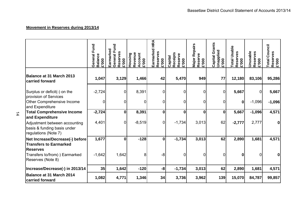# **Movement in Reserves during 2013/14**

 $\frac{1}{4}$ 

|                                                                                                         | Fund<br>General<br><b>Balance</b><br>£'000 | General Fund<br>Earmarked<br>Reserves<br>£'000 | Revenue<br>Account<br><b>Housing</b><br>£'000 | <b>HRA</b><br>Earmarked<br>Reserves<br>£'000 | Receipts<br>Reserve<br>Capital<br>£'000 | <b>Major Repairs<br/>Reserve</b><br>£'000 | Grants<br><b>Unapplied<br/>£'000</b><br>Capital | <b>Total Usable</b><br>Reserves<br>£'000 | Unusable<br>Reserves<br><b>E'000</b> | Council<br>Reserves<br>£'000<br><b>Total</b> |
|---------------------------------------------------------------------------------------------------------|--------------------------------------------|------------------------------------------------|-----------------------------------------------|----------------------------------------------|-----------------------------------------|-------------------------------------------|-------------------------------------------------|------------------------------------------|--------------------------------------|----------------------------------------------|
| <b>Balance at 31 March 2013</b><br>carried forward                                                      | 1,047                                      | 3,129                                          | 1,466                                         | 42                                           | 5,470                                   | 949                                       | 77                                              | 12,180                                   | 83,106                               | 95,286                                       |
| Surplus or deficit(-) on the<br>provision of Services                                                   | $-2,724$                                   | 0                                              | 8,391                                         | 0                                            | 0                                       | 0                                         | 0                                               | 5,667                                    | $\mathbf 0$                          | 5,667                                        |
| Other Comprehensive Income<br>and Expenditure                                                           | 0                                          | $\mathbf 0$                                    | $\overline{0}$                                | 0                                            | 0                                       | 0                                         | 0                                               | $\boldsymbol{0}$                         | $-1,096$                             | $-1,096$                                     |
| <b>Total Comprehensive Income</b><br>and Expenditure                                                    | $-2,724$                                   | $\bf{0}$                                       | 8,391                                         | $\mathbf 0$                                  | $\bf{0}$                                | $\mathbf 0$                               | 0                                               | 5,667                                    | $-1,096$                             | 4,571                                        |
| Adjustment between accounting<br>basis & funding basis under<br>regulations (Note 7)                    | 4,401                                      | 0                                              | $-8,519$                                      | $\mathbf 0$                                  | $-1,734$                                | 3,013                                     | 62                                              | $-2,777$                                 | 2,777                                |                                              |
| Net Increase/Decrease(-) before                                                                         | 1,677                                      | $\bf{0}$                                       | $-128$                                        | $\boldsymbol{0}$                             | $-1,734$                                | 3,013                                     | 62                                              | 2,890                                    | 1,681                                | 4,571                                        |
| <b>Transfers to Earmarked</b><br><b>Reserves</b><br>Transfers to/from(-) Earmarked<br>Reserves (Note 8) | $-1,642$                                   | 1,642                                          | 8                                             | -8                                           | 0                                       | 0                                         | 0                                               | 0                                        | $\Omega$                             |                                              |
| Increase/Decrease(-) in 2013/14                                                                         | 35                                         | 1,642                                          | $-120$                                        | -8                                           | $-1,734$                                | 3,013                                     | 62                                              | 2,890                                    | 1,681                                | 4,571                                        |
| <b>Balance at 31 March 2014</b><br>carried forward                                                      | 1,082                                      | 4,771                                          | 1,346                                         | 34                                           | 3,736                                   | 3,962                                     | 139                                             | 15,070                                   | 84,787                               | 99,857                                       |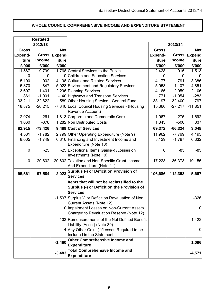# **WHOLE COUNCIL COMPREHENSIVE INCOME AND EXPENDITURE STATEMENT**

 $\overline{\phantom{a}}$ 

r

|                | <b>Restated</b> |               |                                                                                                             |                |               |             |
|----------------|-----------------|---------------|-------------------------------------------------------------------------------------------------------------|----------------|---------------|-------------|
|                | 2012/13         |               |                                                                                                             |                | 2013/14       |             |
| <b>Gross</b>   |                 | <b>Net</b>    |                                                                                                             | <b>Gross</b>   |               | <b>Net</b>  |
| <b>Expend-</b> | Gross           | <b>Expend</b> |                                                                                                             | <b>Expend-</b> | <b>Gross</b>  | Expend-     |
| iture          | <b>Income</b>   | iture         |                                                                                                             | <i>iture</i>   | <b>Income</b> | iture       |
| £'000          | £'000           | £'000         |                                                                                                             | £'000          | £'000         | £'000       |
| 11,567         | $-9,799$        |               | 1,768 Central Services to the Public                                                                        | 2,428          | $-915$        | 1,513       |
| 0              |                 |               | 0 Children and Education Services                                                                           |                | O             |             |
| 5,100          | $-902$          |               | 4,198 Cultural and Related Services                                                                         | 4,177          | $-791$        | 3,386       |
| 5,870          | $-847$          |               | 5,023 Environment and Regulatory Services                                                                   | 5,958          | $-1,107$      | 4,851       |
| 3,697          | $-1,401$        |               | 2,296 Planning Services                                                                                     | 4,165          | $-2,059$      | 2,106       |
| 861            | $-1,001$        |               | -140 Highways and Transport Services                                                                        | 771            | $-1,054$      | $-283$      |
| 33,211         | $-32,622$       |               | 589 Other Housing Service - General Fund                                                                    | 33,197         | $-32,400$     | 797         |
| 18,875         | $-26,215$       |               | -7,340 Local Council Housing Services - (Housing<br>Revenue Account)                                        | 15,366         | $-27,217$     | $-11,851$   |
| 2,074          | $-261$          |               | 1,813 Corporate and Democratic Core                                                                         | 1,967          | $-275$        | 1,692       |
| 1,660          | $-378$          |               | 1,282 Non Distributed Costs                                                                                 | 1,343          | $-506$        | 837         |
|                |                 |               |                                                                                                             |                |               |             |
| 82,915         | $-73,426$       |               | 9,489 Cost of Services                                                                                      | 69,372         | $-66,324$     | 3,048       |
| 4,581          | $-1,782$        |               | 2,799 Other Operating Expenditure (Note 9)                                                                  | 11,962         | $-7,769$      | 4,193       |
| 8,065          | $-1,749$        |               | 6,316 Financing and Investment Income and<br>Expenditure (Note 10)                                          | 8,129          | $-1,797$      | 6,332       |
| 0              | $-25$           |               | -25 Exceptional Items Gains(-) / Losses on<br>Investments (Note 10)                                         | 0              | $-85$         | $-85$       |
| $\pmb{0}$      | $-20,602$       |               | -20,602 Taxation and Non-Specific Grant Income<br>And Expenditure (Note 11)                                 | 17,223         | $-36,378$     | $-19,155$   |
| 95,561         | $-97,584$       | $-2,023$      | Surplus (-) or Deficit on Provision of<br><b>Services</b>                                                   | 106,686        | $-112,353$    | $-5,667$    |
|                |                 |               | Items that will not be reclassified to the<br>Surplus (-) or Deficit on the Provision of<br><b>Services</b> |                |               |             |
|                |                 |               | -1,597 Surplus(-) or Deficit on Revaluation of Non<br>Current Assets (Note 12)                              |                |               | $-326$      |
|                |                 |               | 0 Impairment Losses on Non-Current Assets<br>Charged to Revaluation Reserve (Note 12)                       |                |               | $\mathbf 0$ |
|                |                 |               | 133 Remeasurements of the Net Defined Benefit<br>Liability (Asset) (Note 39)                                |                |               | 1,422       |
|                |                 |               | 4 Any Other Gains(-)/Losses Required to be<br>Included in the Statement                                     |                |               | 0           |
|                |                 | $-1,460$      | <b>Other Comprehensive Income and</b><br><b>Expenditure</b>                                                 |                |               | 1,096       |
|                |                 | $-3,483$      | <b>Total Comprehensive Income and</b><br><b>Expenditure</b>                                                 |                |               | $-4,571$    |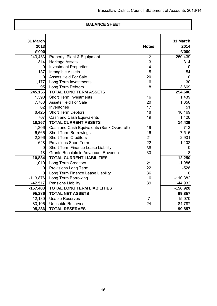# **BALANCE SHEET**

| 31 March       |                                            |                | 31 March   |
|----------------|--------------------------------------------|----------------|------------|
| 2013           |                                            | <b>Notes</b>   | 2014       |
| £'000          |                                            |                | £'000      |
| 243,433        | Property, Plant & Equipment                | 12             | 250,439    |
| 314            | <b>Heritage Assets</b>                     | 13             | 314        |
| $\overline{0}$ | <b>Investment Properties</b>               | 14             |            |
| 137            | Intangible Assets                          | 15             | 154        |
| 0              | <b>Assets Held For Sale</b>                | 20             | $\Omega$   |
| 1,177          | Long Term Investments                      | 16             | 30         |
| 95             | Long Term Debtors                          | 18             | 3,669      |
| 245,156        | <b>TOTAL LONG TERM ASSETS</b>              |                | 254,606    |
| 1,390          | <b>Short Term Investments</b>              | 16             | 1,439      |
| 7,783          | <b>Assets Held For Sale</b>                | 20             | 1,350      |
| 62             | Inventories                                | 17             | 51         |
| 8,425          | <b>Short Term Debtors</b>                  | 18             | 10,169     |
| 707            | Cash and Cash Equivalents                  | 19             | 1,420      |
| 18,367         | <b>TOTAL CURRENT ASSETS</b>                |                | 14,429     |
| $-1,306$       | Cash and Cash Equivalents (Bank Overdraft) | 19             | $-713$     |
| $-6,566$       | <b>Short Term Borrowings</b>               | 16             | $-7,516$   |
| $-2,296$       | <b>Short Term Creditors</b>                | 21             | $-2,901$   |
| $-648$         | <b>Provisions Short Term</b>               | 22             | $-1,102$   |
| 0              | Short Term Finance Lease Liability         | 36             | 0          |
| $-18$          | Grants Receipts in Advance - Revenue       | 33             | $-18$      |
| $-10,834$      | <b>TOTAL CURRENT LIABILITIES</b>           |                | $-12,250$  |
| $-1,010$       | <b>Long Term Creditors</b>                 | 21             | $-1,086$   |
| 0              | Provisions Long Term                       | 22             | $-528$     |
| $\overline{0}$ | Long Term Finance Lease Liability          | 36             | 0          |
| $-113,876$     | Long Term Borrowing                        | 16             | $-110,382$ |
| $-42,517$      | <b>Pensions Liability</b>                  | 39             | $-44,932$  |
| $-157,403$     | <b>TOTAL LONG TERM LIABILITIES</b>         |                | $-156,928$ |
| 95,286         | <b>TOTAL NET ASSETS</b>                    |                | 99,857     |
| 12,180         | <b>Usable Reserves</b>                     | $\overline{7}$ | 15,070     |
| 83,106         | <b>Unusable Reserves</b>                   | 24             | 84,787     |
| 95,286         | <b>TOTAL RESERVES</b>                      |                | 99,857     |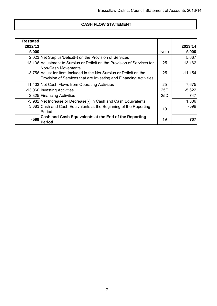# **CASH FLOW STATEMENT**

| <b>Restated</b> |                                                                                                                                           |                 |           |
|-----------------|-------------------------------------------------------------------------------------------------------------------------------------------|-----------------|-----------|
| 2012/13         |                                                                                                                                           |                 | 2013/14   |
| £'000           |                                                                                                                                           | <b>Note</b>     | £'000     |
|                 | 2,023 Net Surplus/Deficit(-) on the Provision of Services                                                                                 |                 | 5,667     |
|                 | 13,136 Adjustment to Surplus or Deficit on the Provision of Services for<br>Non-Cash Movements                                            | 25              | 13,162    |
|                 | -3,756 Adjust for Item Included in the Net Surplus or Deficit on the<br>Provision of Services that are Investing and Financing Activities | 25              | $-11,154$ |
|                 | 11,403 Net Cash Flows from Operating Activities                                                                                           | 25              | 7,675     |
|                 | -13,060 Investing Activities                                                                                                              | <b>25C</b>      | $-5,622$  |
|                 | -2,325 Financing Activities                                                                                                               | 25 <sub>D</sub> | $-747$    |
|                 | -3,982 Net Increase or Decrease(-) in Cash and Cash Equivalents                                                                           |                 | 1,306     |
|                 | 3,383 Cash and Cash Equivalents at the Beginning of the Reporting                                                                         | 19              | $-599$    |
|                 | Period                                                                                                                                    |                 |           |
| $-599$          | Cash and Cash Equivalents at the End of the Reporting                                                                                     | 19              | 707       |
|                 | <b>Period</b>                                                                                                                             |                 |           |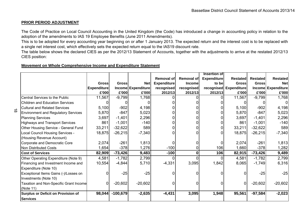#### **PRIOR PERIOD ADJUSTMENT**

 $\vec{a}$ 

The Code of Practice on Local Council Accounting in the United Kingdom (the Code) has introduced <sup>a</sup> change in accounting policy in relation to the adoption of the amendments to IAS 19 Employee Benefits (June 2011 Amendments).

This is to be adopted for every accounting year beginning on or after 1 January 2013. The expected return and the interest cost is to be replaced with a single net interest cost, which effectively sets the expected return equal to the IAS19 discount rate.

The table below shows the declared CIES as per the 2012/13 Statement of Accounts, together with the adjustments to arrive at the restated 2012/13 CIES position:

#### **Movement on Whole Comprehensive Income and Expenditure Statement**

|                                               |                    |              |                    |                    |                   | <b>Insertion of</b> |                        |                 |                    |
|-----------------------------------------------|--------------------|--------------|--------------------|--------------------|-------------------|---------------------|------------------------|-----------------|--------------------|
|                                               |                    |              |                    | <b>Removal of</b>  | <b>Removal of</b> | <b>Expenditure</b>  | <b>Restated</b>        | <b>Restated</b> | <b>Restated</b>    |
|                                               | <b>Gross</b>       | <b>Gross</b> | <b>Net</b>         | <b>Expenditure</b> | <b>Income</b>     | to bel              | <b>Gross</b>           | <b>Gross</b>    | <b>Net</b>         |
|                                               | <b>Expenditure</b> |              | Income Expenditure | recognised         | recognised        |                     | recognised Expenditure |                 | Income Expenditure |
|                                               | £'000              | £'000        | £'000              | 2012/13            | 2012/13           | 2012/13             | £'000                  | £'000           | £'000              |
| Central Services to the Public                | 11,567             | $-9,799$     | 1,768              |                    |                   |                     | 11,567                 | $-9,799$        | 1,768              |
| <b>Children and Education Services</b>        | $\Omega$           |              |                    |                    |                   |                     |                        |                 | $\Omega$           |
| <b>Cultural and Related Services</b>          | 5,100              | $-902$       | 4,198              |                    |                   |                     | 5,100                  | $-902$          | 4,198              |
| <b>Environment and Regulatory Services</b>    | 5,870              | $-847$       | 5,023              |                    |                   |                     | 5,870                  | $-847$          | 5,023              |
| <b>Planning Services</b>                      | 3,697              | $-1,401$     | 2,296              |                    |                   |                     | 3,697                  | $-1,401$        | 2,296              |
| <b>Highways and Transport Services</b>        | 861                | $-1,001$     | $-140$             |                    |                   |                     | 861                    | $-1,001$        | $-140$             |
| Other Housing Service - General Fund          | 33,211             | $-32,622$    | 589                |                    |                   | 0                   | 33,211                 | $-32,622$       | 589                |
| Local Council Housing Services -              | 18,875             | $-26,215$    | $-7,340$           |                    |                   | O.                  | 18,875                 | $-26,215$       | $-7,340$           |
| (Housing Revenue Account)                     |                    |              |                    |                    |                   |                     |                        |                 |                    |
| Corporate and Democratic Core                 | 2,074              | $-261$       | 1,813              |                    |                   |                     | 2,074                  | $-261$          | 1,813              |
| Non Distributed Costs                         | 1,654              | $-378$       | 1,276              | $-100$             |                   | 106                 | 1,660                  | $-378$          | 1,282              |
| <b>Cost of Services</b>                       | 82,909             | $-73,426$    | 9,483              | $-100$             |                   | 106                 | 82,915                 | $-73,426$       | 9,489              |
| Other Operating Expenditure (Note 9)          | 4,581              | $-1,782$     | 2,799              | 0                  |                   | $\Omega$            | 4,581                  | $-1,782$        | 2,799              |
| Financing and Investment Income and           | 10,554             | $-4,844$     | 5,710              | $-4,331$           | 3,095             | 1,842               | 8,065                  | $-1,749$        | 6,316              |
| Expenditure (Note 10)                         |                    |              |                    |                    |                   |                     |                        |                 |                    |
| Exceptional Items Gains (-)/Losses on         | 01                 | $-25$        | $-25$              |                    |                   | O.                  |                        | $-25$           | $-25$              |
| Investments (Note 10)                         |                    |              |                    |                    |                   |                     |                        |                 |                    |
| <b>Taxation and Non-Specific Grant Income</b> | 01                 | $-20,602$    | $-20,602$          | 0                  |                   | 0                   | $\mathbf 0$            | $-20,602$       | $-20,602$          |
| (Note 11)                                     |                    |              |                    |                    |                   |                     |                        |                 |                    |
| <b>Surplus or Deficit on Provision of</b>     | 98,044             | $-100,679$   | $-2,635$           | $-4,431$           | 3,095             | 1,948               | 95,561                 | $-97,584$       | $-2,023$           |
| <b>Services</b>                               |                    |              |                    |                    |                   |                     |                        |                 |                    |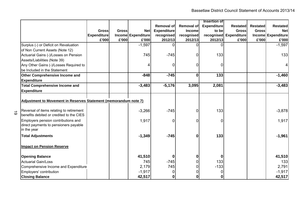|                                                                                                       |                    |              |                    |                    |                   | <b>Insertion of</b> |                        |                 |                    |
|-------------------------------------------------------------------------------------------------------|--------------------|--------------|--------------------|--------------------|-------------------|---------------------|------------------------|-----------------|--------------------|
|                                                                                                       |                    |              |                    | <b>Removal of</b>  | <b>Removal of</b> | <b>Expenditure</b>  | Restated               | <b>Restated</b> | <b>Restated</b>    |
|                                                                                                       | <b>Gross</b>       | <b>Gross</b> | <b>Net</b>         | <b>Expenditure</b> | <b>Income</b>     | to be               | <b>Gross</b>           | <b>Gross</b>    | <b>Net</b>         |
|                                                                                                       | <b>Expenditure</b> |              | Income Expenditure | recognised         | recognised        |                     | recognised Expenditure |                 | Income Expenditure |
|                                                                                                       | £'000              | £'000        | £'000              | 2012/13            | 2012/13           | 2012/13             | £'000                  | £'000           | £'000              |
| Surplus (-) or Deficit on Revaluation                                                                 |                    |              | $-1,597$           |                    |                   | $\Omega$            |                        |                 | $-1,597$           |
| of Non Current Assets (Note 12)                                                                       |                    |              |                    |                    |                   |                     |                        |                 |                    |
| Actuarial Gains (-)/Losses on Pension                                                                 |                    |              | 745                | $-745$             | <sup>0</sup>      | 133                 |                        |                 | 133                |
| Assets/Liabilities (Note 39)                                                                          |                    |              |                    |                    |                   |                     |                        |                 |                    |
| Any Other Gains (-)/Losses Required to                                                                |                    |              | 4                  |                    |                   | 0                   |                        |                 | 4                  |
| be Included in the Statement                                                                          |                    |              |                    |                    |                   |                     |                        |                 |                    |
| Other Comprehensive Income and                                                                        |                    |              | $-848$             | $-745$             | $\bf{0}$          | 133                 |                        |                 | $-1,460$           |
| <b>Expenditure</b>                                                                                    |                    |              |                    |                    |                   |                     |                        |                 |                    |
| <b>Total Comprehensive Income and</b>                                                                 |                    |              | $-3,483$           | $-5,176$           | 3,095             | 2,081               |                        |                 | $-3,483$           |
| <b>Expenditure</b>                                                                                    |                    |              |                    |                    |                   |                     |                        |                 |                    |
| Adjustment to Movement in Reserves Statement (memorandum note 7)                                      |                    |              |                    |                    |                   |                     |                        |                 |                    |
|                                                                                                       |                    |              |                    |                    |                   |                     |                        |                 |                    |
| Reversal of items relating to retirement<br>$\vec{\circ}$<br>benefits debited or credited to the CIES |                    |              | $-3,266$           | $-745$             | 0                 | 133                 |                        |                 | $-3,878$           |
| Employers pension contributions and                                                                   |                    |              |                    | 0                  | <sup>0</sup>      |                     |                        |                 | 1,917              |
| direct payments to pensioners payable<br>in the year                                                  |                    |              | 1,917              |                    |                   | 0                   |                        |                 |                    |
| <b>Total Adjustments</b>                                                                              |                    |              | $-1,349$           | $-745$             | 0                 | 133                 |                        |                 | $-1,961$           |
| <b>Impact on Pension Reserve</b>                                                                      |                    |              |                    |                    |                   |                     |                        |                 |                    |
| <b>Opening Balance</b>                                                                                |                    |              | 41,510             | 0                  |                   | 0                   |                        |                 | 41,510             |
| <b>Actuarial Gain/Loss</b>                                                                            |                    |              | 745                | $-745$             |                   | 133                 |                        |                 | 133                |
| Comprehensive Income and Expenditure                                                                  |                    |              | 2,179              | 745                |                   | $-133$              |                        |                 | 2,791              |
| Employers' contribution                                                                               |                    |              | $-1,917$           |                    |                   | 0                   |                        |                 | $-1,917$           |
| <b>Closing Balance</b>                                                                                |                    |              | 42,517             | $\bf{0}$           | $\mathbf{0}$      | $\boldsymbol{0}$    |                        |                 | 42,517             |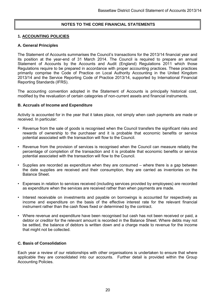# **NOTES TO THE CORE FINANCIAL STATEMENTS**

### **1. ACCOUNTING POLICIES**

#### **A. General Principles**

The Statement of Accounts summarises the Council's transactions for the 2013/14 financial year and its position at the year-end of 31 March 2014. The Council is required to prepare an annual Statement of Accounts by the Accounts and Audit (England) Regulations 2011 which those Regulations require to be prepared in accordance with proper accounting practices. These practices primarily comprise the Code of Practice on Local Authority Accounting in the United Kingdom 2013/14 and the Service Reporting Code of Practice 2013/14, supported by International Financial Reporting Standards (IFRS).

The accounting convention adopted in the Statement of Accounts is principally historical cost, modified by the revaluation of certain categories of non-current assets and financial instruments.

#### **B. Accruals of Income and Expenditure**

Activity is accounted for in the year that it takes place, not simply when cash payments are made or received. In particular:

- Revenue from the sale of goods is recognised when the Council transfers the significant risks and rewards of ownership to the purchaser and it is probable that economic benefits or service potential associated with the transaction will flow to the Council.
- Revenue from the provision of services is recognised when the Council can measure reliably the percentage of completion of the transaction and it is probable that economic benefits or service potential associated with the transaction will flow to the Council.
- Supplies are recorded as expenditure when they are consumed where there is a gap between the date supplies are received and their consumption, they are carried as inventories on the Balance Sheet.
- Expenses in relation to services received (including services provided by employees) are recorded as expenditure when the services are received rather than when payments are made.
- Interest receivable on investments and payable on borrowings is accounted for respectively as income and expenditure on the basis of the effective interest rate for the relevant financial instrument rather than the cash flows fixed or determined by the contract.
- Where revenue and expenditure have been recognised but cash has not been received or paid, a debtor or creditor for the relevant amount is recorded in the Balance Sheet. Where debts may not be settled, the balance of debtors is written down and a charge made to revenue for the income that might not be collected.

# **C. Basis of Consolidation**

Each year a review of our relationships with other organisations is undertaken to ensure that where applicable they are consolidated into our accounts. Further detail is provided within the Group Accounting Policies.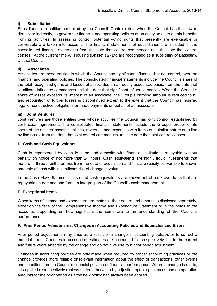# **i) Subsidiaries**

Subsidiaries are entities controlled by the Council. Control exists when the Council has the power, directly or indirectly, to govern the financial and operating policies of an entity so as to obtain benefits from its activities. In assessing control, potential voting rights that presently are exercisable or convertible are taken into account. The financial statements of subsidiaries are included in the consolidated financial statements from the date that control commences until the date that control ceases. At the current time A1 Housing (Bassetlaw) Ltd are recognised as a subsidiary of Bassetlaw District Council.

# **ii) Associates**

Associates are those entities in which the Council has significant influence, but not control, over the financial and operating policies. The consolidated financial statements include the Council's share of the total recognised gains and losses of associates on an equity accounted basis, from the date that significant influence commences until the date that significant influence ceases. When the Council's share of losses exceeds its interest in an associate, the Group's carrying amount is reduced to nil and recognition of further losses is discontinued except to the extent that the Council has incurred legal or constructive obligations or made payments on behalf of an associate.

# **iii) Joint Ventures**

Joint ventures are those entities over whose activities the Council has joint control, established by contractual agreement. The consolidated financial statements include the Group's proportionate share of the entities' assets, liabilities, revenues and expenses with items of a similar nature on a line by line basis, from the date that joint control commences until the date that joint control ceases.

# **D. Cash and Cash Equivalents**

Cash is represented by cash in hand and deposits with financial institutions repayable without penalty on notice of not more than 24 hours. Cash equivalents are highly liquid investments that mature in three months or less from the date of acquisition and that are readily convertible to known amounts of cash with insignificant risk of change in value.

In the Cash Flow Statement, cash and cash equivalents are shown net of bank overdrafts that are repayable on demand and form an integral part of the Council's cash management.

# **E. Exceptional Items**

When items of income and expenditure are material, their nature and amount is disclosed separately, either on the face of the Comprehensive Income and Expenditure Statement or in the notes to the accounts, depending on how significant the items are to an understanding of the Council's performance.

# **F. Prior Period Adjustments, Changes in Accounting Policies and Estimates and Errors**

Prior period adjustments may arise as a result of a change in accounting policies or to correct a material error. Changes in accounting estimates are accounted for prospectively, i.e. in the current and future years affected by the change and do not give rise to a prior period adjustment.

Changes in accounting policies are only made when required by proper accounting practices or the change provides more reliable or relevant information about the effect of transactions, other events and conditions on the Council's financial position or financial performance. Where a change is made, it is applied retrospectively (unless stated otherwise) by adjusting opening balances and comparative amounts for the prior period as if the new policy had always been applied.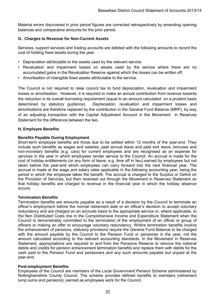Material errors discovered in prior period figures are corrected retrospectively by amending opening balances and comparative amounts for the prior period.

# **G. Charges to Revenue for Non-Current Assets**

Services, support services and trading accounts are debited with the following amounts to record the cost of holding fixed assets during the year.

- Depreciation attributable to the assets used by the relevant service.
- Revaluation and impairment losses on assets used by the service where there are no accumulated gains in the Revaluation Reserve against which the losses can be written off.
- Amortisation of intangible fixed assets attributable to the service.

The Council is not required to raise council tax to fund depreciation, revaluation and impairment losses or amortisation. However, it is required to make an annual contribution from revenue towards the reduction in its overall borrowing requirement (equal to an amount calculated on a prudent basis determined by statutory guidance). Depreciation, revaluation and impairment losses and amortisations are therefore replaced by the contribution in the General Fund Balance (MRP), by way of an adjusting transaction with the Capital Adjustment Account in the Movement in Reserves Statement for the difference between the two.

# **H. Employee Benefits**

# **Benefits Payable During Employment**

Short-term employee benefits are those due to be settled within 12 months of the year-end. They include such benefits as wages and salaries, paid annual leave and paid sick leave, bonuses and non-monetary benefits (e.g. cars) for current employees and are recognised as an expense for services in the year in which employees render service to the Council. An accrual is made for the cost of holiday entitlements (or any form of leave, e.g. time off in lieu) earned by employees but not taken before the year-end which employees can carry forward into the next financial year. The accrual is made at the wage and salary rates applicable in the following accounting year, being the period in which the employee takes the benefit. The accrual is charged to the Surplus or Deficit on the Provision of Services, but then reversed out through the Movement in Reserves Statement so that holiday benefits are charged to revenue in the financial year in which the holiday absence occurs.

# **Termination Benefits**

Termination benefits are amounts payable as a result of a decision by the Council to terminate an officer's employment before the normal retirement date or an officer's decision to accept voluntary redundancy and are charged on an accruals basis to the appropriate service or, where applicable, to the Non Distributed Costs line in the Comprehensive Income and Expenditure Statement when the Council is demonstrably committed to the termination of the employment of an officer or group of officers or making an offer to encourage voluntary redundancy. Where termination benefits involve the enhancement of pensions, statutory provisions require the General Fund Balance to be charged with the amount payable by the Council to the Pension Fund or pensioner in the year, not the amount calculated according to the relevant accounting standards. In the Movement in Reserves Statement, appropriations are required to and from the Pensions Reserve to remove the notional debits and credits for pension enhancement termination benefits and replace them with debits for the cash paid to the Pension Fund and pensioners and any such amounts payable but unpaid at the year-end.

# **Post-employment Benefits**

Employees of the Council are members of the Local Government Pension Scheme administered by Nottinghamshire County Council. The scheme provides defined benefits to members (retirement lump sums and pensions), earned as employees work for the Council.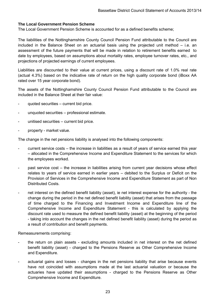## **The Local Government Pension Scheme**

The Local Government Pension Scheme is accounted for as a defined benefits scheme;

The liabilities of the Nottinghamshire County Council Pension Fund attributable to the Council are included in the Balance Sheet on an actuarial basis using the projected unit method – i.e. an assessment of the future payments that will be made in relation to retirement benefits earned to date by employees, based on assumptions about mortality rates, employee turnover rates, etc., and projections of projected earnings of current employees.

Liabilities are discounted to their value at current prices, using a discount rate of 1.0% real rate (actual 4.3%) based on the indicative rate of return on the high quality corporate bond (iBoxx AA rated over 15 year corporate bond).

The assets of the Nottinghamshire County Council Pension Fund attributable to the Council are included in the Balance Sheet at their fair value:

- quoted securities current bid price.
- unquoted securities professional estimate.
- unitised securities current bid price.
- property market value.

The change in the net pensions liability is analysed into the following components:

- current service costs the increase in liabilities as a result of years of service earned this year – allocated in the Comprehensive Income and Expenditure Statement to the services for which the employees worked.
- past service cost the increase in liabilities arising from current year decisions whose effect relates to years of service earned in earlier years – debited to the Surplus or Deficit on the Provision of Services in the Comprehensive Income and Expenditure Statement as part of Non Distributed Costs.
- net interest on the defined benefit liability (asset), ie net interest expense for the authority the change during the period in the net defined benefit liability (asset) that arises from the passage of time charged to the Financing and Investment Income and Expenditure line of the Comprehensive Income and Expenditure Statement - this is calculated by applying the discount rate used to measure the defined benefit liability (asset) at the beginning of the period - taking into account the changes in the net defined benefit liability (asset) during the period as a result of contribution and benefit payments.

Remeasurements comprising:

- the return on plain assets excluding amounts included in net interest on the net defined benefit liability (asset) - charged to the Pensions Reserve as Other Comprehensive Income and Expenditure.
- actuarial gains and losses changes in the net pensions liability that arise because events have not coincided with assumptions made at the last actuarial valuation or because the actuaries have updated their assumptions - charged to the Pensions Reserve as Other Comprehensive Income and Expenditure.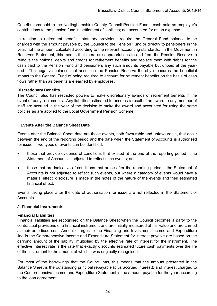Contributions paid to the Nottinghamshire County Council Pension Fund - cash paid as employer's contributions to the pension fund in settlement of liabilities; not accounted for as an expense.

In relation to retirement benefits, statutory provisions require the General Fund balance to be charged with the amount payable by the Council to the Pension Fund or directly to pensioners in the year, not the amount calculated according to the relevant accounting standards. In the Movement in Reserves Statement, this means that there are appropriations to and from the Pension Reserve to remove the notional debits and credits for retirement benefits and replace them with debits for the cash paid to the Pension Fund and pensioners any such amounts payable but unpaid at the yearend. The negative balance that arises on the Pension Reserve thereby measures the beneficial impact to the General Fund of being required to account for retirement benefits on the basis of cash flows rather than as benefits are earned by employees.

# **Discretionary Benefits**

The Council also has restricted powers to make discretionary awards of retirement benefits in the event of early retirements. Any liabilities estimated to arise as a result of an award to any member of staff are accrued in the year of the decision to make the award and accounted for using the same policies as are applied to the Local Government Pension Scheme.

# **I. Events After the Balance Sheet Date**

Events after the Balance Sheet date are those events, both favourable and unfavourable, that occur between the end of the reporting period and the date when the Statement of Accounts is authorised for issue. Two types of events can be identified:

- those that provide evidence of conditions that existed at the end of the reporting period the Statement of Accounts is adjusted to reflect such events; and
- those that are indicative of conditions that arose after the reporting period the Statement of Accounts is not adjusted to reflect such events, but where a category of events would have a material effect, disclosure is made in the notes of the nature of the events and their estimated financial effect.

Events taking place after the date of authorisation for issue are not reflected in the Statement of Accounts.

# **J. Financial Instruments**

# **Financial Liabilities**

Financial liabilities are recognised on the Balance Sheet when the Council becomes a party to the contractual provisions of a financial instrument and are initially measured at fair value and are carried at their amortised cost. Annual charges to the Financing and Investment Income and Expenditure line in the Comprehensive Income and Expenditure Statement for interest payable are based on the carrying amount of the liability, multiplied by the effective rate of interest for the instrument. The effective interest rate is the rate that exactly discounts estimated future cash payments over the life of the instrument to the amount at which it was originally recognised.

For most of the borrowings that the Council has, this means that the amount presented in the Balance Sheet is the outstanding principal repayable (plus accrued interest); and interest charged to the Comprehensive Income and Expenditure Statement is the amount payable for the year according to the loan agreement.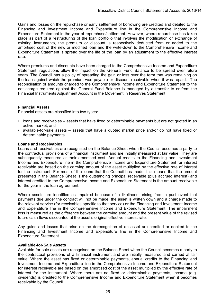Gains and losses on the repurchase or early settlement of borrowing are credited and debited to the Financing and Investment Income and Expenditure line in the Comprehensive Income and Expenditure Statement in the year of repurchase/settlement. However, where repurchase has taken place as part of a restructuring of the loan portfolio that involves the modification or exchange of existing instruments, the premium or discount is respectively deducted from or added to the amortised cost of the new or modified loan and the write-down to the Comprehensive Income and Expenditure Statement is spread over the life of the loan by an adjustment to the effective interest rate.

Where premiums and discounts have been charged to the Comprehensive Income and Expenditure Statement, regulations allow the impact on the General Fund Balance to be spread over future years. The Council has a policy of spreading the gain or loss over the term that was remaining on the loan against which the premium was payable or discount receivable when it was repaid. The reconciliation of amounts charged to the Comprehensive Income and Expenditure Statement to the net charge required against the General Fund Balance is managed by a transfer to or from the Financial Instruments Adjustment Account in the Movement in Reserves Statement.

#### **Financial Assets**

Financial assets are classified into two types:

- loans and receivables assets that have fixed or determinable payments but are not quoted in an active market; and
- available-for-sale assets assets that have a quoted market price and/or do not have fixed or determinable payments.

#### **Loans and Receivables**

Loans and receivables are recognised on the Balance Sheet when the Council becomes a party to the contractual provisions of a financial instrument and are initially measured at fair value. They are subsequently measured at their amortised cost. Annual credits to the Financing and Investment Income and Expenditure line in the Comprehensive Income and Expenditure Statement for interest receivable are based on the carrying amount of the asset multiplied by the effective rate of interest for the instrument. For most of the loans that the Council has made, this means that the amount presented in the Balance Sheet is the outstanding principal receivable (plus accrued interest) and interest credited to the Comprehensive Income and Expenditure Statement is the amount receivable for the year in the loan agreement.

Where assets are identified as impaired because of a likelihood arising from a past event that payments due under the contract will not be made, the asset is written down and a charge made to the relevant service (for receivables specific to that service) or the Financing and Investment Income and Expenditure line in the Comprehensive Income and Expenditure Statement. The impairment loss is measured as the difference between the carrying amount and the present value of the revised future cash flows discounted at the asset's original effective interest rate.

Any gains and losses that arise on the derecognition of an asset are credited or debited to the Financing and Investment Income and Expenditure line in the Comprehensive Income and Expenditure Statement.

#### **Available-for-Sale Assets**

Available-for-sale assets are recognised on the Balance Sheet when the Council becomes a party to the contractual provisions of a financial instrument and are initially measured and carried at fair value. Where the asset has fixed or determinable payments, annual credits to the Financing and Investment Income and Expenditure line in the Comprehensive Income and Expenditure Statement for interest receivable are based on the amortised cost of the asset multiplied by the effective rate of interest for the instrument. Where there are no fixed or determinable payments, income (e.g. dividends) is credited to the Comprehensive Income and Expenditure Statement when it becomes receivable by the Council.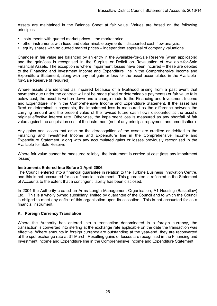Assets are maintained in the Balance Sheet at fair value. Values are based on the following principles:

- instruments with quoted market prices the market price.
- other instruments with fixed and determinable payments discounted cash flow analysis.
- equity shares with no quoted market prices independent appraisal of company valuations.

Changes in fair value are balanced by an entry in the Available-for-Sale Reserve (when applicable) and the gain/loss is recognised in the Surplus or Deficit on Revaluation of Available-for-Sale Financial Assets. The exception is where impairment losses have been incurred – these are debited to the Financing and Investment Income and Expenditure line in the Comprehensive Income and Expenditure Statement, along with any net gain or loss for the asset accumulated in the Availablefor-Sale Reserve (if required).

Where assets are identified as impaired because of a likelihood arising from a past event that payments due under the contract will not be made (fixed or determinable payments) or fair value falls below cost, the asset is written down and a charge made to the Financing and Investment Income and Expenditure line in the Comprehensive Income and Expenditure Statement. If the asset has fixed or determinable payments, the impairment loss is measured as the difference between the carrying amount and the present value of the revised future cash flows discounted at the asset's original effective interest rate. Otherwise, the impairment loss is measured as any shortfall of fair value against the acquisition cost of the instrument (net of any principal repayment and amortisation).

Any gains and losses that arise on the derecognition of the asset are credited or debited to the Financing and Investment Income and Expenditure line in the Comprehensive Income and Expenditure Statement, along with any accumulated gains or losses previously recognised in the Available-for-Sale Reserve.

Where fair value cannot be measured reliably, the instrument is carried at cost (less any impairment losses).

#### **Instruments Entered Into Before 1 April 2006**

The Council entered into a financial guarantee in relation to the Turbine Business Innovation Centre, and this is not accounted for as a financial instrument. This guarantee is reflected in the Statement of Accounts to the extent that a contingent liability has been disclosed.

In 2004 the Authority created an Arms Length Management Organisation, A1 Housing (Bassetlaw) Ltd. This is a wholly owned subsidiary, limited by guarantee of the Council and to which the Council is obliged to meet any deficit of this organisation upon its cessation. This is not accounted for as a financial instrument.

# **K. Foreign Currency Translation**

Where the Authority has entered into a transaction denominated in a foreign currency, the transaction is converted into sterling at the exchange rate applicable on the date the transaction was effective. Where amounts in foreign currency are outstanding at the year-end, they are reconverted at the spot exchange rate at 31 March. Resulting gains or losses are recognised in the Financing and Investment Income and Expenditure line in the Comprehensive Income and Expenditure Statement.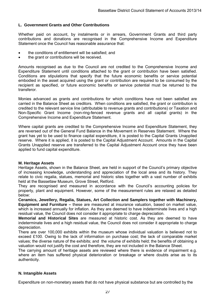# **L. Government Grants and Other Contributions**

Whether paid on account, by instalments or in arrears, Government Grants and third party contributions and donations are recognised in the Comprehensive Income and Expenditure Statement once the Council has reasonable assurance that:

- the conditions of entitlement will be satisfied; and
- the grant or contributions will be received.

Amounts recognised as due to the Council are not credited to the Comprehensive Income and Expenditure Statement until conditions attached to the grant or contribution have been satisfied. Conditions are stipulations that specify that the future economic benefits or service potential embodied in the asset acquired using the grant or contribution are required to be consumed by the recipient as specified, or future economic benefits or service potential must be returned to the transferor.

Monies advanced as grants and contributions for which conditions have not been satisfied are carried in the Balance Sheet as creditors. When conditions are satisfied, the grant or contribution is credited to the relevant service line (attributable to revenue grants and contributions) or Taxation and Non-Specific Grant Income (non-ring-fenced revenue grants and all capital grants) in the Comprehensive Income and Expenditure Statement.

Where capital grants are credited to the Comprehensive Income and Expenditure Statement, they are reversed out of the General Fund Balance in the Movement in Reserves Statement. Where the grant has yet to be used to finance capital expenditure, it is posted to the Capital Grants Unapplied reserve. Where it is applied, it is posted to the Capital Adjustment Account. Amounts in the Capital Grants Unapplied reserve are transferred to the Capital Adjustment Account once they have been applied to fund capital expenditure.

#### **M. Heritage Assets**

Heritage Assets, shown in the Balance Sheet, are held in support of the Council's primary objective of increasing knowledge, understanding and appreciation of the local area and its history. They relate to civic regalia, statues, memorial and historic sites together with a vast number of exhibits held at the Bassetlaw Museum, Grove Street, Retford.

They are recognised and measured in accordance with the Council's accounting policies for property, plant and equipment. However, some of the measurement rules are relaxed as detailed below:

**Ceramics, Jewellery, Regalia, Statues, Art Collection and Samplers together with Machinery, Equipment and Furniture –** these are measured at insurance valuation, based on market value, which is increased annually for inflation. As they are deemed to have indeterminate lives and a high residual value, the Council does not consider it appropriate to charge depreciation.

**Memorial and Historical Sites** are measured at historic cost. As they are deemed to have indeterminate lives and a high residual value, the Council does not consider it appropriate to charge depreciation.

There are over 100,000 exhibits within the museum whose individual valuation is believed not to exceed £100. Owing to the lack of information on purchase cost; the lack of comparable market values; the diverse nature of the exhibits; and the volume of exhibits held; the benefits of obtaining a valuation would not justify the cost and therefore, they are not included in the Balance Sheet.

The carrying amount of heritage assets are reviewed where there is evidence of impairment e.g. where an item has suffered physical deterioration or breakage or where doubts arise as to its authenticity.

#### **N. Intangible Assets**

Expenditure on non-monetary assets that do not have physical substance but are controlled by the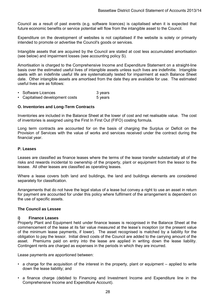Council as a result of past events (e.g. software licences) is capitalised when it is expected that future economic benefits or service potential will flow from the intangible asset to the Council.

Expenditure on the development of websites is not capitalised if the website is solely or primarily intended to promote or advertise the Council's goods or services.

Intangible assets that are acquired by the Council are stated at cost less accumulated amortisation (see below) and impairment losses (see accounting policy S).

Amortisation is charged to the Comprehensive Income and Expenditure Statement on a straight-line basis over the estimated useful lives of intangible assets unless such lives are indefinitie. Intangible aaets with an indefinite useful life are systematically tested for impairment at each Balance Sheet date. Other intangible assets are amortised from the date they are available for use. The estimated useful lives are as follows:

- Software Licences 3 years
- Capitalised development costs 5 years

#### **O. Inventories and Long-Term Contracts**

Inventories are included in the Balance Sheet at the lower of cost and net realisable value. The cost of inventories is assigned using the First In First Out (FIFO) costing formula.

Long term contracts are accounted for on the basis of charging the Surplus or Deficit on the Provision of Services with the value of works and services received under the contract during the financial year.

#### **P. Leases**

Leases are classified as finance leases where the terms of the lease transfer substantially all of the risks and rewards incidental to ownership of the property, plant or equipment from the lessor to the lessee. All other leases are classified as operating leases.

Where a lease covers both land and buildings, the land and buildings elements are considered separately for classification.

Arrangements that do not have the legal status of a lease but convey a right to use an asset in return for payment are accounted for under this policy where fulfilment of the arrangement is dependent on the use of specific assets.

#### **The Council as Lessee**

#### **i) Finance Leases**

Property Plant and Equipment held under finance leases is recognised in the Balance Sheet at the commencement of the lease at its fair value measured at the lease's inception (or the present value of the minimum lease payments, if lower). The asset recognised is matched by a liability for the obligation to pay the lessor. Initial direct costs of the Council are added to the carrying amount of the asset. Premiums paid on entry into the lease are applied in writing down the lease liability. Contingent rents are charged as expenses in the periods in which they are incurred.

Lease payments are apportioned between:

- a charge for the acquisition of the interest in the property, plant or equipment applied to write down the lease liability; and
- a finance charge (debited to Financing and Investment Income and Expenditure line in the Comprehensive Income and Expenditure Account).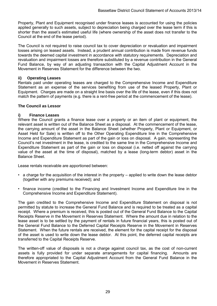Property, Plant and Equipment recognised under finance leases is accounted for using the policies applied generally to such assets, subject to depreciation being charged over the lease term if this is shorter than the asset's estimated useful life (where ownership of the asset does not transfer to the Council at the end of the lease period).

The Council is not required to raise council tax to cover depreciation or revaluation and impairment losses arising on leased assets. Instead, a prudent annual contribution is made from revenue funds towards the deemed capital investment in accordance with statutory requirements. Depreciation and revaluation and impairment losses are therefore substituted by a revenue contribution in the General Fund Balance, by way of an adjusting transaction with the Capital Adjustment Account in the Movement in Reserves Statement for the difference between the two.

#### **ii) Operating Leases**

Rentals paid under operating leases are charged to the Comprehensive Income and Expenditure Statement as an expense of the services benefiting from use of the leased Property, Plant or Equipment. Charges are made on a straight line basis over the life of the lease, even if this does not match the pattern of payments (e.g. there is a rent-free period at the commencement of the lease).

#### **The Council as Lessor**

#### **i) Finance Leases**

Where the Council grants a finance lease over a property or an item of plant or equipment, the relevant asset is written out of the Balance Sheet as a disposal. At the commencement of the lease, the carrying amount of the asset in the Balance Sheet (whether Property, Plant or Equipment, or Asset Held for Sale) is written off to the Other Operating Expenditure line in the Comprehensive Income and Expenditure Statement as part of the gain or loss on disposal. A gain, representing the Council's net investment in the lease, is credited to the same line in the Comprehensive Income and Expenditure Statement as part of the gain or loss on disposal (i.e. netted off against the carrying value of the asset at the time of disposal), matched by a lease (long-term debtor) asset in the Balance Sheet.

Lease rentals receivable are apportioned between:

- a charge for the acquisition of the interest in the property applied to write down the lease debtor (together with any premiums received); and
- finance income (credited to the Financing and Investment Income and Expenditure line in the Comprehensive Income and Expenditure Statement).

The gain credited to the Comprehensive Income and Expenditure Statement on disposal is not permitted by statute to increase the General Fund Balance and is required to be treated as a capital receipt. Where a premium is received, this is posted out of the General Fund Balance to the Capital Receipts Reserve in the Movement in Reserves Statement. Where the amount due in relation to the lease asset is to be settled by the payment of rentals in future financial years, this is posted out of the General Fund Balance to the Deferred Capital Receipts Reserve in the Movement in Reserves Statement. When the future rentals are received, the element for the capital receipt for the disposal of the asset is used to write down the lease debtor. At this point, the deferred capital receipts are transferred to the Capital Receipts Reserve.

The written-off value of disposals is not a charge against council tax, as the cost of non-current assets is fully provided for under separate arrangements for capital financing. Amounts are therefore appropriated to the Capital Adjustment Account from the General Fund Balance in the Movement in Reserves Statement.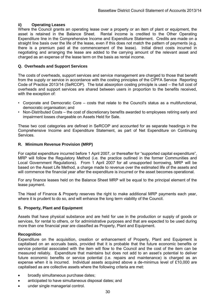#### **ii) Operating Leases**

Where the Council grants an operating lease over a property or an item of plant or equipment, the asset is retained in the Balance Sheet. Rental income is credited to the Other Operating Expenditure line in the Comprehensive Income and Expenditure Statement. Credits are made on a straight line basis over the life of the lease, even if this does not match the pattern of payments (e.g. there is a premium paid at the commencement of the lease). Initial direct costs incurred in negotiating and arranging the lease are added to the carrying amount of the relevant asset and charged as an expense of the lease term on the basis as rental income.

#### **Q. Overheads and Support Services**

The costs of overheads, support services and service management are charged to those that benefit from the supply or service in accordance with the costing principles of the CIPFA Service Reporting Code of Practice 2013/14 (SeRCOP). The total absorption costing principle is used – the full cost of overheads and support services are shared between users in proportion to the benefits received, with the exception of:

- Corporate and Democratic Core costs that relate to the Council's status as a multifunctional, democratic organisation; and
- Non-Distributed Costs the cost of discretionary benefits awarded to employees retiring early and impairment losses chargeable on Assets Held for Sale.

These two cost categories are defined in SeRCOP and accounted for as separate headings in the Comprehensive Income and Expenditure Statement, as part of Net Expenditure on Continuing **Services** 

#### **R. Minimum Revenue Provision (MRP)**

For capital expenditure incurred before 1 April 2007, or thereafter for "supported capital expenditure", MRP will follow the Regulatory Method (i.e. the practice outlined in the former Communities and Local Government Regulations). From 1 April 2007 for all unsupported borrowing, MRP will be based on the Asset Life Method, a charge made to revenue over the estimated life of the assets and will commence the financial year after the expenditure is incurred or the asset becomes operational.

For any finance leases held on the Balance Sheet MRP will be equal to the principal element of the lease payment.

The Head of Finance & Property reserves the right to make additional MRP payments each year, where it is prudent to do so, and will enhance the long term viability of the Council.

#### **S. Property, Plant and Equipment**

Assets that have physical substance and are held for use in the production or supply of goods or services, for rental to others, or for administrative purposes and that are expected to be used during more than one financial year are classified as Property, Plant and Equipment.

#### **Recognition**

Expenditure on the acquisition, creation or enhancement of Property, Plant and Equipment is capitalised on an accruals basis, provided that it is probable that the future economic benefits or service potential associated with the item will flow to the Council and the cost of the item can be measured reliably. Expenditure that maintains but does not add to an asset's potential to deliver future economic benefits or service potential (i.e. repairs and maintenance) is charged as an expense when it is incurred. Individual assets acquired above a de-minimus level of £10,000 are capitalised as are collective assets where the following criteria are met:

- broadly simultaneous purchase dates;
- anticipated to have simultaneous disposal dates; and
- under single managerial control.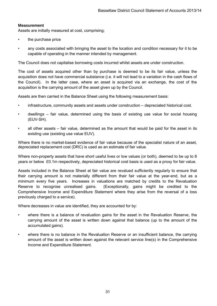# **Measurement**

Assets are initially measured at cost, comprising;

- the purchase price
- any costs associated with bringing the asset to the location and condition necessary for it to be capable of operating in the manner intended by management.

The Council does not capitalise borrowing costs incurred whilst assets are under construction.

The cost of assets acquired other than by purchase is deemed to be its fair value, unless the acquisition does not have commercial substance (i.e. it will not lead to a variation in the cash flows of the Council). In the latter case, where an asset is acquired via an exchange, the cost of the acquisition is the carrying amount of the asset given up by the Council.

Assets are then carried in the Balance Sheet using the following measurement basis:

- infrastructure, community assets and assets under construction depreciated historical cost.
- dwellings fair value, determined using the basis of existing use value for social housing (EUV-SH).
- all other assets fair value, determined as the amount that would be paid for the asset in its existing use (existing use value EUV).

Where there is no market-based evidence of fair value because of the specialist nature of an asset, depreciated replacement cost (DRC) is used as an estimate of fair value.

Where non-property assets that have short useful lives or low values (or both), deemed to be up to 8 years or below £0.1m respectively, depreciated historical cost basis is used as a proxy for fair value.

Assets included in the Balance Sheet at fair value are revalued sufficiently regularly to ensure that their carrying amount is not materially different from their fair value at the year-end, but as a minimum every five years. Increases in valuations are matched by credits to the Revaluation Reserve to recognise unrealised gains. (Exceptionally, gains might be credited to the Comprehensive Income and Expenditure Statement where they arise from the reversal of a loss previously charged to a service).

Where decreases in value are identified, they are accounted for by:

- where there is a balance of revaluation gains for the asset in the Revaluation Reserve, the carrying amount of the asset is written down against that balance (up to the amount of the accumulated gains).
- where there is no balance in the Revaluation Reserve or an insufficient balance, the carrying amount of the asset is written down against the relevant service line(s) in the Comprehensive Income and Expenditure Statement.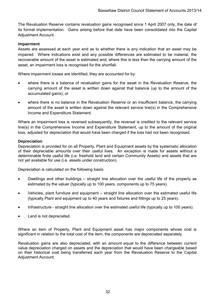The Revaluation Reserve contains revaluation gains recognised since 1 April 2007 only, the date of its formal implementation. Gains arising before that date have been consolidated into the Capital Adjustment Account.

# **Impairment**

Assets are assessed at each year end as to whether there is any indication that an asset may be impaired. Where indications exist and any possible differences are estimated to be material, the recoverable amount of the asset is estimated and, where this is less than the carrying amount of the asset, an impairment loss is recognised for the shortfall.

Where impairment losses are identified, they are accounted for by:

- where there is a balance of revaluation gains for the asset in the Revaluation Reserve, the carrying amount of the asset is written down against that balance (up to the amount of the accumulated gains); or
- where there is no balance in the Revaluation Reserve or an insufficient balance, the carrying amount of the asset is written down against the relevant service line(s) in the Comprehensive Income and Expenditure Statement.

Where an impairment loss is reversed subsequently, the reversal is credited to the relevant service line(s) in the Comprehensive Income and Expenditure Statement, up to the amount of the original loss, adjusted for depreciation that would have been charged if the loss had not been recognised.

#### **Depreciation**

Depreciation is provided for on all Property, Plant and Equipment assets by the systematic allocation of their depreciable amounts over their useful lives. An exception is made for assets without a determinable finite useful life (i.e. freehold land and certain Community Assets) and assets that are not yet available for use (i.e. assets under construction).

Depreciation is calculated on the following basis:

- Dwellings and other buildings straight line allocation over the useful life of the property as estimated by the valuer (typically up to 100 years, components up to 75 years).
- Vehicles, plant furniture and equipment straight line allocation over the estimated useful life (typically Plant and equipment up to 40 years and fixtures and fittings up to 25 years).
- Infrastructure straight line allocation over the estimated useful life (typically up to 100 years).
- Land is not depreciated.

Where an item of Property. Plant and Equipment asset has major components whose cost is significant in relation to the total cost of the item, the components are depreciated separately.

Revaluation gains are also depreciated, with an amount equal to the difference between current value depreciation charged on assets and the depreciation that would have been chargeable based on their historical cost being transferred each year from the Revaluation Reserve to the Capital Adjustment Account.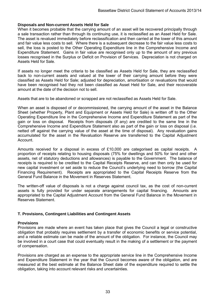#### **Disposals and Non-current Assets Held for Sale**

When it becomes probable that the carrying amount of an asset will be recovered principally through a sale transaction rather than through its continuing use, it is reclassified as an Asset Held for Sale. The asset is revalued immediately before reclassification and then carried at the lower of this amount and fair value less costs to sell. Where there is a subsequent decrease to the fair value less costs to sell, the loss is posted to the Other Operating Expenditure line in the Comprehensive Income and Expenditure Statement. Gains in fair value are recognised only up to the amount of any previous losses recognised in the Surplus or Deficit on Provision of Services. Depreciation is not charged on Assets Held for Sale.

If assets no longer meet the criteria to be classified as Assets Held for Sale, they are reclassified back to non-current assets and valued at the lower of their carrying amount before they were classified as Assets Held for Sale; adjusted for depreciation, amortisation or revaluations that would have been recognised had they not been classified as Asset Held for Sale, and their recoverable amount at the date of the decision not to sell.

Assets that are to be abandoned or scrapped are not reclassified as Assets Held for Sale.

When an asset is disposed of or decommissioned, the carrying amount of the asset in the Balance Sheet (whether Property, Plant and Equipment or Assets Held for Sale) is written off to the Other Operating Expenditure line in the Comprehensive Income and Expenditure Statement as part of the gain or loss on disposal. Receipts from disposals (if any) are credited to the same line in the Comprehensive Income and Expenditure Statement also as part of the gain or loss on disposal (i.e. netted off against the carrying value of the asset at the time of disposal). Any revaluation gains accumulated for the asset in the Revaluation Reserve are transferred to the Capital Adjustment Account.

Amounts received for a disposal in excess of £10,000 are categorised as capital receipts. A proportion of receipts relating to housing disposals (75% for dwellings and 50% for land and other assets, net of statutory deductions and allowances) is payable to the Government. The balance of receipts is required to be credited to the Capital Receipts Reserve, and can then only be used for new capital investment or set aside to reduce the Council's underlying need to borrow (the Capital Financing Requirement). Receipts are appropriated to the Capital Receipts Reserve from the General Fund Balance in the Movement in Reserves Statement.

The written-off value of disposals is not a charge against council tax, as the cost of non-current assets is fully provided for under separate arrangements for capital financing. Amounts are appropriated to the Capital Adjustment Account from the General Fund Balance in the Movement in Reserves Statement.

#### **T. Provisions, Contingent Liabilities and Contingent Assets**

#### **Provisions**

Provisions are made where an event has taken place that gives the Council a legal or constructive obligation that probably requires settlement by a transfer of economic benefits or service potential, and a reliable estimate can be made of the amount of the obligation. For instance, the Council may be involved in a court case that could eventually result in the making of a settlement or the payment of compensation.

Provisions are charged as an expense to the appropriate service line in the Comprehensive Income and Expenditure Statement in the year that the Council becomes aware of the obligation, and are measured at the best estimate at the Balance Sheet date of the expenditure required to settle the obligation, taking into account relevant risks and uncertainties.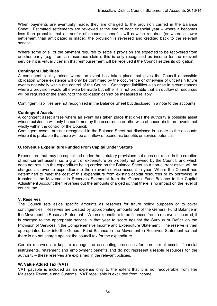When payments are eventually made, they are charged to the provision carried in the Balance Sheet. Estimated settlements are reviewed at the end of each financial year – where it becomes less than probable that a transfer of economic benefits will now be required (or where a lower settlement than anticipated is made), the provision is reversed and credited back to the relevant service.

Where some or all of the payment required to settle a provision are expected to be recovered from another party (e.g. from an insurance claim), this is only recognised as income for the relevant service if it is virtually certain that reimbursement will be received if the Council settles its obligation.

#### **Contingent Liabilities**

A contingent liability arises where an event has taken place that gives the Council a possible obligation whose existence will only be confirmed by the occurrence or otherwise of uncertain future events not wholly within the control of the Council. Contingent liabilities also arise in circumstances where a provision would otherwise be made but either it is not probable that an outflow of resources will be required or the amount of the obligation cannot be measured reliably.

Contingent liabilities are not recognised in the Balance Sheet but disclosed in a note to the accounts.

#### **Contingent Assets**

A contingent asset arises where an event has taken place that gives the authority a possible asset whose existence will only be confirmed by the occurrence or otherwise of uncertain future events not wholly within the control of the Council.

Contingent assets are not recognised in the Balance Sheet but disclosed in a note to the accounts where it is probable that there will be an inflow of economic benefits or service potential.

#### **U. Revenue Expenditure Funded From Capital Under Statute**

Expenditure that may be capitalised under the statutory provisions but does not result in the creation of non-current assets, i.e. a grant or expenditure on property not owned by the Council, and which does not result in the expenditure being carried on the Balance Sheet as a non-current asset, will be charged as revenue expenditure to the relevant service account in year. Where the Council has determined to meet the cost of this expenditure from existing capital resources or by borrowing, a transfer in the Movement in Reserves Statement from the General Fund Balance to the Capital Adjustment Account then reverses out the amounts charged so that there is no impact on the level of council tax.

#### **V. Reserves**

The Council sets aside specific amounts as reserves for future policy purposes or to cover contingencies. Reserves are created by appropriating amounts out of the General Fund Balance in the Movement in Reserve Statement. When expenditure to be financed from a reserve is incurred, it is charged to the appropriate service in that year to score against the Surplus or Deficit on the Provision of Services in the Comprehensive Income and Expenditure Statement. The reserve is then appropriated back into the General Fund Balance in the Movement in Reserves Statement so that there is no net charge against the council tax for the expenditure.

Certain reserves are kept to manage the accounting processes for non-current assets, financial instruments, retirement and employment benefits and do not represent useable resources for the authority – these reserves are explained in the relevant policies.

#### **W. Value Added Tax (VAT)**

VAT payable is included as an expense only to the extent that it is not recoverable from Her Majesty's Revenue and Customs. VAT receivable is excluded from income.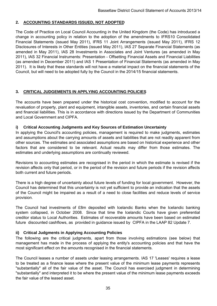# **2. ACCOUNTING STANDARDS ISSUED, NOT ADOPTED**

The Code of Practice on Local Council Accounting in the United Kingdom (the Code) has introduced a change in accounting policy in relation to the adoption of the amendments to IFRS10 Consolidated Financial Statements (issued May 2011), IFRS 11 Joint Arrangements (issued May 2011), IFRS 12 Disclosures of Interests in Other Entities (issued May 2011), IAS 27 Separate Financial Statements (as amended in May 2011), IAS 28 Investments in Associates and Joint Ventures (as amended in May 2011), IAS 32 Financial Instruments: Presentation - Offsetting Financial Assets and Financial Liabilities (as amended in December 2011) and IAS 1 Presentation of Financial Statements (as amended in May 2011). It is likely that these standards will not have a material impact on the financial statements of the Council, but will need to be adopted fully by the Council in the 2014/15 financial statements.

# **3. CRITICAL JUDGEMENTS IN APPLYING ACCOUNTING POLICIES**

The accounts have been prepared under the historical cost convention, modified to account for the revaluation of property, plant and equipment, intangible assets, inventories, and certain financial assets and financial liabilities. This is in accordance with directions issued by the Department of Communities and Local Government and CIPFA.

# **i) Critical Accounting Judgments and Key Sources of Estimation Uncertainty**

In applying the Council's accounting policies, management is required to make judgments, estimates and assumptions about the carrying amounts of assets and liabilities that are not readily apparent from other sources. The estimates and associated assumptions are based on historical experience and other factors that are considered to be relevant. Actual results may differ from those estimates. The estimates and underlying assumptions are continually reviewed.

Revisions to accounting estimates are recognised in the period in which the estimate is revised if the revision affects only that period, or in the period of the revision and future periods if the revision affects both current and future periods.

There is a high degree of uncertainty about future levels of funding for local government. However, the Council has determined that this uncertainty is not yet sufficient to provide an indication that the assets of the Council might be impaired as a result of a need to close facilities and reduce levels of service provision.

The Council had investments of £8m deposited with Icelandic Banks when the Icelandic banking system collapsed, in October 2008. Since that time the Icelandic Courts have given preferential creditor status to Local Authorities. Estimates of recoverable amounts have been based on estimated future discounted cashflows, as provided in guidance issued by CIPFA in the LAAP 82 Update 7.

# **ii) Critical Judgments in Applying Accounting Policies**

The following are the critical judgments, apart from those involving estimations (see below) that management has made in the process of applying the entity's accounting policies and that have the most significant effect on the amounts recognised in the financial statements.

The Council leases a number of assets under leasing arrangements. IAS 17 'Leases' requires a lease to be treated as a finance lease where the present value of the minimum lease payments represents "substantially" all of the fair value of the asset. The Council has exercised judgment in determining "substantially" and interpreted it to be where the present value of the minimum lease payments exceeds the fair value of the leased asset.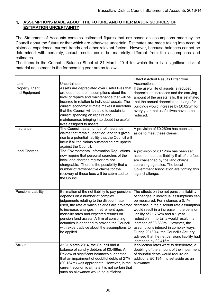# **4. ASSUMPTIONS MADE ABOUT THE FUTURE AND OTHER MAJOR SOURCES OF ESTIMATION UNCERTAINITY**

The Statement of Accounts contains estimated figures that are based on assumptions made by the Council about the future or that which are otherwise uncertain. Estimates are made taking into account historical experience, current trends and other relevant factors. However, because balances cannot be determined with certainty, actual results could be materially different from the assumptions and estimates.

The items in the Council's Balance Sheet at 31 March 2014 for which there is a significant risk of material adjustment in the forthcoming year are as follows:

| Item                             | Uncertainties                                                                                                                                                                                                                                                                                                                                                                                                                    | <b>Effect if Actual Results Differ from</b><br>Assumptions                                                                                                                                                                                                                                                                                                                                                                                                                                          |
|----------------------------------|----------------------------------------------------------------------------------------------------------------------------------------------------------------------------------------------------------------------------------------------------------------------------------------------------------------------------------------------------------------------------------------------------------------------------------|-----------------------------------------------------------------------------------------------------------------------------------------------------------------------------------------------------------------------------------------------------------------------------------------------------------------------------------------------------------------------------------------------------------------------------------------------------------------------------------------------------|
| Property, Plant<br>and Equipment | Assets are depreciated over useful lives that<br>are dependent on assumptions about the<br>level of repairs and maintenance that will be<br>incurred in relation to individual assets. The<br>current economic climate makes it uncertain<br>that the Council will be able to sustain its<br>current spending on repairs and<br>maintenance, bringing into doubt the useful<br>lives assigned to assets.                         | If the useful life of assets is reduced,<br>depreciation increases and the carrying<br>amount of the assets falls. It is estimated<br>that the annual depreciation charge for<br>buildings would increase by £0.025m for<br>every year that useful lives have to be<br>reduced.                                                                                                                                                                                                                     |
| Insurance                        | The Council has a number of insurance<br>claims that remain unsettled, and this gives<br>rise to a potential liability that the Council will<br>incur if all the claims outstanding are upheld<br>against the Council.                                                                                                                                                                                                           | A provision of £0.260m has been set<br>aside to meet these claims.                                                                                                                                                                                                                                                                                                                                                                                                                                  |
| <b>Land Charges</b>              | The Environmental Information Regulations<br>now require that personal searches of the<br>local land charges register are not<br>chargeable. There is the possibility that a<br>number of retrospective claims for the<br>recovery of these fees will be submitted to<br>the Council.                                                                                                                                            | A provision of £0.126m has been set<br>aside to meet this liability if all of the fees<br>are challenged by the land charge<br>searching agencies. The Local<br>Government Association are fighting this<br>legal challenge.                                                                                                                                                                                                                                                                        |
| <b>Pensions Liability</b>        | Estimation of the net liability to pay pensions<br>depends on a number of complex<br>judgements relating to the discount rate<br>used, the rate at which salaries are projected<br>to increase, changes in retirement ages,<br>mortality rates and expected returns on<br>pension fund assets. A firm of consulting<br>actuaries is engaged to provide the Council<br>with expert advice about the assumptions to<br>be applied. | The effects on the net pensions liability<br>of changes in individual assumptions can<br>be measured. For instance, a 0.1%<br>decrease in the discount rate assumption<br>would result in a increase in the pension<br>liability of £1.762m and a 1 year<br>reduction in mortality would result in a<br>increase of £3.830m. However, the<br>assumptions interact in complex ways.<br>During 2013/14, the Council's Actuary<br>advised that the net pensions liability had<br>increased by £2.416m. |
| Arrears                          | At 31 March 2014, the Council had a<br>balance of sundry debtors of £0.489m. A<br>Review of significant balances suggested<br>that an impairment of doubtful debts of 27%<br>(£0.134m) was appropriate. However, in the<br>current economic climate it is not certain that<br>such an allowance would be sufficient.                                                                                                             | If collection rates were to deteriorate, a<br>doubling of the amount of the impairment<br>of doubtful debts would require an<br>additional £0.134m to set aside as an<br>allowance.                                                                                                                                                                                                                                                                                                                 |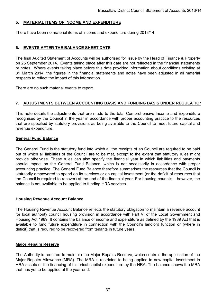# **5. MATERIAL ITEMS OF INCOME AND EXPENDITURE**

There have been no material items of income and expenditure during 2013/14.

# **6. EVENTS AFTER THE BALANCE SHEET DATE**

The final Audited Statement of Accounts will be authorised for issue by the Head of Finance & Property on 25 September 2014. Events taking place after this date are not reflected in the financial statements or notes. Where events taking place before this date provided information about conditions existing at 31 March 2014, the figures in the financial statements and notes have been adjusted in all material respects to reflect the impact of this information.

There are no such material events to report.

## **7. ADJUSTMENTS BETWEEN ACCOUNTING BASIS AND FUNDING BASIS UNDER REGULATION**

This note details the adjustments that are made to the total Comprehensive Income and Expenditure recognised by the Council in the year in accordance with proper accounting practice to the resources that are specified by statutory provisions as being available to the Council to meet future capital and revenue expenditure.

### **General Fund Balance**

The General Fund is the statutory fund into which all the receipts of an Council are required to be paid out of which all liabilities of the Council are to be met, except to the extent that statutory rules might provide otherwise. These rules can also specify the financial year in which liabilities and payments should impact on the General Fund Balance, which is not necessarily in accordance with proper accounting practice. The General Fund Balance therefore summarises the resources that the Council is statutorily empowered to spend on its services or on capital investment (or the deficit of resources that the Council is required to recover) at the end of the financial year. For housing councils – however, the balance is not available to be applied to funding HRA services.

## **Housing Revenue Account Balance**

The Housing Revenue Account Balance reflects the statutory obligation to maintain a revenue account for local authority council housing provision in accordance with Part VI of the Local Government and Housing Act 1989. It contains the balance of income and expenditure as defined by the 1989 Act that is available to fund future expenditure in connection with the Council's landlord function or (where in deficit) that is required to be recovered from tenants in future years.

### **Major Repairs Reserve**

The Authority is required to maintain the Major Repairs Reserve, which controls the application of the Major Repairs Allowance (MRA). The MRA is restricted to being applied to new capital investment in HRA assets or the financing of historical capital expenditure by the HRA. The balance shows the MRA that has yet to be applied at the year-end.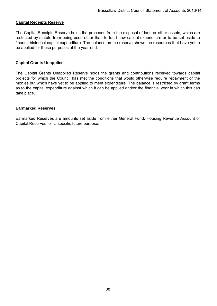### **Capital Receipts Reserve**

The Capital Receipts Reserve holds the proceeds from the disposal of land or other assets, which are restricted by statute from being used other than to fund new capital expenditure or to be set aside to finance historical capital expenditure. The balance on the reserve shows the resources that have yet to be applied for these purposes at the year-end.

### **Capital Grants Unapplied**

The Capital Grants Unapplied Reserve holds the grants and contributions received towards capital projects for which the Council has met the conditions that would otherwise require repayment of the monies but which have yet to be applied to meet expenditure. The balance is restricted by grant terms as to the capital expenditure against which it can be applied and/or the financial year in which this can take place.

### **Earmarked Reserves**

Earmarked Reserves are amounts set aside from either General Fund, Housing Revenue Account or Capital Reserves for a specific future purpose.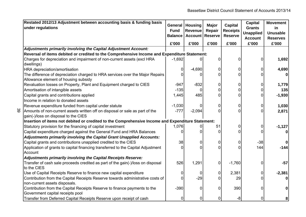| Restated 2012/13 Adjustment between accounting basis & funding basis<br>under regulations                             | <b>General</b><br><b>Fund</b><br><b>Balance</b> | <b>Housing</b><br><b>Revenue</b><br><b>Account</b> | Major<br>Repair<br><b>Reserve</b> | <b>Capital</b><br><b>Receipts</b><br><b>Reserve</b> | <b>Capital</b><br><b>Grants</b><br><b>Unapplied</b><br><b>Account</b> | <b>Movement</b><br><u>in</u><br><b>Unusable</b><br><b>Reserves</b> |
|-----------------------------------------------------------------------------------------------------------------------|-------------------------------------------------|----------------------------------------------------|-----------------------------------|-----------------------------------------------------|-----------------------------------------------------------------------|--------------------------------------------------------------------|
|                                                                                                                       | £'000                                           | £'000                                              | £'000                             | £'000                                               | £'000                                                                 | £'000                                                              |
| Adjustments primarily involving the Capital Adjustment Account:                                                       |                                                 |                                                    |                                   |                                                     |                                                                       |                                                                    |
| Reversal of items debited or credited to the Comprehensive Income and Expenditure Statement:                          |                                                 |                                                    |                                   |                                                     |                                                                       |                                                                    |
| Charges for depreciation and impairment of non-current assets (excl HRA<br>dwellings)                                 | $-1,692$                                        |                                                    | ი                                 | C                                                   |                                                                       | 1,692                                                              |
| HRA depreciation/amortisation                                                                                         | 0                                               | $-4,690$                                           | 0                                 |                                                     | 0                                                                     | 4,690                                                              |
| The difference of depreciation charged to HRA services over the Major Repairs<br>Allowance element of housing subsidy |                                                 |                                                    | U                                 |                                                     |                                                                       |                                                                    |
| Revaluation losses on Property, Plant and Equipment charged to CIES                                                   | $-947$                                          | $-832$                                             | 0                                 | 0                                                   |                                                                       | 1,779                                                              |
| Amortisation of intangible assets                                                                                     | $-135$                                          |                                                    | 0                                 |                                                     |                                                                       | 135                                                                |
| Capital grants and contributions applied                                                                              | 1,445                                           | 485                                                | 0                                 |                                                     |                                                                       | $-1,930$                                                           |
| Income in relation to donated assets                                                                                  |                                                 |                                                    |                                   |                                                     |                                                                       |                                                                    |
| Revenue expenditure funded from capital under statute                                                                 | $-1,030$                                        |                                                    | 0                                 | 0                                                   | 0                                                                     | 1,030                                                              |
| Amounts of non-current assets written off on disposal or sale as part of the                                          | $-777$                                          | $-2,094$                                           | 0                                 | 0                                                   |                                                                       | 2,871                                                              |
| gain(-)/loss on disposal to the CIES                                                                                  |                                                 |                                                    |                                   |                                                     |                                                                       |                                                                    |
| Insertion of items not debited or credited to the Comprehensive Income and Expenditure Statement:                     |                                                 |                                                    |                                   |                                                     |                                                                       |                                                                    |
| Statutory provision for the financing of capital investment                                                           | 1,076                                           |                                                    | 51                                |                                                     | 0                                                                     | $-1,127$                                                           |
| Capital expenditure charged against the General Fund and HRA Balances                                                 |                                                 |                                                    |                                   |                                                     |                                                                       |                                                                    |
| Adjustments primarily involving the Capital Grant Unapplied Accounts:                                                 |                                                 |                                                    |                                   |                                                     |                                                                       |                                                                    |
| Capital grants and contributions unapplied credited to the CIES                                                       | 38                                              | 0                                                  | 0                                 | 0                                                   | $-38$                                                                 |                                                                    |
| Application of grants to capital financing transferred to the Capital Adjustment                                      |                                                 |                                                    | U                                 | <sup>0</sup>                                        | 144                                                                   | $-144$                                                             |
| Account                                                                                                               |                                                 |                                                    |                                   |                                                     |                                                                       |                                                                    |
| Adjustments primarily involving the Capital Receipts Reserve:                                                         |                                                 |                                                    |                                   |                                                     |                                                                       |                                                                    |
| Transfer of cash sale proceeds credited as part of the gain(-)/loss on disposal                                       | 526                                             | 1,291                                              | 0                                 | $-1,760$                                            |                                                                       | $-57$                                                              |
| to the CIES                                                                                                           |                                                 |                                                    |                                   |                                                     |                                                                       |                                                                    |
| Use of Capital Receipts Reserve to finance new capital expenditure                                                    | 0                                               |                                                    | 0                                 | 2,381                                               | 0                                                                     | $-2,381$                                                           |
| Contribution from the Capital Receipts Reserve towards administrative costs of                                        | 0                                               | $-29$                                              | U                                 | 29                                                  |                                                                       |                                                                    |
| non-current assets disposals.                                                                                         |                                                 |                                                    |                                   |                                                     |                                                                       |                                                                    |
| Contribution from the Capital Receipts Reserve to finance payments to the<br>Government capital receipts pool         | $-390$                                          | O                                                  | 0                                 | 390                                                 |                                                                       |                                                                    |
| Transfer from Deferred Capital Receipts Reserve upon receipt of cash                                                  | 0                                               | 0                                                  | 0                                 | -8                                                  |                                                                       |                                                                    |

39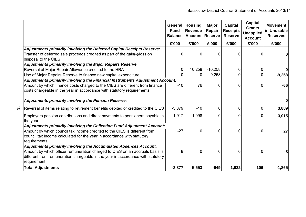|   |                                                                                                                                                        | <b>Fund</b><br><b>Balance</b> | General   Housing<br><b>Revenue</b><br><b>Account</b> | <b>Major</b><br>Repair<br><b>Reserve</b> | <b>Capital</b><br><b>Receipts</b><br><b>Reserve</b> | <b>Capital</b><br><b>Grants</b><br><b>Unapplied</b><br><b>Account</b> | <b>Movement</b><br>in Unusable<br><b>Reserves</b> |
|---|--------------------------------------------------------------------------------------------------------------------------------------------------------|-------------------------------|-------------------------------------------------------|------------------------------------------|-----------------------------------------------------|-----------------------------------------------------------------------|---------------------------------------------------|
|   |                                                                                                                                                        | £'000                         | £'000                                                 | £'000                                    | £'000                                               | £'000                                                                 | £'000                                             |
|   | Adjustments primarily involving the Deferred Capital Receipts Reserve:                                                                                 |                               |                                                       |                                          |                                                     |                                                                       |                                                   |
|   | Transfer of deferred sale proceeds credited as part of the gain(-)/loss on<br>disposal to the CIES                                                     |                               | 0                                                     | ∩                                        | n                                                   |                                                                       |                                                   |
|   | <b>Adjustments primarily involving the Major Repairs Reserve:</b>                                                                                      |                               |                                                       |                                          |                                                     |                                                                       |                                                   |
|   | Reversal of Major Repair Allowance credited to the HRA                                                                                                 | 0                             | 10,258                                                | $-10,258$                                | 0                                                   | $\overline{0}$                                                        | $\mathbf 0$                                       |
|   | Use of Major Repairs Reserve to finance new capital expenditure                                                                                        |                               | 0                                                     | 9,258                                    |                                                     |                                                                       | $-9,258$                                          |
|   | Adjustments primarily involving the Financial Instruments Adjustment Account:                                                                          |                               |                                                       |                                          |                                                     |                                                                       |                                                   |
|   | Amount by which finance costs charged to the CIES are different from finance<br>costs chargeable in the year in accordance with statutory requirements | $-10$                         | 76                                                    | O                                        | $\Omega$                                            | $\Omega$                                                              | $-66$                                             |
|   | Adjustments primarily involving the Pension Reserve:                                                                                                   |                               |                                                       |                                          |                                                     |                                                                       | 0                                                 |
| đ | Reversal of items relating to retirement benefits debited or credited to the CIES                                                                      | $-3,879$                      | $-10$                                                 | 0                                        | 0                                                   | $\overline{0}$                                                        | 3,889                                             |
|   | Employers pension contributions and direct payments to pensioners payable in<br>the year                                                               | 1,917                         | 1,098                                                 | ∩                                        | <sup>0</sup>                                        | $\Omega$                                                              | $-3,015$                                          |
|   | Adjustments primarily involving the Collection Fund Adjustment Account:                                                                                |                               |                                                       |                                          |                                                     |                                                                       |                                                   |
|   | Amount by which council tax income credited to the CIES is different from<br>council tax income calculated for the year in accordance with statutory   | $-27$                         | $\Omega$                                              | 0                                        | <sup>0</sup>                                        | $\Omega$                                                              | 27                                                |
|   | requirements                                                                                                                                           |                               |                                                       |                                          |                                                     |                                                                       |                                                   |
|   | Adjustments primarily involving the Accumulated Absences Account:                                                                                      |                               |                                                       |                                          |                                                     |                                                                       |                                                   |
|   | Amount by which officer remuneration charged to CIES on an accruals basis is                                                                           | 8                             | 0                                                     | O                                        | 0                                                   | <sup>0</sup>                                                          | -8                                                |
|   | different from remuneration chargeable in the year in accordance with statutory                                                                        |                               |                                                       |                                          |                                                     |                                                                       |                                                   |
|   | requirement                                                                                                                                            |                               |                                                       |                                          |                                                     |                                                                       |                                                   |
|   | <b>Total Adjustments</b>                                                                                                                               | $-3,877$                      | 5,553                                                 | $-949$                                   | 1,032                                               | 106                                                                   | $-1,865$                                          |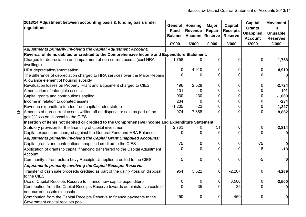| 2013/14 Adjustment between accounting basis & funding basis under<br>regulations                                      | General<br><b>Fund</b><br><b>Balance</b><br>£'000 | <b>Housing</b><br>Revenue<br><b>Account</b><br>£'000 | <b>Major</b><br>Repair<br><b>Reserve</b><br>£'000 | <b>Capital</b><br><b>Receipts</b><br><b>Reserve</b><br>£'000 | <b>Capital</b><br><b>Grants</b><br><b>Unapplied</b><br><b>Account</b><br>£'000 | <b>Movement</b><br>in<br><b>Unusable</b><br><b>Reserves</b><br>£'000 |
|-----------------------------------------------------------------------------------------------------------------------|---------------------------------------------------|------------------------------------------------------|---------------------------------------------------|--------------------------------------------------------------|--------------------------------------------------------------------------------|----------------------------------------------------------------------|
| Adjustments primarily involving the Capital Adjustment Account:                                                       |                                                   |                                                      |                                                   |                                                              |                                                                                |                                                                      |
| Reversal of items debited or credited to the Comprehensive Income and Expenditure Statement:                          |                                                   |                                                      |                                                   |                                                              |                                                                                |                                                                      |
| Charges for depreciation and impairment of non-current assets (excl HRA<br>dwellings)                                 | $-1,758$                                          |                                                      | 0                                                 |                                                              | 0                                                                              | 1,758                                                                |
| HRA depreciation/amortisation                                                                                         | $\overline{0}$                                    | $-4,910$                                             | 0                                                 | 0                                                            | 0                                                                              | 4,910                                                                |
| The difference of depreciation charged to HRA services over the Major Repairs<br>Allowance element of housing subsidy | <sup>0</sup>                                      |                                                      |                                                   |                                                              |                                                                                |                                                                      |
| Revaluation losses on Property, Plant and Equipment charged to CIES                                                   | 196                                               | 2,528                                                | 0                                                 | 0                                                            | 0                                                                              | $-2,724$                                                             |
| Amortisation of intangible assets                                                                                     | $-101$                                            |                                                      | $\overline{0}$                                    | 0                                                            | 0                                                                              | 101                                                                  |
| Capital grants and contributions applied                                                                              | 930                                               | 130                                                  | 0                                                 | 0                                                            | 0                                                                              | $-1,060$                                                             |
| Income in relation to donated assets                                                                                  | 234                                               | 0                                                    | 0                                                 |                                                              | 0                                                                              | $-234$                                                               |
| Revenue expenditure funded from capital under statute                                                                 | $-1,205$                                          | $-22$                                                | 0                                                 | 0                                                            | 0                                                                              | 1,227                                                                |
| Amounts of non-current assets written off on disposal or sale as part of the<br>gain(-)/loss on disposal to the CIES  | $-974$                                            | $-7,888$                                             | 0                                                 | 0                                                            | 0                                                                              | 8,862                                                                |
| Insertion of items not debited or credited to the Comprehensive Income and Expenditure Statement:                     |                                                   |                                                      |                                                   |                                                              |                                                                                |                                                                      |
| Statutory provision for the financing of capital investment                                                           | 2,763                                             |                                                      | 51                                                |                                                              | 0                                                                              | $-2,814$                                                             |
| Capital expenditure charged against the General Fund and HRA Balances                                                 | <sup>0</sup>                                      |                                                      | O                                                 |                                                              | 0                                                                              |                                                                      |
| <b>Adjustments primarily involving the Capital Grant Unapplied Accounts:</b>                                          |                                                   |                                                      |                                                   |                                                              |                                                                                |                                                                      |
| Capital grants and contributions unapplied credited to the CIES                                                       | 75                                                | 0                                                    | 0                                                 | 0                                                            | $-75$                                                                          |                                                                      |
| Application of grants to capital financing transferred to the Capital Adjustment<br>Account                           | $\Omega$                                          | $\overline{0}$                                       | O                                                 | O                                                            | 18                                                                             | $-18$                                                                |
| Community Infrastructure Levy Receipts Unapplied credited to the CIES                                                 | 5                                                 | 0                                                    | $\Omega$                                          |                                                              | -5                                                                             |                                                                      |
| Adjustments primarily involving the Capital Receipts Reserve:                                                         |                                                   |                                                      |                                                   |                                                              |                                                                                |                                                                      |
| Transfer of cash sale proceeds credited as part of the gain(-)/loss on disposal<br>to the CIES                        | 954                                               | 5,522                                                | $\mathbf 0$                                       | $-2,207$                                                     | 0                                                                              | $-4,269$                                                             |
| Use of Capital Receipts Reserve to finance new capital expenditure                                                    | 0                                                 | 0                                                    | 0                                                 | 3,500                                                        | 0                                                                              | $-3,500$                                                             |
| Contribution from the Capital Receipts Reserve towards administrative costs of<br>non-current assets disposals.       | <sup>0</sup>                                      | $-35$                                                | O                                                 | 35                                                           | 0                                                                              |                                                                      |
| Contribution from the Capital Receipts Reserve to finance payments to the<br>Government capital receipts pool         | $-450$                                            | 0                                                    | 0                                                 | 450                                                          | 0                                                                              |                                                                      |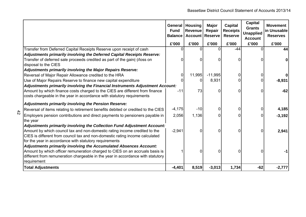|                                                                                                    | <b>General</b><br><b>Fund</b><br><b>Balance</b> | <b>Housing</b><br><b>Revenue</b><br><b>Account Reserve</b> | <b>Major</b><br>Repair | <b>Capital</b><br><b>Receipts</b><br><b>Reserve</b> | <b>Capital</b><br><b>Grants</b><br><b>Unapplied</b><br><b>Account</b> | <b>Movement</b><br>in Unusable<br><b>Reserves</b> |
|----------------------------------------------------------------------------------------------------|-------------------------------------------------|------------------------------------------------------------|------------------------|-----------------------------------------------------|-----------------------------------------------------------------------|---------------------------------------------------|
|                                                                                                    | £'000                                           | £'000                                                      | £'000                  | £'000                                               | £'000                                                                 | £'000                                             |
| Transfer from Deferred Capital Receipts Reserve upon receipt of cash                               | ∩                                               |                                                            | $\Omega$               | $-44$                                               | U                                                                     | 44                                                |
| Adjustments primarily involving the Deferred Capital Receipts Reserve:                             |                                                 |                                                            |                        |                                                     |                                                                       |                                                   |
| Transfer of deferred sale proceeds credited as part of the gain(-)/loss on<br>disposal to the CIES | 0                                               | 0                                                          | 0                      | ∩                                                   |                                                                       |                                                   |
| <b>Adjustments primarily involving the Major Repairs Reserve:</b>                                  |                                                 |                                                            |                        |                                                     |                                                                       |                                                   |
| Reversal of Major Repair Allowance credited to the HRA                                             | 0                                               | 11,995                                                     | $-11,995$              |                                                     | 0                                                                     |                                                   |
| Use of Major Repairs Reserve to finance new capital expenditure                                    | O                                               |                                                            | 8,931                  |                                                     | U                                                                     | $-8,931$                                          |
| Adjustments primarily involving the Financial Instruments Adjustment Account:                      |                                                 |                                                            |                        |                                                     |                                                                       |                                                   |
| Amount by which finance costs charged to the CIES are different from finance                       | $-11$                                           | 73                                                         | O                      | ∩                                                   |                                                                       | $-62$                                             |
| costs chargeable in the year in accordance with statutory requirements                             |                                                 |                                                            |                        |                                                     |                                                                       |                                                   |
| Adjustments primarily involving the Pension Reserve:                                               |                                                 |                                                            |                        |                                                     |                                                                       |                                                   |
| Reversal of items relating to retirement benefits debited or credited to the CIES                  | $-4,175$                                        | $-10$                                                      | 0                      | ∩                                                   | U                                                                     | 4,185                                             |
| Employers pension contributions and direct payments to pensioners payable in                       | 2,056                                           | 1,136                                                      | 0                      |                                                     | 0                                                                     | $-3,192$                                          |
| the year                                                                                           |                                                 |                                                            |                        |                                                     |                                                                       |                                                   |
| Adjustments primarily involving the Collection Fund Adjustment Account:                            |                                                 |                                                            |                        |                                                     |                                                                       |                                                   |
| Amount by which council tax and non-domestic rating income credited to the                         | $-2,941$                                        | 0                                                          | $\Omega$               | $\Omega$                                            | ŋ                                                                     | 2,941                                             |
| CIES is different from council tax and non-domestic rating income calculated                       |                                                 |                                                            |                        |                                                     |                                                                       |                                                   |
| for the year in accordance with statutory requirements                                             |                                                 |                                                            |                        |                                                     |                                                                       |                                                   |
| Adjustments primarily involving the Accumulated Absences Account:                                  |                                                 |                                                            |                        |                                                     |                                                                       |                                                   |
| Amount by which officer remuneration charged to CIES on an accruals basis is                       |                                                 | 0                                                          | $\Omega$               | ∩                                                   |                                                                       |                                                   |
| different from remuneration chargeable in the year in accordance with statutory                    |                                                 |                                                            |                        |                                                     |                                                                       |                                                   |
| requirement                                                                                        |                                                 |                                                            |                        |                                                     |                                                                       |                                                   |
| <b>Total Adjustments</b>                                                                           | $-4,401$                                        | 8,519                                                      | $-3,013$               | 1,734                                               | $-62$                                                                 | $-2,777$                                          |

 $\frac{4}{2}$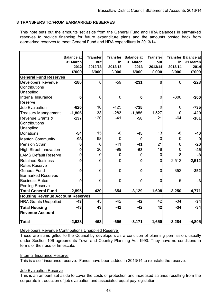### **8 TRANSFERS TO/FROM EARMARKED RESERVES**

This note sets out the amounts set aside from the General Fund and HRA balances in earmarked reserves to provide financing for future expenditure plans and the amounts posted back from earmarked reserves to meet General Fund and HRA expenditure in 2013/14.

|                                         | <b>Balance at</b><br>31 March<br>2012<br>£'000 | <b>Transfer</b><br>out<br>2012/13<br>£'000 | <b>Transfer</b><br>in<br>2012/13<br>£'000 | <b>Balance at</b><br>31 March<br>2013<br>£'000 | <b>Transfer</b><br>out<br>2013/14<br>£'000 | in<br>2013/14<br>£'000 | Transfer Balance at<br>31 March<br>2014<br>£'000 |
|-----------------------------------------|------------------------------------------------|--------------------------------------------|-------------------------------------------|------------------------------------------------|--------------------------------------------|------------------------|--------------------------------------------------|
| <b>General Fund Reserves</b>            |                                                |                                            |                                           |                                                |                                            |                        |                                                  |
| Developers Revenue                      | $-180$                                         | 8                                          | $-59$                                     | $-231$                                         | 8                                          | $\Omega$               | $-223$                                           |
| Contributions                           |                                                |                                            |                                           |                                                |                                            |                        |                                                  |
| Unapplied                               |                                                |                                            |                                           |                                                |                                            |                        |                                                  |
| Internal Insurance                      | $\bf{0}$                                       | 0                                          | 0                                         | 0                                              | 0                                          | $-300$                 | $-300$                                           |
| Reserve                                 |                                                |                                            |                                           |                                                |                                            |                        |                                                  |
| <b>Job Evaluation</b>                   | $-620$                                         | 10                                         | $-125$                                    | $-735$                                         | 0                                          | 0                      | $-735$                                           |
| <b>Treasury Management</b>              | $-1,806$                                       | 133                                        | $-283$                                    | $-1,956$                                       | 1,527                                      | 0                      | $-429$                                           |
| Revenue Grants &                        | $-137$                                         | 120                                        | $-41$                                     | $-58$                                          | 21                                         | $-64$                  | $-101$                                           |
| Contributions                           |                                                |                                            |                                           |                                                |                                            |                        |                                                  |
| Unapplied                               |                                                |                                            |                                           |                                                |                                            |                        |                                                  |
| Donations                               | $-54$                                          | 15                                         | $-6$                                      | $-45$                                          | 13                                         | -8                     | -40                                              |
| <b>Manton Community</b>                 | $-98$                                          | 98                                         | $\overline{0}$                            | $\bf{0}$                                       | $\mathbf 0$                                | 0                      | 0                                                |
| <b>Pension Strain</b>                   | 0                                              | 0                                          | $-41$                                     | $-41$                                          | 21                                         | 0                      | $-20$                                            |
| <b>High Street Innovation</b>           | 0                                              | 36                                         | $-99$                                     | $-63$                                          | 18                                         | $\overline{0}$         | $-45$                                            |
| <b>LAMS Default Reserve</b>             | $\mathbf 0$                                    | 0                                          | $\overline{0}$                            | 0                                              | 0                                          | -8                     | -8                                               |
| <b>Retained Business</b>                | $\bf{0}$                                       | 0                                          | $\overline{0}$                            | 0                                              | 0                                          | $-2,512$               | $-2,512$                                         |
| <b>Rates Reserve</b>                    |                                                |                                            |                                           |                                                |                                            |                        |                                                  |
| <b>General Fund</b>                     | $\mathbf 0$                                    | 0                                          | $\mathbf 0$                               | $\mathbf 0$                                    | 0                                          | $-352$                 | $-352$                                           |
| <b>Earmarked Reserves</b>               |                                                |                                            |                                           |                                                |                                            |                        |                                                  |
| <b>Business Rates</b>                   | $\bf{0}$                                       | 0                                          | $\mathbf 0$                               | $\mathbf 0$                                    | 0                                          | $-6$                   | $-6$                                             |
| Pooling Reserve                         |                                                |                                            |                                           |                                                |                                            |                        |                                                  |
| <b>Total General Fund</b>               | $-2,895$                                       | 420                                        | $-654$                                    | $-3,129$                                       | 1,608                                      | $-3,250$               | $-4,771$                                         |
| <b>Housing Revenue Account Reserves</b> |                                                |                                            |                                           |                                                |                                            |                        |                                                  |
| <b>HRA Grants Unapplied</b>             | $-43$                                          | 43                                         | $-42$                                     | $-42$                                          | 42                                         | $-34$                  | $-34$                                            |
| <b>Total Housing</b>                    | $-43$                                          | 43                                         | $-42$                                     | $-42$                                          | 42                                         | $-34$                  | $-34$                                            |
| <b>Revenue Account</b>                  |                                                |                                            |                                           |                                                |                                            |                        |                                                  |
| <b>Total</b>                            | $-2,938$                                       | 463                                        | $-696$                                    | $-3,171$                                       | 1,650                                      | $-3,284$               | $-4,805$                                         |

Developers Revenue Contributions Unapplied Reserve

These are sums gifted to the Council by developers as a condition of planning permission, usually under Section 106 agreements Town and Country Planning Act 1990. They have no conditions in terms of their use or timescale.

### Internal Insurance Reserve

This is a self-insurance reserve. Funds have been added in 2013/14 to reinstate the reserve.

### Job Evaluation Reserve

This is an amount set aside to cover the costs of protection and increased salaries resulting from the corporate introduction of job evaluation and associated equal pay legislation.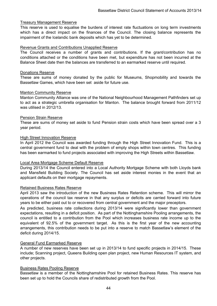### Treasury Management Reserve

This reserve is used to equalise the burdens of interest rate fluctuations on long term investments which has a direct impact on the finances of the Council. The closing balance represents the impairment of the Icelandic bank deposits which has yet to be determined.

### Revenue Grants and Contributions Unapplied Reserve

The Council receives a number of grants and contributions. If the grant/contribution has no conditions attached or the conditions have been met, but expenditure has not been incurred at the Balance Sheet date then the balances are transferred to an earmarked reserve until required.

#### Donations Reserve

These are sums of money donated by the public for Museums, Shopmobility and towards the Bassetlaw Games, which have been set aside for future use.

### Manton Community Reserve

Manton Community Alliance was one of the National Neighbourhood Management Pathfinders set up to act as a strategic umbrella organisation for Manton. The balance brought forward from 2011/12 was utilised in 2012/13.

#### Pension Strain Reserve

These are sums of money set aside to fund Pension strain costs which have been spread over a 3 year period.

### High Street Innovation Reserve

In April 2012 the Council was awarded funding through the High Street Innovation Fund. This is a central government fund to deal with the problem of empty shops within town centres. This funding has been earmarked to fund projects associated with improving the High Streets within Bassetlaw.

### Local Area Mortgage Scheme Default Reserve

During 2013/14 the Council entered into a Local Authority Mortgage Scheme with both Lloyds bank and Mansfield Building Society. The Council has set aside interest monies in the event that an applicant defaults on their mortgage repayments.

### Retained Business Rates Reserve

April 2013 saw the introduction of the new Business Rates Retention scheme. This will mirror the operations of the council tax reserve in that any surplus or deficits are carried forward into future years to be either paid out to or recovered from central government and the major preceptors.

As predicted, business rate collections during 2013/14 were significantly lower than government expectations, resulting in a deficit position. As part of the Nottinghamshire Pooling arrangements, the council is entitled to a contribution from the Pool which increases business rate income up to the equivalent of 92.5% of the government target. As this is the first year of the new accounting arrangements, this contribution needs to be put into a reserve to match Bassetlaw's element of the deficit during 2014/15.

### General Fund Earmarked Reserve

A number of new reserves have been set up in 2013/14 to fund specific projects in 2014/15. These include; Scanning project, Queens Building open plan project, new Human Resources IT system, and other projects.

#### Business Rates Pooling Reserve

Bassetlaw is a member of the Nottinghamshire Pool for retained Business Rates. This reserve has been set up to hold the Councils share of redistributed growth from the Pool.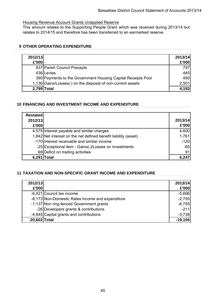### Housing Revenue Account Grants Unapplied Reserve

This amount relates to the Supporting People Grant which was received during 2013/14 but relates to 2014/15 and therefore has been transferred to an earmarked reserve.

## **9 OTHER OPERATING EXPENDITURE**

| 2012/13     |                                                              | 2013/14 |
|-------------|--------------------------------------------------------------|---------|
| £'000       |                                                              | £'000   |
|             | 837 Parish Council Precepts                                  | 797     |
|             | 436 Levies                                                   | 445     |
|             | 390 Payments to the Government Housing Capital Receipts Pool | 450     |
|             | 1,136 Gains/Losses(-) on the disposal of non-current assets  | 2,501   |
| 2,799 Total |                                                              | 4,193   |

## **10 FINANCING AND INVESTMENT INCOME AND EXPENDITURE**

| <b>Restated</b><br>2012/13<br>£'000 |                                                                 | 2013/14<br>£'000 |
|-------------------------------------|-----------------------------------------------------------------|------------------|
|                                     | 4,575 Interest payable and similar charges                      | 4,600            |
|                                     | 1,842 Net interest on the net defined benefit liability (asset) | 1,761            |
|                                     | -170 Interest receivable and similar income                     | $-120$           |
|                                     | -25 Exceptional item - Gains(-)/Losses on investments           | $-85$            |
|                                     | 69 Deficit on trading activities                                | 91               |
| 6,29'                               | Total                                                           | <b>6 24.</b>     |

## **11 TAXATION AND NON-SPECIFIC GRANT INCOME AND EXPENDITURE**

| 2012/13       |                                                  | 2013/14   |
|---------------|--------------------------------------------------|-----------|
| £'000         |                                                  | £'000     |
|               | -6,421 Council tax income                        | $-5,696$  |
|               | -8,173 Non-Domestic Rates income and expenditure | $-2,755$  |
|               | -1,137 Non ring-fenced Government grants         | $-6,755$  |
|               | -26 Developers grants & contributions            | $-211$    |
|               | -4,845 Capital grants and contributions          | $-3,738$  |
| -20,602 Total |                                                  | $-19,155$ |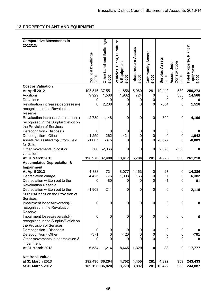# **12 PROPERTY PLANT AND EQUIPMENT**

| <b>Comparative Movements in</b>       |                                          |                                          |                             |                                       |                                         |                                 |                                       |                                               |
|---------------------------------------|------------------------------------------|------------------------------------------|-----------------------------|---------------------------------------|-----------------------------------------|---------------------------------|---------------------------------------|-----------------------------------------------|
| 2012/13:                              |                                          |                                          |                             |                                       |                                         |                                 |                                       |                                               |
|                                       |                                          |                                          |                             |                                       |                                         |                                 |                                       |                                               |
|                                       |                                          |                                          |                             |                                       |                                         |                                 |                                       |                                               |
|                                       |                                          |                                          |                             |                                       |                                         |                                 |                                       |                                               |
|                                       |                                          |                                          | Plant, Furniture            |                                       |                                         |                                 |                                       |                                               |
|                                       |                                          |                                          |                             |                                       |                                         |                                 |                                       |                                               |
|                                       |                                          |                                          |                             |                                       |                                         |                                 |                                       |                                               |
|                                       |                                          |                                          | Equipment                   |                                       |                                         |                                 |                                       |                                               |
|                                       | <b>Council Dwellings</b><br><b>E'000</b> | Other Land and Buildings<br><b>E'000</b> | Vehicles,<br>& Equ<br>£'000 | Infrastructure Assets<br><b>E'000</b> | <b>Community Assets</b><br><b>E'000</b> | <b>Surplus Assets<br/>£'000</b> | Assets Under<br>Construction<br>£'000 | Total Property, Plant &<br>Equipment<br>£'000 |
|                                       |                                          |                                          |                             |                                       |                                         |                                 |                                       |                                               |
| <b>Cost or Valuation</b>              |                                          |                                          |                             |                                       |                                         |                                 |                                       |                                               |
| At April 2012                         | 193,546                                  | 37,551                                   | 11,856                      | 5,060                                 | 281                                     | 10,449                          | 530                                   | 259,273                                       |
| Additions                             | 9,929                                    | 1,580                                    | 1,982                       | 724                                   | 0                                       | $\Omega$                        | 353                                   | 14,568                                        |
| Donations                             | 0                                        |                                          | 0                           | 0                                     | 0                                       | $\Omega$                        | 0                                     | 0                                             |
| Revaluation increases/decreases(-)    | 0                                        | 2,200                                    | $\Omega$                    | 0                                     | 0                                       | $-684$                          | 0                                     | 1,516                                         |
| recognised in the Revaluation         |                                          |                                          |                             |                                       |                                         |                                 |                                       |                                               |
| Reserve                               |                                          |                                          |                             |                                       |                                         |                                 |                                       |                                               |
| Revaluation increases/decreases(-)    | $-2,739$                                 | $-1,148$                                 | $\mathbf 0$                 | 0                                     | $\overline{0}$                          | $-309$                          | 0                                     | $-4,196$                                      |
| recognised in the Surplus/Deficit on  |                                          |                                          |                             |                                       |                                         |                                 |                                       |                                               |
| the Provision of Services             |                                          |                                          |                             |                                       |                                         |                                 |                                       |                                               |
| Derecognition - Disposals             | 0                                        | 0                                        | 0                           | 0                                     | 0                                       | 0                               | 0                                     | $\bf{0}$                                      |
| Derecognition - Other                 | $-1,259$                                 | $-262$                                   | $-421$                      | 0                                     | 0                                       | 0                               | 0                                     | $-1,942$                                      |
| Assets reclassified to(-)/from Held   | $-1,007$                                 | $-375$                                   | 0                           | 0                                     | 0                                       | $-6,627$                        | 0                                     | $-8,009$                                      |
| for Sale                              |                                          |                                          |                             |                                       |                                         |                                 |                                       |                                               |
| Other movements in cost or            | 500                                      | $-2,066$                                 | 0                           | 0                                     | 0                                       | 2,096                           | $-530$                                | $\pmb{0}$                                     |
| valuation                             |                                          |                                          |                             |                                       |                                         |                                 |                                       |                                               |
| At 31 March 2013                      | 198,970                                  | 37,480                                   | 13,417                      | 5,784                                 | 281                                     | 4,925                           | 353                                   | 261,210                                       |
|                                       |                                          |                                          |                             |                                       |                                         |                                 |                                       |                                               |
| <b>Accumulated Depreciation &amp;</b> |                                          |                                          |                             |                                       |                                         |                                 |                                       |                                               |
| Impairment                            |                                          |                                          |                             |                                       |                                         |                                 |                                       |                                               |
| At April 2012                         | 4,388                                    | 731                                      | 8,077                       | 1,163                                 | $\pmb{0}$                               | 27                              | 0                                     | 14,386                                        |
| Depreciation charge                   | 4,425                                    | 776                                      | 1,008                       | 166                                   | 0                                       | 7                               | 0                                     | 6,382                                         |
| Depreciation written out to the       | 0                                        | $-80$                                    | 0                           | 0                                     | 0                                       | $-1$                            | 0                                     | $-81$                                         |
| <b>Revaluation Reserve</b>            |                                          |                                          |                             |                                       |                                         |                                 |                                       |                                               |
| Depreciation written out to the       | $-1,908$                                 | $-211$                                   | $\mathbf 0$                 | 0                                     | 0                                       | 0                               | 0                                     | $-2,119$                                      |
| Surplus/Deficit on the Provision of   |                                          |                                          |                             |                                       |                                         |                                 |                                       |                                               |
| Services                              |                                          |                                          |                             |                                       |                                         |                                 |                                       |                                               |
| Impairment losses/reversals(-)        | 0                                        | 0                                        | 0                           | 0                                     | 0                                       | 0                               | 0                                     | $\pmb{0}$                                     |
| recognised in the Revaluation         |                                          |                                          |                             |                                       |                                         |                                 |                                       |                                               |
| Reserve                               |                                          |                                          |                             |                                       |                                         |                                 |                                       |                                               |
| Impairment losses/reversals(-)        | 0                                        | 0                                        | 0                           | 0                                     | 0                                       | 0                               | 0                                     | $\pmb{0}$                                     |
| recognised in the Surplus/Deficit on  |                                          |                                          |                             |                                       |                                         |                                 |                                       |                                               |
| the Provision of Services             |                                          |                                          |                             |                                       |                                         |                                 |                                       |                                               |
| Derecognition - Disposals             | 0                                        | 0                                        | $\Omega$                    | 0                                     | 0                                       | 0                               | 0                                     | 0                                             |
| Derecognition - Other                 | $-371$                                   | 0                                        | $-420$                      | 0                                     | 0                                       | 0                               | 0                                     | $-791$                                        |
| Other movements in depreciation &     | 0                                        | 0                                        |                             | 0                                     | 0                                       | $\mathbf 0$                     | 0                                     | 0                                             |
| impairment                            |                                          |                                          |                             |                                       |                                         |                                 |                                       |                                               |
| At 31 March 2013                      | 6,534                                    | 1,216                                    | 8,665                       | 1,329                                 | $\mathbf 0$                             | 33                              | $\mathbf 0$                           | 17,777                                        |
|                                       |                                          |                                          |                             |                                       |                                         |                                 |                                       |                                               |
| <b>Net Book Value</b>                 |                                          |                                          |                             |                                       |                                         |                                 |                                       |                                               |
| at 31 March 2013                      | 192,436 36,264                           |                                          | 4,752                       | 4,455                                 | 281                                     | 4,892                           | 353                                   | 243,433                                       |
| at 31 March 2012                      | 189,158 36,820                           |                                          | 3,779                       | 3,897                                 | 281                                     | 10,422                          | 530                                   | 244,887                                       |
|                                       |                                          |                                          |                             |                                       |                                         |                                 |                                       |                                               |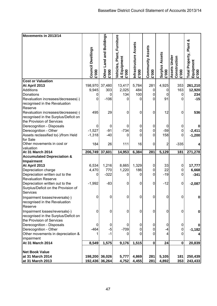| Movements in 2013/14                                                   |                                  |                          |                |                       |                         |                       |                              |                         |
|------------------------------------------------------------------------|----------------------------------|--------------------------|----------------|-----------------------|-------------------------|-----------------------|------------------------------|-------------------------|
|                                                                        |                                  | Other Land and Buildings | Furniture      |                       |                         |                       |                              |                         |
|                                                                        |                                  |                          |                | Infrastructure Assets |                         |                       |                              | Total Property, Plant & |
|                                                                        | Council Dwellings                |                          |                |                       | <b>Community Assets</b> |                       |                              |                         |
|                                                                        |                                  |                          | Plant,         |                       |                         | <b>Surplus Assets</b> |                              |                         |
|                                                                        |                                  |                          | & Equipment    |                       |                         |                       | Assets Under<br>Construction | Equipment<br>£'000      |
|                                                                        |                                  |                          |                |                       |                         |                       |                              |                         |
|                                                                        |                                  |                          | Vehicles,      |                       |                         |                       |                              |                         |
|                                                                        | <b>E'000</b>                     | <b>000.3</b>             | <b>000.3</b>   | <b>E'000</b>          | <b>000.3</b>            | 000.3                 | 000.3                        |                         |
| <b>Cost or Valuation</b>                                               |                                  |                          |                |                       |                         |                       |                              |                         |
| At April 2013                                                          | 198,970                          | 37,480                   | 13,417         | 5,784                 | 281                     | 4,925                 | 353                          | 261,210                 |
| Additions                                                              | 9,945                            | 303                      | 2,025          | 484                   | 0                       | 0                     | 163                          | 12,920                  |
| Donations                                                              | 0                                | 0                        | 134            | 100                   | 0                       | 0                     | $\mathbf 0$                  | 234                     |
| Revaluation increases/decreases(-)                                     | 0                                | $-106$                   | 0              | 0                     | $\mathbf 0$             | 91                    | $\Omega$                     | $-15$                   |
| recognised in the Revaluation                                          |                                  |                          |                |                       |                         |                       |                              |                         |
| Reserve                                                                |                                  |                          |                |                       |                         |                       |                              |                         |
| Revaluation increases/decreases(-)                                     | 495                              | 29                       | 0              | 0                     | 0                       | 12                    | $\mathbf 0$                  | 536                     |
| recognised in the Surplus/Deficit on                                   |                                  |                          |                |                       |                         |                       |                              |                         |
| the Provision of Services                                              |                                  |                          |                |                       |                         |                       |                              |                         |
| Derecognition - Disposals                                              | 0                                | 0                        | 0              | 0                     | 0                       | 0                     | 0                            |                         |
| Derecognition - Other                                                  | $-1,527$                         | $-91$                    | $-734$         | 0                     | 0                       | $-59$                 | $\mathbf 0$                  | $-2,411$                |
| Assets reclassified to(-)/from Held                                    | $-1,318$                         | $-40$                    | 0              | 0                     | 0                       | 158                   | 0                            | $-1,200$                |
| for Sale                                                               |                                  |                          |                |                       |                         |                       |                              |                         |
| Other movements in cost or<br>valuation                                | 184                              | 26                       | 111            | 16                    | 0                       | 2                     | $-335$                       |                         |
|                                                                        |                                  |                          |                |                       |                         |                       |                              |                         |
|                                                                        |                                  |                          |                |                       |                         |                       |                              |                         |
| At 31 March 2014                                                       | 206,749                          | 37,601                   | 14,953         | 6,384                 | 281                     | 5,129                 | 181                          | 271,278                 |
| <b>Accumulated Depreciation &amp;</b>                                  |                                  |                          |                |                       |                         |                       |                              |                         |
| Impairment                                                             |                                  |                          |                |                       |                         |                       |                              |                         |
| At April 2013                                                          | 6,534                            | 1,216                    | 8,665          | 1,329                 | $\overline{0}$          | 33                    | $\mathbf 0$                  | 17,777                  |
| Depreciation charge                                                    | 4,470<br>0                       | 770                      | 1,220<br>0     | 186<br>0              | 0<br>0                  | 22                    | $\mathbf 0$<br>0             | 6,668                   |
| Depreciation written out to the<br><b>Revaluation Reserve</b>          |                                  | $-322$                   |                |                       |                         | $-19$                 |                              | $-341$                  |
|                                                                        |                                  | $-83$                    | 0              | 0                     | 0                       |                       | 0                            |                         |
| Depreciation written out to the<br>Surplus/Deficit on the Provision of | $-1,992$                         |                          |                |                       |                         | $-12$                 |                              | $-2,087$                |
| Services                                                               |                                  |                          |                |                       |                         |                       |                              |                         |
|                                                                        | 0                                | 0                        | $\overline{0}$ | $\mathbf 0$           | 0                       | 0                     | $\mathbf 0$                  | 0                       |
| Impairment losses/reversals(-)                                         |                                  |                          |                |                       |                         |                       |                              |                         |
| recognised in the Revaluation<br>Reserve                               |                                  |                          |                |                       |                         |                       |                              |                         |
|                                                                        | 0                                | 0                        | 0              | $\mathbf 0$           | $\mathbf 0$             | 0                     | $\mathbf 0$                  | $\bf{0}$                |
| Impairment losses/reversals(-)<br>recognised in the Surplus/Deficit on |                                  |                          |                |                       |                         |                       |                              |                         |
| the Provision of Services                                              |                                  |                          |                |                       |                         |                       |                              |                         |
| Derecognition - Disposals                                              | 0                                | 0                        | O              | 0                     | 0                       | 0                     | 0                            |                         |
| Derecognition - Other                                                  | $-464$                           | $-5$                     | $-709$         | 0                     | 0                       | -4                    | $\mathbf 0$                  | $-1,182$                |
| Other movements in depreciation &                                      |                                  | $-1$                     | 0              | 0                     | 0                       | 4                     | 0                            |                         |
| impairment                                                             |                                  |                          |                |                       |                         |                       |                              |                         |
| At 31 March 2014                                                       | 8,549                            | 1,575                    | 9,176          | 1,515                 | $\mathbf 0$             | 24                    | $\mathbf 0$                  | 20,839                  |
|                                                                        |                                  |                          |                |                       |                         |                       |                              |                         |
| <b>Net Book Value</b>                                                  |                                  |                          |                |                       |                         |                       |                              |                         |
| at 31 March 2014<br>at 31 March 2013                                   | 198,200 36,026<br>192,436 36,264 |                          | 5,777<br>4,752 | 4,869<br>4,455        | 281<br>281              | 5,105<br>4,892        | 181<br>353                   | 250,439<br>243,433      |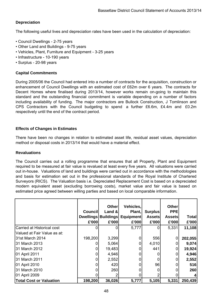## **Depreciation**

The following useful lives and depreciation rates have been used in the calculation of depreciation:

- Council Dwellings 2-75 years
- Other Land and Buildings 9-75 years
- Vehicles, Plant, Furniture and Equipment 3-25 years
- Infrastructure 10-190 years
- Surplus 20-98 years

## **Capital Commitments**

During 2005/06 the Council had entered into a number of contracts for the acquisition, construction or enhancement of Council Dwellings with an estimated cost of £62m over 6 years. The contracts for Decent Homes where finalised during 2013/14, however works remain on-going to maintain this standard and the outstanding financial commitment is variable depending on a number of factors including availability of funding. The major contractors are Bullock Construction, J Tomlinson and CPS Contractors with the Council budgeting to spend a further £6.6m, £4.4m and £0.2m respectively until the end of the contract period.

## **Effects of Changes in Estimates**

There have been no changes in relation to estimated asset life, residual asset values, depreciation method or disposal costs in 2013/14 that would have a material effect.

### **Revaluations**

The Council carries out a rolling programme that ensures that all Property, Plant and Equipment required to be measured at fair value is revalued at least every five years. All valuations were carried out in-house. Valuations of land and buildings were carried out in accordance with the methodologies and basis for estimation set out in the professional standards of the Royal Institute of Chartered Surveyors (RICS). The Valuation basis i.e. Depreciated Replacement Cost is based on a depreciated modern equivalent asset (excluding borrowing costs), market value and fair value is based on estimated price agreed between willing parties and based on local comparable information.

|                                | <b>Council</b><br><b>Dwellings</b> | <b>Other</b><br>Land &<br><b>Buildings</b> | Vehicles,<br>Plant,<br><b>Equipment</b> | <b>Surplus</b><br><b>Assets</b> | <b>Other</b><br><b>PPE</b><br><b>Assets</b> | <b>Total</b> |
|--------------------------------|------------------------------------|--------------------------------------------|-----------------------------------------|---------------------------------|---------------------------------------------|--------------|
|                                | £'000                              | £'000                                      | £'000                                   | £'000                           | £'000                                       | £'000        |
| Carried at Historical cost     |                                    |                                            | 5,777                                   |                                 | 5,331                                       | 11,108       |
| Valued at Fair Value as at:    |                                    |                                            |                                         |                                 |                                             |              |
| 31st March 2014                | 198,200                            | 3,299                                      |                                         | 556                             | 0                                           | 202,055      |
| 31 March 2013                  |                                    | 5,064                                      | 0                                       | 4,010                           |                                             | 9,074        |
| 31 March 2012                  | O                                  | 19,483                                     |                                         | 441                             |                                             | 19,924       |
| 01 April 2011                  |                                    | 4,946                                      |                                         |                                 |                                             | 4,946        |
| 31 March 2011                  |                                    | 2,552                                      |                                         |                                 |                                             | 2,552        |
| 01 April 2010                  |                                    | 420                                        |                                         | 96                              |                                             | 516          |
| 31 March 2010                  |                                    | 260                                        |                                         |                                 |                                             | 260          |
| 01 April 2009                  |                                    |                                            |                                         |                                 |                                             |              |
| <b>Total Cost or Valuation</b> | 198,200                            | 36,026                                     | 5,777                                   | 5,105                           | 5,331                                       | 250,439      |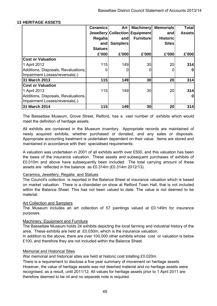## **13 HERITAGE ASSETS**

|                                                                       | <b>Ceramics</b> | Art             | <b>Machinery</b>               | <b>Memorials</b> | <b>Total</b>  |
|-----------------------------------------------------------------------|-----------------|-----------------|--------------------------------|------------------|---------------|
|                                                                       |                 |                 | Jewellery Collection Equipment | and              | <b>Assets</b> |
|                                                                       | <b>Regalia</b>  | and             | <b>Furniture</b>               | <b>Historic</b>  |               |
|                                                                       | and             | <b>Samplers</b> |                                | <b>Sites</b>     |               |
|                                                                       | <b>Statues</b>  |                 |                                |                  |               |
|                                                                       | £'000           | £'000           | £'000                          | £'000            | £'000         |
| <b>Cost or Valuation</b>                                              |                 |                 |                                |                  |               |
| 1 April 2012                                                          | 115             | 149             | 30                             | 20               | 314           |
| Additions, Disposals, Revaluations,<br>Impairment Losses/reversals(-) | 0               |                 |                                |                  | 0             |
| 31 March 2013                                                         | 115             | 149             | 30                             | 20               | 314           |
| <b>Cost or Valuation</b>                                              |                 |                 |                                |                  |               |
| 1 April 2013                                                          | 115             | 149             | 30                             | 20               | 314           |
| Additions, Disposals, Revaluations,<br>Impairment Losses/reversals(-) |                 |                 |                                |                  |               |
| 31 March 2014                                                         | 115             | 149             | 30                             | 20               | 314           |

The Bassetlaw Museum, Grove Street, Retford, has a vast number of exhibits which would meet the definition of heritage assets.

All exhibits are contained in the Museum inventory. Appropriate records are maintained of newly acquired exhibits, whether purchased or donated, and any sales or disposals. Appropriate accounting treatment is undertaken dependent on their value. Items are stored and maintained in accordance with their specialised requirements.

A valuation was undertaken in 2001 of all exhibits worth over £500, and this valuation has been the basis of the insurance valuation. These assets and subsequent purchases of exhibits of £0.010m and above have subsequently been included. The total carrying amount of these assets are reflected in the balance as £0.314m (£0.314m 2012/13).

### Ceramics, Jewellery, Regalia and Statues

The Council's collection is reported in the Balance Sheet at insurance valuation which is based on market valuation. There is a chandelier on show at Retford Town Hall, that is not included within the Balance Sheet. This has not been valued to date. The value is not deemed to be material.

### Art Collection and Samplers

The Museum includes an art collection of 57 paintings valued at £0.149m for insurance purposes.

### Machinery, Equipment and Furniture

The Bassetlaw Museum holds 24 exhibits depicting the local farming and industrial history of the area. These exhibits are held at £0.030m, which is the insurance valuation.

In addition to the above, there are over 100,000 other exhibits whose cost or valuation is below £100, and therefore they are not included within the Balance Sheet.

### Memorial and Historical Sites

War memorial and historical sites are held at historic cost totalling £0.020m.

There is a requirement to disclose a five year summary of movement on heritage assets. However, the value of heritage assets was not deemed material and no heritage assets were recognised, as a result, until 2011/12. All values for heritage assets prior to 1 April 2011 are therefore deemed to be nil and no separate note is required.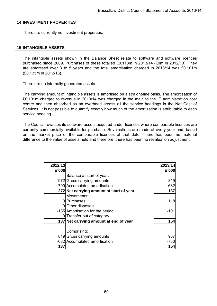### **14 INVESTMENT PROPERTIES**

There are currently no investment properties.

#### **15 INTANGIBLE ASSETS**

The intangible assets shown in the Balance Sheet relate to software and software licences purchased since 2009. Purchases of these totalled £0.118m in 2013/14 (£0m in 2012/13). They are amortised over 3 to 5 years and the total amortisation charged in 2013/14 was £0.101m (£0.135m in 2012/13).

There are no internally generated assets.

The carrying amount of intangible assets is amortised on a straight-line basis. The amortisation of £0.101m charged to revenue in 2013/14 was charged in the main to the IT administration cost centre and then absorbed as an overhead across all the service headings in the Net Cost of Services. It is not possible to quantify exactly how much of the amortisation is attributable to each service heading.

The Council revalues its software assets acquired under licences where comparable licences are currently commercially available for purchase. Revaluations are made at every year end, based on the market price of the comparable licences at that date. There has been no material difference to the value of assets held and therefore, there has been no revaluation adjustment.

| 2012/13 |                                          | 2013/14 |
|---------|------------------------------------------|---------|
| £'000   |                                          | £'000   |
|         | Balance at start of year:                |         |
|         | 972 Gross carrying amounts               | 819     |
|         | -700 Accumulated amortisation            | $-682$  |
|         | 272 Net carrying amount at start of year | 137     |
|         | Movements:                               |         |
|         | 0 Purchases                              | 118     |
|         | 0 Other disposals                        |         |
|         | -135 Amortisation for the period         | $-101$  |
|         | 0 Transfer out of category               |         |
|         | 137 Net carrying amount at end of year   | 154     |
|         | Comprising:                              |         |
|         | 819 Gross carrying amounts               | 937     |
|         | -682 Accumulated amortisation            | $-783$  |
| 137     |                                          | 154     |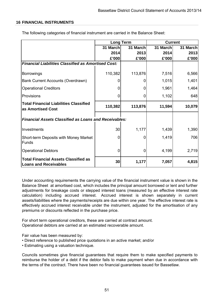## **16 FINANCIAL INSTRUMENTS**

|                                                                             |          | <b>Long Term</b> | <b>Current</b> |          |
|-----------------------------------------------------------------------------|----------|------------------|----------------|----------|
|                                                                             | 31 March | 31 March         | 31 March       | 31 March |
|                                                                             | 2014     | 2013             | 2014           | 2013     |
|                                                                             | £'000    | £'000            | £'000          | £'000    |
| <b>Financial Liabilities Classified as Amortised Cost:</b>                  |          |                  |                |          |
| Borrowings                                                                  | 110,382  | 113,876          | 7,516          | 6,566    |
| Bank Current Accounts (Overdrawn)                                           |          |                  | 1,015          | 1,401    |
| <b>Operational Creditors</b>                                                |          | 0                | 1,961          | 1,464    |
| <b>Provisions</b>                                                           |          |                  | 1,102          | 648      |
| <b>Total Financial Liabilities Classified</b><br>as Amortised Cost          | 110,382  | 113,876          | 11,594         | 10,079   |
| <b>Financial Assets Classified as Loans and Receivables:</b>                |          |                  |                |          |
| Investments                                                                 | 30       | 1,177            | 1,439          | 1,390    |
| Short-term Deposits with Money Market<br>lFunds                             | O        |                  | 1,419          | 706      |
| <b>Operational Debtors</b>                                                  | 0        | 0                | 4,199          | 2,719    |
| <b>Total Financial Assets Classified as</b><br><b>Loans and Receivables</b> | 30       | 1,177            | 7,057          | 4,815    |

The following categories of financial instrument are carried in the Balance Sheet:

Under accounting requirements the carrying value of the financial instrument value is shown in the Balance Sheet at amortised cost, which includes the principal amount borrowed or lent and further adjustments for breakage costs or stepped interest loans (measured by an effective interest rate calculation) including accrued interest. Accrued interest is shown separately in current assets/liabilities where the payments/receipts are due within one year. The effective interest rate is effectively accrued interest receivable under the instrument, adjusted for the amortisation of any premiums or discounts reflected in the purchase price.

For short term operational creditors, these are carried at contract amount. Operational debtors are carried at an estimated recoverable amount.

Fair value has been measured by:

- Direct reference to published price quotations in an active market; and/or
- Estimating using a valuation technique.

Councils sometimes give financial guarantees that require them to make specified payments to reimburse the holder of a debt if the debtor fails to make payment when due in accordance with the terms of the contract. There have been no financial guarantees issued for Bassetlaw.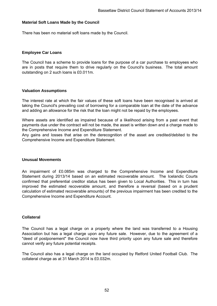### **Material Soft Loans Made by the Council**

There has been no material soft loans made by the Council.

### **Employee Car Loans**

The Council has a scheme to provide loans for the purpose of a car purchase to employees who are in posts that require them to drive regularly on the Council's business. The total amount outstanding on 2 such loans is £0.011m.

### **Valuation Assumptions**

The interest rate at which the fair values of these soft loans have been recognised is arrived at taking the Council's prevailing cost of borrowing for a comparable loan at the date of the advance and adding an allowance for the risk that the loan might not be repaid by the employees.

Where assets are identified as impaired because of a likelihood arising from a past event that payments due under the contract will not be made, the asset is written down and a charge made to the Comprehensive Income and Expenditure Statement.

Any gains and losses that arise on the derecognition of the asset are credited/debited to the Comprehensive Income and Expenditure Statement.

### **Unusual Movements**

An impairment of £0.085m was charged to the Comprehensive Income and Expenditure Statement during 2013/14 based on an estimated recoverable amount. The Icelandic Courts confirmed that preferential creditor status has been given to Local Authorities. This in turn has improved the estimated recoverable amount, and therefore a reversal (based on a prudent calculation of estimated recoverable amounts) of the previous impairment has been credited to the Comprehensive Income and Expenditure Account.

### **Collateral**

The Council has a legal charge on a property where the land was transferred to a Housing Association but has a legal charge upon any future sale. However, due to the agreement of a "deed of postponement" the Council now have third priority upon any future sale and therefore cannot verify any future potential receipts.

The Council also has a legal charge on the land occupied by Retford United Football Club. The collateral charge as at 31 March 2014 is £0.032m.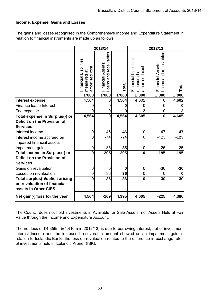## **Income, Expense, Gains and Losses**

The gains and losses recognised in the Comprehensive Income and Expenditure Statement in relation to financial instruments are made up as follows:

|                                                                                         |                                                                    | 2013/14<br>2012/13                                     |                |                                                                    |                                                        |                |
|-----------------------------------------------------------------------------------------|--------------------------------------------------------------------|--------------------------------------------------------|----------------|--------------------------------------------------------------------|--------------------------------------------------------|----------------|
|                                                                                         | Financial Liabilities<br>cost<br>measured at<br>amortised<br>£'000 | and receivables<br>Financial Assets:<br>Loans<br>£'000 | Total<br>£'000 | Financial Liabilities<br>cost<br>measured at<br>amortised<br>£'000 | and receivables<br>Financial Assets:<br>Loans<br>£'000 | Total<br>£'000 |
| Interest expense                                                                        | 4,564                                                              | 0                                                      | 4,564          | 4,602                                                              | 0                                                      | 4,602          |
| Finance lease Interest                                                                  | 0                                                                  | 0                                                      | O              |                                                                    |                                                        |                |
| Fee expense                                                                             | 0                                                                  | 0                                                      | 0              |                                                                    | 0                                                      |                |
| Total expense in Surplus(-) or                                                          | 4,564                                                              | $\mathbf 0$                                            | 4,564          | 4,605                                                              | $\mathbf 0$                                            | 4,605          |
| Deficit on the Provision of                                                             |                                                                    |                                                        |                |                                                                    |                                                        |                |
| <b>Services</b>                                                                         |                                                                    |                                                        |                |                                                                    |                                                        |                |
| Interest income                                                                         | 0                                                                  | $-46$                                                  | $-46$          |                                                                    | $-47$                                                  | -47            |
| Interest income accrued on<br>impaired financial assets                                 | 0                                                                  | $-74$                                                  | $-74$          | 0                                                                  | $-123$                                                 | $-123$         |
| Impairment gain                                                                         | 0                                                                  | $-85$                                                  | $-85$          | 0                                                                  | $-25$                                                  | -25            |
| Total income in Surplus(-) or                                                           | $\mathbf 0$                                                        | $-205$                                                 | $-205$         | $\mathbf{0}$                                                       | $-195$                                                 | $-195$         |
| Deficit on the Provision of                                                             |                                                                    |                                                        |                |                                                                    |                                                        |                |
| <b>Services</b>                                                                         |                                                                    |                                                        |                |                                                                    |                                                        |                |
| Gains on revaluation                                                                    | 0                                                                  | $\Omega$                                               | $\bf{0}$       | 0                                                                  | $-30$                                                  | $-30$          |
| Losses on revaluation                                                                   | 0                                                                  | 36                                                     | 36             | 0                                                                  | 0                                                      |                |
| Total surplus(-)/deficit arising<br>on revaluation of financial<br>assets in Other CIES | $\mathbf{0}$                                                       | 36                                                     | 36             | $\Omega$                                                           | $-30$                                                  | $-30$          |
| Net gain(-)/loss for the year                                                           | 4,564                                                              | $-169$                                                 | 4,395          | 4,605                                                              | $-225$                                                 | 4,380          |

The Council does not hold investments in Available for Sale Assets, nor Assets Held at Fair Value through the Income and Expenditure Account.

The net loss of £4.359m (£4.410m in 2012/13) is due to borrowing interest, net of investment interest income and the increased recoverable amount showed as an impairment gain in relation to Icelandic Banks the loss on revaluation relates to the difference in exchange rates of investments held in Icelandic Kroner (ISK).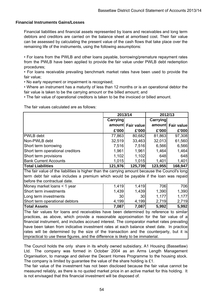### **Financial Instruments Gains/Losses**

Financial liabilities and financial assets represented by loans and receivables and long term debtors and creditors are carried on the balance sheet at amortised cost. Their fair value can be assessed by calculating the present value of the cash flows that take place over the remaining life of the instruments, using the following assumptions:

• For loans from the PWLB and other loans payable, borrowing/premature repayment rates from the PWLB have been applied to provide the fair value under PWLB debt redemption procedures;

• For loans receivable prevailing benchmark market rates have been used to provide the fair value;

• No early repayment or impairment is recognised;

• Where an instrument has a maturity of less than 12 months or is an operational debtor the fair value is taken to be the carrying amount or the billed amount; and

• The fair value of operational creditors is taken to be the invoiced or billed amount.

The fair values calculated are as follows:

|                                                                                                 |          | 2013/14           |                 | 2012/13           |  |
|-------------------------------------------------------------------------------------------------|----------|-------------------|-----------------|-------------------|--|
|                                                                                                 | Carrying |                   | <b>Carrying</b> |                   |  |
|                                                                                                 |          | amount Fair value |                 | amount Fair value |  |
|                                                                                                 | £'000    | £'000             | £'000           | £'000             |  |
| <b>PWLB</b> debt                                                                                | 77,863   | 80,682            | 81,863          | 97,308            |  |
| Non-PWLB debt                                                                                   | 32,519   | 33,463            | 32,013          | 61,560            |  |
| Short term borrowing                                                                            | 7,516    | 7,516             | 6,566           | 6,566             |  |
| Short term operational creditors                                                                | 1,961    | 1,961             | 1,464           | 1,464             |  |
| Short term provisions                                                                           | 1,102    | 1,102             | 648             | 648               |  |
| <b>Bank Current Accounts</b>                                                                    | 1,015    | 1,015             | 1,401           | 1,401             |  |
| <b>Total Liabilities</b>                                                                        | 121,976  | 125,739           | 123,955         | 168,947           |  |
| The fair value of the liabilities is higher than the carrying amount because the Council's long |          |                   |                 |                   |  |
| term debt fair value includes a premium which would be payable if the loan was repaid           |          |                   |                 |                   |  |
| before the contractual date.                                                                    |          |                   |                 |                   |  |
| Money market loans < 1 year                                                                     | 1,419    | 1,419             | 706             | 706               |  |
| Short term investments                                                                          | 1,439    | 1,439             | 1,390           | 1,390             |  |
| Long term investments                                                                           | 30       | 30                | 1,177           | 1,177             |  |
| Short term operational debtors                                                                  | 4,199    | 4,199             | 2,719           | 2,719             |  |
| <b>Total Assets</b>                                                                             | 7,087    | 7,087             | 5,992           | 5,992             |  |
| The fair values for loans and receivables have been determined by reference to similar          |          |                   |                 |                   |  |
| practices, as above, which provide a reasonable approximation for the fair value of a           |          |                   |                 |                   |  |
| financial instrument, and includes accrued interest. The comparator market rates prevailing     |          |                   |                 |                   |  |
| have been taken from indicative investment rates at each balance sheet date. In practice        |          |                   |                 |                   |  |
| rates will be determined by the size of the transaction and the counterparty, but it is         |          |                   |                 |                   |  |
| impractical to use these figures, and the difference is likely to be immaterial.                |          |                   |                 |                   |  |

The Council holds the only share in its wholly owned subsidiary, A1 Housing (Bassetlaw) Ltd. The company was formed in October 2004 as an Arms Length Management Organisation, to manage and deliver the Decent Homes Programme to the housing stock. The company is limited by guarantee the value of the share holding is £1.

The fair value of the investment has not been disclosed because the fair value cannot be measured reliably, as there is no quoted market price in an active market for this holding. It is not envisaged that this financial investment will be disposed of.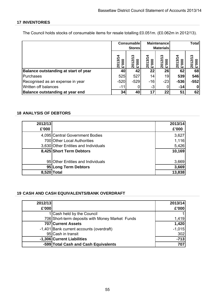# **17 INVENTORIES**

The Council holds stocks of consumable items for resale totalling £0.051m. (£0.062m in 2012/13).

|                                             | Consumable<br><b>Stores</b> |                             |                 | <b>Maintenance</b><br><b>Materials</b>  |                 | <b>Total</b> |
|---------------------------------------------|-----------------------------|-----------------------------|-----------------|-----------------------------------------|-----------------|--------------|
|                                             | ⅎ<br>2013/1<br>000.3        | ∾<br>2012/1<br><b>20013</b> | 2013/1<br>£'000 | ო<br>Z.<br><b>20013</b><br>$\mathbf{S}$ | ল<br>£'000<br>ຊ | ন<br>ັດ      |
| <b>Balance outstanding at start of year</b> | 40                          | 42                          | 22              | 26                                      | 62              | 68           |
| Purchases                                   | 525                         | 527                         | 14              | 19                                      | 539             | 546          |
| Recognised as an expense in year            | $-520$                      | $-529$                      | $-16$           | $-23$                                   | $-536$          | $-552$       |
| Written off balances                        | $-11$                       |                             | $-3$            |                                         | $-14$           |              |
| <b>Balance outstanding at year end</b>      | 34                          | 40                          | 17              | 22                                      | 51              | 62           |

## **18 ANALYSIS OF DEBTORS**

| 2012/13 |                                      | 2013/14 |
|---------|--------------------------------------|---------|
| £'000   |                                      | £'000   |
|         | 4,095 Central Government Bodies      | 3,627   |
|         | 700 Other Local Authorities          | 1,116   |
|         | 3,630 Other Entities and Individuals | 5,426   |
|         | 8,425 Short Term Debtors             | 10,169  |
|         |                                      |         |
|         | 95 Other Entities and Individuals    | 3,669   |
|         | 95 Long Term Debtors                 | 3,669   |
| 8,520   | <b>Total</b>                         | 13,838  |

## **19 CASH AND CASH EQUIVALENTS/BANK OVERDRAFT**

| 2012/13 |                                                 | 2013/14  |
|---------|-------------------------------------------------|----------|
| £'000   |                                                 | £'000    |
|         | 1 Cash held by the Council                      |          |
|         | 706 Short-term deposits with Money Market Funds | 1,419    |
|         | 707 Current Assets                              | 1,420    |
|         | -1,401 Bank current accounts (overdraft)        | $-1,015$ |
|         | 95 Cash in transit                              | 302      |
|         | -1,306 Current Liabilities                      | $-713$   |
|         | -599 Total Cash and Cash Equivalents            | 707      |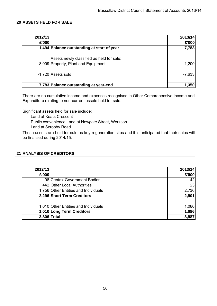## **20 ASSETS HELD FOR SALE**

| 2012/13 |                                            | 2013/14  |
|---------|--------------------------------------------|----------|
| £'000   |                                            | £'000    |
|         | 1,494 Balance outstanding at start of year | 7,783    |
|         | Assets newly classified as held for sale:  |          |
|         | 8,009 Property, Plant and Equipment        | 1,200    |
|         | -1,720 Assets sold                         | $-7,633$ |
|         | 7,783 Balance outstanding at year-end      | 1,350    |

There are no cumulative income and expenses recognised in Other Comprehensive Income and Expenditure relating to non-current assets held for sale.

Significant assets held for sale include:

Land at Keats Crescent

Public convenience Land at Newgate Street, Worksop

Land at Scrooby Road

These assets are held for sale as key regeneration sites and it is anticipated that their sales will be finalised during 2014/15.

## **21 ANALYSIS OF CREDITORS**

| 2012/13     |                                      | 2013/14 |
|-------------|--------------------------------------|---------|
| £'000       |                                      | £'000   |
|             | 98 Central Government Bodies         | 142     |
|             | 442 Other Local Authorities          | 23      |
|             | 1,756 Other Entities and Individuals | 2,736   |
|             | 2,296 Short Term Creditors           | 2,901   |
|             |                                      |         |
|             | 1,010 Other Entities and Individuals | 1,086   |
|             | 1,010 Long Term Creditors            | 1,086   |
| 3,306 Total |                                      | 3,987   |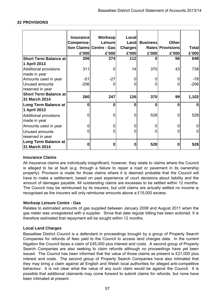### **22 PROVISIONS**

|                                              | <b>Insurancel</b><br>Compensa- | <b>Worksop</b><br>Leisurel | Local<br>Land  | <b>Business</b> | <b>Other</b>     |              |
|----------------------------------------------|--------------------------------|----------------------------|----------------|-----------------|------------------|--------------|
|                                              |                                | tion Claims Centre - Gas   | <b>Charges</b> |                 | Rates Provisions | <b>Total</b> |
|                                              | £'000                          | £'000                      | £'000          | £'000           | £'000            | £'000        |
| <b>Short Term Balance at</b>                 | 206                            | 274                        | 112            | 0               | 56               | 648          |
| 1 April 2013                                 |                                |                            |                |                 |                  |              |
| <b>Additional provisions</b><br>made in year | 311                            | 0                          | 14             | 370             | 43               | 738          |
| Amounts used in year                         | $-51$                          | $-27$                      | 0              | 0               | 0                | $-78$        |
| Unused amounts<br>reserved in year           | $-206$                         | 0                          | 0              | $\overline{0}$  | 0                | $-206$       |
| Short Term Balance at                        |                                |                            |                |                 |                  |              |
| 31 March 2014                                | 260                            | 247                        | 126            | 370             | 99               | 1,102        |
| Long Term Balance at                         | $\Omega$                       | 0                          | 0              | 0               | 0                | $\mathbf{0}$ |
| 1 April 2013                                 |                                |                            |                |                 |                  |              |
| <b>Additional provisions</b>                 | 0                              | 0                          | 0              | 528             | 0                | 528          |
| made in year                                 |                                |                            |                |                 |                  |              |
| Amounts used in year                         | 0                              | 0                          | 0              | $\overline{0}$  | 0                |              |
| Unused amounts                               | 0                              | 0                          | 0              | 0               | 0                |              |
| reserved in year                             |                                |                            |                |                 |                  |              |
| <b>Long Term Balance at</b><br>31 March 2014 | 0                              | 0                          | 0              | 528             | 0                | 528          |

### **Insurance Claims**

All insurance claims are individually insignificant, however, they relate to claims where the Council is alleged to be at fault (e.g. through a failure to repair a road or pavement in its ownership properly). Provision is made for those claims where it is deemed probable that the Council will have to make a settlement, based on past experience of court decisions about liability and the amount of damages payable. All outstanding claims are excesses to be settled within 12 months. The Council may be reimbursed by its insurers, but until claims are actually settled no income is recognised as the insurers will only reimburse amounts above a £15,000 excess.

### **Worksop Leisure Centre - Gas**

Relates to estimated amounts of gas supplied between January 2008 and August 2011 when the gas meter was unregistered with a supplier. Since that date regular billing has been actioned. It is therefore estimated that repayment will be sought within 12 months.

### **Local Land Charges**

Bassetlaw District Council is a defendant in proceedings brought by a group of Property Search Companies for refunds of fees paid to the Council to access land charges data. In the current litigation the Council faces a claim of £45,000 plus interest and costs. A second group of Property Search Companies are also seeking to claim refunds although no proceedings have yet been issued. The Council has been informed that the value of those claims as present is £21,000 plus interest and costs. The second group of Property Search Companies have also intimated that they may bring a claim against all English and Welsh local authorities for alleged anti-competitive behaviour. It is not clear what the value of any such claim would be against the Council. It is possible that additional claimants may come forward to submit claims for refunds, but none have been intimated at present.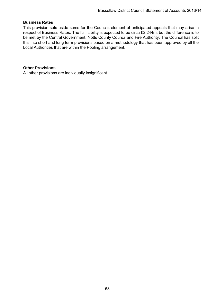## **Business Rates**

This provision sets aside sums for the Councils element of anticipated appeals that may arise in respect of Business Rates. The full liability is expected to be circa £2.244m, but the difference is to be met by the Central Government, Notts County Council and Fire Authority. The Council has split this into short and long term provisions based on a methodology that has been approved by all the Local Authorities that are within the Pooling arrangement.

### **Other Provisions**

All other provisions are individually insignificant.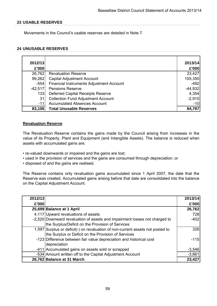### **23 USABLE RESERVES**

Movements in the Council's usable reserves are detailed in Note 7.

### **24 UNUSABLE RESERVES**

| 2012/13<br>£'000 |                                           | 2013/14<br>£'000 |
|------------------|-------------------------------------------|------------------|
| 26,762           | <b>Revaluation Reserve</b>                | 23,427           |
| 99,262           | <b>Capital Adjustment Account</b>         | 105,350          |
| $-554$           | Financial Instruments Adjustment Account  | $-492$           |
| $-42,517$        | <b>Pensions Reserve</b>                   | $-44,932$        |
| 133              | <b>Deferred Capital Receipts Reserve</b>  | 4,354            |
| 31               | <b>Collection Fund Adjustment Account</b> | $-2,910$         |
| $-11$            | <b>Accumulated Absences Account</b>       | $-10$            |
| 83,106           | <b>Total Unusable Reserves</b>            | 84,787           |

### **Revaluation Reserve**

The Revaluation Reserve contains the gains made by the Council arising from increases in the value of its Property, Plant and Equipment (and Intangible Assets). The balance is reduced when assets with accumulated gains are:

- re-valued downwards or impaired and the gains are lost;
- used in the provision of services and the gains are consumed through depreciation; or
- disposed of and the gains are realised.

The Reserve contains only revaluation gains accumulated since 1 April 2007, the date that the Reserve was created. Accumulated gains arising before that date are consolidated into the balance on the Capital Adjustment Account.

| 2012/13 |                                                                                                                                       | 2013/14  |
|---------|---------------------------------------------------------------------------------------------------------------------------------------|----------|
| £'000   |                                                                                                                                       | £'000    |
|         | 25,699 Balance at 1 April                                                                                                             | 26,762   |
|         | 4,117 Upward revaluations of assets                                                                                                   | 728      |
|         | -2,520 Downward revaluation of assets and impairment losses not charged to<br>the Surplus/Deficit on the Provision of Services        | $-402$   |
|         | 1,597 Surplus or deficit(-) on revaluation of non-current assets not posted to<br>the Surplus or Deficit on the Provision of Services | 326      |
|         | -123 Difference between fair value depreciation and historical cost<br>depreciation                                                   | $-115$   |
|         | -411 Accumulated gains on assets sold or scrapped                                                                                     | $-3,546$ |
|         | -534 Amount written off to the Capital Adjustment Account                                                                             | $-3,661$ |
|         | 26,762 Balance at 31 March                                                                                                            | 23,427   |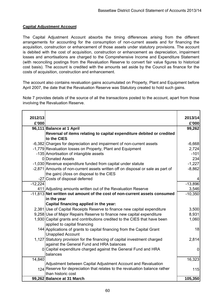# **Capital Adjustment Account**

The Capital Adjustment Account absorbs the timing differences arising from the different arrangements for accounting for the consumption of non-current assets and for financing the acquisition, construction or enhancement of those assets under statutory provisions. The account is debited with the cost of acquisition, construction or enhancement as depreciation, impairment losses and amortisations are charged to the Comprehensive Income and Expenditure Statement (with reconciling postings from the Revaluation Reserve to convert fair value figures to historical cost basis). The account is credited with the amounts set aside by the Council as finance for the costs of acquisition, construction and enhancement.

The account also contains revaluation gains accumulated on Property, Plant and Equipment before April 2007, the date that the Revaluation Reserve was Statutory created to hold such gains.

Note 7 provides details of the source of all the transactions posted to the account, apart from those involving the Revaluation Reserve.

| 2012/13   |                                                                                                   | 2013/14     |
|-----------|---------------------------------------------------------------------------------------------------|-------------|
| £'000     |                                                                                                   | £'000       |
|           | 96,111 Balance at 1 April                                                                         | 99,262      |
|           | Reversal of items relating to capital expenditure debited or credited                             |             |
|           | to the CIES                                                                                       |             |
|           | -6,382 Charges for depreciation and impairment of non-current assets                              | $-6,668$    |
|           | -1,779 Revaluation losses on Property, Plant and Equipment                                        | 2,724       |
|           | -135 Amortisation of intangible assets                                                            | $-101$      |
|           | 0 Donated Assets                                                                                  | 234         |
|           | -1,030 Revenue expenditure funded from capital under statute                                      | $-1,227$    |
|           | -2,871 Amounts of non-current assets written off on disposal or sale as part of                   | $-8,862$    |
|           | the gain(-)/loss on disposal to the CIES                                                          |             |
|           | -27 Costs of disposal deferred                                                                    |             |
| $-12,224$ |                                                                                                   | $-13,896$   |
|           | 411 Adjusting amounts written out of the Revaluation Reserve                                      | 3,546       |
|           | -11,813 Net written out amount of the cost of non-current assets consumed                         | $-10,350$   |
|           | in the year                                                                                       |             |
|           | Capital financing applied in the year:                                                            |             |
|           | 2,381 Use of Capital Receipts Reserve to finance new capital expenditure                          | 3,500       |
|           | 9,258 Use of Major Repairs Reserve to finance new capital expenditure                             | 8,931       |
|           | 1,930 Capital grants and contributions credited to the CIES that have been                        | 1,060       |
|           | applied to capital financing                                                                      |             |
|           | 144 Applications of grants to capital financing from the Capital Grant                            | 18          |
|           | <b>Unapplied Account</b>                                                                          |             |
|           | 1,127 Statutory provision for the financing of capital investment charged                         | 2,814       |
|           | against the General Fund and HRA balances                                                         |             |
|           | 0 Capital expenditure charged against the General Fund and HRA                                    | $\mathbf 0$ |
|           | balances                                                                                          |             |
| 14,840    |                                                                                                   | 16,323      |
|           | Adjustment between Capital Adjustment Account and Revaluation                                     |             |
|           | 124 Reserve for depreciation that relates to the revaluation balance rather<br>than historic cost | 115         |
|           |                                                                                                   |             |
|           | 99,262 Balance at 31 March                                                                        | 105,350     |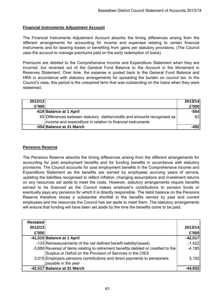## **Financial Instruments Adjustment Account**

The Financial Instruments Adjustment Account absorbs the timing differences arising from the different arrangements for accounting for income and expenses relating to certain financial instruments and for bearing losses or benefiting from gains per statutory provisions. (The Council uses the account to manage premiums paid on the early redemption of loans).

Premiums are debited to the Comprehensive Income and Expenditure Statement when they are incurred, but reversed out of the General Fund Balance to the Account in the Movement in Reserves Statement. Over time, the expense is posted back to the General Fund Balance and HRA in accordance with statutory arrangements for spreading the burden on council tax. In the Council's case, this period is the unexpired term that was outstanding on the loans when they were redeemed.

| 2012/13 |                                                                                                                                          | 2013/14 |
|---------|------------------------------------------------------------------------------------------------------------------------------------------|---------|
| £'000   |                                                                                                                                          | £'000   |
|         | -619 Balance at 1 April                                                                                                                  | $-554$  |
|         | 65 Differences between statutory debits/credits and amounts recognised as<br>income and expenditure in relation to financial instruments | 62      |
|         | -554 Balance at 31 March                                                                                                                 |         |

## **Pensions Reserve**

The Pensions Reserve absorbs the timing differences arising from the different arrangements for accounting for post employment benefits and for funding benefits in accordance with statutory provisions. The Council accounts for post employment benefits in the Comprehensive Income and Expenditure Statement as the benefits are earned by employees accruing years of service, updating the liabilities recognised to reflect inflation, changing assumptions and investment returns on any resources set aside to meet the costs. However, statutory arrangements require benefits earned to be financed as the Council makes employer's contributions to pension funds or eventually pays any pensions for which it is directly responsible. The debit balance on the Pensions Reserve therefore shows a substantial shortfall in the benefits earned by past and current employees and the resources the Council has set aside to meet them. The statutory arrangements will ensure that funding will have been set aside by the time the benefits come to be paid.

| <b>Restated</b> |                                                                                                                                                    |           |
|-----------------|----------------------------------------------------------------------------------------------------------------------------------------------------|-----------|
| 2012/13         |                                                                                                                                                    | 2013/14   |
| £'000           |                                                                                                                                                    | £'000     |
|                 | -41,510 Balance at 1 April                                                                                                                         | $-42,517$ |
|                 | -133 Remeasurements of the net defined benefit liability/(asset)                                                                                   | $-1,422$  |
|                 | -3,889 Reversal of items relating to retirement benefits debited or credited to the<br>Surplus or Deficit on the Provision of Services in the CIES | $-4,185$  |
|                 | 3,015 Employers pensions contributions and direct payments to pensioners<br>payable in the year                                                    | 3,192     |
|                 | -42,517 Balance at 31 March                                                                                                                        | -44.932   |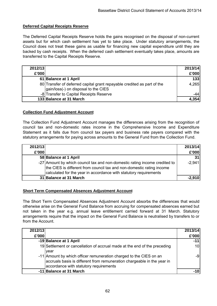## **Deferred Capital Receipts Reserve**

The Deferred Capital Receipts Reserve holds the gains recognised on the disposal of non-current assets but for which cash settlement has yet to take place. Under statutory arrangements, the Council does not treat these gains as usable for financing new capital expenditure until they are backed by cash receipts. When the deferred cash settlement eventually takes place, amounts are transferred to the Capital Receipts Reserve.

| 2012/13 |                                                                                                                 | 2013/14 |
|---------|-----------------------------------------------------------------------------------------------------------------|---------|
| £'000   |                                                                                                                 | £'000   |
|         | 61 Balance at 1 April                                                                                           | 133     |
|         | 80 Transfer of deferred capital grant repayable credited as part of the<br>gain/loss(-) on disposal to the CIES | 4,265   |
|         | -8 Transfer to Capital Receipts Reserve                                                                         | -44     |
|         | 133 Balance at 31 March                                                                                         | 4.354   |

## **Collection Fund Adjustment Account**

The Collection Fund Adjustment Account manages the differences arising from the recognition of council tax and non-domestic rates income in the Comprehensive Income and Expenditure Statement as it falls due from council tax payers and business rate payers compared with the statutory arrangements for paying across amounts to the General Fund from the Collection Fund.

| 2012/13 |                                                                                                                                                                                                                          | 2013/14  |
|---------|--------------------------------------------------------------------------------------------------------------------------------------------------------------------------------------------------------------------------|----------|
| £'000   |                                                                                                                                                                                                                          | £'000    |
|         | 58 Balance at 1 April                                                                                                                                                                                                    | 31       |
|         | -27 Amount by which council tax and non-domestic rating income credited to<br>the CIES is different from council tax and non-domestic rating income<br>calculated for the year in accordance with statutory requirements | $-2,941$ |
|         | 31 Balance at 31 March                                                                                                                                                                                                   | $-2.910$ |

## **Short Term Compensated Absences Adjustment Account**

The Short Term Compensated Absences Adjustment Account absorbs the differences that would otherwise arise on the General Fund Balance from accruing for compensated absences earned but not taken in the year e.g. annual leave entitlement carried forward at 31 March. Statutory arrangements require that the impact on the General Fund Balance is neutralised by transfers to or from the Account.

| 2012/13 |                                                                                                                                                                                         | 2013/14 |
|---------|-----------------------------------------------------------------------------------------------------------------------------------------------------------------------------------------|---------|
| £'000   |                                                                                                                                                                                         | £'000   |
|         | -19 Balance at 1 April                                                                                                                                                                  | $-11$   |
|         | 19 Settlement or cancellation of accrual made at the end of the preceding<br>vear                                                                                                       | 10      |
|         | -11 Amount by which officer remuneration charged to the CIES on an<br>accruals basis is different from remuneration chargeable in the year in<br>accordance with statutory requirements | -9      |
|         | -11 Balance at 31 March                                                                                                                                                                 |         |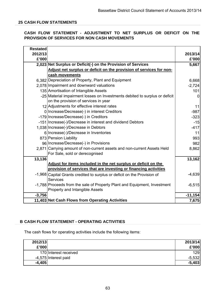## **25 CASH FLOW STATEMENTS**

## **CASH FLOW STATEMENT - ADJUSTMENT TO NET SURPLUS OR DEFICIT ON THE PROVISION OF SERVICES FOR NON CASH MOVEMENTS**

| <b>Restated</b> |                                                                             |           |  |
|-----------------|-----------------------------------------------------------------------------|-----------|--|
| 2012/13         |                                                                             | 2013/14   |  |
| £'000           |                                                                             | £'000     |  |
|                 | 2,023 Net Surplus or Deficit(-) on the Provision of Services                | 5,667     |  |
|                 | Adjust net surplus or deficit on the provision of services for non-         |           |  |
|                 | cash movements                                                              |           |  |
|                 | 6,382 Depreciation of Property, Plant and Equipment                         | 6,668     |  |
|                 | 2,078 Impairment and downward valuations                                    | $-2,724$  |  |
|                 | 135 Amortisation of Intangible Assets                                       | 101       |  |
|                 | -25 Material impairment losses on Investments debited to surplus or deficit | 0         |  |
|                 | on the provision of services in year                                        |           |  |
|                 | 12 Adjustments for effective interest rates                                 | 11        |  |
|                 | 0   Increase/Decrease(-) in interest Creditors                              | $-987$    |  |
|                 | -179 Increase/Decrease(-) in Creditors                                      | $-323$    |  |
|                 | -151 Increase(-)/Decrease in interest and dividend Debtors                  | $-15$     |  |
|                 | 1,038 Increase(-)/Decrease in Debtors                                       | $-417$    |  |
|                 | 6 Increase(-)/Decrease in Inventories                                       | 11        |  |
|                 | 873 Pension Liability                                                       | 993       |  |
|                 | 96 Increase/Decrease(-) in Provisions                                       | 982       |  |
|                 | 2,871 Carrying amount of non-current assets and non-current Assets Held     | 8,862     |  |
|                 | For Sale, sold or derecognised                                              |           |  |
| 13,136          |                                                                             | 13,162    |  |
|                 | Adjust for items included in the net surplus or deficit on the              |           |  |
|                 | provision of services that are investing or financing activities            |           |  |
|                 | -1,968 Capital Grants credited to surplus or deficit on the Provision of    | $-4,639$  |  |
|                 | <b>Services</b>                                                             |           |  |
|                 | -1,788 Proceeds from the sale of Property Plant and Equipment, Investment   | $-6,515$  |  |
|                 | Property and Intangible Assets                                              |           |  |
| $-3,756$        |                                                                             | $-11,154$ |  |
|                 | 11,403 Net Cash Flows from Operating Activities                             | 7,675     |  |

### **B CASH FLOW STATEMENT - OPERATING ACTIVITIES**

The cash flows for operating activities include the following items:

| 2012/13  |                       | 2013/14  |
|----------|-----------------------|----------|
| £'000    |                       | £'000    |
|          | 170 Interest received | 129      |
|          | -4,575 Interest paid  | $-5,532$ |
| $-4,405$ |                       | $-5,403$ |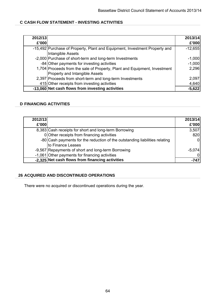# **C CASH FLOW STATEMENT - INVESTING ACTIVITIES**

| 2012/13 |                                                                                                             | 2013/14   |
|---------|-------------------------------------------------------------------------------------------------------------|-----------|
| £'000   |                                                                                                             | £'000     |
|         | -15,492   Purchase of Property, Plant and Equipment, Investment Property and<br>Intangible Assets           | $-12,655$ |
|         | -2,000 Purchase of short-term and long-term Investments                                                     | $-1,000$  |
|         | -84 Other payments for investing activities                                                                 | $-1,000$  |
|         | 1,704 Proceeds from the sale of Property, Plant and Equipment, Investment<br>Property and Intangible Assets | 2,296     |
|         | 2,397 Proceeds from short-term and long-term Investments                                                    | 2,097     |
|         | 415 Other receipts from investing activities                                                                | 4,640     |
|         | -13,060 Net cash flows from investing activities                                                            | $-5,622$  |

## **D FINANCING ACTIVITIES**

| 2012/13 |                                                                             | 2013/14  |
|---------|-----------------------------------------------------------------------------|----------|
| £'000   |                                                                             | £'000    |
|         | 8,383 Cash receipts for short and long-term Borrowing                       | 3,507    |
|         | 0 Other receipts from financing activities                                  | 820      |
|         | -80 Cash payments for the reduction of the outstanding liabilities relating |          |
|         | to Finance Leases                                                           |          |
|         | -9,567 Repayments of short and long-term Borrowing                          | $-5,074$ |
|         | -1,061 Other payments for financing activities                              |          |
|         | -2,325 Net cash flows from financing activities                             | $-74$    |

## **26 ACQUIRED AND DISCONTINUED OPERATIONS**

There were no acquired or discontinued operations during the year.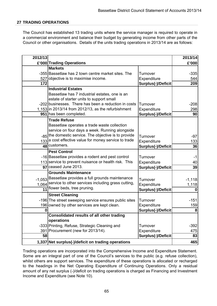### **27 TRADING OPERATIONS**

The Council has established 13 trading units where the service manager is required to operate in a commercial environment and balance their budget by generating income from other parts of the Council or other organisations. Details of the units trading operations in 2013/14 are as follows:

| 2012/13 |                                                                        |                           | 2013/14  |
|---------|------------------------------------------------------------------------|---------------------------|----------|
|         | £'000 Trading Operations                                               |                           | £'000    |
|         | <b>Markets</b>                                                         |                           |          |
|         | -355 Bassetlaw has 2 town centre market sites. The                     | Turnover                  | $-335$   |
|         | 527 objective is to maximise income.                                   | Expenditure               | 544      |
| 172     |                                                                        | <b>Surplus(-)/Deficit</b> | 209      |
|         | <b>Industrial Estates</b>                                              |                           |          |
|         | Bassetlaw has 7 industrial estates, one is an                          |                           |          |
|         | estate of starter units to support small                               |                           |          |
|         | -202 businesses. There has been a reduction in costs                   | Turnover                  | $-208$   |
|         | 1,153 in 2013/14 from 2012/13, as the refurbishment                    | Expenditure               | 298      |
|         | 951 has been completed.                                                | <b>Surplus(-)/Deficit</b> | 90       |
|         | <b>Trade Refuse</b>                                                    |                           |          |
|         | Bassetlaw operates a trade waste collection                            |                           |          |
|         | service on four days a week. Running alongside                         |                           |          |
|         | -85 the domestic service. The objective is to provide                  | Turnover                  | $-97$    |
|         | 133 a cost effective value for money service to trade<br>48 customers. | Expenditure               | 133      |
|         |                                                                        | Surplus(-)/Deficit        | 36       |
|         | <b>Pest Control</b>                                                    |                           |          |
|         | -16 Bassetlaw provides a rodent and pest control                       | Turnover                  | -1       |
|         | 113 service to prevent nuisance or health risk. This                   | Expenditure               | 40       |
|         | $\overline{97}$ ceased June 2013.                                      | <b>Surplus(-)/Deficit</b> | 39       |
|         | <b>Grounds Maintenance</b>                                             |                           |          |
|         | -1,053 Bassetlaw provides a full grounds maintenance                   | Turnover                  | $-1,118$ |
|         | 1,064 service to other services including grass cutting,               | Expenditure               | 1,118    |
|         | 11 flower beds, tree pruning.                                          | Surplus(-)/Deficit        | $\bf{0}$ |
|         | <b>Street Cleaning</b>                                                 |                           |          |
|         | -196 The street sweeping service ensures public sites                  | Turnover                  | $-151$   |
|         | 196 owned by other services are kept clean.                            | Expenditure               | 159      |
| U       |                                                                        | <b>Surplus(-)/Deficit</b> | 8        |
|         | <b>Consolidated results of all other trading</b>                       |                           |          |
|         | operations                                                             |                           |          |
|         | -333 Printing, Refuse, Strategic Cleaning and                          | Turnover                  | $-392$   |
|         | 391 Procurement (new for 2013/14).                                     | Expenditure               | 475      |
| 58      |                                                                        | Surplus(-)/Deficit        | 83       |
|         | 1,337 Net surplus(-)/deficit on trading operations                     |                           | 465      |

Trading operations are incorporated into the Comprehensive Income and Expenditure Statement. Some are an integral part of one of the Council's services to the public (e.g. refuse collection), whilst others are support services. The expenditure of these operations is allocated or recharged to the headings in the Net Operating Expenditure of Continuing Operations. Only a residual amount of any net surplus (-)/deficit on trading operations is charged as Financing and Investment Income and Expenditure (see Note 10).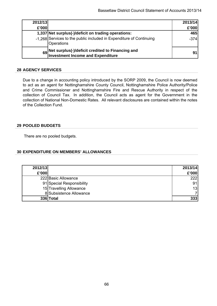| 2012/13 |                                                                                          | 2013/14 |
|---------|------------------------------------------------------------------------------------------|---------|
| £'000   |                                                                                          | £'000   |
|         | 1,337 Net surplus(-)/deficit on trading operations:                                      | 465     |
|         | -1,268 Services to the public included in Expenditure of Continuing<br><b>Operations</b> | $-374$  |
|         | 69 Net surplus(-)/deficit credited to Financing and<br>Investment Income and Expenditure | 91      |

### **28 AGENCY SERVICES**

Due to a change in accounting policy introduced by the SORP 2009, the Council is now deemed to act as an agent for Nottinghamshire County Council, Nottinghamshire Police Authority/Police and Crime Commissioner and Nottinghamshire Fire and Rescue Authority in respect of the collection of Council Tax. In addition, the Council acts as agent for the Government in the collection of National Non-Domestic Rates. All relevant disclosures are contained within the notes of the Collection Fund.

### **29 POOLED BUDGETS**

There are no pooled budgets.

### **30 EXPENDITURE ON MEMBERS' ALLOWANCES**

| 2012/13 |                           | 2013/14 |
|---------|---------------------------|---------|
| £'000   |                           | £'000   |
|         | 222 Basic Allowance       | 222     |
|         | 91 Special Responsibility | 91      |
|         | 15 Travelling Allowance   | 13      |
|         | 8 Subsistence Allowance   |         |
|         | 336 Total                 | 333     |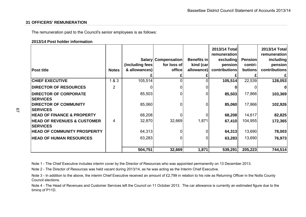### **31 OFFICERS' REMUNERATION**

The remuneration paid to the Council's senior employees is as follows:

#### **2013/14 Post holder information**

| <b>Post title</b>                                         | <b>Notes</b> | (including fees)<br>& allowances) | <b>Salary Compensation</b><br>for loss of<br>office | <b>Benefits in</b><br>kind (car<br>allowance) | 2013/14 Total<br>remuneration<br>excluding<br>pension<br>contributions | <b>Pension</b><br>contri-<br>butions | 2013/14 Total<br>remuneration<br>including<br>pension<br>contributions |
|-----------------------------------------------------------|--------------|-----------------------------------|-----------------------------------------------------|-----------------------------------------------|------------------------------------------------------------------------|--------------------------------------|------------------------------------------------------------------------|
| <b>CHIEF EXECUTIVE</b>                                    | 1&8&3        | 105,514                           |                                                     |                                               | 105,514                                                                | 22,539                               | 128,053                                                                |
| <b>DIRECTOR OF RESOURCES</b>                              | 2            |                                   |                                                     |                                               |                                                                        |                                      |                                                                        |
| <b>DIRECTOR OF CORPORATE</b><br><b>SERVICES</b>           |              | 85,503                            |                                                     |                                               | 85,503                                                                 | 17,866                               | 103,369                                                                |
| <b>DIRECTOR OF COMMUNITY</b><br><b>SERVICES</b>           |              | 85,060                            |                                                     |                                               | 85,060                                                                 | 17,866                               | 102,926                                                                |
| <b>HEAD OF FINANCE &amp; PROPERTY</b>                     |              | 68,208                            |                                                     | 0                                             | 68,208                                                                 | 14,617                               | 82,825                                                                 |
| <b>HEAD OF REVENUES &amp; CUSTOMER</b><br><b>SERVICES</b> | 4            | 32,870                            | 32,669                                              | 1,871                                         | 67,410                                                                 | 104,955                              | 172,365                                                                |
| <b>HEAD OF COMMUNITY PROSPERITY</b>                       |              | 64,313                            |                                                     |                                               | 64,313                                                                 | 13,690                               | 78,003                                                                 |
| <b>HEAD OF HUMAN RESOURCES</b>                            |              | 63,283                            |                                                     |                                               | 63,283                                                                 | 13,690                               | 76,973                                                                 |
|                                                           |              | 504,751                           | 32,669                                              | 1,871                                         | 539,291                                                                | 205,223                              | 744,514                                                                |

Note 1 - The Chief Executive includes interim cover by the Director of Resources who was appointed permanently on 13 December 2013.

Note 2 - The Director of Resources was held vacant during 2013/14, as he was acting as the Interim Chief Executive.

Note 3 - In addition to the above, the interim Chief Executive received an amount of £2,799 in relation to his role as Returning Officer in the Notts County Council elections.

Note 4 - The Head of Revenues and Customer Services left the Council on 11 October 2013. The car allowance is currently an estimated figure due to the timin g of P11D.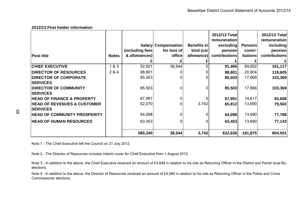#### **2012/13 Post holder information**

| <b>Post title</b>                               | <b>Notes</b> | (including fees)<br>& allowances) | Salary Compensation<br>for loss of<br>office | <b>Benefits in</b><br>kind (car<br>allowance) | 2012/13 Total<br>remuneration<br>excluding<br>pension<br>contributions | <b>Pension</b><br>contri-<br>butions | 2012/13 Total<br>remuneration<br>including<br>pension<br>contributions |
|-------------------------------------------------|--------------|-----------------------------------|----------------------------------------------|-----------------------------------------------|------------------------------------------------------------------------|--------------------------------------|------------------------------------------------------------------------|
|                                                 |              |                                   |                                              |                                               |                                                                        |                                      |                                                                        |
| <b>CHIEF EXECUTIVE</b>                          | 1&8&3        | 52,921                            | 38,544                                       |                                               | 91,465                                                                 | 69,652                               | 161,117                                                                |
| <b>DIRECTOR OF RESOURCES</b>                    | 2 & 4        | 98,801                            |                                              |                                               | 98,801                                                                 | 20,804                               | 119,605                                                                |
| <b>DIRECTOR OF CORPORATE</b>                    |              | 85,503                            |                                              |                                               | 85,503                                                                 | 17,866                               | 103,369                                                                |
| <b>SERVICES</b>                                 |              |                                   |                                              |                                               |                                                                        |                                      |                                                                        |
| <b>DIRECTOR OF COMMUNITY</b><br><b>SERVICES</b> |              | 85,503                            | $\Omega$                                     | $\Omega$                                      | 85,503                                                                 | 17,866                               | 103,369                                                                |
| <b>HEAD OF FINANCE &amp; PROPERTY</b>           |              | 67,991                            | 01                                           |                                               | 67,991                                                                 | 14,617                               | 82,608                                                                 |
| <b>HEAD OF REVENUES &amp; CUSTOMER</b>          |              | 62,070                            |                                              | 3,742                                         | 65,812                                                                 | 13,690                               | 79,502                                                                 |
| <b>SERVICES</b>                                 |              |                                   |                                              |                                               |                                                                        |                                      |                                                                        |
| <b>HEAD OF COMMUNITY PROSPERITY</b>             |              | 64,098                            | $\Omega$                                     | 0                                             | 64,098                                                                 | 13,690                               | 77,788                                                                 |
| <b>HEAD OF HUMAN RESOURCES</b>                  |              | 63,453                            | $\overline{0}$                               |                                               | 63,453                                                                 | 13,690                               | 77,143                                                                 |
|                                                 |              | 580,340                           | 38,544                                       | 3,742                                         | 622,626                                                                | 181,875                              | 804,501                                                                |

Note 1 - The Chief Executive left the Council on 31 July 2012.

Note 2 - The Director of Resources includes interim cover for Chief Executive from 1 August 2012.

Note 3 - In addition to the above, the Chief Executive received an amount of £4,648 in relation to his role as Returning Officer in the District and Parish local Byelections.

Note 4 - In addition to the above, the Director of Resources received an amount of £4,080 in relation to his role as Returning Officer in the Police and Crime Commissioner elections.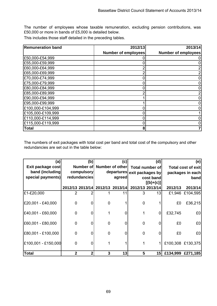The number of employees whose taxable remuneration, excluding pension contributions, was £50,000 or more in bands of £5,000 is detailed below.

This includes those staff detailed in the preceding tables.

| <b>Remuneration band</b> | 2012/13                    | 2013/14                    |
|--------------------------|----------------------------|----------------------------|
|                          | <b>Number of employees</b> | <b>Number of employees</b> |
| £50,000-£54,999          |                            |                            |
| £55,000-£59,999          |                            |                            |
| £60,000-£64,999          | 2                          |                            |
| £65,000-£69,999          | 2                          |                            |
| £70,000-£74,999          | 0                          |                            |
| £75,000-£79,999          | 0                          |                            |
| £80,000-£84,999          | 0                          |                            |
| £85,000-£89,999          | 2                          |                            |
| £90,000-£94,999          |                            |                            |
| £95,000-£99,999          |                            |                            |
| £100,000-£104,999        | 0                          |                            |
| £105,000-£109,999        | 0                          |                            |
| £110,000-£114,999        | 0                          |                            |
| £115,000-£119,999        | 0                          |                            |
| <b>Total</b>             | 8                          |                            |

The numbers of exit packages with total cost per band and total cost of the compulsory and other redundancies are set out in the table below:

| (a)                 | (b)<br>(c)   |            |        |                           | (d)                                             | (e)                         |         |                    |  |
|---------------------|--------------|------------|--------|---------------------------|-------------------------------------------------|-----------------------------|---------|--------------------|--|
| Exit package cost   |              |            |        | Number of Number of other |                                                 | <b>Total number of</b>      |         | Total cost of exit |  |
| band (including)    |              | compulsory |        |                           |                                                 | departures exit packages by |         | packages in each   |  |
| special payments)   | redundancies |            | agreed |                           |                                                 | cost band                   |         | band               |  |
|                     |              |            |        |                           |                                                 | $[(b)+(c)]$                 |         |                    |  |
|                     |              |            |        |                           | 2012/13 2013/14 2012/13 2013/14 2012/13 2013/14 |                             | 2012/13 | 2013/14            |  |
| £1-£20,000          | 2            |            |        | 11                        | 3                                               | 13                          |         | £1,946 £104,595    |  |
| £20,001 - £40,000   | 0            | 0          | 0      |                           | 0                                               |                             | £0      | £36,215            |  |
| £40,001 - £60,000   | 0            | 0          |        | 0                         |                                                 | 0                           | £32,745 | £0                 |  |
| £60,001 - £80,000   | 0            | 0          | 0      | 0                         | 0                                               | $\Omega$                    | £0      | £0                 |  |
| £80,001 - £100,000  | $\mathbf 0$  | 0          | 0      | 0                         | $\overline{0}$                                  | $\Omega$                    | £0      | £0                 |  |
| £100,001 - £150,000 | 0            | 0          |        |                           |                                                 |                             |         | £100,308 £130,375  |  |
| <b>Total</b>        | 2            | 2          | 3      | 13                        | 5                                               | 15                          |         | £134,999 £271,185  |  |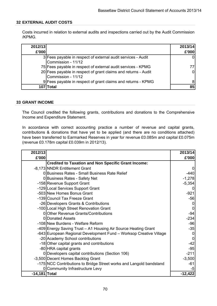## **32 EXTERNAL AUDIT COSTS**

Costs incurred in relation to external audits and inspections carried out by the Audit Commission /KPMG.

| 2012/13<br>£'000 |                                                                                      | 2013/14<br>£'000 |
|------------------|--------------------------------------------------------------------------------------|------------------|
|                  | 3 Fees payable in respect of external audit services - Audit<br>Commission - 11/12   |                  |
|                  | 75 Fees payable in respect of external audit services - KPMG                         |                  |
|                  | 20 Fees payable in respect of grant claims and returns - Audit<br>Commission - 11/12 |                  |
|                  | 9 Fees payable in respect of grant claims and returns - KPMG                         |                  |
| 107              | Total                                                                                | 85               |

### **33 GRANT INCOME**

The Council credited the following grants, contributions and donations to the Comprehensive Income and Expenditure Statement.

In accordance with correct accounting practice a number of revenue and capital grants, contributions & donations that have yet to be applied (and there are no conditions attached) have been transferred to Earmarked Reserves in year for revenue £0.085m and capital £0.075m (revenue £0.178m capital £0.039m in 2012/13).

| 2012/13       |                                                                     | 2013/14   |
|---------------|---------------------------------------------------------------------|-----------|
| £'000         |                                                                     | £'000     |
|               | <b>Credited to Taxation and Non Specific Grant Income:</b>          |           |
|               | -8,173 NNDR Entitlement Grant                                       |           |
|               | 0 Business Rates - Small Business Rate Relief                       | $-440$    |
|               | 0 Business Rates - Safety Net                                       | $-1,278$  |
|               | -158 Revenue Support Grant                                          | $-5,354$  |
|               | -129 Local Services Support Grant                                   |           |
|               | -503 New Homes Bonus Grant                                          | $-921$    |
|               | -139 Council Tax Freeze Grant                                       | $-56$     |
|               | -26 Developers Grants & Contributions                               |           |
|               | -100 Local High Street Renovation Grant                             |           |
|               | 0 Other Revenue Grants/Contributions                                | $-94$     |
|               | 0 Donated Assets                                                    | $-234$    |
|               | -108 New Burdens - Welfare Reform                                   | $-96$     |
|               | -409 Energy Saving Trust - A1 Housing Air Source Heating Grant      | $-35$     |
|               | -643 European Regional Development Fund - Worksop Creative Village  |           |
|               | -20 Academy School contributions                                    |           |
|               | -18 Other capital grants and contributions                          | $-42$     |
|               | -80 HRA capital grants                                              | $-95$     |
|               | 0 Developers capital contributions (Section 106)                    | $-211$    |
|               | -3,500 Decent Homes Backlog Grant                                   | $-3,500$  |
|               | -175 NCC Contributions to Bridge Street works and Langold bandstand | $-61$     |
|               | 0 Community Infrastructure Levy                                     | -5        |
| -14,181 Total |                                                                     | $-12,422$ |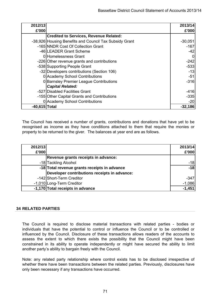| 2012/13       |                                                        | 2013/14   |
|---------------|--------------------------------------------------------|-----------|
| £'000         |                                                        | £'000     |
|               | <b>Credited to Services, Revenue Related:</b>          |           |
|               | -38,926 Housing Benefits and Council Tax Subsidy Grant | $-30,051$ |
|               | -165 NNDR Cost Of Collection Grant                     | $-167$    |
|               | -46 LEADER Grant Scheme                                | $-42$     |
|               | 0 Homelessness Grant                                   | 0         |
|               | -226 Other revenue grants and contributions            | $-242$    |
|               | -538 Supporting People Grant                           | $-533$    |
|               | -32 Developers contributions (Section 106)             | $-13$     |
|               | 0 Academy School Contributions                         | $-51$     |
|               | 0 Barnsley Premier League Contributions                | $-316$    |
|               | <b>Capital Related:</b>                                |           |
|               | -527 Disabled Facilities Grant                         | $-416$    |
|               | -155 Other Capital Grants and Contributions            | $-335$    |
|               | 0 Academy School Contributions                         | $-20$     |
| -40,615 Total |                                                        | $-32,186$ |

The Council has received a number of grants, contributions and donations that have yet to be recognised as income as they have conditions attached to them that require the monies or property to be returned to the giver. The balances at year end are as follows.

| 2012/13 |                                              | 2013/14  |
|---------|----------------------------------------------|----------|
| £'000   |                                              | £'000    |
|         | Revenue grants receipts in advance:          |          |
|         | -18 Tackling Alcohol                         | $-18$    |
|         | -18 Total revenue grants receipts in advance | $-18$    |
|         | Developer contributions receipts in advance: |          |
|         | -142 Short-Term Creditor                     | $-347$   |
|         | -1,010 Long-Term Creditor                    | $-1,086$ |
|         | -1,170 Total receipts in advance             | $-1.45'$ |

## **34 RELATED PARTIES**

The Council is required to disclose material transactions with related parties - bodies or individuals that have the potential to control or influence the Council or to be controlled or influenced by the Council. Disclosure of these transactions allows readers of the accounts to assess the extent to which there exists the possibility that the Council might have been constrained in its ability to operate independently or might have secured the ability to limit another party's ability to bargain freely with the Council.

Note: any related party relationship where control exists has to be disclosed irrespective of whether there have been transactions between the related parties. Previously, disclosures have only been necessary if any transactions have occurred.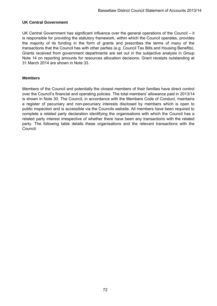# **UK Central Government**

UK Central Government has significant influence over the general operations of the Council – it is responsible for providing the statutory framework, within which the Council operates, provides the majority of its funding in the form of grants and prescribes the terms of many of the transactions that the Council has with other parties (e.g. Council Tax Bills and Housing Benefits). Grants received from government departments are set out in the subjective analysis in Group Note 14 on reporting amounts for resources allocation decisions. Grant receipts outstanding at 31 March 2014 are shown in Note 33.

### **Members**

Members of the Council and potentially the closest members of their families have direct control over the Council's financial and operating policies. The total members' allowance paid in 2013/14 is shown in Note 30. The Council, in accordance with the Members Code of Conduct, maintains a register of pecuniary and non-pecuniary interests disclosed by members which is open to public inspection and is accessible via the Councils website. All members have been required to complete a related party declaration identifying the organisations with which the Council has a related party interest irrespective of whether there have been any transactions with the related party. The following table details these organisations and the relevant transactions with the Council: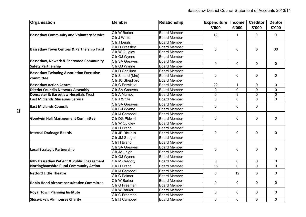| Organisation                                          | <b>Member</b>           | <b>Relationship</b> | <b>Expenditure</b> | <b>Income</b>  | <b>Creditor</b> | <b>Debtor</b>  |
|-------------------------------------------------------|-------------------------|---------------------|--------------------|----------------|-----------------|----------------|
|                                                       |                         |                     | £'000              | £'000          | £'000           | £'000          |
| <b>Bassetlaw Community and Voluntary Service</b>      | Cllr W Barker           | <b>Board Member</b> | 12                 | 1              | 0               | $\mathbf 0$    |
|                                                       | Cllr J White            | <b>Board Member</b> |                    |                |                 |                |
|                                                       | Cllr J Leigh            | <b>Board Member</b> |                    | 0              | 0               | 30             |
| <b>Bassetlaw Town Centres &amp; Partnership Trust</b> | Cllr D Pressley         | <b>Board Member</b> | 0                  |                |                 |                |
|                                                       | <b>Cllr W Quigley</b>   | <b>Board Member</b> |                    |                |                 |                |
|                                                       | Cllr GJ Wynne           | <b>Board Member</b> |                    |                |                 |                |
| <b>Bassetlaw, Newark &amp; Sherwood Community</b>     | <b>Cllr SA Greaves</b>  | <b>Board Member</b> | $\mathbf 0$        | $\mathbf 0$    | $\mathbf 0$     |                |
| <b>Safety Partnership</b>                             | Cllr GJ Wynne           | <b>Board Member</b> |                    |                |                 | $\mathbf 0$    |
|                                                       | Cllr D Challinor        | <b>Board Member</b> |                    |                |                 |                |
| <b>Bassetlaw Twinning Association Executive</b>       | Cllr S Isard (Mrs)      | <b>Board Member</b> | 0                  | $\mathbf 0$    | 0               | $\mathbf 0$    |
| committee                                             | Cllr JC Shephard        | <b>Board Member</b> |                    |                |                 |                |
| <b>Bassetlaw Action Centre</b>                        | <b>Cllr C Entwistle</b> | <b>Board Member</b> | $\overline{22}$    | $\mathbf{1}$   | $\mathbf 0$     | $\mathbf 0$    |
| <b>District Councils Network Assembly</b>             | <b>Cllr SA Greaves</b>  | <b>Board Member</b> | $\mathbf 0$        | $\overline{0}$ | $\overline{0}$  | 0              |
| <b>Doncaster &amp; Bassetlaw Hospitals Trust</b>      | Cllr A Mumby            | <b>Board Member</b> | 0                  | 9              | $\mathbf 0$     | 0              |
| <b>East Midlands Museums Service</b>                  | <b>Cllr J White</b>     | <b>Board Member</b> | 0                  | $\Omega$       | $\Omega$        | 0              |
|                                                       | <b>Cllr SA Greaves</b>  | <b>Board Member</b> |                    |                | $\mathbf 0$     |                |
| <b>East Midlands Councils</b>                         | Cllr GJ Wynne           | <b>Board Member</b> | 0                  | 0              |                 |                |
|                                                       | Cllr IJ Campbell        | <b>Board Member</b> |                    | $\mathbf 0$    | 0               | $\Omega$       |
| <b>Goodwin Hall Management Committee</b>              | Cllr DG Pidwell         | <b>Board Member</b> | 0                  |                |                 |                |
|                                                       | Cllr W Quigley          | <b>Board Member</b> |                    |                |                 |                |
|                                                       | Cllr H Brand            | <b>Board Member</b> |                    |                | $\mathbf 0$     | $\Omega$       |
| Internal Drainage Boards                              | <b>CIIr JB Rickells</b> | <b>Board Member</b> | $\mathbf 0$        | $\mathbf 0$    |                 |                |
|                                                       | Cllr JM Sanger          | <b>Board Member</b> |                    |                |                 |                |
|                                                       | Cllr H Brand            | <b>Board Member</b> |                    |                |                 |                |
|                                                       | <b>Cllr SA Greaves</b>  | <b>Board Member</b> |                    | $\mathbf{0}$   | $\mathbf 0$     |                |
| Local Strategic Partnership                           | Cllr JA Leigh           | <b>Board Member</b> | 0                  |                |                 | $\Omega$       |
|                                                       | Cllr GJ Wynne           | <b>Board Member</b> |                    |                |                 |                |
| <b>NHS Bassetlaw Patient &amp; Public Engagement</b>  | <b>Cllr M Gregory</b>   | <b>Board Member</b> | 0                  | $\mathbf 0$    | $\mathbf 0$     | $\mathbf 0$    |
| <b>Nottinghamshire Rural Community Action</b>         | Cllr H Brand            | <b>Board Member</b> | $\overline{15}$    | $\overline{0}$ | $\mathbf{0}$    | $\mathbf 0$    |
| <b>Retford Little Theatre</b>                         | Cllr IJ Campbell        | <b>Board Member</b> |                    | 19             |                 | $\mathbf 0$    |
|                                                       | Cllr C Palmer           | <b>Board Member</b> | 0                  |                | $\mathbf{0}$    |                |
|                                                       | Cllr W Barker           | <b>Board Member</b> | $\mathbf 0$        | $\mathbf 0$    |                 | $\mathbf 0$    |
| <b>Robin Hood Airport consultative Committee</b>      | Cllr G Freeman          | <b>Board Member</b> |                    |                | 0               |                |
|                                                       | Cllr W Barker           | <b>Board Member</b> | 0                  |                | 0               |                |
| <b>Royal Town Planning Institute</b>                  | Cllr G Freeman          | <b>Board Member</b> |                    | 0              |                 | $\mathbf 0$    |
| <b>Sloswicke's Almhouses Charity</b>                  | <b>Cllr IJ Campbell</b> | <b>Board Member</b> | $\overline{0}$     | 0              | $\overline{0}$  | $\overline{0}$ |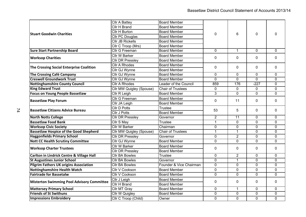|                                                      | Cllr A Battey                   | <b>Board Member</b>          |                |                 |                | 0              |
|------------------------------------------------------|---------------------------------|------------------------------|----------------|-----------------|----------------|----------------|
|                                                      | Cllr H Brand                    | <b>Board Member</b>          |                |                 |                |                |
|                                                      | Cllr H Burton                   | <b>Board Member</b>          | 0              | 6               | 0              |                |
| lStuart Goodwin Charities                            | Cllr PC Douglas                 | <b>Board Member</b>          |                |                 |                |                |
|                                                      | <b>Cllr JB Rickells</b>         | <b>Board Member</b>          |                |                 |                |                |
|                                                      | Cllr C Troop (Mrs)              | <b>Board Member</b>          |                |                 |                |                |
| <b>Sure Start Partnership Board</b>                  | <b>Cllr G Freeman</b>           | <b>Board Member</b>          | 0              | $\mathbf{1}$    | $\Omega$       | $\mathbf{0}$   |
|                                                      | Cllr W Barker                   | <b>Board Member</b>          |                | 0               | 0              |                |
| <b>Worksop Charities</b>                             | <b>Cllr DR Pressley</b>         | <b>Board Member</b>          | 0              |                 |                | 0              |
|                                                      | <b>Cllr A Rhodes</b>            | <b>Board Member</b>          |                | 0               |                |                |
| The Crossing Social Enterprise Coalition             | Cllr GJ Wynne                   | <b>Board Member</b>          | 0              |                 | 0              | 0              |
| The Crossing Café Campany                            | <b>Cllr GJ Wynne</b>            | <b>Board Member</b>          | $\mathbf 0$    | $\mathbf 0$     | $\mathbf 0$    | $\mathbf 0$    |
| <b>Creswell Groundwork Trust</b>                     | <b>Cllr GJ Wynne</b>            | <b>Board Member</b>          | $\Omega$       | $\overline{0}$  | $\overline{0}$ | $\overline{0}$ |
| <b>Nottinghamshire County Council</b>                | <b>CIIr A Rhodes</b>            | <b>Leader of the Council</b> | 859            | 176             | $-227$         | 0              |
| <b>King Edward Trust</b>                             | <b>Cllr MW Quigley (Spouse)</b> | <b>Chair of Trustees</b>     | 0              | $\mathbf 0$     | 0              | 0              |
| <b>Focus on Young People Bassetlaw</b>               | Cllr R Leigh                    | <b>Board Member</b>          | 3              | $\Omega$        | $\mathbf 0$    | 0              |
|                                                      | Cllr G Freeman                  | <b>Board Member</b>          |                | 11              | 0              | $\mathbf 0$    |
| <b>Bassetlaw Play Forum</b>                          | Cllr JA Leigh                   | <b>Board Member</b>          | 0              |                 |                |                |
| <b>Bassetlaw Citizens Advice Bureau</b>              | Cllr D Potts                    | <b>Trustee</b>               | 53             | 5               | $\mathbf 0$    | $\Omega$       |
|                                                      | Cllr J Potts                    | <b>Board Member</b>          |                |                 |                |                |
| <b>North Notts College</b>                           | <b>Cllr DR Pressley</b>         | Governor                     | $\overline{2}$ | $\overline{11}$ | 0              | $\mathbf 0$    |
| <b>Bassetlaw Food Bank</b>                           | <b>Cllr S May</b>               | <b>Trustee</b>               | $\mathbf{1}$   | $\mathbf 0$     | 0              | 0              |
| <b>Worksop Civic Society</b>                         | <b>Cllr W Barker</b>            | Chairman                     | $\overline{0}$ | $\overline{0}$  | $\overline{0}$ | $\overline{0}$ |
| <b>Bassetlaw Hospice of the Good Shepherd</b>        | Cllr MW Quigley (Spouse)        | <b>Chair of Trustees</b>     | $\mathbf{1}$   | $\mathbf 1$     | $\mathbf 0$    | $\mathbf 0$    |
| <b>Haggonfields Primary School</b>                   | <b>Cllr DR Pressley</b>         | Governor                     | $\mathbf 0$    | $\overline{2}$  | $\overline{0}$ | 0              |
| <b>Nott CC Health Scrutiny Committee</b>             | Cllr GJ Wynne                   | <b>Board Member</b>          | 0              | $\mathbf 0$     | $\mathbf 0$    | 0              |
|                                                      | Cllr W Barker                   | <b>Board Member</b>          | 0              | 0               | 0              | 0              |
| <b>Worksop Charter Trustees</b>                      | <b>Cllr DR Pressley</b>         | <b>Board Member</b>          |                |                 |                |                |
| <b>Carlton in Lindrick Centre &amp; Village Hall</b> | <b>Cllr BA Bowles</b>           | <b>Trustee</b>               | 0              | $\overline{2}$  | $\mathbf 0$    | 0              |
| <b>St Augustines Junior School</b>                   | <b>Cllr BA Bowles</b>           | Governor                     | 0              | $\mathbf{1}$    | 0              | $\mathbf 0$    |
| <b>Pilgrim Fathers UK origins Association</b>        | <b>Cllr BA Bowles</b>           | Founder & Vice Chairman      | 0              | 0               | $\mathbf 0$    | $\mathbf 0$    |
| <b>Nottinghamshire Health Watch</b>                  | <b>Cllr V Cookson</b>           | <b>Board Member</b>          | $\overline{0}$ | $\mathbf 0$     | $\overline{0}$ | $\overline{0}$ |
| <b>Fairtrade for Bassetalw</b>                       | Cllr V Cookson                  | <b>Board Member</b>          | $\overline{0}$ | $\overline{0}$  | 0              | $\overline{0}$ |
|                                                      | Cllr J Leigh                    | <b>Board Member</b>          |                | 0               | 0              |                |
| <b>Misterton Swimming Pool Advisory Committee</b>    | <b>Cllr H Brand</b>             | <b>Board Member</b>          | 0<br>0         |                 |                |                |
| <b>Mattersey Primary School</b>                      | Cllr MT Gray                    | <b>Board Member</b>          | 0              | $\mathbf{1}$    | 0              | $\mathbf 0$    |
| <b>Friends of St Swithuns</b>                        | <b>Cllr W Quigley</b>           | <b>Board Member</b>          | 0              | 0               | $\mathbf 0$    | $\mathbf 0$    |
| <b>Impressions Embroidery</b>                        | Cllr C Troop (Child)            | Owner                        | $\mathbf 0$    | $\mathbf 0$     | $\mathbf 0$    | 0              |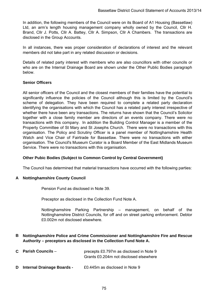In addition, the following members of the Council were on its Board of A1 Housing (Bassetlaw) Ltd, an arm's length housing management company wholly owned by the Council, Cllr H. Brand, Cllr J. Potts, Cllr A. Battey, Cllr A. Simpson, Cllr A Chambers. The transactions are disclosed in the Group Accounts.

In all instances, there was proper consideration of declarations of interest and the relevant members did not take part in any related discussion or decisions.

Details of related party interest with members who are also councillors with other councils or who are on the Internal Drainage Board are shown under the Other Public Bodies paragraph below.

# **Senior Officers**

All senior officers of the Council and the closest members of their families have the potential to significantly influence the policies of the Council although this is limited by the Council's scheme of delegation. They have been required to complete a related party declaration identifying the organisations with which the Council has a related party interest irrespective of whether there have been any transactions. The returns have shown that the Council's Solicitor together with a close family member are directors of an events company. There were no transactions with this company. In addition the Building Control Manager is a member of the Property Committee of St Mary and St Josephs Church. There were no transactions with this organisation. The Policy and Scrutiny Officer is a panel member of Nottinghamshire Health Watch and Vice Chair of Fairtrade for Bassetlaw. There were no transactions with either organisation. The Council's Museum Curator is a Board Member of the East Midlands Museum Service. There were no transactions with this organisation.

# **Other Pubic Bodies (Subject to Common Control by Central Government)**

The Council has determined that material transactions have occurred with the following parties:

# **A Nottinghamshire County Council**

Pension Fund as disclosed in Note 39.

Preceptor as disclosed in the Collection Fund Note A.

Nottinghamshire Parking Partnership – management, on behalf of the Nottinghamshire District Councils, for off and on street parking enforcement. Debtor £0.002m not disclosed elsewhere.

# **B Nottinghamshire Police and Crime Commissioner and Nottinghamshire Fire and Rescue Authority – preceptors as disclosed in the Collection Fund Note A.**

| $C$ Parish Councils $-$ | precepts £0.797m as disclosed in Note 9 |
|-------------------------|-----------------------------------------|
|                         | Grants £0.204m not disclosed elsewhere  |
|                         |                                         |

**D Internal Drainage Boards -** £0.445m as disclosed in Note 9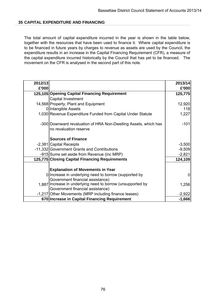### **35 CAPITAL EXPENDITURE AND FINANCING**

The total amount of capital expenditure incurred in the year is shown in the table below, together with the resources that have been used to finance it. Where capital expenditure is to be financed in future years by charges to revenue as assets are used by the Council, the expenditure results in an increase in the Capital Financing Requirement (CFR), a measure of the capital expenditure incurred historically by the Council that has yet to be financed. The movement on the CFR is analysed in the second part of this note.

| 2012/13 |                                                                                           | 2013/14  |
|---------|-------------------------------------------------------------------------------------------|----------|
| £'000   |                                                                                           | £'000    |
|         | 125,105 Opening Capital Financing Requirement                                             | 125,775  |
|         | Capital Investment                                                                        |          |
|         | 14,568 Property, Plant and Equipment                                                      | 12,920   |
|         | 0 Intangible Assets                                                                       | 118      |
|         | 1,030 Revenue Expenditure Funded from Capital Under Statute                               | 1,227    |
|         | -300 Downward revaluation of HRA Non-Dwelling Assets, which has<br>no revaluation reserve | $-101$   |
|         | <b>Sources of Finance</b>                                                                 |          |
|         | -2,381 Capital Receipts                                                                   | $-3,500$ |
|         | -11,332 Government Grants and Contributions                                               | $-9,509$ |
|         | -915 Sums set aside from Revenue (inc MRP)                                                | $-2,821$ |
|         | 125,775 Closing Capital Financing Requirements                                            | 124,109  |
|         | <b>Explanation of Movements in Year</b>                                                   |          |
|         | 0 Increase in underlying need to borrow (supported by                                     |          |
|         | Government financial assistance)                                                          |          |
|         | 1.887 Increase in underlying need to borrow (unsupported by                               | 1,256    |
|         | Government financial assistance)                                                          |          |
|         | -1,217 Other Movements (MRP including finance leases)                                     | $-2,922$ |
|         | 670 Increase in Capital Financing Requirement                                             | $-1,666$ |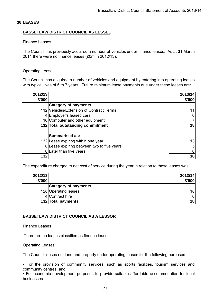#### **36 LEASES**

### **BASSETLAW DISTRICT COUNCIL AS LESSEE**

#### Finance Leases

The Council has previously acquired a number of vehicles under finance leases. As at 31 March 2014 there were no finance leases (£0m in 2012/13).

#### Operating Leases

The Council has acquired a number of vehicles and equipment by entering into operating leases with typical lives of 5 to 7 years. Future minimum lease payments due under these leases are:

| 2012/13 |                                          | 2013/14 |
|---------|------------------------------------------|---------|
| £'000   |                                          | £'000   |
|         | <b>Category of payments</b>              |         |
|         | 112 Vehicles/Extension of Contract Terms |         |
|         | 4 Employer's leased cars                 |         |
|         | 16 Computer and other equipment          |         |
|         | 132 Total outstanding commitment         | 18      |
|         |                                          |         |
|         | <b>Summarised as:</b>                    |         |
|         | 132 Lease expiring within one year       | 13      |
|         | Lease expiring between two to five years |         |
|         | Later than five years                    |         |
| 132     |                                          | 18      |

The expenditure charged to net cost of service during the year in relation to these leases was:

| 2012/13 |                             | 2013/14         |
|---------|-----------------------------|-----------------|
| £'000   |                             | £'000           |
|         | <b>Category of payments</b> |                 |
|         | 128 Operating leases        | 18              |
|         | 4 Contract hire             |                 |
|         | 132 Total payments          | 18 <sup>′</sup> |

#### **BASSETLAW DISTRICT COUNCIL AS A LESSOR**

#### Finance Leases

There are no leases classified as finance leases.

#### Operating Leases

The Council leases out land and property under operating leases for the following purposes:

• For the provision of community services, such as sports facilities, tourism services and community centres; and

• For economic development purposes to provide suitable affordable accommodation for local businesses.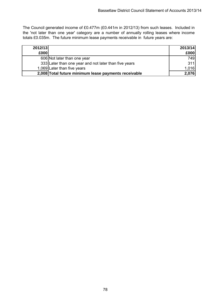The Council generated income of £0.477m (£0.441m in 2012/13) from such leases. Included in the 'not later than one year' category are a number of annually rolling leases where income totals £0.035m. The future minimum lease payments receivable in future years are:

| 2012/13 |                                                       | 2013/14 |
|---------|-------------------------------------------------------|---------|
| £000    |                                                       | £000    |
|         | 606 Not later than one year                           | 749     |
|         | 333 Later than one year and not later than five years | 311     |
|         | 1,069 Later than five years                           | 1,016   |
|         | 2,008 Total future minimum lease payments receivable  | 2,076   |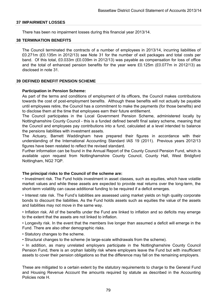#### **37 IMPAIRMENT LOSSES**

There has been no impairment losses during this financial year 2013/14.

#### **38 TERMINATION BENEFITS**

The Council terminated the contracts of a number of employees in 2013/14, incurring liabilities of £0.271m (£0.135m in 2012/13) see Note 31 for the number of exit packages and total costs per band. Of this total, £0.033m (£0.039m in 2012/13) was payable as compensation for loss of office and the total of enhanced pension benefits for the year were £0.125m (£0.077m in 2012/13) as disclosed in note 31.

#### **39 DEFINED BENEFIT PENSION SCHEME**

#### **Participation in Pension Scheme:**

As part of the terms and conditions of employment of its officers, the Council makes contributions towards the cost of post-employment benefits. Although these benefits will not actually be payable until employees retire, the Council has a commitment to make the payments (for those benefits) and to disclose them at the time that employees earn their future entitlement.

The Council participates in the Local Government Pension Scheme, administered locally by Nottinghamshire County Council - this is a funded defined benefit final salary scheme, meaning that the Council and employees pay contributions into a fund, calculated at a level intended to balance the pensions liabilities with investment assets.

The Actuary, Barnett Waddingham have prepared their figures in accordance with their understanding of the International Accounting Standard IAS 19 (2011). Previous years 2012/13 figures have been restated to reflect the revised standard.

Further information can be found in the Annual Report of the County Council Pension Fund, which is available upon request from Nottinghamshire County Council, County Hall, West Bridgford Nottingham, NG2 7QP.

#### **The principal risks to the Council of the scheme are:**

• Investment risk. The Fund holds investment in asset classes, such as equities, which have volatile market values and while these assets are expected to provide real returns over the long-term, the short-term volatility can cause additional funding to be required if a deficit emerges.

• Interest rate risk. The Fund's liabilities are assessed using market yields on high quality corporate bonds to discount the liabilities. As the Fund holds assets such as equities the value of the assets and liabilities may not move in the same way.

• Inflation risk. All of the benefits under the Fund are linked to inflation and so deficits may emerge to the extent that the assets are not linked to inflation.

• Longevity risk. In the event that the members live longer than assumed a deficit will emerge in the Fund. There are also other demographic risks.

- Statutory changes to the scheme.
- Structural changes to the scheme (ie large-scale withdrawals from the scheme).

• In addition, as many unrelated employers participate in the Nottinghamshire County Council Pension Fund, there is an orphan liability risk where employers leave the Fund but with insufficient assets to cover their pension obligations so that the difference may fall on the remaining employers.

These are mitigated to a certain extent by the statutory requirements to charge to the General Fund and Housing Revenue Account the amounts required by statute as described in the Accounting Policies note H.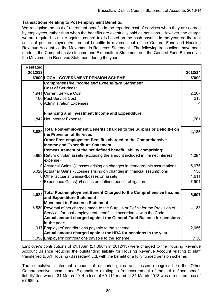# **Transactions Relating to Post-employment Benefits:**

We recognise the cost of retirement benefits in the reported cost of services when they are earned by employees, rather than when the benefits are eventually paid as pensions. However, the charge we are required to make against council tax is based on the cash payable in the year, so the real costs of post-employment/retirement benefits is reversed out of the General Fund and Housing Revenue Account via the Movement in Reserves Statement. The following transactions have been made in the Comprehensive Income and Expenditure Statement and the General Fund Balance via the Movement in Reserves Statement during the year.

| <b>Restated</b> |                                                                                             |          |
|-----------------|---------------------------------------------------------------------------------------------|----------|
| 2012/13         |                                                                                             | 2013/14  |
|                 | £'000 LOCAL GOVERNMENT PENSION SCHEME                                                       | £'000    |
|                 | <b>Comprehensive Income and Expenditure Statement</b>                                       |          |
|                 | <b>Cost of Services:</b>                                                                    |          |
|                 | 1,941 Current Service Cost                                                                  | 2,207    |
|                 | 100 Past Service Cost                                                                       | 213      |
|                 | 6 Administration Expenses                                                                   | 4        |
|                 | <b>Financing and Investment Income and Expenditure</b>                                      |          |
|                 | 1,842 Net Interest Expense                                                                  | 1,761    |
| 3,889           | Total Post-employment Benefits charged to the Surplus or Deficit(-) on                      | 4,185    |
|                 | the Provision of Services                                                                   |          |
|                 | Other Post-employment Benefits charged to the Comprehensive                                 |          |
|                 | <b>Income and Expenditure Statement</b>                                                     |          |
|                 | Remeasurement of the net defined benefit liability comprising:                              |          |
|                 | -5,893 Return on plan assets (excluding the amount included in the net interest<br>expense) | $-1,094$ |
|                 | 0 Actuarial Gains(-)/Losses arising on changes in demographic assumptions                   | 5,676    |
|                 | 6,026 Actuarial Gains(-)/Losses arising on changes in financial assumptions                 | 130      |
|                 | 0 Other actuarial Gains(-)Losses on assets                                                  | 4,611    |
|                 | 0 Experience Gains(-)/Losses on defined benefit obligation                                  | $-7,901$ |
| 4,022           | Total Post-employment Benefit Charged to the Comprehensive Income                           |          |
|                 | and Expenditure Statement                                                                   | 5,607    |
|                 | <b>Movement in Reserves Statement</b>                                                       |          |
|                 | -3,889 Reversal of net charges made to the Surplus or Deficit for the Provision of          | $-4,185$ |
|                 | Services for post-employment benefits in accordance with the Code                           |          |
|                 | Actual amount charged against the General Fund Balance for pensions                         |          |
|                 | in the year:                                                                                |          |
|                 | 1,917 Employers' contributions payable to the scheme                                        | 2,056    |
|                 | Actual amount charged against the HRA for pensions in the year:                             |          |
|                 | 1,098 Employers' contributions payable to the scheme                                        | 1,136    |

Employer's contributions of £1.136m (£1.098m in 2012/13) were charged to the Housing Revenue Account Balance reducing the outstanding liability for Housing Revenue Account relating to staff transferred to A1 Housing (Bassetlaw) Ltd. with the benefit of a fully funded pension scheme.

The cumulative statement amount of actuarial gains and losses recognised in the Other Comprehensive Income and Expenditure relating to 'remeasurement of the net defined benefit liability' line was at 31 March 2014 a loss of £9.111m and at 31 March 2013 was a restated loss of £7.689m.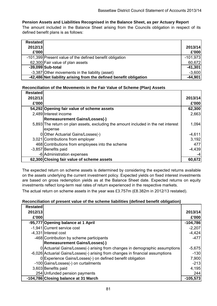# **Pension Assets and Liabilities Recognised in the Balance Sheet, as per Actuary Report**

The amount included in the Balance Sheet arising from the Councils obligation in respect of its defined benefit plans is as follows:

| <b>Restated</b> |                                                                   |            |
|-----------------|-------------------------------------------------------------------|------------|
| 2012/13         |                                                                   | 2013/14    |
| £'000           |                                                                   | £'000      |
|                 | -101,399 Present value of the defined benefit obligation          | $-101,973$ |
|                 | 62,300 Fair value of plan assets                                  | 60,672     |
|                 | -39,099 Sub-total                                                 | $-41,301$  |
|                 | -3,387 Other movements in the liability (asset)                   | $-3,600$   |
|                 | -42,486 Net liability arising from the defined benefit obligation | $-44,901$  |

# **Reconciliation of the Movements in the Fair Value of Scheme (Plan) Assets**

| <b>Restated</b> |                                                                                    |          |
|-----------------|------------------------------------------------------------------------------------|----------|
| 2012/13         |                                                                                    | 2013/14  |
| £'000           |                                                                                    | £'000    |
|                 | 54,292 Opening fair value of scheme assets                                         | 62,300   |
|                 | 2,489 Interest income                                                              | 2,663    |
|                 | <b>Remeasurement Gains/Losses(-)</b>                                               |          |
|                 | 5,893 The return on plan assets, excluding the amount included in the net interest | 1,094    |
|                 | expense                                                                            |          |
|                 | 0 Other Actuarial Gains/Losses(-)                                                  | $-4,611$ |
|                 | 3,021 Contributions from employer                                                  | 3,192    |
|                 | 468 Contributions from employees into the scheme                                   | 477      |
|                 | -3,857 Benefits paid                                                               | $-4,439$ |
|                 | -6 Administration expenses                                                         | -4       |
|                 | 62,300 Closing fair value of scheme assets                                         | 60,672   |

The expected return on scheme assets is determined by considering the expected returns available on the assets underlying the current investment policy. Expected yields on fixed interest investments are based on gross redemption yields as at the Balance Sheet date. Expected returns on equity investments reflect long-term real rates of return experienced in the respective markets.

The actual return on scheme assets in the year was £3.757m (£8.382m in 2012/13 restated).

#### **Reconciliation of present value of the scheme liabilities (defined benefit obligation)**

| <b>Restated</b> |                                                                                |            |
|-----------------|--------------------------------------------------------------------------------|------------|
| 2012/13         |                                                                                | 2013/14    |
| £'000           |                                                                                | £'000      |
|                 | -95,777 Opening balance at 1 April                                             | $-104,786$ |
|                 | -1,941 Current service cost                                                    | $-2,207$   |
|                 | -4,331 Interest cost                                                           | $-4,424$   |
|                 | -468 Contribution by scheme participants                                       | $-477$     |
|                 | <b>Remeasurement Gains/Losses(-)</b>                                           |            |
|                 | 0 Actuarial Gains/Losses(-) arising from changes in demographic assumptions    | $-5,675$   |
|                 | -6,026 Actuarial Gains/Losses(-) arising from changes in financial assumptions | $-130$     |
|                 | 0 Experience Gains/Losses(-) on defined benefit obligation                     | 7,900      |
|                 | -100 Gains/Losses(-) on curtailments                                           | $-213$     |
|                 | 3,603 Benefits paid                                                            | 4,195      |
|                 | 254 Unfunded pension payments                                                  | 244        |
|                 | -104,786 Closing balance at 31 March                                           | $-105,573$ |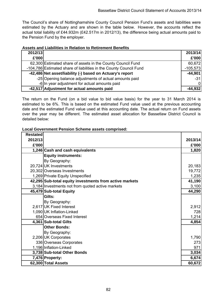The Council's share of Nottinghamshire County Council Pension Fund's assets and liabilities were estimated by the Actuary and are shown in the table below. However, the accounts reflect the actual total liability of £44.932m (£42.517m in 2012/13), the difference being actual amounts paid to the Pension Fund by the employer.

| Assets and Liabilities in Relation to Retirement Benefits |  |  |
|-----------------------------------------------------------|--|--|
|-----------------------------------------------------------|--|--|

| 2012/13 |                                                                    | 2013/14    |
|---------|--------------------------------------------------------------------|------------|
| £'000   |                                                                    | £'000      |
|         | 62,300 Estimated share of assets in the County Council Fund        | 60,672     |
|         | -104,786 Estimated share of liabilities in the County Council Fund | $-105,573$ |
|         | -42,486 Net asset/liability (-) based on Actuary's report          | $-44,901$  |
|         | -25 Opening balance adjustments of actual amounts paid             | $-31$      |
|         | -6 In year adjustment for actual amounts paid                      | 01         |
|         | -42,517 Adjustment for actual amounts paid                         | $-44,932$  |

The return on the Fund (on a bid value to bid value basis) for the year to 31 March 2014 is estimated to be 6%. This is based on the estimated Fund value used at the previous accounting date and the estimated Fund value used at this accounting date. The actual return on Fund assets over the year may be different. The estimated asset allocation for Bassetlaw District Council is detailed below:

**Local Government Pension Scheme assets comprised:**

| <b>Restated</b> |                                                         |         |
|-----------------|---------------------------------------------------------|---------|
| 2012/13         |                                                         | 2013/14 |
| £'000           |                                                         | £'000   |
|                 | 1,246 Cash and cash equivalents                         | 1,820   |
|                 | <b>Equity instruments:</b>                              |         |
|                 | By Geography:                                           |         |
|                 | 20,724 UK Investments                                   | 20,183  |
|                 | 20,302 Overseas Investments                             | 19,772  |
|                 | 1,269 Private Equity Unspecified                        | 1,235   |
|                 | 42,295 Sub-total equity investments from active markets | 41,190  |
|                 | 3,184 Investments not from quoted active markets        | 3,100   |
|                 | 45,479 Sub-total Equity                                 | 44,290  |
|                 | Gilts:                                                  |         |
|                 | By Geography:                                           |         |
|                 | 2,617 UK Fixed Interest                                 | 2,912   |
|                 | 1,090 UK Inflation-Linked                               | 728     |
|                 | 654 Overseas Fixed Interest                             | 1,214   |
|                 | 4,361 Sub-total Gilts                                   | 4,854   |
|                 | <b>Other Bonds:</b>                                     |         |
|                 | By Geography:                                           |         |
|                 | 2,206 UK Corporates                                     | 1,790   |
|                 | 336 Overseas Corporates                                 | 273     |
|                 | 1,196 Inflation-Linked                                  | 971     |
|                 | 3,738 Sub-total Other Bonds                             | 3,034   |
|                 | 7,476 Property:                                         | 6,674   |
|                 | 62,300 Total Assets                                     | 60,672  |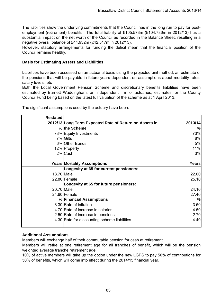The liabilities show the underlying commitments that the Council has in the long run to pay for postemployment (retirement) benefits. The total liability of £105.573m (£104.786m in 2012/13) has a substantial impact on the net worth of the Council as recorded in the Balance Sheet, resulting in a negative overall balance of £44.932m (£42.517m in 2012/13).

However, statutory arrangements for funding the deficit mean that the financial position of the Council remains healthy.

# **Basis for Estimating Assets and Liabilities**

Liabilities have been assessed on an actuarial basis using the projected unit method, an estimate of the pensions that will be payable in future years dependent on assumptions about mortality rates, salary levels, etc

Both the Local Government Pension Scheme and discretionary benefits liabilities have been estimated by Barnett Waddingham, an independent firm of actuaries, estimates for the County Council Fund being based on the latest full valuation of the scheme as at 1 April 2013.

| <b>Restated</b> |                                                        |         |
|-----------------|--------------------------------------------------------|---------|
|                 | 2012/13 Long Term Expected Rate of Return on Assets in | 2013/14 |
|                 | % the Scheme                                           | %       |
|                 | 73% Equity Investments                                 | 73%     |
|                 | 7% Gilts                                               | 8%      |
|                 | 6% Other Bonds                                         | 5%      |
|                 | 12% Property                                           | 11%     |
|                 | 2% Cash                                                | 3%      |
|                 |                                                        |         |
|                 | <b>Years Mortality Assumptions</b>                     | Years   |
|                 | Longevity at 65 for current pensioners:                |         |
| 18.70 Male      |                                                        | 22.00   |
|                 | 22.80 Female                                           | 25.10   |
|                 | Longevity at 65 for future pensioners:                 |         |
| 20.70 Male      |                                                        | 24.10   |
|                 | 24.60 Female                                           | 27.40   |
|                 | % Financial Assumptions                                | %       |
|                 | 3.30 Rate of inflation                                 | 3.50    |
|                 | 4.70 Rate of increase in salaries                      | 4.50    |
|                 | 2.50 Rate of increase in pensions                      | 2.70    |
|                 | 4.30 Rate for discounting scheme liabilities           | 4.40    |

The significant assumptions used by the actuary have been:

# **Additional Assumptions**

Members will exchange half of their commutable pension for cash at retirement.

Members will retire at one retirement age for all tranches of benefit, which will be the pension weighted average tranche retirement age.

10% of active members will take up the option under the new LGPS to pay 50% of contributions for 50% of benefits, which will come into effect during the 2014/15 financial year.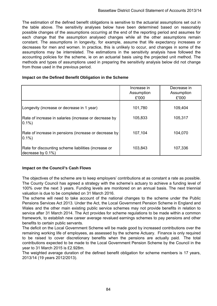The estimation of the defined benefit obligations is sensitive to the actuarial assumptions set out in the table above. The sensitivity analyses below have been determined based on reasonably possible changes of the assumptions occurring at the end of the reporting period and assumes for each change that the assumption analysed changes while all the other assumptions remain constant. The assumptions in longevity, for example, assume that life expectancy increases or decreases for men and women. In practice, this is unlikely to occur, and changes in some of the assumptions may be interrelated. The estimations in the sensitivity analysis have followed the accounting policies for the scheme, ie on an actuarial basis using the projected unit method. The methods and types of assumptions used in preparing the sensitivity analysis below did not change from those used in the previous period.

### **Impact on the Defined Benefit Obligation in the Scheme**

|                                                                           | Increase in<br>Assumption<br>£'000 | Decrease in<br>Assumption<br>£'000 |
|---------------------------------------------------------------------------|------------------------------------|------------------------------------|
| Longevity (increase or decrease in 1 year)                                | 101,780                            | 109,404                            |
| Rate of increase in salaries (increase or decrease by<br>$0.1\%$          | 105,833                            | 105,317                            |
| Rate of increase in pensions (increase or decrease by<br>$0.1\%$          | 107,104                            | 104,070                            |
| Rate for discounting scheme liabilities (increase or<br>decrease by 0.1%) | 103,843                            | 107,336                            |

# **Impact on the Council's Cash Flows**

The objectives of the scheme are to keep employers' contributions at as constant a rate as possible. The County Council has agreed a strategy with the scheme's actuary to achieve a funding level of 100% over the next 3 years. Funding levels are monitored on an annual basis. The next triennial valuation is due to be completed on 31 March 2016.

The scheme will need to take account of the national changes to the scheme under the Public Pensions Services Act 2013. Under the Act, the Local Government Pension Scheme in England and Wales and the other main existing public service schemes may not provide benefits in relation to service after 31 March 2014. The Act provides for scheme regulations to be made within a common framework, to establish new career average revalued earnings schemes to pay pensions and other benefits to certain public servants.

The deficit on the Local Government Scheme will be made good by increased contributions over the remaining working life of employees, as assessed by the scheme Actuary. Finance is only required to be raised to cover discretionary benefits when the pensions are actually paid. The total contributions expected to be made to the Local Government Pension Scheme by the Council in the year to 31 March 2015 is £2.928m.

The weighted average duration of the defined benefit obligation for scheme members is 17 years, 2013/14 (19 years 2012/2013).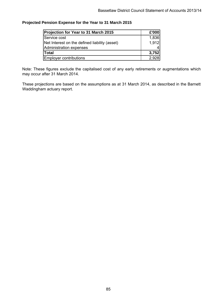### **Projected Pension Expense for the Year to 31 March 2015**

| Projection for Year to 31 March 2015          | £'000 |
|-----------------------------------------------|-------|
| Service cost                                  | 1,836 |
| Net Interest on the defined liability (asset) | 1,912 |
| Administration expenses                       |       |
| <b>Total</b>                                  | 3,752 |
| <b>Employer contributions</b>                 | 2,928 |

Note: These figures exclude the capitalised cost of any early retirements or augmentations which may occur after 31 March 2014.

These projections are based on the assumptions as at 31 March 2014, as described in the Barnett Waddingham actuary report.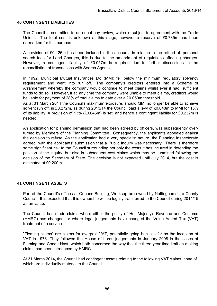#### **40 CONTINGENT LIABILITIES**

The Council is committed to an equal pay review, which is subject to agreement with the Trade Unions. The total cost is unknown at this stage, however a reserve of £0.735m has been earmarked for this purpose.

A provision of £0.126m has been included in the accounts in relation to the refund of personal search fees for Land Charges, this is due to the amendment of regulations affecting charges. However, a contingent liability of £0.057m is required due to further discussions in the reconciliation of transactions with Search Agents.

In 1992, Municipal Mutual Insurances Ltd (MMI) fell below the minimum regulatory solvency requirement and went into run off. The company's creditors entered into a Scheme of Arrangement whereby the company would continue to meet claims whilst ever it had sufficient funds to do so. However, if at any time the company were unable to meet claims, creditors would be liable for payment of 28% of total claims to date over a £0.050m threshold.

As at 31 March 2014 the Council's maximum exposure, should MMI no longer be able to achieve solvent run off, is £0.272m, as during 2013/14 the Council paid a levy of £0.048m to MMI for 15% of its liability. A provision of 13% (£0.045m) is set, and hence a contingent liability for £0.232m is needed.

An application for planning permission that had been agreed by officers, was subsequently overturned by Members of the Planning Committee. Consequently, the applicants appealed against the decision to refuse. As the application had a very specialist nature, the Planning Inspectorate agreed with the applicants' submission that a Public Inquiry was necessary. There is therefore some significant risk to the Council surrounding not only the costs it has incurred in defending the position at the inquiry, but also in subsequent cost claims which may be submitted following the decision of the Secretary of State. The decision is not expected until July 2014, but the cost is estimated at £0.200m.

#### **41 CONTINGENT ASSETS**

Part of the Council's offices at Queens Building, Worksop are owned by Nottinghamshire County Council. It is expected that this ownership will be legally transferred to the Council during 2014/15 at fair value.

The Council has made claims where either the policy of Her Majesty's Revenue and Customs (HMRC) has changed, or where legal judgements have changed the Value Added Tax (VAT) treatment of a service.

"Fleming claims" are claims for overpaid VAT, potentially going back as far as the inception of VAT in 1973. They followed the House of Lords judgements in January 2008 in the cases of Fleming and Conde Nast, which both concerned the way that the three-year time limit on making claims had been introduced by HMRC.

At 31 March 2014, the Council had contingent assets relating to the following VAT claims, none of which are individually material to the Council: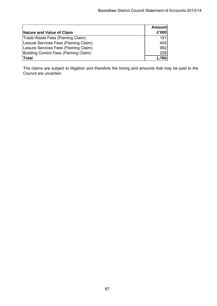| Nature and Value of Claim             | <b>Amount</b><br>£'000 |
|---------------------------------------|------------------------|
| Trade Waste Fees (Fleming Claim)      | 151                    |
| Leisure Services Fees (Fleming Claim) | 405                    |
| Leisure Services Fees (Fleming Claim) | 982                    |
| Building Control Fees (Fleming Claim) | 228                    |
| <b>Total</b>                          | 1,766                  |

The claims are subject to litigation and therefore the timing and amounts that may be paid to the Council are uncertain.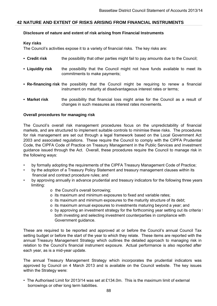# **42 NATURE AND EXTENT OF RISKS ARISING FROM FINANCIAL INSTRUMENTS**

#### **Disclosure of nature and extent of risk arising from Financial Instruments**

### **Key risks**

The Council's activities expose it to a variety of financial risks. The key risks are:

- **Credit risk** the possibility that other parties might fail to pay amounts due to the Council;
- **Liquidity risk** the possibility that the Council might not have funds available to meet its commitments to make payments;
- **Re-financing risk** the possibility that the Council might be requiring to renew a financial instrument on maturity at disadvantageous interest rates or terms;
- **Market risk** the possibility that financial loss might arise for the Council as a result of changes in such measures as interest rates movements.

#### **Overall procedures for managing risk**

The Council's overall risk management procedures focus on the unpredictability of financial markets, and are structured to implement suitable controls to minimise these risks. The procedures for risk management are set out through a legal framework based on the Local Government Act 2003 and associated regulations. These require the Council to comply with the CIPFA Prudential Code, the CIPFA Code of Practice on Treasury Management in the Public Services and investment guidance issued through the Act. Overall, these procedures require the Council to manage risk in the following ways:

- by formally adopting the requirements of the CIPFA Treasury Management Code of Practice;
- by the adoption of a Treasury Policy Statement and treasury management clauses within its financial and contract procedure rules; and
- limiting: • by approving annually in advance prudential and treasury indicators for the following three years
	- o the Council's overall borrowing;
	- o its maximum and minimum exposures to fixed and variable rates;
	- o its maximum and minimum exposures to the maturity structure of its debt;
	- o its maximum annual exposures to investments maturing beyond a year; and
	- o by approving an investment strategy for the forthcoming year setting out its criteria f both investing and selecting investment counterparties in compliance with Government guidance.

These are required to be reported and approved at or before the Council's annual Council Tax setting budget or before the start of the year to which they relate. These items are reported with the annual Treasury Management Strategy which outlines the detailed approach to managing risk in relation to the Council's financial instrument exposure. Actual performance is also reported after each year, as is a mid-year update.

The annual Treasury Management Strategy which incorporates the prudential indicators was approved by Council on 4 March 2013 and is available on the Council website. The key issues within the Strategy were:

• The Authorised Limit for 2013/14 was set at £134.0m. This is the maximum limit of external borrowings or other long term liabilities.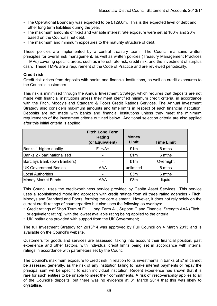- The Operational Boundary was expected to be £129.0m. This is the expected level of debt and other long term liabilities during the year.
- The maximum amounts of fixed and variable interest rate exposure were set at 100% and 20% based on the Council's net debt.
- The maximum and minimum exposures to the maturity structure of debt.

These policies are implemented by a central treasury team. The Council maintains written principles for overall risk management, as well as written policies (Treasury Management Practices – TMPs) covering specific areas, such as interest rate risk, credit risk, and the investment of surplus cash. These TMPs are a requirement of the Code of Practice and are reviewed periodically.

### **Credit risk**

Credit risk arises from deposits with banks and financial institutions, as well as credit exposures to the Council's customers.

This risk is minimised through the Annual Investment Strategy, which requires that deposits are not made with financial institutions unless they meet identified minimum credit criteria, in accordance with the Fitch, Moody's and Standard & Poors Credit Ratings Services. The Annual Investment Strategy also considers maximum amounts and time limits in respect of each financial institution. Deposits are not made with banks and financial institutions unless they meet the minimum requirements of the investment criteria outlined below. Additional selection criteria are also applied after this initial criteria is applied.

|                             | <b>Fitch Long Term</b><br><b>Rating</b><br>(or Equivalent) | <b>Money</b><br>Limit | <b>Time Limit</b> |
|-----------------------------|------------------------------------------------------------|-----------------------|-------------------|
| Banks 1 higher quality      | $F1+/A+$                                                   | £1m                   | 6 mths            |
| Banks 2 - part nationalised |                                                            | £1m                   | 6 mths            |
| Barclays Bank (own Bankers) |                                                            | £1m                   | Overnight         |
| <b>UK Government Bodies</b> | AAA                                                        | unlimited             | 6 mths            |
| <b>Local Authorities</b>    |                                                            | £3m                   | 6 mths            |
| <b>Money Market Funds</b>   | <b>AAA</b>                                                 | £3m                   | liquid            |

This Council uses the creditworthiness service provided by Capita Asset Services. This service uses a sophisticated modelling approach with credit ratings from all three rating agencies - Fitch, Moodys and Standard and Poors, forming the core element. However, it does not rely solely on the current credit ratings of counterparties but also uses the following as overlays:

- Credit ratings of Short Term of F1+, Long Term A+, Support C and Financial Strength AAA (Fitch or equivalent rating), with the lowest available rating being applied to the criteria.
- UK institutions provided with support from the UK Government;

The full Investment Strategy for 2013/14 was approved by Full Council on 4 March 2013 and is available on the Council's website.

Customers for goods and services are assessed, taking into account their financial position, past experience and other factors, with individual credit limits being set in accordance with internal ratings in accordance with parameters set by the Council.

The Council's maximum exposure to credit risk in relation to its investments in banks of £1m cannot be assessed generally, as the risk of any institution failing to make interest payments or repay the principal sum will be specific to each individual institution. Recent experience has shown that it is rare for such entities to be unable to meet their commitments. A risk of irrecoverability applies to all of the Council's deposits, but there was no evidence at 31 March 2014 that this was likely to crystallise.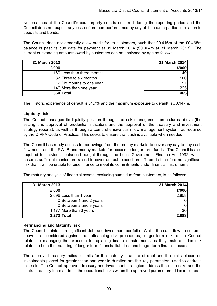No breaches of the Council's counterparty criteria occurred during the reporting period and the Council does not expect any losses from non-performance by any of its counterparties in relation to deposits and bonds.

The Council does not generally allow credit for its customers, such that £0.416m of the £0.465m balance is past its due date for payment at 31 March 2014 (£0.364m at 31 March 2013). The current outstanding amounts owed by customers can be analysed by age as follows:

| 31 March 2013 |                            | 31 March 2014 |
|---------------|----------------------------|---------------|
| £'000         |                            | £'000         |
|               | 169 Less than three months | 49            |
|               | 37 Three to six months     | 100           |
|               | 12 Six months to one year  | 91            |
|               | 146 More than one year     | 225           |
|               | 364 Total                  | 465           |

The Historic experience of default is 31.7% and the maximum exposure to default is £0.147m.

# **Liquidity risk**

The Council manages its liquidity position through the risk management procedures above (the setting and approval of prudential indicators and the approval of the treasury and investment strategy reports), as well as through a comprehensive cash flow management system, as required by the CIPFA Code of Practice. This seeks to ensure that cash is available when needed.

The Council has ready access to borrowings from the money markets to cover any day to day cash flow need, and the PWLB and money markets for access to longer term funds. The Council is also required to provide a balanced budget through the Local Government Finance Act 1992, which ensures sufficient monies are raised to cover annual expenditure. There is therefore no significant risk that it will be unable to raise finance to meet its commitments under financial instruments.

The maturity analysis of financial assets, excluding sums due from customers, is as follows:

| 31 March 2013 |                         | 31 March 2014   |
|---------------|-------------------------|-----------------|
| £'000         |                         | £'000           |
|               | 2,096 Less than 1 year  | 2,858           |
|               | 0 Between 1 and 2 years | 01              |
|               | 0 Between 2 and 3 years | 01              |
|               | 1,177 More than 3 years | 30 <sub>l</sub> |
| 3,273 Total   |                         | 2,888           |

#### **Refinancing and Maturity risk**

The Council maintains a significant debt and investment portfolio. Whilst the cash flow procedures above are considered against the refinancing risk procedures, longer-term risk to the Council relates to managing the exposure to replacing financial instruments as they mature. This risk relates to both the maturing of longer term financial liabilities and longer term financial assets.

The approved treasury indicator limits for the maturity structure of debt and the limits placed on investments placed for greater than one year in duration are the key parameters used to address this risk. The Council approved treasury and investment strategies address the main risks and the central treasury team address the operational risks within the approved parameters. This includes: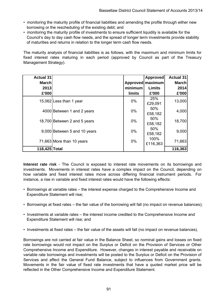- monitoring the maturity profile of financial liabilities and amending the profile through either new borrowing or the rescheduling of the existing debt; and
- monitoring the maturity profile of investments to ensure sufficient liquidity is available for the Council's day to day cash flow needs, and the spread of longer term investments provide stability of maturities and returns in relation to the longer term cash flow needs.

The maturity analysis of financial liabilities is as follows, with the maximum and minimum limits for fixed interest rates maturing in each period (approved by Council as part of the Treasury Management Strategy).

| <b>Actual 31</b> |                              |         | <b>Approved</b>  | <b>Actual 31</b> |
|------------------|------------------------------|---------|------------------|------------------|
| <b>March</b>     |                              |         | Approved maximum | <b>March</b>     |
| 2013             |                              | minimum | <b>Limits</b>    | 2014             |
| £'000            |                              | limits  | £'000            | £'000            |
|                  | 15,062 Less than 1 year      | $0\%$   | 25%<br>£29,091   | 13,000           |
|                  | 4000 Between 1 and 2 years   | $0\%$   | 50%<br>£58,182   | 4,000            |
|                  | 18,700 Between 2 and 5 years | $0\%$   | 50%<br>£58,182   | 18,700           |
|                  | 9.000 Between 5 and 10 years | $0\%$   | 50%<br>£58,182   | 9,000            |
|                  | 71,663 More than 10 years    | 0%      | 100%<br>£116,363 | 71,663           |
| 118,425 Total    |                              |         |                  | 116,363          |

**Interest rate risk** - The Council is exposed to interest rate movements on its borrowings and investments. Movements in interest rates have a complex impact on the Council, depending on how variable and fixed interest rates move across differing financial instrument periods. For instance, a rise in variable and fixed interest rates would have the following effects:

- Borrowings at variable rates the interest expense charged to the Comprehensive Income and Expenditure Statement will rise;
- Borrowings at fixed rates the fair value of the borrowing will fall (no impact on revenue balances);
- Investments at variable rates the interest income credited to the Comprehensive Income and Expenditure Statement will rise; and
- Investments at fixed rates the fair value of the assets will fall (no impact on revenue balances).

Borrowings are not carried at fair value in the Balance Sheet, so nominal gains and losses on fixed rate borrowings would not impact on the Surplus or Deficit on the Provision of Services or Other Comprehensive Income and Expenditure. However, changes in interest payable and receivable on variable rate borrowings and investments will be posted to the Surplus or Deficit on the Provision of Services and affect the General Fund Balance, subject to influences from Government grants. Movements in the fair value of fixed rate investments that have a quoted market price will be reflected in the Other Comprehensive Income and Expenditure Statement.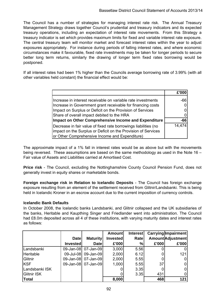The Council has a number of strategies for managing interest rate risk. The Annual Treasury Management Strategy draws together Council's prudential and treasury indicators and its expected treasury operations, including an expectation of interest rate movements. From this Strategy a treasury indicator is set which provides maximum limits for fixed and variable interest rate exposure. The central treasury team will monitor market and forecast interest rates within the year to adjust exposures appropriately. For instance during periods of falling interest rates, and where economic circumstances make it favourable, fixed rate investments may be taken for longer periods to secure better long term returns, similarly the drawing of longer term fixed rates borrowing would be postponed.

If all interest rates had been 1% higher than the Councils average borrowing rate of 3.99% (with all other variables held constant) the financial effect would be:

|                                                                 | £'000  |
|-----------------------------------------------------------------|--------|
| Increase in interest receivable on variable rate investments    | -66    |
| Increase in Government grant receivable for financing costs     |        |
| Impact on Surplus or Deficit on the Provision of Services       |        |
| Share of overall impact debited to the HRA                      |        |
| Impact on Other Comprehensive Income and Expenditure            | -66    |
| Decrease in fair value of fixed rate borrowings liabilities (no | 14,474 |
| impact on the Surplus or Deficit on the Provision of Services   |        |
| or Other Comprehensive Income and Expenditure)                  |        |

The approximate impact of a 1% fall in interest rates would be as above but with the movements being reversed. These assumptions are based on the same methodology as used in the Note 16 -Fair value of Assets and Liabilities carried at Amortised Cost.

**Price risk** - The Council, excluding the Nottinghamshire County Council Pension Fund, does not generally invest in equity shares or marketable bonds.

**Foreign exchange risk in Relation to Icelandic Deposits** - The Council has foreign exchange exposure resulting from an element of the settlement received from Glitnir/Landsbanki. This is being held in Icelandic Kroner in an escrow account due to the current imposition of currency controls.

# **Icelandic Bank Defaults**

In October 2008, the Icelandic banks Landsbanki, and Glitnir collapsed and the UK subsidiaries of the banks, Heritable and Kaupthing Singer and Friedlander went into administration. The Council had £8.0m deposited across all 4 of these institutions, with varying maturity dates and interest rates as follows:

|                    |                 |                     | <b>Amount</b>   | <b>Interest</b> |       | <b>Carrying Impairment</b> |
|--------------------|-----------------|---------------------|-----------------|-----------------|-------|----------------------------|
|                    | <b>Date</b>     | <b>Maturity</b>     | <b>Invested</b> | Ratel           |       | Amount Adjustment          |
|                    | <b>Invested</b> | <b>Date</b>         | £'000           | %               | £'000 | £'000                      |
| Landsbanki         |                 | 09-Jan-08 07-Jan-09 | 3,000           | 5.56            |       |                            |
| Heritable          |                 | 09-Jul-08 09-Jan-09 | 2,000           | 6.12            |       | 121                        |
| Glitnir            |                 | 09-Jan-08 07-Jan-09 | 2,000           | 5.55            |       |                            |
| <b>KSF</b>         |                 | 09-Jan-08 07-Jan-09 | 1,000           | 5.55            | 37    |                            |
| Landsbanki ISK     |                 |                     |                 | 3.35            |       |                            |
| <b>Glitnir ISK</b> |                 |                     |                 | 3.35            | 431   |                            |
| Total              |                 |                     | 8,000           |                 | 468   | 121                        |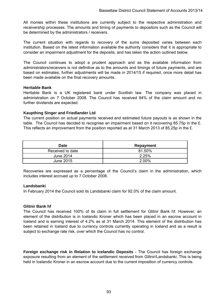All monies within these institutions are currently subject to the respective administration and receivership processes. The amounts and timing of payments to depositors such as the Council will be determined by the administrators / receivers.

The current situation with regards to recovery of the sums deposited varies between each institution. Based on the latest information available the authority considers that it is appropriate to consider an impairment adjustment for the deposits, and has taken the action outlined below.

The Council continues to adopt a prudent approach and as the available information from administrators/receivers is not definitive as to the amounts and timings of future payments, and are based on estimates, further adjustments will be made in 2014/15 if required, once more detail has been made available on the final recovery amounts.

#### **Heritable Bank**

Heritable Bank is a UK registered bank under Scottish law. The company was placed in administration on 7 October 2008. The Council has received 94% of the claim amount and no further dividends are expected.

### **Kaupthing Singer and Friedlander Ltd**

The current position on actual payments received and estimated future payouts is as shown in the table. The Council has decided to recognise an impairment based on it recovering 85.75p in the £. This reflects an improvement from the position reported as at 31 March 2013 of 85.25p in the £.

| <b>Date</b>      | Repayment |
|------------------|-----------|
| Received to date | 81.50%    |
| June 2014        | 2.25%     |
| June 2015        | 2.00%     |

Recoveries are expressed as a percentage of the Council's claim in the administration, which includes interest accrued up to 7 October 2008.

#### **Landsbanki**

In February 2014 the Council sold its Landsbanki claim for 92.0% of the claim amount.

#### **Glitnir Bank hf**

The Council has received 100% of its claim in full settlement for Glitnir Bank hf. However, an element of the distribution is in Icelandic Kroner which has been placed in an escrow account in Iceland and is earning interest of 4.2% as at 31 March 2014. This element of the distribution has been retained in Iceland due to currency controls currently operating in Iceland and as a result is subject to exchange rate risk, over which the Council has no control.

**Foreign exchange risk in Relation to Icelandic Deposits** - The Council has foreign exchange exposure resulting from an element of the settlement received from Glitnir/Landsbanki. This is being held in Icelandic Kroner in an escrow account due to the current imposition of currency controls.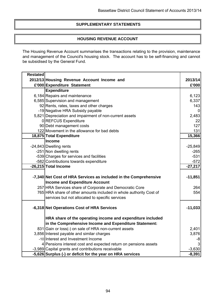# **SUPPLEMENTARY STATEMENTS**

# **HOUSING REVENUE ACCOUNT**

The Housing Revenue Account summarises the transactions relating to the provision, maintenance and management of the Council's housing stock. The account has to be self-financing and cannot be subsidised by the General Fund.

| <b>Restated</b> |                                                                    |           |
|-----------------|--------------------------------------------------------------------|-----------|
|                 | 2012/13 Housing Revenue Account Income and                         | 2013/14   |
|                 | £'000 Expenditure Statement                                        | £'000     |
|                 | <b>Expenditure</b>                                                 |           |
|                 | 6,184 Repairs and maintenance                                      | 6,123     |
|                 | 6,585 Supervision and management                                   | 6,337     |
|                 | 92 Rents, rates, taxes and other charges                           | 143       |
|                 | -19 Negative HRA Subsidy payable                                   | 0         |
|                 | 5,821 Depreciation and impairment of non-current assets            | 2,483     |
|                 | 0 REFCUS Expenditure                                               | 22        |
|                 | 90 Debt management costs                                           | 127       |
|                 | 122 Movement in the allowance for bad debts                        | 131       |
|                 | 18,875 Total Expenditure                                           | 15,366    |
|                 | Income                                                             |           |
|                 | -24,843 Dwelling rents                                             | $-25,849$ |
|                 | -251 Non dwelling rents                                            | $-265$    |
|                 | -539 Charges for services and facilities                           | $-531$    |
|                 | -582 Contributions towards expenditure                             | $-572$    |
|                 | -26,215 Total Income                                               | $-27,217$ |
|                 |                                                                    |           |
|                 | -7,340 Net Cost of HRA Services as included in the Comprehensive   | $-11,851$ |
|                 | <b>Income and Expenditure Account</b>                              |           |
|                 | 257 HRA Services share of Corporate and Democratic Core            | 264       |
|                 | 765 HRA share of other amounts included in whole authority Cost of | 554       |
|                 | services but not allocated to specific services                    |           |
|                 |                                                                    |           |
|                 | -6,318 Net Operations Cost of HRA Services                         | $-11,033$ |
|                 |                                                                    |           |
|                 | HRA share of the operating income and expenditure included         |           |
|                 | in the Comprehensive Income and Expenditure Statement:             |           |
|                 | 831 Gain or loss(-) on sale of HRA non-current assets              | 2,401     |
|                 | 3,856 Interest payable and similar charges                         | 3,876     |
|                 | -10 Interest and Investment Income                                 | -8        |
|                 | 4 Pensions interest cost and expected return on pensions assets    | 3         |
|                 | -3,989 Capital grants and contributions receivable                 | $-3,630$  |
|                 | -5,626 Surplus (-) or deficit for the year on HRA services         | $-8,391$  |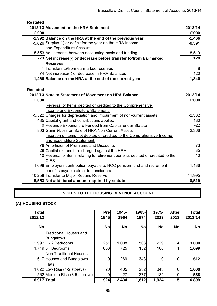| <b>Restated</b> |                                                                   |          |
|-----------------|-------------------------------------------------------------------|----------|
|                 | 2012/13 Movement on the HRA Statement                             | 2013/14  |
| £'000           |                                                                   | £'000    |
|                 | -1,392 Balance on the HRA at the end of the previous year         | $-1,466$ |
|                 | -5.626 Surplus (-) or deficit for the year on the HRA Income      | $-8,391$ |
|                 | and Expenditure Account                                           |          |
|                 | 5,553 Adjustments between accounting basis and funding            | 8,519    |
|                 | -73 Net increase(-) or decrease before transfer to/from Earmarked | 128      |
|                 | <b>Reserves</b>                                                   |          |
|                 | -1 Transfers to/from earmarked reserves                           | -8       |
|                 | -74 Net increase(-) or decrease in HRA Balances                   | 120      |
|                 | -1,466 Balance on the HRA at the end of the current year          | -1,346   |

| <b>Restated</b> |                                                                                  |          |
|-----------------|----------------------------------------------------------------------------------|----------|
|                 | 2012/13 Note to Statement of Movement on HRA Balance                             | 2013/14  |
| £'000           |                                                                                  | £'000    |
|                 | Reversal of Items debited or credited to the Comprehensive                       |          |
|                 | Income and Expenditure Statement:                                                |          |
|                 | -5,522 Charges for depreciation and impairment of non-current assets             | $-2,382$ |
|                 | 485 Capital grant and contributions applied                                      | 130      |
|                 | 0 Revenue Expenditure Funded from Capital under Statute                          | $-22$    |
|                 | -803 Gain(-)/Loss on Sale of HRA Non Current Assets                              | $-2,366$ |
|                 | Insertion of items not debited or credited to the Comprehensive Income           |          |
|                 | and Expenditure Statement:                                                       |          |
|                 | 76 Amortision of Premiums and Discounts                                          | 73       |
|                 | -29 Capital expenditure charged against the HRA                                  | $-35$    |
|                 | -10 Reversal of items relating to retirement benefits debited or credited to the | $-10$    |
|                 | <b>CIES</b>                                                                      |          |
|                 | 1,098 Employers contribution payable to NCC pension fund and retirement          | 1,136    |
|                 | benefits payable direct to pensioners                                            |          |
|                 | 10,258 Transfer to Major Repairs Reserve                                         | 11,995   |
|                 | 5,553 Net additional amount required by statute                                  | 8,519    |

# **NOTES TO THE HOUSING REVENUE ACCOUNT**

# **(A) HOUSING STOCK**

| <b>Total</b> |                               | Pre       | 1945-     | 1965-     | 1975-     | <b>After</b> | <b>Total</b> |
|--------------|-------------------------------|-----------|-----------|-----------|-----------|--------------|--------------|
| 2012/13      |                               | 1945      | 1964      | 1974      | 2013      | 2013         | 2013/14      |
|              |                               |           |           |           |           |              |              |
| <b>No</b>    |                               | <b>No</b> | <b>No</b> | <b>No</b> | <b>No</b> | <b>No</b>    | <b>No</b>    |
|              | <b>Traditional Houses and</b> |           |           |           |           |              |              |
|              | <b>Bungalows</b>              |           |           |           |           |              |              |
|              | $2,997$  1 - 2 Bedrooms       | 251       | 1,008     | 508       | 1,229     |              | 3,000        |
|              | $1,719$ 3+ Bedrooms           | 653       | 725       | 152       | 168       |              | 1,699        |
|              | <b>Non Traditional Houses</b> |           |           |           |           |              |              |
|              | 617 Houses and Bungalows      | 0         | 269       | 343       | 0         |              | 612          |
|              | <b>Flats</b>                  |           |           |           |           |              |              |
|              | 1,022 Low Rise (1-2 storeys)  | 20        | 405       | 232       | 343       |              | 1,000        |
|              | 562 Medium Rise (3-5 storeys) | 0         | 27        | 377       | 184       |              | 588          |
| 6,917        | <b>Total</b>                  | 924       | 2,434     | 1,612     | 1,924     |              | 6,899        |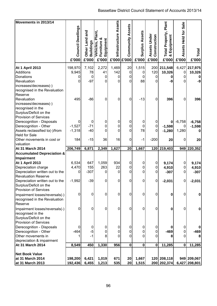| Movements in 2013/14                          |                    |                                |                                           |                |                         |                       |                              |                                                   |                        |                              |
|-----------------------------------------------|--------------------|--------------------------------|-------------------------------------------|----------------|-------------------------|-----------------------|------------------------------|---------------------------------------------------|------------------------|------------------------------|
|                                               |                    |                                |                                           | Assets         |                         |                       |                              |                                                   | <b>Sale</b>            |                              |
|                                               |                    | and                            |                                           |                |                         |                       |                              |                                                   |                        |                              |
|                                               |                    |                                | Plant,                                    |                |                         |                       |                              |                                                   |                        |                              |
|                                               |                    |                                | න්                                        |                |                         |                       |                              |                                                   |                        |                              |
|                                               |                    |                                |                                           |                |                         |                       |                              |                                                   |                        |                              |
|                                               | Council Dwellings  | Other Land<br><b>Buildings</b> | Vehicles, Pl.<br>Furniture &<br>Equipment | Infrastructure | <b>Community Assets</b> | <b>Surplus Assets</b> | Assets Under<br>Construction | Total Property, Plant<br>& Equipment<br>Equipment | Assets Held for        |                              |
|                                               |                    |                                |                                           |                |                         |                       |                              |                                                   |                        | Total                        |
|                                               | £'000              | £'000                          | £'000                                     |                | £'000 £'000             | £'000                 | £'000                        | £'000                                             | £'000                  | £'000                        |
| <b>At 1 April 2013</b>                        | 198,970            | 7,102                          | 2,272                                     | 1,469          | 20                      | 1,515                 | 200                          | 211,548                                           | 6,427                  | 217,975                      |
| <b>Additions</b>                              | 9,945              | 78                             | 41                                        | 142            | 0                       | 0                     | 120                          | 10,326                                            | 0                      | 10,326                       |
| Donations                                     | 0                  | 0                              | 0                                         | 0              | 0                       | 0                     | 0                            |                                                   | 0                      | 0                            |
| Revaluation                                   | 0                  | $-97$                          | $\Omega$                                  | 0              | 0                       | 88                    | 0                            | -9                                                | 0                      | -9                           |
| increases/decreases(-)                        |                    |                                |                                           |                |                         |                       |                              |                                                   |                        |                              |
| recognised in the Revaluation                 |                    |                                |                                           |                |                         |                       |                              |                                                   |                        |                              |
| Reserve                                       |                    |                                |                                           |                |                         |                       |                              |                                                   |                        |                              |
| Revaluation                                   | 495                | $-86$                          | 0                                         | 0              | 0                       | $-13$                 | 0                            | 396                                               | 0                      | 396                          |
| increases/decreases(-)                        |                    |                                |                                           |                |                         |                       |                              |                                                   |                        |                              |
| recognised in the                             |                    |                                |                                           |                |                         |                       |                              |                                                   |                        |                              |
| Surplus/Deficit on the                        |                    |                                |                                           |                |                         |                       |                              |                                                   |                        |                              |
| <b>Provision of Services</b>                  |                    |                                |                                           |                |                         |                       |                              |                                                   |                        |                              |
| Derecognition - Disposals                     | 0                  | $\mathbf 0$                    | 0                                         | 0              | 0                       | 0                     | $\Omega$                     | 0                                                 | $-6,758$               | $-6,758$                     |
| Derecognition - Other                         | $-1,527$           | $-71$                          | 0                                         | 0              | 0                       | $\pmb{0}$             | $\overline{0}$               | $-1,598$                                          | 0                      | $-1,598$                     |
| Assets reclassified to(-)/from                | $-1,318$           | $-40$                          | 0                                         | 0              | 0                       | 78                    | ΩI                           | $-1,280$                                          | 1,280                  |                              |
| <b>Held for Sale</b>                          |                    |                                |                                           |                |                         |                       |                              |                                                   |                        |                              |
| Other movements in cost or                    | 184                | $-15$                          | 36                                        | 16             | 0                       | $-1$                  | $-200$                       | 20                                                | 0                      | 20                           |
| valuation                                     |                    |                                |                                           |                |                         |                       |                              |                                                   |                        |                              |
| <b>At 31 March 2014</b>                       | 206,749            | 6,871                          | 2,349                                     | 1,627          | 20                      | 1,667                 |                              | 120 219,403                                       |                        | 949 220,352                  |
| <b>Accumulated Depreciation &amp;</b>         |                    |                                |                                           |                |                         |                       |                              |                                                   |                        |                              |
| Impairment                                    | 6,534              |                                |                                           |                |                         |                       |                              |                                                   |                        |                              |
| <b>At 1 April 2013</b><br>Depreciation charge | 4,470              | 647<br>155                     | 1,059<br>263                              | 934<br>22      | 0<br>0                  | 0<br>0                | 0<br>0                       | 9,174<br>4,910                                    | $\pmb{0}$<br>$\pmb{0}$ | 9,174<br>4,910               |
| Depreciation written out to the               | 0                  | $-307$                         | 0                                         | 0              | 0                       | 0                     | 0                            | $-307$                                            | 0                      | $-307$                       |
| <b>Revaluation Reserve</b>                    |                    |                                |                                           |                |                         |                       |                              |                                                   |                        |                              |
| Depreciation written out to the               | $-1,992$           | $-39$                          | $\pmb{0}$                                 | 0              | 0                       | $\mathsf{O}\xspace$   | $\overline{0}$               | $-2,031$                                          | 0                      | $-2,031$                     |
| Surplus/Deficit on the                        |                    |                                |                                           |                |                         |                       |                              |                                                   |                        |                              |
| <b>Provision of Services</b>                  |                    |                                |                                           |                |                         |                       |                              |                                                   |                        |                              |
| Impairment losses/reversals(-)                | 0                  | 0                              | 0                                         | 0              | 0                       | 0                     | 0                            | 0                                                 | 0                      | 0                            |
| recognised in the Revaluation                 |                    |                                |                                           |                |                         |                       |                              |                                                   |                        |                              |
| Reserve                                       |                    |                                |                                           |                |                         |                       |                              |                                                   |                        |                              |
| Impairment losses/reversals(-)                | 0                  | 0                              | 0                                         | 0              | 0                       | 0                     | 0                            | 0                                                 | 0                      | $\mathbf 0$                  |
| recognised in the                             |                    |                                |                                           |                |                         |                       |                              |                                                   |                        |                              |
| Surplus/Deficit on the                        |                    |                                |                                           |                |                         |                       |                              |                                                   |                        |                              |
| <b>Provision of Services</b>                  |                    |                                |                                           |                |                         |                       |                              |                                                   |                        |                              |
| Derecognition - Disposals                     | 0                  | 0                              | 0                                         | 0              | 0                       | 0                     | 0                            |                                                   | $\boldsymbol{0}$       |                              |
| Derecognition - Other                         | $-464$             | $-5$                           | 0                                         | 0              | 0                       | 0                     | 0                            | $-469$                                            | 0                      | -469                         |
| Other movements in                            |                    | $-1$                           | 8                                         | 0              | 0                       | 0                     | 0                            | 8                                                 | 0                      | 8                            |
| depreciation & impairment                     |                    |                                |                                           |                |                         |                       |                              |                                                   |                        |                              |
| <b>At 31 March 2014</b>                       | 8,549              | 450                            | 1,330                                     | 956            | $\mathbf 0$             | $\pmb{0}$             | $\boldsymbol{0}$             | 11,285                                            | $\mathbf 0$            | 11,285                       |
|                                               |                    |                                |                                           |                |                         |                       |                              |                                                   |                        |                              |
| <b>Net Book Value</b>                         |                    |                                |                                           |                |                         |                       |                              |                                                   |                        |                              |
| at 31 March 2014                              |                    |                                |                                           |                |                         |                       |                              | 120 208,118                                       |                        |                              |
| at 31 March 2013                              | 198,200<br>192,436 | 6,421<br>6,455                 | 1,019<br>1,213                            | 671<br>535     | 20<br>20                | 1,667<br>1,515        |                              | 200 202,374                                       |                        | 949 209,067<br>6,427 208,801 |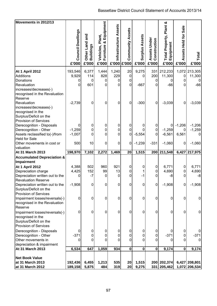| Movements in 2012/13                                |                            |                                           |                                                             |                       |                                        |                                |                                       |                                               |                               |                |
|-----------------------------------------------------|----------------------------|-------------------------------------------|-------------------------------------------------------------|-----------------------|----------------------------------------|--------------------------------|---------------------------------------|-----------------------------------------------|-------------------------------|----------------|
|                                                     | Council Dwellings<br>£'000 | and<br>Other Land a<br>Buildings<br>£'000 | Equipment<br>Plant,<br>ೲ<br>Vehicles,<br>Furniture<br>£'000 | Infrastructure Assets | <b>Community Assets</b><br>£'000 £'000 | <b>Surplus Assets</b><br>£'000 | Assets Under<br>Construction<br>£'000 | Total Property, Plant &<br>Equipment<br>£'000 | Assets Held for Sale<br>£'000 | Total<br>£'000 |
|                                                     |                            |                                           |                                                             |                       |                                        |                                |                                       |                                               |                               |                |
| <b>At 1 April 2012</b>                              | 193,546                    | 6,377                                     | 1,444                                                       | 1,240                 | 20                                     | 9,275                          | 331                                   | 212,233                                       |                               | 1,072 213,305  |
| Additions                                           | 9,929                      | 114                                       | 828                                                         | 229                   | $\mathbf 0$                            | 0                              | 200                                   | 11,300                                        | 0                             | 11,300         |
| Donations                                           | 0                          | 0                                         | 0                                                           | 0                     | 0                                      |                                | 0                                     | 0                                             | 0                             |                |
| Revaluation                                         | $\Omega$                   | 601                                       | 0                                                           | 0                     | 0                                      | $-667$                         | 0                                     | $-66$                                         | 0                             | $-66$          |
| increases/decreases(-)                              |                            |                                           |                                                             |                       |                                        |                                |                                       |                                               |                               |                |
| recognised in the Revaluation                       |                            |                                           |                                                             |                       |                                        |                                |                                       |                                               |                               |                |
| Reserve                                             |                            |                                           |                                                             |                       |                                        |                                |                                       |                                               |                               |                |
| Revaluation                                         | $-2,739$                   | 0                                         | 0                                                           | 0                     | 0                                      | $-300$                         | 0                                     | $-3,039$                                      | 0                             | $-3,039$       |
| increases/decreases(-)<br>recognised in the         |                            |                                           |                                                             |                       |                                        |                                |                                       |                                               |                               |                |
| Surplus/Deficit on the                              |                            |                                           |                                                             |                       |                                        |                                |                                       |                                               |                               |                |
| <b>Provision of Services</b>                        |                            |                                           |                                                             |                       |                                        |                                |                                       |                                               |                               |                |
| Derecognition - Disposals                           | 0                          | 0                                         | 0                                                           | 0                     | 0                                      | 0                              | 0                                     | 0                                             | $-1,206$                      | $-1,206$       |
| Derecognition - Other                               | $-1,259$                   | 0                                         | 0                                                           | 0                     | $\mathbf 0$                            | 0                              | $\pmb{0}$                             | $-1,259$                                      | 0                             | $-1,259$       |
| Assets reclassified to(-)/from                      | $-1,007$                   | $\Omega$                                  | 0                                                           | 0                     | 0                                      | $-5,554$                       | $\mathbf{0}$                          | $-6,561$                                      | 6,561                         |                |
| <b>Held for Sale</b>                                |                            |                                           |                                                             |                       |                                        |                                |                                       |                                               |                               |                |
| Other movements in cost or                          | 500                        | 10                                        | 0                                                           | 0                     | $\pmb{0}$                              | $-1,239$                       | $-331$                                | $-1,060$                                      | $\mathbf 0$                   | $-1,060$       |
| valuation                                           |                            |                                           |                                                             |                       |                                        |                                |                                       |                                               |                               |                |
| At 31 March 2013                                    | 198,970                    | 7,102                                     | 2,272                                                       | 1,469                 | 20                                     | 1,515                          | 200                                   | $\overline{211,548}$                          | 6,427                         | 217,975        |
| <b>Accumulated Depreciation &amp;</b>               |                            |                                           |                                                             |                       |                                        |                                |                                       |                                               |                               |                |
| Impairment                                          |                            |                                           |                                                             |                       |                                        |                                |                                       |                                               |                               |                |
| <b>At 1 April 2012</b>                              | 4,388                      | 502                                       | 960                                                         | 921                   | 0                                      | 0                              | 0                                     | 6,771                                         | 0                             | 6,771          |
| Depreciation charge                                 | 4,425                      | 152                                       | 99                                                          | 13                    | 0                                      | 1                              | 0                                     | 4,690                                         | $\pmb{0}$                     | 4,690          |
| Depreciation written out to the                     | 0                          | $-7$                                      | 0                                                           | 0                     | 0                                      | $-1$                           | 0                                     | $-8$                                          | 0                             | $-8$           |
| <b>Revaluation Reserve</b>                          |                            |                                           |                                                             |                       |                                        |                                |                                       |                                               |                               |                |
| Depreciation written out to the                     | $-1,908$                   | 0                                         | 0                                                           | $\mathbf 0$           | 0                                      | 0                              | $\mathbf 0$                           | $-1,908$                                      | $\mathbf 0$                   | $-1,908$       |
| Surplus/Deficit on the                              |                            |                                           |                                                             |                       |                                        |                                |                                       |                                               |                               |                |
| <b>Provision of Services</b>                        |                            |                                           |                                                             |                       |                                        |                                |                                       |                                               |                               |                |
| Impairment losses/reversals(-)                      | 0                          | 0                                         | 0                                                           | 0                     | 0                                      | 0                              | 0                                     | 0                                             | $\mathbf 0$                   | $\mathbf 0$    |
| recognised in the Revaluation<br>Reserve            |                            |                                           |                                                             |                       |                                        |                                |                                       |                                               |                               |                |
|                                                     | 0                          | 0                                         | 0                                                           | 0                     | 0                                      | 0                              | 0                                     | 0                                             | 0                             | $\pmb{0}$      |
| Impairment losses/reversals(-)<br>recognised in the |                            |                                           |                                                             |                       |                                        |                                |                                       |                                               |                               |                |
| Surplus/Deficit on the                              |                            |                                           |                                                             |                       |                                        |                                |                                       |                                               |                               |                |
| <b>Provision of Services</b>                        |                            |                                           |                                                             |                       |                                        |                                |                                       |                                               |                               |                |
| Derecognition - Disposals                           | 0                          | 0                                         | 0                                                           | 0                     | 0                                      | 0                              | 0                                     |                                               | 0                             |                |
| Derecognition - Other                               | $-371$                     | 0                                         | 0                                                           | 0                     | 0                                      | 0                              | 0                                     | $-371$                                        | 0                             | $-371$         |
| Other movements in                                  | 0                          | $\Omega$                                  | 0                                                           | 0                     | 0                                      | 0                              | 0                                     | O                                             | 0                             | 0              |
| depreciation & impairment                           |                            |                                           |                                                             |                       |                                        |                                |                                       |                                               |                               |                |
| <b>At 31 March 2013</b>                             | 6,534                      | 647                                       | 1,059                                                       | 934                   | $\mathbf 0$                            | $\mathbf 0$                    | $\mathbf 0$                           | 9,174                                         | $\mathbf 0$                   | 9,174          |
|                                                     |                            |                                           |                                                             |                       |                                        |                                |                                       |                                               |                               |                |
| <b>Net Book Value</b>                               |                            |                                           |                                                             |                       |                                        |                                |                                       |                                               |                               |                |
| at 31 March 2013                                    | 192,436                    | 6,455                                     | 1,213                                                       | 535                   | 20                                     | 1,515                          |                                       | 200 202,374                                   |                               | 6,427 208,801  |
| at 31 March 2012                                    | 189,158                    | 5,875                                     | 484                                                         | 319                   | 20                                     | 9,275                          |                                       | 331 205,462                                   |                               | 1,072 206,534  |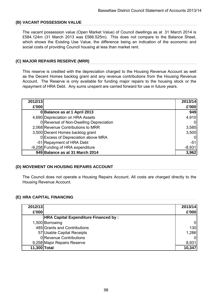# **(B) VACANT POSSESSION VALUE**

The vacant possession value (Open Market Value) of Council dwellings as at 31 March 2014 is £584.124m (31 March 2013 was £566.525m). This does not compare to the Balance Sheet, which shows the Existing Use Value, the difference being an indication of the economic and social costs of providing Council housing at less than market rent.

# **(C) MAJOR REPAIRS RESERVE (MRR)**

This reserve is credited with the depreciation charged to the Housing Revenue Account as well as the Decent Homes backlog grant and any revenue contributions from the Housing Revenue Account. The Reserve is only available for funding major repairs to the housing stock or the repayment of HRA Debt. Any sums unspent are carried forward for use in future years.

| 2012/13 |                                         | 2013/14  |
|---------|-----------------------------------------|----------|
| £'000   |                                         | £'000    |
|         | 0 Balance as at 1 April 2013            | 949      |
|         | 4,690 Depreciation on HRA Assets        | 4,910    |
|         | 0 Reversal of Non-Dwelling Depreciation |          |
|         | 2,068 Revenue Contributions to MRR      | 3,585    |
|         | 3,500 Decent Homes backlog grant        | 3,500    |
|         | 0 Excess of Depreciation above MRA      |          |
|         | -51 Repayment of HRA Debt               | $-51$    |
|         | -9,258 Funding of HRA expenditure       | $-8,931$ |
|         | 949 Balance as at 31 March 2014         | 3,962    |

# **(D) MOVEMENT ON HOUSING REPAIRS ACCOUNT**

The Council does not operate a Housing Repairs Account. All costs are charged directly to the Housing Revenue Account.

# **(E) HRA CAPITAL FINANCING**

| 2012/13      |                                             | 2013/14 |
|--------------|---------------------------------------------|---------|
| £'000        |                                             | £'000   |
|              | <b>HRA Capital Expenditure Financed by:</b> |         |
|              | 1,500 Borrowing                             | 0       |
|              | 485 Grants and Contributions                | 130     |
|              | 57 Usable Capital Receipts                  | 1,286   |
|              | 0 Revenue Contributions                     |         |
|              | 9,258 Major Repairs Reserve                 | 8,931   |
| 11,300 Total |                                             | 10,347  |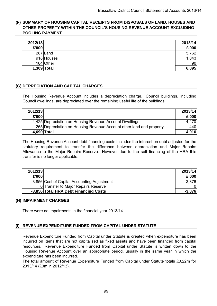# **(F) SUMMARY OF HOUSING CAPITAL RECEIPTS FROM DISPOSALS OF LAND, HOUSES AND OTHER PROPERTY WITHIN THE COUNCIL'S HOUSING REVENUE ACCOUNT EXCLUDING POOLING PAYMENT**

| 2012/13     |            | 2013/14 |
|-------------|------------|---------|
| £'000       |            | £'000   |
|             | 287 Land   | 5,762   |
|             | 918 Houses | 1,043   |
|             | 104 Other  | 90      |
| 1,309 Total |            | 6,895   |

# **(G) DEPRECIATION AND CAPITAL CHARGES**

The Housing Revenue Account includes a depreciation charge. Council buildings, including Council dwellings, are depreciated over the remaining useful life of the buildings.

| 2012/13     |                                                                     | 2013/14 |
|-------------|---------------------------------------------------------------------|---------|
| £'000       |                                                                     | £'000   |
|             | 4,425 Depreciation on Housing Revenue Account Dwellings             | 4.470   |
|             | 265 Depreciation on Housing Revenue Account other land and property | 440I    |
| 4.690 Total |                                                                     | 4,910   |

The Housing Revenue Account debt financing costs includes the interest on debt adjusted for the statutory requirement to transfer the difference between depreciation and Major Repairs Allowance to the Major Repairs Reserve. However due to the self financing of the HRA this transfer is no longer applicable.

| 2012/13 |                                              | 2013/14  |
|---------|----------------------------------------------|----------|
| £'000   |                                              | £'000    |
|         | -3,856 Cost of Capital Accounting Adjustment | $-3,876$ |
|         | 0 Transfer to Major Repairs Reserve          |          |
|         | -3,856 Total HRA Debt Financing Costs        | $-3,876$ |

# **(H) IMPAIRMENT CHARGES**

There were no impairments in the financial year 2013/14.

# **(I) REVENUE EXPENDITURE FUNDED FROM CAPITAL UNDER STATUTE**

Revenue Expenditure Funded from Capital under Statute is created when expenditure has been incurred on items that are not capitalised as fixed assets and have been financed from capital resources. Revenue Expenditure Funded from Capital under Statute is written down to the Housing Revenue Account over an appropriate period, usually in the same year in which the expenditure has been incurred.

The total amount of Revenue Expenditure Funded from Capital under Statute totals £0.22m for 2013/14 (£0m in 2012/13).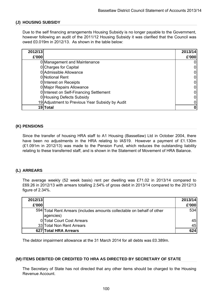### **(J) HOUSING SUBSIDY**

Due to the self financing arrangements Housing Subsidy is no longer payable to the Government, however following an audit of the 2011/12 Housing Subsidy it was clarified that the Council was owed £0.019m in 2012/13. As shown in the table below:

| 2012/13 |                                                 | 2013/14 |
|---------|-------------------------------------------------|---------|
| £'000   |                                                 | £'000   |
|         | 0 Management and Maintenance                    |         |
|         | 0 Charges for Capital                           |         |
|         | 0 Admissible Allowance                          |         |
|         | 0 Notional Rent                                 |         |
|         | 0 Interest on Receipts                          |         |
|         | 0 Major Repairs Allowance                       |         |
|         | 0 Interest on Self-Financing Settlement         |         |
|         | 0 Housing Defects Subsidy                       |         |
|         | 19 Adjustment to Previous Year Subsidy by Audit |         |
|         | 19 Total                                        |         |

### **(K) PENSIONS**

Since the transfer of housing HRA staff to A1 Housing (Bassetlaw) Ltd in October 2004, there have been no adjustments in the HRA relating to IAS19. However a payment of £1.130m (£1.091m in 2012/13) was made to the Pension Fund, which reduces the outstanding liability relating to these transferred staff, and is shown in the Statement of Movement of HRA Balance.

# **(L) ARREARS**

The average weekly (52 week basis) rent per dwelling was £71.02 in 2013/14 compared to £69.26 in 2012/13 with arrears totalling 2.54% of gross debit in 2013/14 compared to the 2012/13 figure of 2.34%.

| 2012/13 |                                                                                      | 2013/14 |
|---------|--------------------------------------------------------------------------------------|---------|
| £'000   |                                                                                      | £'000   |
|         | 594 Total Rent Arrears (includes amounts collectable on behalf of other<br>agencies) | 534     |
|         | 0 Total Court Cost Arrears                                                           | 45      |
|         | 33 Total Non Rent Arrears                                                            | 45      |
|         | 627 Total HRA Arrears                                                                | 624     |

The debtor impairment allowance at the 31 March 2014 for all debts was £0.389m.

#### **(M) ITEMS DEBITED OR CREDITED TO HRA AS DIRECTED BY SECRETARY OF STATE**

The Secretary of State has not directed that any other items should be charged to the Housing Revenue Account.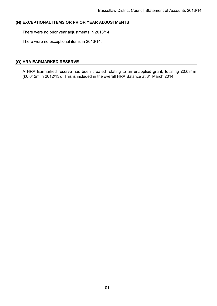### **(N) EXCEPTIONAL ITEMS OR PRIOR YEAR ADJUSTMENTS**

There were no prior year adjustments in 2013/14.

There were no exceptional items in 2013/14.

### **(O) HRA EARMARKED RESERVE**

A HRA Earmarked reserve has been created relating to an unapplied grant, totalling £0.034m (£0.042m in 2012/13). This is included in the overall HRA Balance at 31 March 2014.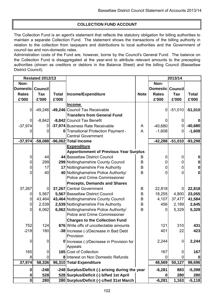# **COLLECTION FUND ACCOUNT**

The Collection Fund is an agent's statement that reflects the statutory obligation for billing authorities to maintain a separate Collection Fund. The statement shows the transactions of the billing authority in relation to the collection from taxpayers and distributions to local authorities and the Government of council tax and non-domestic rates.

Administration costs of the Fund are, however, borne by the Council's General Fund. The balance on the Collection Fund is disaggregated at the year-end to attribute relevant amounts to the precepting authorities (shown as creditors or debtors in the Balance Sheet) and the billing Council (Bassetlaw District Council).

|                  | <b>Restated 2012/13</b> |              |                                                  |             |                  | 2013/14   |              |  |  |
|------------------|-------------------------|--------------|--------------------------------------------------|-------------|------------------|-----------|--------------|--|--|
| Non-             |                         |              |                                                  |             | Non-             |           |              |  |  |
| Domestic Council |                         |              |                                                  |             | Domestic Council |           |              |  |  |
| <b>Rates</b>     | <b>Tax</b>              | <b>Total</b> | Income/Expenditure                               | <b>Note</b> | <b>Rates</b>     | Tax       | <b>Total</b> |  |  |
| £'000            | £'000                   | £'000        |                                                  |             | £'000            | £'000     | £'000        |  |  |
|                  |                         |              | <b>Income</b>                                    |             |                  |           |              |  |  |
| $\overline{0}$   | $-49,246$               |              | -49,246 Council Tax Receivable                   |             | 0                | $-51,010$ | $-51,010$    |  |  |
|                  |                         |              | <b>Transfers from General Fund</b>               |             |                  |           |              |  |  |
| 0                | $-8,842$                |              | -8,842 Council Tax Benefit                       |             | O                |           |              |  |  |
| $-37,974$        |                         |              | -37,974 Business Rate Receivable                 | A           | $-40,680$        |           | $-40,680$    |  |  |
| 0                | $\Omega$                |              | 0 Transitional Protection Payment -              | A           | $-1,608$         | 0         | $-1,608$     |  |  |
|                  |                         |              | <b>Central Government</b>                        |             |                  |           |              |  |  |
| $-37,974$        |                         |              | -58,088 -96,062 Total Income                     |             | $-42,288$        | $-51,010$ | $-93,298$    |  |  |
|                  |                         |              | <b>Expenditure</b>                               |             |                  |           |              |  |  |
|                  |                         |              | <b>Apportionment of Previous Year Surplus</b>    |             |                  |           |              |  |  |
| 0                | 44                      |              | 44 Bassetlaw District Council                    | B           | 0                | 0         |              |  |  |
| 0                | 299                     |              | 299 Nottinghamshire County Council               | B           | 0                |           |              |  |  |
| $\mathbf 0$      | 17                      |              | 17 Nottinghamshire Fire Authority                | B           | 0                | 0         |              |  |  |
| 0                | 40                      |              | 40 Nottinghamshire Police Authority/             | B           | 0                |           |              |  |  |
|                  |                         |              | Police and Crime Commissioner                    |             |                  |           |              |  |  |
|                  |                         |              | <b>Precepts, Demands and Shares</b>              |             |                  |           |              |  |  |
| 37,267           | 0                       |              | 37,267 Central Government                        | B           | 22,818           | 0         | 22,818       |  |  |
| 0                | 5,567                   |              | 5,567 Bassetlaw District Council                 | B           | 18,255           | 4,800     | 23,055       |  |  |
| 0                | 43,464                  |              | 43,464 Nottinghamshire County Council            | B           | 4,107            | 37,477    | 41,584       |  |  |
| 0                | 2,539                   |              | 2,539 Nottinghamshire Fire Authority             | B           | 456              | 2,189     | 2,645        |  |  |
| 0                | 6,062                   |              | 6,062 Nottinghamshire Police Authority/          | B           | 0                | 5,329     | 5,329        |  |  |
|                  |                         |              | Police and Crime Commissioner                    |             |                  |           |              |  |  |
|                  |                         |              | <b>Charges to the Collection Fund</b>            |             |                  |           |              |  |  |
| 752              | 124                     |              | 876 Write offs of uncollectable amounts          |             | 121              | 310       | 431          |  |  |
| $-218$           | 180                     |              | -38 Increase (-)/Decrease in Bad Debt            |             | 401              | 22        | 423          |  |  |
|                  |                         |              | Provision                                        |             |                  |           |              |  |  |
| 0                | $\mathbf 0$             |              | <b>0</b> Increase (-)/Decrease in Provision for  |             | 2,244            | 0         | 2,244        |  |  |
|                  |                         |              | Appeals                                          |             |                  |           |              |  |  |
| 165              | 0                       |              | 165 Cost of Collection                           |             | 167              | 0         | 167          |  |  |
| 8                | $\mathbf 0$             |              | 8 Interest on Non Domestic Refunds               |             | 0                |           |              |  |  |
| 37,974           | 58,336                  |              | 96,310 Total Expenditure                         |             | 48,569           | 50,127    | 98,696       |  |  |
| 0                | $-248$                  |              | -248 Surplus/Deficit (-) arising during the year |             | $-6,281$         | 883       | $-5,398$     |  |  |
| 0                | 528                     |              | 528 Surplus/Deficit (-) b/fwd 1st April          |             | 0                | 280       | 280          |  |  |
| 0                | 280                     |              | 280 Surplus/Deficit (-) c/fwd 31st March         |             | $-6,281$         | 1,163     | $-5,118$     |  |  |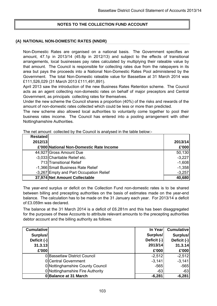# **NOTES TO THE COLLECTION FUND ACCOUNT**

### **(A) NATIONAL NON-DOMESTIC RATES (NNDR)**

Non-Domestic Rates are organised on a national basis. The Government specifies an amount, 47.1p in 2013/14 (45.8p in 2012/13) and subject to the effects of transitional arrangements, local businesses pay rates calculated by multiplying their rateable value by that amount. The Council is responsible for collecting rates due from the ratepayers in its area but pays the proceeds into a National Non-Domestic Rates Pool administered by the Government. The total Non-Domestic rateable value for Bassetlaw at 31 March 2014 was £111,526,029 (31 March 2013 £111,491,891).

April 2013 saw the introduction of the new Business Rates Retention scheme. The Council acts as an agent collecting non-domestic rates on behalf of major preceptors and Central Government, as principals collecting rates for themselves.

Under the new scheme the Council shares a proportion (40%) of the risks and rewards of the amount of non-domestic rates collected which could be less or more than predicted.

The new scheme also allowed local authorities to voluntarily come together to pool their business rates income. The Council has entered into a pooling arrangement with other Nottinghamshire Authorities.

The net amount collected by the Council is analysed in the table below:-

| <b>Restated</b> |                                         |          |
|-----------------|-----------------------------------------|----------|
| 2012/13         |                                         | 2013/14  |
|                 | £'000 National Non-Domestic Rate Income | £'000    |
|                 | 44,927 Gross Amount Due                 | 50,130   |
|                 | -3,033 Charitable Relief etc.           | $-3,227$ |
|                 | 713 Transitional Relief                 | $-1,608$ |
|                 | -1,366 Small Business Rate Relief       | $-1,358$ |
|                 | -3,267 Empty and Part Occupation Relief | $-3,257$ |
|                 | 37,974 Net Amount Collectable           | 40,680   |

The year-end surplus or deficit on the Collection Fund non-domestic rates is to be shared between billing and precepting authorities on the basis of estimates made on the year-end balance. The calculation has to be made on the 31 January each year. For 2013/14 a deficit of £3.059m was declared.

The balance at the 31 March 2014 is a deficit of £6.281m and this has been disaggregated for the purposes of these Accounts to attribute relevant amounts to the precepting authorities debtor account and the billing authority as follows:

| <b>Cumulative</b> |                                  | In Year     | <b>Cumulative</b> |
|-------------------|----------------------------------|-------------|-------------------|
| Surplus/          |                                  | Surplus/    | Surplus/          |
| Deficit (-)       |                                  | Deficit (-) | Deficit (-)       |
| 31.3.13           |                                  | 2013/14     | 31.3.14           |
| £'000             |                                  | £'000       | £'000             |
|                   | 0 Bassetlaw District Council     | $-2,512$    | $-2,512$          |
|                   | 0 Central Government             | $-3,141$    | $-3,141$          |
|                   | 0 Nottinghamshire County Council | $-565$      | $-565$            |
|                   | 0 Nottinghamshire Fire Authority | $-63$       | $-63$             |
|                   | 0 Balance at 31 March            | $-6,281$    | $-6,281$          |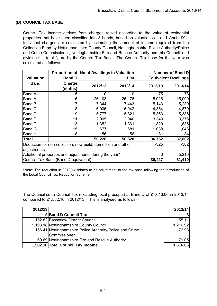# **(B) COUNCIL TAX BASE**

Council Tax income derives from charges raised according to the value of residential properties that have been classified into 8 bands, based on valuations as at 1 April 1991. Individual charges are calculated by estimating the amount of income required from the Collection Fund by Nottinghamshire County Council, Nottinghamshire Police Authority/Police and Crime Commissioner, Nottinghamshire Fire and Rescue Authority and this Council, and dividing this total figure by the Council Tax Base. The Council Tax base for the year was calculated as follows:

|                  | <b>Proportion of</b>                                          | <b>No of Dwellings in Valuation</b> |          | Number of Band D            |         |  |  |  |
|------------------|---------------------------------------------------------------|-------------------------------------|----------|-----------------------------|---------|--|--|--|
| <b>Valuation</b> | <b>Band D</b>                                                 |                                     | List     | <b>Equivalent Dwellings</b> |         |  |  |  |
| <b>Band</b>      | Charge                                                        | 2012/13                             | 2013/14  | 2012/13                     | 2013/14 |  |  |  |
|                  | (ninths)                                                      |                                     |          |                             |         |  |  |  |
| Band A-          | 5                                                             |                                     |          | 75                          | 78      |  |  |  |
| <b>Band A</b>    | 6                                                             | 26,103                              | 26,176   | 15,026                      | 15,090  |  |  |  |
| <b>Band B</b>    |                                                               | 7,344                               | 7,443    | 5,143                       | 5,230   |  |  |  |
| Band C           | 8                                                             | 6,006                               | 6,042    | 4,854                       | 4,879   |  |  |  |
| Band D           | 9                                                             | 5,777                               | 5,821    | 5,363                       | 5,386   |  |  |  |
| Band E           | 11                                                            | 2,905                               | 2,940    | 3,343                       | 3,376   |  |  |  |
| <b>Band F</b>    | 13                                                            | 1,352                               | 1,361    | 1,829                       | 1,836   |  |  |  |
| <b>Band G</b>    | 15                                                            | 677                                 | 681      | 1,038                       | 1,043   |  |  |  |
| Band H           | 18                                                            | 56                                  | 56       | 81                          | 84      |  |  |  |
| <b>Total</b>     |                                                               | 50,220                              | 50,520   | 36,752                      | 37,002  |  |  |  |
|                  | Deduction for non-collection, new build, demolition and other | $-325$                              | $-382$   |                             |         |  |  |  |
| adjustments      |                                                               |                                     |          |                             |         |  |  |  |
|                  | Additional properties and adjustments during the year*        | 0                                   | $-5,210$ |                             |         |  |  |  |
|                  | Council Tax Base (Band D equivalent)                          | 36,427                              | 31,410   |                             |         |  |  |  |

\*Note: The reduction in 2013/14 relates to an adjustment to the tax base following the introduction of the Local Council Tax Reduction Scheme.

The Council set a Council Tax (excluding local precepts) at Band D of £1,616.06 in 2013/14 compared to £1,582.10 in 2012/13. This is analysed as follows:

| 2012/13 |                                                          | 2013/14  |
|---------|----------------------------------------------------------|----------|
|         | £ Band D Council Tax                                     |          |
|         | 152.82 Bassetlaw District Council                        | 155.11   |
|         | 1,193.18 Nottinghamshire County Council                  | 1,216.92 |
|         | 166.41 Nottinghamshire Police Authority/Police and Crime | 172.98   |
|         | Commissioner                                             |          |
|         | 69.69 Nottinghamshire Fire and Rescue Authority          | 71.05    |
|         | 1,582.10 Total Council Tax Income                        | 1,616.06 |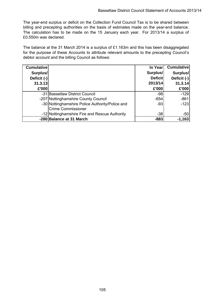The year-end surplus or deficit on the Collection Fund Council Tax is to be shared between billing and precepting authorities on the basis of estimates made on the year-end balance. The calculation has to be made on the 15 January each year. For 2013/14 a surplus of £0.550m was declared.

The balance at the 31 March 2014 is a surplus of £1.163m and this has been disaggregated for the purpose of these Accounts to attribute relevant amounts to the precepting Council's debtor account and the billing Council as follows:

| <b>Cumulative</b> |                                                 | In Year        | <b>Cumulative</b> |
|-------------------|-------------------------------------------------|----------------|-------------------|
| Surplus/          |                                                 | Surplus/       | Surplus/          |
| Deficit (-)       |                                                 | <b>Deficit</b> | Deficit (-)       |
| 31.3.13           |                                                 | 2013/14        | 31.3.14           |
| £'000             |                                                 | £'000          | £'000             |
|                   | -31 Bassetlaw District Council                  | $-98$          | $-129$            |
|                   | -207 Nottinghamshire County Council             | $-654$         | $-861$            |
|                   | -30 Nottinghamshire Police Authority/Police and | $-93$          | $-123$            |
|                   | <b>Crime Commissioner</b>                       |                |                   |
|                   | -12 Nottinghamshire Fire and Rescue Authority   | -38            | $-50$             |
|                   | -280 Balance at 31 March                        | $-883$         | $-1,163$          |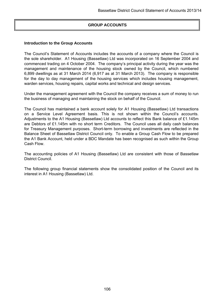# **GROUP ACCOUNTS**

#### **Introduction to the Group Accounts**

The Council's Statement of Accounts includes the accounts of a company where the Council is the sole shareholder. A1 Housing (Bassetlaw) Ltd was incorporated on 16 September 2004 and commenced trading on 4 October 2004. The company's principal activity during the year was the management and maintenance of the housing stock owned by the Council, which numbered 6,899 dwellings as at 31 March 2014 (6,917 as at 31 March 2013). The company is responsible for the day to day management of the housing services which includes housing management, warden services, housing repairs, capital works and technical and design services.

Under the management agreement with the Council the company receives a sum of money to run the business of managing and maintaining the stock on behalf of the Council.

The Council has maintained a bank account solely for A1 Housing (Bassetlaw) Ltd transactions on a Service Level Agreement basis. This is not shown within the Council's accounts. Adjustments to the A1 Housing (Bassetlaw) Ltd accounts to reflect this Bank balance of £1.145m are Debtors of £1.145m with no short term Creditors. The Council uses all daily cash balances for Treasury Management purposes. Short-term borrowing and investments are reflected in the Balance Sheet of Bassetlaw District Council only. To enable a Group Cash Flow to be prepared the A1 Bank Account, held under a BDC Mandate has been recognised as such within the Group Cash Flow.

The accounting policies of A1 Housing (Bassetlaw) Ltd are consistent with those of Bassetlaw District Council.

The following group financial statements show the consolidated position of the Council and its interest in A1 Housing (Bassetlaw) Ltd.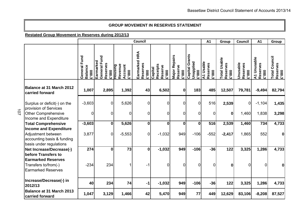#### **GROUP MOVEMENT IN RESERVES STATEMENT**

**Restated Group Movement in Reserves during 2012/13**

|                                                                                                              |                                                   |                                                       |                                                     | Council                                   |                                               |                                             |                                                        | A1                                     | Group                                           | Council                             | A1                               | Group                                     |
|--------------------------------------------------------------------------------------------------------------|---------------------------------------------------|-------------------------------------------------------|-----------------------------------------------------|-------------------------------------------|-----------------------------------------------|---------------------------------------------|--------------------------------------------------------|----------------------------------------|-------------------------------------------------|-------------------------------------|----------------------------------|-------------------------------------------|
|                                                                                                              | Fund<br>General<br><b>Balance</b><br><b>000.3</b> | General Fund<br>Earmarked<br>Reserves<br><b>2.000</b> | Revenue<br>Account<br><b>Housing</b><br><b>2000</b> | Earmarked HRA<br>Reserves<br><b>2.000</b> | Receipts<br>Reserve<br>Capital<br><b>2000</b> | Repairs<br>Reserve<br>Major<br><b>2.000</b> | Grants<br>Unapplied<br><b>Capital</b><br>$\frac{1}{2}$ | A1 Usable<br>Reserves<br><b>2000.3</b> | <b>Total Usable</b><br>Reserves<br><b>2.000</b> | Unusable<br>Reserves<br><b>2000</b> | A1 Unusable<br>Reserves<br>£'000 | <b>Total Council</b><br>Reserves<br>£'000 |
| Balance at 31 March 2012<br>carried forward                                                                  | 1,007                                             | 2,895                                                 | 1,392                                               | 43                                        | 6,502                                         | $\mathbf 0$                                 | 183                                                    | 485                                    | 12,507                                          | 79,781                              | $-9,494$                         | 82,794                                    |
| Surplus or deficit(-) on the<br>provision of Services                                                        | $-3,603$                                          | 0                                                     | 5,626                                               | $\mathbf 0$                               | $\mathbf 0$                                   | $\Omega$                                    | $\overline{0}$                                         | 516                                    | 2,539                                           | $\mathbf 0$                         | $-1,104$                         | 1,435                                     |
| <b>Other Comprehensive</b><br>Income and Expenditure                                                         | $\mathbf 0$                                       | $\overline{0}$                                        | 0                                                   | $\mathbf 0$                               | $\overline{0}$                                | 0                                           | $\overline{0}$                                         | $\overline{0}$                         | $\bf{0}$                                        | 1,460                               | 1,838                            | 3,298                                     |
| <b>Total Comprehensive</b>                                                                                   | $-3,603$                                          | $\mathbf{0}$                                          | 5,626                                               | $\bf{0}$                                  | $\mathbf 0$                                   | 0                                           | 0                                                      | 516                                    | 2,539                                           | 1,460                               | 734                              | 4,733                                     |
| <b>Income and Expenditure</b><br>Adjustment between<br>accounting basis & funding<br>basis under regulations | 3,877                                             | $\overline{0}$                                        | $-5,553$                                            | $\mathbf 0$                               | $-1,032$                                      | 949                                         | $-106$                                                 | $-552$                                 | $-2,417$                                        | 1,865                               | 552                              | 0                                         |
| Net Increase/Decrease(-)                                                                                     | 274                                               | $\mathbf{0}$                                          | 73                                                  | $\bf{0}$                                  | $-1,032$                                      | 949                                         | $-106$                                                 | $-36$                                  | 122                                             | 3,325                               | 1,286                            | 4,733                                     |
| before Transfers to<br><b>Earmarked Reserves</b><br>Transfers to/from(-)<br><b>Earmarked Reserves</b>        | $-234$                                            | 234                                                   | 1                                                   | -1                                        | $\overline{0}$                                | $\Omega$                                    | $\overline{0}$                                         | $\Omega$                               | 0                                               | 0                                   | $\overline{0}$                   | 01                                        |
| Increase/Decrease(-) in<br>2012/13                                                                           | 40                                                | 234                                                   | 74                                                  | -1                                        | $-1,032$                                      | 949                                         | $-106$                                                 | $-36$                                  | 122                                             | 3,325                               | 1,286                            | 4,733                                     |
| Balance at 31 March 2013<br>carried forward                                                                  | 1,047                                             | 3,129                                                 | 1,466                                               | 42                                        | 5,470                                         | 949                                         | 77                                                     | 449                                    | 12,629                                          | 83,106                              | $-8,208$                         | 87,527                                    |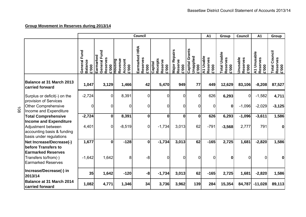108

|                                                                                                              |                                            |                                                       |                                               | Council                            |                                                |                                      |                                         | A1                                    | Group                                           | Council                              | A1                               | Group                                     |
|--------------------------------------------------------------------------------------------------------------|--------------------------------------------|-------------------------------------------------------|-----------------------------------------------|------------------------------------|------------------------------------------------|--------------------------------------|-----------------------------------------|---------------------------------------|-------------------------------------------------|--------------------------------------|----------------------------------|-------------------------------------------|
|                                                                                                              | Fund<br>General<br><b>Balance</b><br>000.3 | General Fund<br>Earmarked<br>Reserves<br><b>600.3</b> | Revenue<br>Account<br><b>Housing</b><br>£'000 | Earmarked HRA<br>Reserves<br>000.3 | Receipts<br>Reserve<br>Capital<br><b>200.3</b> | Repairs<br>Reserve<br>Major<br>000.3 | Grants<br>Unapplied<br>Capital<br>000.3 | A1 Usable<br>Reserves<br><b>£'000</b> | <b>Total Usable</b><br>Reserves<br><b>200.3</b> | Unusable<br>Reserves<br><b>000.3</b> | A1 Unusable<br>Reserves<br>£'000 | <b>Total Council</b><br>Reserves<br>£'000 |
| <b>Balance at 31 March 2013</b><br>carried forward                                                           | 1,047                                      | 3,129                                                 | 1,466                                         | 42                                 | 5,470                                          | 949                                  | 77                                      | 449                                   | 12,629                                          | 83,106                               | $-8,208$                         | 87,527                                    |
| Surplus or deficit(-) on the                                                                                 | $-2,724$                                   | 0                                                     | 8,391                                         | $\overline{0}$                     | $\Omega$                                       | $\overline{0}$                       | $\mathbf 0$                             | 626                                   | 6,293                                           | 0                                    | $-1,582$                         | 4,711                                     |
| provision of Services<br><b>Other Comprehensive</b><br>Income and Expenditure                                | 0                                          | $\overline{0}$                                        | $\mathbf 0$                                   | $\overline{0}$                     | $\Omega$                                       | $\overline{0}$                       | $\mathbf 0$                             | $\overline{0}$                        | 0                                               | $-1,096$                             | $-2,029$                         | $-3,125$                                  |
| <b>Total Comprehensive</b>                                                                                   | $-2,724$                                   | $\mathbf{0}$                                          | 8,391                                         | $\mathbf 0$                        | $\mathbf 0$                                    | $\mathbf 0$                          | $\mathbf 0$                             | 626                                   | 6,293                                           | $-1,096$                             | $-3,611$                         | 1,586                                     |
| <b>Income and Expenditure</b><br>Adjustment between<br>accounting basis & funding<br>basis under regulations | 4,401                                      | 0                                                     | $-8,519$                                      | 0                                  | $-1,734$                                       | 3,013                                | 62                                      | $-791$                                | $-3,568$                                        | 2,777                                | 791                              | 0                                         |
| <b>Net Increase/Decrease(-)</b>                                                                              | 1,677                                      | $\mathbf{0}$                                          | $-128$                                        | $\mathbf{0}$                       | $-1,734$                                       | 3,013                                | 62                                      | $-165$                                | 2,725                                           | 1,681                                | $-2,820$                         | 1,586                                     |
| before Transfers to<br><b>Earmarked Reserves</b><br>Transfers to/from(-)<br><b>Earmarked Reserves</b>        | $-1,642$                                   | 1,642                                                 | 8                                             | -8                                 | $\Omega$                                       | 0                                    | 0                                       | $\overline{0}$                        | 0                                               | 0                                    | $\mathbf 0$                      | 0                                         |
| Increase/Decrease(-) in<br>2013/14                                                                           | 35                                         | 1,642                                                 | $-120$                                        | -8                                 | $-1,734$                                       | 3,013                                | 62                                      | $-165$                                | 2,725                                           | 1,681                                | $-2,820$                         | 1,586                                     |
| <b>Balance at 31 March 2014</b><br>carried forward                                                           | 1,082                                      | 4,771                                                 | 1,346                                         | 34                                 | 3,736                                          | 3,962                                | 139                                     | 284                                   | 15,354                                          | 84,787                               | $-11,028$                        | 89,113                                    |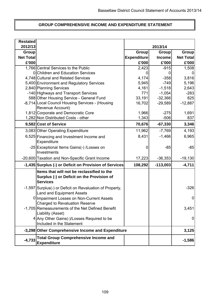## **GROUP COMPREHENSIVE INCOME AND EXPENDITURE STATEMENT**

| <b>Restated</b><br>2012/13 |                                                                                                             |                    |                         |                  |
|----------------------------|-------------------------------------------------------------------------------------------------------------|--------------------|-------------------------|------------------|
| Group                      |                                                                                                             | Group              | 2013/14<br><b>Group</b> | <b>Group</b>     |
| <b>Net Total</b>           |                                                                                                             | <b>Expenditure</b> | <b>Income</b>           | <b>Net Total</b> |
| £'000                      |                                                                                                             | £'000              | £'000                   | £'000            |
|                            | 1,766 Central Services to the Public                                                                        | 2,423              | $-915$                  | 1,508            |
|                            | 0 Children and Education Services                                                                           | O                  |                         |                  |
|                            | 4,748 Cultural and Related Services                                                                         | 4,174              | $-358$                  | 3,816            |
|                            | 5,400 Environment and Regulatory Services                                                                   | 5,945              | $-749$                  | 5,196            |
|                            | 2,840 Planning Services                                                                                     | 4,161              | $-1,518$                | 2,643            |
|                            | -140 Highways and Transport Services                                                                        | 771                | $-1,054$                | $-283$           |
|                            | 588 Other Housing Service - General Fund                                                                    | 33,191             | $-32,366$               | 825              |
|                            | -8,714 Local Council Housing Services - (Housing                                                            | 16,702             | $-29,589$               | $-12,887$        |
|                            | Revenue Account)                                                                                            |                    |                         |                  |
|                            | 1,812 Corporate and Democratic Core                                                                         | 1,966              | $-275$                  | 1,691            |
|                            | 1,282 Non Distributed Costs - other                                                                         | 1,343              | $-506$                  | 837              |
|                            | 9,582 Cost of Service                                                                                       | 70,676             | $-67,330$               | 3,346            |
|                            | 3,083 Other Operating Expenditure                                                                           | 11,962             | $-7,769$                | 4,193            |
|                            | 6,525 Financing and Investment Income and<br>Expenditure                                                    | 8,431              | $-1,466$                | 6,965            |
|                            | -25 Exceptional Items Gains(-) / Losses on<br>Investments                                                   | 0                  | $-85$                   | $-85$            |
|                            | -20,600 Taxation and Non-Specific Grant Income                                                              | 17,223             | $-36,353$               | $-19,130$        |
|                            | -1,435 Surplus (-) or Deficit on Provision of Services                                                      | 108,292            | $-113,003$              | $-4,711$         |
|                            | Items that will not be reclassified to the<br>Surplus (-) or Deficit on the Provision of<br><b>Services</b> |                    |                         |                  |
|                            | -1,597 Surplus(-) or Deficit on Revaluation of Property,<br><b>Land and Equipment Assets</b>                |                    |                         | $-326$           |
|                            | 0 Impairment Losses on Non-Current Assets<br><b>Charged to Revaluation Reserve</b>                          |                    |                         | 0                |
|                            | -1,705 Remeasurements of the Net Defined Benefit<br>Liability (Asset)                                       |                    |                         | 3,451            |
|                            | 4 Any Other Gains(-)/Losses Required to be<br>Included in the Statement                                     |                    |                         | 0                |
|                            | -3,298 Other Comprehensive Income and Expenditure                                                           |                    |                         | 3,125            |
| $-4,733$                   | <b>Total Group Comprehensive Income and</b><br><b>Expenditure</b>                                           |                    |                         | $-1,586$         |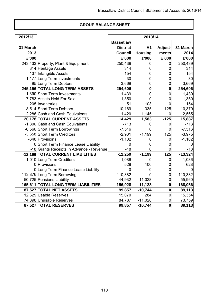#### **GROUP BALANCE SHEET**

| 2012/13  |                                          | 2013/14          |                |                  |            |
|----------|------------------------------------------|------------------|----------------|------------------|------------|
|          |                                          | <b>Bassetlaw</b> |                |                  |            |
| 31 March |                                          | <b>District</b>  | A <sub>1</sub> | Adjust-          | 31 March   |
| 2013     |                                          | <b>Council</b>   | <b>Housing</b> | ments            | 2014       |
| £'000    |                                          | £'000            | £'000          | £'000            | £'000      |
|          | 243,433 Property, Plant & Equipment      | 250,439          | 0              | 0                | 250,439    |
|          | 314 Heritage Assets                      | 314              | 0              | 0                | 314        |
|          | 137 Intangible Assets                    | 154              | 0              | 0                | 154        |
|          | 1,177 Long Term Investments              | 30               | 0              | 0                | 30         |
|          | 95 Long Term Debtors                     | 3,669            | $\mathbf 0$    | 0                | 3,669      |
|          | 245,156 TOTAL LONG TERM ASSETS           | 254,606          | $\bf{0}$       | $\mathbf 0$      | 254,606    |
|          | 1,390 Short Term Investments             | 1,439            | 0              | 0                | 1,439      |
|          | 7,783 Assets Held For Sale               | 1,350            | 0              | 0                | 1,350      |
|          | 205 Inventories                          | 51               | 103            | 0                | 154        |
|          | 8,514 Short Term Debtors                 | 10,169           | 335            | $-125$           | 10,379     |
|          | 2,286 Cash and Cash Equivalents          | 1,420            | 1,145          | $\overline{0}$   | 2,565      |
|          | 20,178 TOTAL CURRENT ASSETS              | 14,429           | 1,583          | $-125$           | 15,887     |
|          | -1,306 Cash and Cash Equivalents         | $-713$           | 0              | $\mathbf 0$      | $-713$     |
|          | -6,566 Short Term Borrowings             | $-7,516$         | 0              | 0                | $-7,516$   |
|          | -3,658 Short Term Creditors              | $-2,901$         | $-1,199$       | 125              | $-3,975$   |
|          | -648 Provisions                          | $-1,102$         | 0              | 0                | $-1,102$   |
|          | 0 Short Term Finance Lease Liability     |                  | 0              | 0                |            |
|          | -18 Grants Receipts in Advance - Revenue | $-18$            | 0              | 0                | -18        |
|          | -12,196 TOTAL CURRENT LIABILITIES        | $-12,250$        | $-1,199$       | 125              | $-13,324$  |
|          | -1,010 Long Term Creditors               | $-1,086$         | 0              | $\mathbf 0$      | $-1,086$   |
|          | 0 Provisions                             | $-528$           | $-100$         | 0                | $-628$     |
|          | 0 Long Term Finance Lease Liability      |                  |                | 0                |            |
|          | -113,876 Long Term Borrowing             | $-110,382$       |                | $\mathbf 0$      | $-110,382$ |
|          | -50,725 Pensions Liability               | $-44,932$        | $-11,028$      | 0                | $-55,960$  |
|          | -165,611 TOTAL LONG TERM LIABILITIES     | $-156,928$       | $-11,128$      | $\boldsymbol{0}$ | $-168,056$ |
|          | 87,527 TOTAL NET ASSETS                  | 99,857           | $-10,744$      | $\boldsymbol{0}$ | 89,113     |
|          | 12,629 Usable Reserves                   | 15,070           | 284            | $\mathbf 0$      | 15,354     |
|          | 74,898 Unusable Reserves                 | 84,787           | $-11,028$      | 0                | 73,759     |
|          | 87,527 TOTAL RESERVES                    | 99,857           | $-10,744$      | $\mathbf 0$      | 89,113     |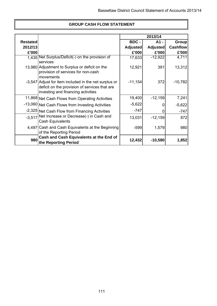|                 |                                                                                                                                              |                 | 2013/14         |                 |
|-----------------|----------------------------------------------------------------------------------------------------------------------------------------------|-----------------|-----------------|-----------------|
| <b>Restated</b> |                                                                                                                                              | BDC -           | A1 -            | Group           |
| 2012/13         |                                                                                                                                              | <b>Adjusted</b> | <b>Adjusted</b> | <b>Cashflow</b> |
| £'000           |                                                                                                                                              | £'000           | £'000           | £'000           |
|                 | 1.435 Net Surplus/Deficit(-) on the provision of<br>services                                                                                 | 17,633          | $-12,922$       | 4,711           |
|                 | 13,980 Adjustment to Surplus or deficit on the<br>provision of services for non-cash<br>movements                                            | 12,921          | 391             | 13,312          |
|                 | -3,547 Adjust for item included in the net surplus or<br>deficit on the provision of services that are<br>investing and financing activities | $-11,154$       | 372             | $-10,782$       |
|                 | 11,868 Net Cash Flows from Operating Activities                                                                                              | 19,400          | $-12,159$       | 7,241           |
|                 | -13,060 Net Cash Flows from Investing Activities                                                                                             | $-5,622$        | 0               | $-5,622$        |
|                 | -2,325 Net Cash Flow from Financing Activities                                                                                               | $-747$          | 0               | $-747$          |
| $-3.517$        | Net Increase or Decrease(-) in Cash and<br>Cash Equivalents                                                                                  | 13,031          | $-12,159$       | 872             |
|                 | 4,497 Cash and Cash Equivalents at the Beginning<br>of the Reporting Period                                                                  | $-599$          | 1,579           | 980             |
| 980             | Cash and Cash Equivalents at the End of<br>the Reporting Period                                                                              | 12,432          | $-10,580$       | 1,852           |

## **GROUP CASH FLOW STATEMENT**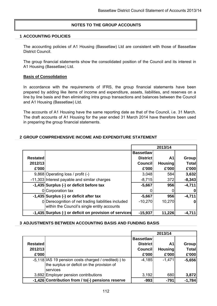## **NOTES TO THE GROUP ACCOUNTS**

### **1 ACCOUNTING POLICIES**

The accounting policies of A1 Housing (Bassetlaw) Ltd are consistent with those of Bassetlaw District Council.

The group financial statements show the consolidated position of the Council and its interest in A1 Housing (Bassetlaw) Ltd.

### **Basis of Consolidation**

In accordance with the requirements of IFRS, the group financial statements have been prepared by adding like items of income and expenditure, assets, liabilities, and reserves on a line by line basis and then eliminating intra group transactions and balances between the Council and A1 Housing (Bassetlaw) Ltd.

The accounts of A1 Housing have the same reporting date as that of the Council, i.e. 31 March. The draft accounts of A1 Housing for the year ended 31 March 2014 have therefore been used in preparing the group financial statements.

### **2 GROUP COMPREHENSIVE INCOME AND EXPENDITURE STATEMENT**

|                 |                                                        |                  | 2013/14        |              |
|-----------------|--------------------------------------------------------|------------------|----------------|--------------|
|                 |                                                        | <b>Bassetlaw</b> |                |              |
| <b>Restated</b> |                                                        | <b>District</b>  | A1             | <b>Group</b> |
| 2012/13         |                                                        | <b>Council</b>   | <b>Housing</b> | <b>Total</b> |
| £'000           |                                                        | £'000            | £'000          | £'000        |
|                 | 9,868 Operating loss / profit (-)                      | 3,048            | 584            | 3,632        |
|                 | -11,303 Interest payable and similar charges           | $-8,715$         | 372            | $-8,343$     |
|                 | -1,435 Surplus (-) or deficit before tax               | $-5,667$         | 956            | $-4,711$     |
|                 | 0 Corporation tax                                      |                  |                | 0            |
|                 | -1,435 Surplus (-) or deficit after tax                | $-5,667$         | 956            | $-4,711$     |
|                 | 0 Derecognition of net trading liabilities included    | $-10,270$        | 10,270         | 0            |
|                 | within the Council's single entity accounts            |                  |                |              |
|                 | -1,435 Surplus (-) or deficit on provision of services | $-15,937$        | 11,226         | $-4,711$     |

### **3 ADJUSTMENTS BETWEEN ACCOUNTING BASIS AND FUNDING BASIS**

|                 |                                                      |                  | 2013/14        |              |
|-----------------|------------------------------------------------------|------------------|----------------|--------------|
|                 |                                                      | <b>Bassetlaw</b> |                |              |
| <b>Restated</b> |                                                      | <b>District</b>  | Α1             | Group        |
| 2012/13         |                                                      | <b>Council</b>   | <b>Housing</b> | <b>Total</b> |
| £'000           |                                                      | £'000            | £'000          | £'000        |
|                 | -5,118 IAS 19 pension costs charged / credited(-) to | $-4,185$         | $-1,471$       | $-5,656$     |
|                 | the surplus or deficit on the provision of           |                  |                |              |
|                 | services                                             |                  |                |              |
|                 | 3,692 Employer pension contributions                 | 3,192            | 680            | 3,872        |
|                 | -1,426 Contribution from / to(-) pensions reserve    | $-993$           | $-791$         | $-1,784$     |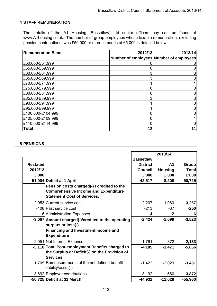## **4 STAFF REMUNERATION**

The details of the A1 Housing (Bassetlaw) Ltd senior officers pay can be found at www.A1housing.co.uk. The number of group employees whose taxable remuneration, excluding pension contributions, was £50,000 or more in bands of £5,000 is detailed below.

| <b>Remuneration Band</b> | 2012/13 | 2013/14                                 |
|--------------------------|---------|-----------------------------------------|
|                          |         | Number of employees Number of employees |
| £50,000-£54,999          |         | 0                                       |
| £55,000-£59,999          |         |                                         |
| £60,000-£64,999          |         | 3                                       |
| £65,000-£69,999          | 3       | 3                                       |
| £70,000-£74,999          |         |                                         |
| £75,000-£79,999          |         | 0                                       |
| £80,000-£84,999          |         |                                         |
| £85,000-£89,999          |         | 3                                       |
| £90,000-£94,999          |         |                                         |
| £95,000-£99,999          |         | 0                                       |
| £100,000-£104,999        |         |                                         |
| £105,000-£109,999        |         |                                         |
| £110,000-£114,999        |         |                                         |
| <b>Total</b>             | 12      |                                         |

### **5 PENSIONS**

|                 |                                                                                                                      |                  | 2013/14        |               |
|-----------------|----------------------------------------------------------------------------------------------------------------------|------------------|----------------|---------------|
|                 |                                                                                                                      | <b>Bassetlaw</b> |                |               |
| <b>Restated</b> |                                                                                                                      | <b>District</b>  | A <sub>1</sub> | <b>Group</b>  |
| 2012/13         |                                                                                                                      | <b>Council</b>   | <b>Housing</b> | <b>Totall</b> |
| £'000           |                                                                                                                      | £'000            | £'000          | £'000         |
|                 | -51,004 Deficit at 1 April                                                                                           | $-42,517$        | $-8,208$       | $-50,725$     |
|                 | Pension costs charged(-) / credited to the<br><b>Comprehensive Income and Expenditure</b>                            |                  |                |               |
|                 | <b>Statement Cost of Services:</b>                                                                                   |                  |                |               |
|                 | -2,953 Current service cost                                                                                          | $-2,207$         | $-1,060$       | $-3,267$      |
|                 | -108 Past service cost                                                                                               | $-213$           | $-37$          | $-250$        |
|                 | -6 Administration Expenses                                                                                           |                  | $-2$           | -6            |
|                 | -3,067 Amount charged(-)/credited to the operating                                                                   | $-2,424$         | $-1,099$       | $-3,523$      |
|                 | surplus or loss(-)<br><b>Financing and Investment Income and</b><br><b>Expenditure</b>                               |                  |                |               |
|                 | -2,051 Net Interest Expense                                                                                          | $-1,761$         | $-372$         | $-2,133$      |
|                 | -5,118 Total Post-employment Benefits charged to<br>the Surplus or Deficit(-) on the Provision of<br><b>Services</b> | $-4,185$         | $-1,471$       | $-5,656$      |
|                 | 1,705 Remeasurements of the net defined benefit<br>liability/asset(-)                                                | $-1,422$         | $-2,029$       | $-3,451$      |
|                 | 3,692 Employer contributions                                                                                         | 3,192            | 680            | 3,872         |
|                 | -50,725 Deficit at 31 March                                                                                          | $-44,932$        | $-11,028$      | $-55,960$     |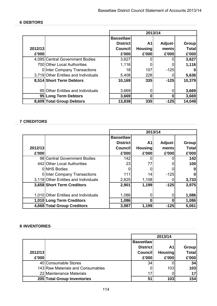## **6 DEBTORS**

|         |                                      | 2013/14          |                |         |              |
|---------|--------------------------------------|------------------|----------------|---------|--------------|
|         |                                      | <b>Bassetlaw</b> |                |         |              |
|         |                                      | <b>District</b>  | A1             | Adjust- | <b>Group</b> |
| 2012/13 |                                      | <b>Council</b>   | <b>Housing</b> | ments   | <b>Total</b> |
| £'000   |                                      | £'000            | £'000          | £'000   | £'000        |
|         | 4,095 Central Government Bodies      | 3,627            |                |         | 3,627        |
|         | 700 Other Local Authorities          | 1,116            |                |         | 1,116        |
|         | <b>0</b> Inter Company Transactions  | 18               | 107            | $-125$  |              |
|         | 3,719 Other Entities and Individuals | 5,408            | 228            |         | 5,636        |
|         | 8,514 Short Term Debtors             | 10,169           | 335            | $-125$  | 10,379       |
|         |                                      |                  |                |         |              |
|         | 95 Other Entities and Individuals    | 3,669            |                | 0       | 3,669        |
|         | 95 Long Term Debtors                 | 3,669            |                | 0       | 3,669        |
|         | 8,609 Total Group Debtors            | 13,838           | 335            | $-125$  | 14,048       |

## **7 CREDITORS**

|         |                                      | 2013/14          |                |         |              |
|---------|--------------------------------------|------------------|----------------|---------|--------------|
|         |                                      | <b>Bassetlaw</b> |                |         |              |
|         |                                      | <b>District</b>  | A <sub>1</sub> | Adjust- | <b>Group</b> |
| 2012/13 |                                      | <b>Council</b>   | <b>Housing</b> | ments   | Total        |
| £'000   |                                      | £'000            | £'000          | £'000   | £'000        |
|         | 98 Central Government Bodies         | 142              |                |         | 142          |
|         | 442 Other Local Authorities          | 23               | 77             |         | 100          |
|         | 0 NHS Bodies                         |                  |                |         | 0            |
|         | <b>0</b> Inter Company Transactions  | 111              | 14             | $-125$  | 0            |
|         | 3,118 Other Entities and Individuals | 2,625            | 1,108          |         | 3,733        |
|         | 3,658 Short Term Creditors           | 2,901            | 1,199          | $-125$  | 3,975        |
|         |                                      |                  |                |         |              |
|         | 1,010 Other Entities and Individuals | 1,086            |                | O       | 1,086        |
|         | 1,010 Long Term Creditors            | 1,086            |                |         | 1,086        |
|         | 4,668 Total Group Creditors          | 3,987            | 1,199          | $-125$  | 5,061        |

## **8 INVENTORIES**

|         |                                   |                  | 2013/14        |              |
|---------|-----------------------------------|------------------|----------------|--------------|
|         |                                   | <b>Bassetlaw</b> |                |              |
|         |                                   | <b>District</b>  | Α1             | Group        |
| 2012/13 |                                   | <b>Council</b>   | <b>Housing</b> | <b>Total</b> |
| £'000   |                                   | £'000            | £'000          | £'000        |
|         | 40 Consumable Stores              | 34               |                | 34           |
|         | 143 Raw Materials and Consumables |                  | 103            | 103          |
|         | 22 Maintenance Materials          | 17               |                | 17           |
|         | 205 Total Group Inventories       | 51               | 103            | 154          |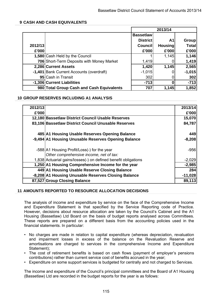## **9 CASH AND CASH EQUIVALENTS**

|         |                                           |                  | 2013/14        |              |
|---------|-------------------------------------------|------------------|----------------|--------------|
|         |                                           | <b>Bassetlaw</b> |                |              |
|         |                                           | <b>District</b>  | Α1             | <b>Group</b> |
| 2012/13 |                                           | <b>Council</b>   | <b>Housing</b> | <b>Total</b> |
| £'000   |                                           | £'000            | £'000          | £'000        |
|         | 1,580 Cash Held by the Council            |                  | 1,145          | 1,146        |
|         | 706 Short-Term Deposits with Money Market | 1,419            |                | 1,419        |
|         | 2,286 Current Assets                      | 1,420            | 1,145          | 2,565        |
|         | -1,401 Bank Current Accounts (overdraft)  | $-1,015$         |                | $-1,015$     |
|         | 95 Cash in Transit                        | 302              | 0              | 302          |
|         | -1,306 Current Liabilities                | $-713$           | 0              | $-713$       |
|         | 980 Total Group Cash and Cash Equivalents | 707              | 1,145          | 1,852        |

### **10 GROUP RESERVES INCLUDING A1 ANALYSIS**

| 2012/13 |                                                                                        | 2013/14   |
|---------|----------------------------------------------------------------------------------------|-----------|
| £'000   |                                                                                        | £'000     |
|         | 12,180 Bassetlaw District Council Usable Reserves                                      | 15,070    |
|         | 83,106 Bassetlaw District Council Unusable Reserves                                    | 84,787    |
|         | 485 A1 Housing Usable Reserves Opening Balance                                         | 449       |
|         | -9,494 A1 Housing Unusable Reserves Opening Balance                                    | $-8,208$  |
|         | -588 A1 Housing Profit/Loss(-) for the year<br>Other comprehensive income, net of tax: | $-956$    |
|         | 1,838 Actuarial gains/losses(-) on defined benefit obligations                         | $-2,029$  |
|         | 1,250 A1 Housing Comprehensive Income for the year                                     | $-2,985$  |
|         | 449 A1 Housing Usable Reserve Closing Balance                                          | 284       |
|         | -8,208 A1 Housing Unusable Reserves Closing Balance                                    | $-11,028$ |
|         | 87,527 Group Closing Balance                                                           | 89,113    |

### **11 AMOUNTS REPORTED TO RESOURCE ALLOCATION DECISIONS**

The analysis of income and expenditure by service on the face of the Comprehensive Income and Expenditure Statement is that specified by the Service Reporting code of Practice. However, decisions about resource allocation are taken by the Council's Cabinet and the A1 Housing (Bassetlaw) Ltd Board on the basis of budget reports analysed across Committees. These reports are prepared on a different basis from the accounting policies used in the financial statements. In particular:

- No charges are made in relation to capital expenditure (whereas depreciation, revaluation and impairment losses in excess of the balance on the Revaluation Reserve and amortisations are charged to services in the comprehensive Income and Expenditure Statement);
- The cost of retirement benefits is based on cash flows (payment of employer's pensions contributions) rather than current service cost of benefits accrued in the year;
- Expenditure on some support services is budgeted for centrally and not charged to Services.

The income and expenditure of the Council's principal committees and the Board of A1 Housing (Bassetlaw) Ltd are recorded in the budget reports for the year is as follows: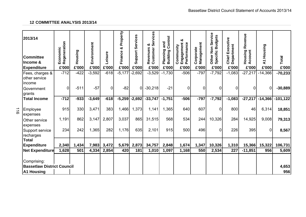116

| 2013/14<br><b>Committee</b><br>Income &<br><b>Expenditure</b>         | Regeneration<br>Economic<br>£'000 | Housing<br>£'000 | Environment<br>£'000 | Leisure<br>£'000 | Property<br>න්<br>Finance<br>£'000 | Services<br>Support<br>£'000 | Services<br>ఱ<br>Customer<br>Revenues<br>£'000 | Control<br>and<br><b>Planning</b><br>Building<br>£'000 | ఱ<br>Engagement<br>Performance<br>Community<br>£'000 | Management<br>Corporate<br>£'000 | Service<br><b>Specific Budgets</b><br>Other Non<br>£'000 | ecutive<br>Chief Execut<br>Department<br>£'000 | Revenue<br>Housing<br>Account<br>£'000 | Housing<br>$\overline{\mathbf{z}}$<br>£'000 | <b>Total</b><br>£'000 |
|-----------------------------------------------------------------------|-----------------------------------|------------------|----------------------|------------------|------------------------------------|------------------------------|------------------------------------------------|--------------------------------------------------------|------------------------------------------------------|----------------------------------|----------------------------------------------------------|------------------------------------------------|----------------------------------------|---------------------------------------------|-----------------------|
| Fees, charges &<br>other service                                      | $-712$                            | $-422$           | $-3,592$             | $-618$           | $-5,177$                           | $-2,692$                     | $-3,529$                                       | $-1,730$                                               | $-506$                                               | $-797$                           | $-7,792$                                                 | $-1,083$                                       | $-27,217$                              | $-14,366$                                   | $-70,233$             |
| income                                                                |                                   |                  |                      |                  |                                    |                              |                                                |                                                        |                                                      |                                  |                                                          |                                                |                                        |                                             |                       |
| Government                                                            | 0                                 | $-511$           | $-57$                | 0                | $-82$                              | $\overline{0}$               | $-30,218$                                      | $-21$                                                  | $\overline{0}$                                       | $\overline{0}$                   | 0                                                        | 0                                              | 0                                      | 0                                           | $-30,889$             |
| grants                                                                |                                   |                  |                      |                  |                                    |                              |                                                |                                                        |                                                      |                                  |                                                          |                                                |                                        |                                             |                       |
| <b>Total Income</b>                                                   | $-712$                            | $-933$           | $-3,649$             | $-618$           | $-5,259$                           | $-2,692$                     | $-33,747$                                      | $-1,751$                                               | $-506$                                               | $-797$                           | $-7,792$                                                 | $-1,083$                                       | $-27,217$                              | $-14,366$                                   | $-101, 122$           |
| Employee<br>expenses                                                  | 915                               | 330              | 3,471                | 383              | 1,466                              | 1,373                        | 1,141                                          | 1,365                                                  | 640                                                  | 607                              | $\overline{0}$                                           | 800                                            | 46                                     | 6,314                                       | 18,851                |
| Other service                                                         | 1,191                             | 862              | 3,147                | 2,807            | 3,037                              | 865                          | 31,515                                         | 568                                                    | 534                                                  | 244                              | 10,326                                                   | 284                                            | 14,925                                 | 9,008                                       | 79,313                |
| expenses<br>Support service<br>recharges                              | 234                               | 242              | 1,365                | 282              | 1,176                              | 635                          | 2,101                                          | 915                                                    | 500                                                  | 496                              | 0                                                        | 226                                            | 395                                    | $\Omega$                                    | 8,567                 |
| <b>Total</b>                                                          |                                   |                  |                      |                  |                                    |                              |                                                |                                                        |                                                      |                                  |                                                          |                                                |                                        |                                             |                       |
| <b>Expenditure</b>                                                    | 2,340                             | 1,434<br>501     | 7,983                | 3,472            | 5,679<br>420                       | 2,873<br>181                 | 34,757                                         | 2,848                                                  | 1,674                                                | 1,347<br>550                     | 10,326                                                   | 1,310<br>227                                   | 15,366                                 | 15,322<br>956                               | 106,731               |
| <b>Net Expenditure</b>                                                | 1,628                             |                  | 4,334                | 2,854            |                                    |                              | 1,010                                          | 1,097                                                  | 1,168                                                |                                  | 2,534                                                    |                                                | $-11,851$                              |                                             | 5,609                 |
| Comprising:<br><b>Bassetlaw District Council</b><br><b>A1 Housing</b> |                                   |                  |                      |                  |                                    |                              |                                                |                                                        |                                                      |                                  |                                                          |                                                |                                        |                                             | 4,653<br>956          |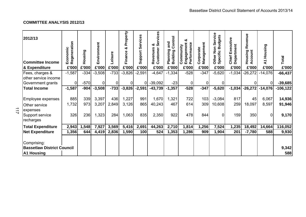## **COMMITTEE ANALYSIS 2012/13**

| 2012/13<br><b>Committee Income</b><br>& Expenditure                   | Regeneration<br>Economic<br>£'000 | Housing<br>£'000 | Environment<br>£'000 | Leisure<br>£'000 | roperty<br>Δ.<br>ఱ<br>Finance<br>£'000 | Services<br>Support<br>£'000 | rvices<br>ఱ<br>Ø<br>Revenues<br>Customer<br>£'000 | ontrol<br>and<br>Ō<br>Planning<br>Building<br>£'000 | య<br>Performance<br>gagement<br>Community<br>밑<br>£'000 | Corporate<br>Management<br>£'000 | ervice<br>udgets<br>Ŵ<br>no<br>N<br>m<br>Specific<br>Other<br>£'000 | Executive<br>Department<br>Chief<br>£'000 | Revenue<br>Housing<br>Account<br>£'000 | Housing<br>$\overline{\mathbf{z}}$<br>£'000 | <b>Total</b><br>£'000 |
|-----------------------------------------------------------------------|-----------------------------------|------------------|----------------------|------------------|----------------------------------------|------------------------------|---------------------------------------------------|-----------------------------------------------------|---------------------------------------------------------|----------------------------------|---------------------------------------------------------------------|-------------------------------------------|----------------------------------------|---------------------------------------------|-----------------------|
| Fees, charges &                                                       | $-1,587$                          | $-334$           | $-3,508$             | $-733$           | $-3,826$                               | $-2,591$                     | $-4,647$                                          | $-1,334$                                            | $-528$                                                  | $-347$                           | $-5,620$                                                            | $-1,034$                                  | $-26,272$                              | $-14,076$                                   | $-66,437$             |
| other service income                                                  |                                   |                  |                      |                  |                                        |                              |                                                   |                                                     |                                                         |                                  |                                                                     |                                           |                                        |                                             |                       |
| Government grants                                                     | $\Omega$                          | $-570$           | 0                    | $\Omega$         | $\Omega$                               | ΩI                           | $-39,092$                                         | $-23$                                               | $\Omega$                                                | 0                                |                                                                     |                                           | ΩI                                     |                                             | $-39,685$             |
| <b>Total Income</b>                                                   | $-1,587$                          | $-904$           | $-3,508$             | $-733$           | $-3,826$                               | $-2,591$                     | $-43,739$                                         | $-1,357$                                            | $-528$                                                  | $-347$                           | $-5,620$                                                            | $-1,034$                                  | $-26,272$                              | $-14,076$                                   | $-106, 122$           |
| Employee expenses<br><b>Other service</b>                             | 885<br>1,732                      | 339<br>973       | 3,397<br>3,207       | 436<br>2,849     | 1,227<br>3,126                         | 991<br>865                   | 1,670<br>40,243                                   | 1,321<br>467                                        | 722<br>614                                              | 103<br>309                       | $-3,084$<br>10,608                                                  | 817<br>259                                | 45<br>18,097                           | 6,067<br>8,597                              | 14,936<br>91,946      |
| expenses<br>Support service<br>recharges                              | 326                               | 236              | 1,323                | 284              | 1,063                                  | 835                          | 2,350                                             | 922                                                 | 478                                                     | 844                              | $\mathbf 0$                                                         | 159                                       | 350                                    | $\Omega$                                    | 9,170                 |
| <b>Total Expenditure</b>                                              | 2,943                             | 1,548            | 7,927                | 3,569            | 5,416                                  | 2,691                        | 44,263                                            | 2,710                                               | 1,814                                                   | 1,256                            | 7,524                                                               | 1,235                                     | 18,492                                 | 14,664                                      | 116,052               |
| <b>Net Expenditure</b>                                                | 1,356                             | 644              | 4,419                | 2,836            | 1,590                                  | 100                          | 524                                               | 1,353                                               | 1,286                                                   | 909                              | 1,904                                                               | 201                                       | $-7,780$                               | 588                                         | 9,930                 |
| Comprising:<br><b>Bassetlaw District Council</b><br><b>A1 Housing</b> |                                   |                  |                      |                  |                                        |                              |                                                   |                                                     |                                                         |                                  |                                                                     |                                           |                                        |                                             | 9,342<br>588          |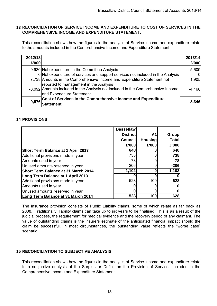### **13 RECONCILIATION OF SERVICE INCOME AND EXPENDITURE TO COST OF SERVICES IN THE COMPREHENSIVE INCOME AND EXPENDITURE STATEMENT.**

This reconciliation shows how the figures in the analysis of Service income and expenditure relate to the amounts included in the Comprehensive Income and Expenditure Statement.

| 2012/13<br>£'000 |                                                                                                                                                         | 2013/14<br>£'000 |
|------------------|---------------------------------------------------------------------------------------------------------------------------------------------------------|------------------|
|                  | 9,930 Net expenditure in the Committee Analysis                                                                                                         | 5,609            |
|                  | 0 Net expenditure of services and support services not included in the Analysis                                                                         |                  |
|                  | 7,738 Amounts in the Comprehensive Income and Expenditure Statement not                                                                                 | 1,905            |
|                  | reported to management in the Analysis<br>-8,092 Amounts included in the Analysis not included in the Comprehensive Income<br>and Expenditure Statement | $-4,168$         |
| 9,576            | Cost of Services in the Comprehensive Income and Expenditure<br>Statement                                                                               | 3,346            |

## **14 PROVISIONS**

|                                            | <b>Bassetlaw</b> |                |              |
|--------------------------------------------|------------------|----------------|--------------|
|                                            | <b>District</b>  | A <sub>1</sub> | <b>Group</b> |
|                                            | <b>Council</b>   | <b>Housing</b> | <b>Total</b> |
|                                            | £'000            | £'000          | £'000        |
| <b>Short Term Balance at 1 April 2013</b>  | 648              |                | 648          |
| Additional provisions made in year         | 738              |                | 738          |
| Amounts used in year                       | $-78$            |                | $-78$        |
| Unused amounts reserved in year            | $-206$           |                | $-206$       |
| <b>Short Term Balance at 31 March 2014</b> | 1,102            | 0              | 1,102        |
| Long Term Balance at 1 April 2013          |                  |                |              |
| Additional provisions made in year         | 528              | 100            | 628          |
| Amounts used in year                       |                  |                |              |
| Unused amounts reserved in year            |                  |                |              |
| Long Term Balance at 31 March 2014         | 528              | 100            | 628          |

The insurance provision consists of Public Liability claims, some of which relate as far back as 2008. Traditionally, liability claims can take up to six years to be finalised. This is as a result of the judicial process, the requirement for medical evidence and the recovery period of any claimant. The value of outstanding claims is the insurers estimate of the anticipated financial impact should the claim be successful. In most circumstances, the outstanding value reflects the "worse case" scenario.

## **15 RECONCILIATION TO SUBJECTIVE ANALYSIS**

This reconciliation shows how the figures in the analysis of Service income and expenditure relate to a subjective analysis of the Surplus or Deficit on the Provision of Services included in the Comprehensive Income and Expenditure Statement.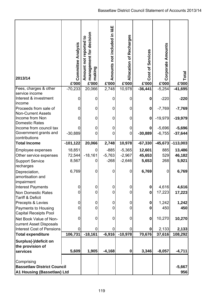| 2013/14                                                                              | Committee Analysis<br>£'000 | management for decision<br>Amount not reported to<br>making<br>£'000 | Amounts not included in I&E<br>£'000 | Recharges<br>ð<br>Allocation<br>£'000 | Services<br>Cost of<br>£'000 | <b>Corporate Amounts</b><br>£'000 | Total<br>£'000            |
|--------------------------------------------------------------------------------------|-----------------------------|----------------------------------------------------------------------|--------------------------------------|---------------------------------------|------------------------------|-----------------------------------|---------------------------|
| Fees, charges & other                                                                | $-70,233$                   | 20,066                                                               | 2,748                                | 10,978                                | $-36,441$                    | $-5,254$                          | $-41,695$                 |
| service income<br>Interest & investment<br>income                                    | $\mathbf 0$                 | 0                                                                    | 0                                    | 0                                     | $\bf{0}$                     | $-220$                            | $-220$                    |
| Proceeds from sale of<br><b>Non-Current Assets</b>                                   | $\mathbf 0$                 | 0                                                                    | 0                                    | 0                                     | $\mathbf 0$                  | $-7,769$                          | $-7,769$                  |
| Income from Non<br>Domestic Rates                                                    | 0                           | 0                                                                    | $\mathbf 0$                          | 0                                     | $\bf{0}$                     | $-19,979$                         | $-19,979$                 |
| Income from council tax<br>Government grants and<br>contributions                    | 0<br>$-30,889$              | 0<br>0                                                               | 0<br>0                               | 0<br>0                                | 0<br>$-30,889$               | $-5,696$<br>$-6,755$              | $-5,696$<br>$-37,644$     |
| <b>Total Income</b>                                                                  | $-101, 122$                 | 20,066                                                               | 2,748                                | 10,978                                | $-67,330$                    |                                   | $-45,673$ -113,003        |
| Employee expenses<br>Other service expenses<br><b>Support Service</b>                | 18,851<br>72,544<br>8,567   | 0<br>$-18,161$<br>0                                                  | $-885$<br>$-5,763$<br>$-268$         | $-5,365$<br>$-2,967$<br>$-2,646$      | 12,601<br>45,653<br>5,653    | 885<br>529<br>268                 | 13,486<br>46,182<br>5,921 |
| recharges<br>Depreciation,<br>amortisation and<br>impairment                         | 6,769                       | 0                                                                    | 0                                    | 0                                     | 6,769                        | 0                                 | 6,769                     |
| Interest Payments                                                                    | $\pmb{0}$                   | 0                                                                    | 0                                    | 0                                     | 0                            | 4,616                             | 4,616                     |
| Non Domestic Rates<br><b>Tariff &amp; Deficit</b>                                    | 0                           | 0                                                                    | 0                                    | 0                                     | $\bf{0}$                     | 17,223                            | 17,223                    |
| <b>Precepts &amp; Levies</b>                                                         | 0                           | 0                                                                    | 0                                    | 0                                     | 0                            | 1,242                             | 1,242                     |
| Payments to Housing<br><b>Capital Receipts Pool</b>                                  | 0                           | 0                                                                    | 0                                    | $\Omega$                              | $\bf{0}$                     | 450                               | 450                       |
| Net Book Value of Non-<br>current Asset Disposals                                    | $\mathbf 0$                 | 0                                                                    | 0                                    | 0                                     | $\bf{0}$                     | 10,270                            | 10,270                    |
| <b>Interest Cost of Pensions</b>                                                     | 0                           | 0                                                                    | 0                                    | 0                                     | 0                            | 2,133                             | 2,133                     |
| <b>Total expenditure</b>                                                             | 106,731                     | $-18,161$                                                            | $-6,916$                             | $-10,978$                             | 70,676                       | 37,616                            | 108,292                   |
| Surplus(-)/deficit on<br>the provision of                                            | 5,609                       | 1,905                                                                | $-4,168$                             | $\boldsymbol{0}$                      | 3,346                        | $-8,057$                          | $-4,711$                  |
| services                                                                             |                             |                                                                      |                                      |                                       |                              |                                   |                           |
| Comprising<br><b>Bassetlaw District Council</b><br><b>A1 Housing (Bassetlaw) Ltd</b> |                             |                                                                      |                                      |                                       |                              |                                   | $-5,667$<br>956           |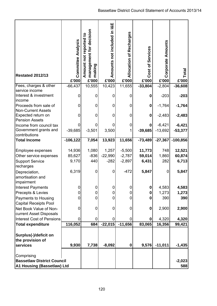| <b>Restated 2012/13</b><br>Fees, charges & other                                   | <b>Committee Analysis</b><br>£'000<br>$-66,437$ | management for decision<br>Amount not reported to<br>making<br>£'000<br>10,555 | not included in I&E<br><b>Amounts</b><br>£'000<br>10,423 | <b>Allocation of Recharges</b><br>£'000<br>11,655 | Services<br>Cost of<br>£'000<br>$-33,804$ | <b>Corporate Amounts</b><br>£'000<br>$-2,804$ | Total<br>£'000<br>$-36,608$ |
|------------------------------------------------------------------------------------|-------------------------------------------------|--------------------------------------------------------------------------------|----------------------------------------------------------|---------------------------------------------------|-------------------------------------------|-----------------------------------------------|-----------------------------|
| service income<br>Interest & investment<br>income                                  | 0                                               | 0                                                                              | $\mathbf 0$                                              | 0                                                 | $\bf{0}$                                  | $-203$                                        | $-203$                      |
| Proceeds from sale of<br><b>Non-Current Assets</b>                                 | 0                                               | 0                                                                              | 0                                                        | 0                                                 | $\mathbf 0$                               | $-1,764$                                      | $-1,764$                    |
| Expected return on<br><b>Pension Assets</b>                                        | 0                                               | 0                                                                              | 0                                                        | 0                                                 | $\pmb{0}$                                 | $-2,483$                                      | $-2,483$                    |
| Income from council tax<br>Government grants and<br>contributions                  | 0<br>$-39,685$                                  | 0<br>$-3,501$                                                                  | 3,500                                                    | 0                                                 | 0<br>$-39,685$                            | $-6,421$<br>$-13,692$                         | $-6,421$<br>$-53,377$       |
| <b>Total Income</b>                                                                | $-106, 122$                                     | 7,054                                                                          | 13,923                                                   | 11,656                                            | $-73,489$                                 | $-27,367$                                     | $-100,856$                  |
| Employee expenses<br>Other service expenses<br><b>Support Service</b><br>recharges | 14,936<br>85,627<br>9,170                       | 1,080<br>$-836$<br>440                                                         | 1,257<br>$-22,990$<br>$-282$                             | $-5,500$<br>$-2,787$<br>$-2,897$                  | 11,773<br>59,014<br>6,431                 | 748<br>1,860<br>282                           | 12,521<br>60,874<br>6,713   |
| Depreciation,<br>amortisation and<br>impairment                                    | 6,319                                           | 0                                                                              | $\mathbf 0$                                              | $-472$                                            | 5,847                                     | 0                                             | 5,847                       |
| <b>Interest Payments</b>                                                           | 0                                               | 0                                                                              | $\mathbf 0$                                              | 0                                                 | 0                                         | 4,583                                         | 4,583                       |
| Precepts & Levies                                                                  | 0<br>0                                          | 0<br>0                                                                         | 0<br>$\mathbf 0$                                         | 0<br>0                                            | 0<br>0                                    | 1,273<br>390                                  | 1,273<br>390                |
| Payments to Housing<br><b>Capital Receipts Pool</b>                                |                                                 |                                                                                |                                                          |                                                   |                                           |                                               |                             |
| Net Book Value of Non-<br>current Asset Disposals                                  | 0                                               | 0                                                                              | 0                                                        | $\mathbf 0$                                       | $\bf{0}$                                  | 2,900                                         | 2,900                       |
| <b>Interest Cost of Pensions</b>                                                   | 0                                               | 0                                                                              | 0                                                        | 0                                                 | 0                                         | 4,320                                         | 4,320                       |
| <b>Total expenditure</b>                                                           | 116,052                                         | 684                                                                            | $-22,015$                                                | $-11,656$                                         | 83,065                                    | 16,356                                        | 99,421                      |
| Surplus(-)/deficit on<br>the provision of                                          |                                                 |                                                                                |                                                          |                                                   |                                           |                                               |                             |
| services                                                                           | 9,930                                           | 7,738                                                                          | $-8,092$                                                 | $\pmb{0}$                                         | 9,576                                     | $-11,011$                                     | $-1,435$                    |
| Comprising<br><b>Bassetlaw District Council</b><br>A1 Housing (Bassetlaw) Ltd      |                                                 |                                                                                |                                                          |                                                   |                                           |                                               | $-2,023$<br>588             |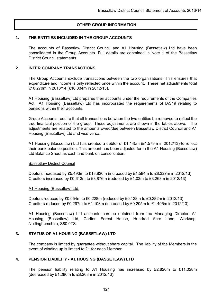## **OTHER GROUP INFORMATION**

### **1. THE ENTITIES INCLUDED IN THE GROUP ACCOUNTS**

The accounts of Bassetlaw District Council and A1 Housing (Bassetlaw) Ltd have been consolidated in the Group Accounts. Full details are contained in Note 1 of the Bassetlaw District Council statements.

### **2. INTER COMPANY TRANSACTIONS**

The Group Accounts exclude transactions between the two organisations. This ensures that expenditure and income is only reflected once within the account. These net adjustments total £10.270m in 2013/14 (£10.334m in 2012/13).

A1 Housing (Bassetlaw) Ltd prepares their accounts under the requirements of the Companies Act. A1 Housing (Bassetlaw) Ltd has incorporated the requirements of IAS19 relating to pensions within their accounts.

Group Accounts require that all transactions between the two entities be removed to reflect the true financial position of the group. These adjustments are shown in the tables above. The adjustments are related to the amounts owed/due between Bassetlaw District Council and A1 Housing (Bassetlaw) Ltd and vice versa.

A1 Housing (Bassetlaw) Ltd has created a debtor of £1.145m (£1.579m in 2012/13) to reflect their bank balance position. This amount has been adjusted for in the A1 Housing (Bassetlaw) Ltd Balance Sheet as cash and bank on consolidation.

### Bassetlaw District Council

Debtors increased by £5.493m to £13.820m (increased by £1.584m to £8.327m in 2012/13) Creditors increased by £0.613m to £3.876m (reduced by £1.03m to £3.263m in 2012/13)

### A1 Housing (Bassetlaw) Ltd.

Debtors reduced by £0.054m to £0.228m (reduced by £0.128m to £0.282m in 2012/13) Creditors reduced by £0.297m to £1.108m (increased by £0.205m to £1.405m in 2012/13)

A1 Housing (Bassetlaw) Ltd accounts can be obtained from the Managing Director, A1 Housing (Bassetlaw) Ltd, Carlton Forest House, Hundred Acre Lane, Worksop, Nottinghamshire, S80 0TS.

## **3. STATUS OF A1 HOUSING (BASSETLAW) LTD**

The company is limited by guarantee without share capital. The liability of the Members in the event of winding up is limited to £1 for each Member.

## **4. PENSION LIABILITY - A1 HOUSING (BASSETLAW) LTD**

The pension liability relating to A1 Housing has increased by £2.820m to £11.028m (decreased by £1.286m to £8.208m in 2012/13).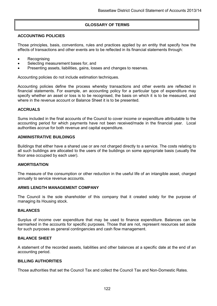## **GLOSSARY OF TERMS**

### **ACCOUNTING POLICIES**

Those principles, basis, conventions, rules and practices applied by an entity that specify how the effects of transactions and other events are to be reflected in its financial statements through:

- **Recognising**
- Selecting measurement bases for, and
- Presenting assets, liabilities, gains, losses and changes to reserves.

Accounting policies do not include estimation techniques.

Accounting policies define the process whereby transactions and other events are reflected in financial statements. For example, an accounting policy for a particular type of expenditure may specify whether an asset or loss is to be recognised, the basis on which it is to be measured, and where in the revenue account or Balance Sheet it is to be presented.

### **ACCRUALS**

Sums included in the final accounts of the Council to cover income or expenditure attributable to the accounting period for which payments have not been received/made in the financial year. Local authorities accrue for both revenue and capital expenditure.

### **ADMINISTRATIVE BUILDINGS**

Buildings that either have a shared use or are not charged directly to a service. The costs relating to all such buildings are allocated to the users of the buildings on some appropriate basis (usually the floor area occupied by each user).

### **AMORTISATION**

The measure of the consumption or other reduction in the useful life of an intangible asset, charged annually to service revenue accounts.

### **ARMS LENGTH MANAGEMENT COMPANY**

The Council is the sole shareholder of this company that it created solely for the purpose of managing its Housing stock.

### **BALANCES**

Surplus of income over expenditure that may be used to finance expenditure. Balances can be earmarked in the accounts for specific purposes. Those that are not, represent resources set aside for such purposes as general contingencies and cash flow management.

### **BALANCE SHEET**

A statement of the recorded assets, liabilities and other balances at a specific date at the end of an accounting period.

### **BILLING AUTHORITIES**

Those authorities that set the Council Tax and collect the Council Tax and Non-Domestic Rates.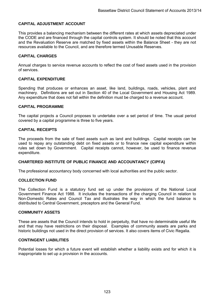## **CAPITAL ADJUSTMENT ACCOUNT**

This provides a balancing mechanism between the different rates at which assets depreciated under the CODE and are financed through the capital controls system. It should be noted that this account and the Revaluation Reserve are matched by fixed assets within the Balance Sheet - they are not resources available to the Council, and are therefore termed Unusable Reserves.

### **CAPITAL CHARGES**

Annual charges to service revenue accounts to reflect the cost of fixed assets used in the provision of services.

### **CAPITAL EXPENDITURE**

Spending that produces or enhances an asset, like land, buildings, roads, vehicles, plant and machinery. Definitions are set out in Section 40 of the Local Government and Housing Act 1989. Any expenditure that does not fall within the definition must be charged to a revenue account.

### **CAPITAL PROGRAMME**

The capital projects a Council proposes to undertake over a set period of time. The usual period covered by a capital programme is three to five years.

### **CAPITAL RECEIPTS**

The proceeds from the sale of fixed assets such as land and buildings. Capital receipts can be used to repay any outstanding debt on fixed assets or to finance new capital expenditure within rules set down by Government. Capital receipts cannot, however, be used to finance revenue expenditure.

### **CHARTERED INSTITUTE OF PUBLIC FINANCE AND ACCOUNTANCY (CIPFA)**

The professional accountancy body concerned with local authorities and the public sector.

### **COLLECTION FUND**

The Collection Fund is a statutory fund set up under the provisions of the National Local Government Finance Act 1988. It includes the transactions of the charging Council in relation to Non-Domestic Rates and Council Tax and illustrates the way in which the fund balance is distributed to Central Government, preceptors and the General Fund.

### **COMMUNITY ASSETS**

These are assets that the Council intends to hold in perpetuity, that have no determinable useful life and that may have restrictions on their disposal. Examples of community assets are parks and historic buildings not used in the direct provision of services. It also covers items of Civic Regalia.

### **CONTINGENT LIABILITIES**

Potential losses for which a future event will establish whether a liability exists and for which it is inappropriate to set up a provision in the accounts.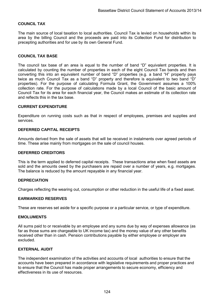### **COUNCIL TAX**

The main source of local taxation to local authorities. Council Tax is levied on households within its area by the billing Council and the proceeds are paid into its Collection Fund for distribution to precepting authorities and for use by its own General Fund.

#### **COUNCIL TAX BASE**

The council tax base of an area is equal to the number of band "D" equivalent properties. It is calculated by counting the number of properties in each of the eight Council Tax bands and then converting this into an equivalent number of band "D" properties (e.g. a band "H" property pays twice as much Council Tax as a band "D" property and therefore is equivalent to two band "D" properties). For the purpose of calculating Formula Grant, the Government assumes a 100% collection rate. For the purpose of calculations made by a local Council of the basic amount of Council Tax for its area for each financial year, the Council makes an estimate of its collection rate and reflects this in the tax base.

#### **CURRENT EXPENDITURE**

Expenditure on running costs such as that in respect of employees, premises and supplies and services.

#### **DEFERRED CAPITAL RECEIPTS**

Amounts derived from the sale of assets that will be received in instalments over agreed periods of time. These arise mainly from mortgages on the sale of council houses.

#### **DEFERRED CREDITORS**

This is the term applied to deferred capital receipts. These transactions arise when fixed assets are sold and the amounts owed by the purchasers are repaid over a number of years, e.g. mortgages. The balance is reduced by the amount repayable in any financial year.

#### **DEPRECIATION**

Charges reflecting the wearing out, consumption or other reduction in the useful life of a fixed asset.

#### **EARMARKED RESERVES**

These are reserves set aside for a specific purpose or a particular service, or type of expenditure.

#### **EMOLUMENTS**

All sums paid to or receivable by an employee and any sums due by way of expenses allowance (as far as those sums are chargeable to UK income tax) and the money value of any other benefits received other than in cash. Pension contributions payable by either employee or employer are excluded.

#### **EXTERNAL AUDIT**

The independent examination of the activities and accounts of local authorities to ensure that the accounts have been prepared in accordance with legislative requirements and proper practices and to ensure that the Council has made proper arrangements to secure economy, efficiency and effectiveness in its use of resources.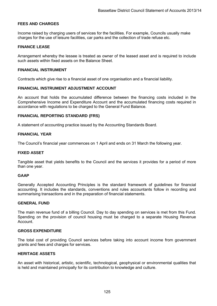### **FEES AND CHARGES**

Income raised by charging users of services for the facilities. For example, Councils usually make charges for the use of leisure facilities, car parks and the collection of trade refuse etc.

#### **FINANCE LEASE**

Arrangement whereby the lessee is treated as owner of the leased asset and is required to include such assets within fixed assets on the Balance Sheet.

#### **FINANCIAL INSTRUMENT**

Contracts which give rise to a financial asset of one organisation and a financial liability.

#### **FINANCIAL INSTRUMENT ADJUSTMENT ACCOUNT**

An account that holds the accumulated difference between the financing costs included in the Comprehensive Income and Expenditure Account and the accumulated financing costs required in accordance with regulations to be charged to the General Fund Balance.

#### **FINANCIAL REPORTING STANDARD (FRS)**

A statement of accounting practice issued by the Accounting Standards Board.

### **FINANCIAL YEAR**

The Council's financial year commences on 1 April and ends on 31 March the following year.

#### **FIXED ASSET**

Tangible asset that yields benefits to the Council and the services it provides for a period of more than one year.

### **GAAP**

Generally Accepted Accounting Principles is the standard framework of guidelines for financial accounting. It includes the standards, conventions and rules accountants follow in recording and summarising transactions and in the preparation of financial statements.

#### **GENERAL FUND**

The main revenue fund of a billing Council. Day to day spending on services is met from this Fund. Spending on the provision of council housing must be charged to a separate Housing Revenue **Account** 

#### **GROSS EXPENDITURE**

The total cost of providing Council services before taking into account income from government grants and fees and charges for services.

### **HERITAGE ASSETS**

An asset with historical, artistic, scientific, technological, geophysical or environmental qualities that is held and maintained principally for its contribution to knowledge and culture.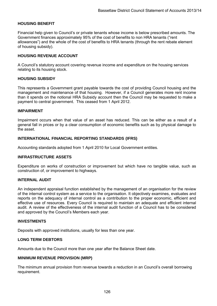### **HOUSING BENEFIT**

Financial help given to Council's or private tenants whose income is below prescribed amounts. The Government finances approximately 95% of the cost of benefits to non HRA tenants ("rent allowances") and the whole of the cost of benefits to HRA tenants (through the rent rebate element of housing subsidy).

### **HOUSING REVENUE ACCOUNT**

A Council's statutory account covering revenue income and expenditure on the housing services relating to its housing stock.

#### **HOUSING SUBSIDY**

This represents a Government grant payable towards the cost of providing Council housing and the management and maintenance of that housing. However, if a Council generates more rent income than it spends on the notional HRA Subsidy account then the Council may be requested to make a payment to central government. This ceased from 1 April 2012.

#### **IMPAIRMENT**

Impairment occurs when that value of an asset has reduced. This can be either as a result of a general fall in prices or by a clear consumption of economic benefits such as by physical damage to the asset.

### **INTERNATIONAL FINANCIAL REPORTING STANDARDS (IFRS)**

Accounting standards adopted from 1 April 2010 for Local Government entities.

### **INFRASTRUCTURE ASSETS**

Expenditure on works of construction or improvement but which have no tangible value, such as construction of, or improvement to highways.

#### **INTERNAL AUDIT**

An independent appraisal function established by the management of an organisation for the review of the internal control system as a service to the organisation. It objectively examines, evaluates and reports on the adequacy of internal control as a contribution to the proper economic, efficient and effective use of resources. Every Council is required to maintain an adequate and efficient internal audit. A review of the effectiveness of the internal audit function of a Council has to be considered and approved by the Council's Members each year.

#### **INVESTMENTS**

Deposits with approved institutions, usually for less than one year.

#### **LONG TERM DEBTORS**

Amounts due to the Council more than one year after the Balance Sheet date.

#### **MINIMUM REVENUE PROVISION (MRP)**

The minimum annual provision from revenue towards a reduction in an Council's overall borrowing requirement.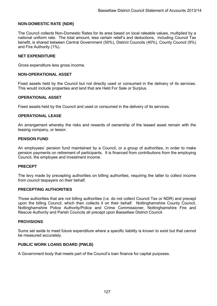### **NON-DOMESTIC RATE (NDR)**

The Council collects Non-Domestic Rates for its area based on local rateable values, multiplied by a national uniform rate. The total amount, less certain relief's and deductions, including Council Tax benefit, is shared between Central Government (50%), District Councils (40%), County Council (9%) and Fire Authority (1%).

#### **NET EXPENDITURE**

Gross expenditure less gross income.

#### **NON-OPERATIONAL ASSET**

Fixed assets held by the Council but not directly used or consumed in the delivery of its services. This would include properties and land that are Held For Sale or Surplus.

#### **OPERATIONAL ASSET**

Fixed assets held by the Council and used or consumed in the delivery of its services.

#### **OPERATIONAL LEASE**

An arrangement whereby the risks and rewards of ownership of the leased asset remain with the leasing company, or lessor.

#### **PENSION FUND**

An employees' pension fund maintained by a Council, or a group of authorities, in order to make pension payments on retirement of participants. It is financed from contributions from the employing Council, the employee and investment income.

### **PRECEPT**

The levy made by precepting authorities on billing authorities, requiring the latter to collect income from council taxpayers on their behalf.

### **PRECEPTING AUTHORITIES**

Those authorities that are not billing authorities (i.e. do not collect Council Tax or NDR) and precept upon the billing Council, which then collects it on their behalf. Nottinghamshire County Council, Nottinghamshire Police Authority/Police and Crime Commissioner, Nottinghamshire Fire and Rescue Authority and Parish Councils all precept upon Bassetlaw District Council.

#### **PROVISIONS**

Sums set aside to meet future expenditure where a specific liability is known to exist but that cannot be measured accurately.

### **PUBLIC WORK LOANS BOARD (PWLB)**

A Government body that meets part of the Council's loan finance for capital purposes.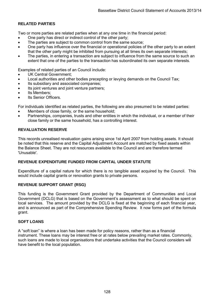## **RELATED PARTIES**

Two or more parties are related parties when at any one time in the financial period:

- One party has direct or indirect control of the other party;
- The parties are subject to common control from the same source;
- One party has influence over the financial or operational policies of the other party to an extent that the other party might be inhibited from pursuing at all times its own separate interests;
- The parties, in entering a transaction are subject to influence from the same source to such an extent that one of the parties to the transaction has subordinated its own separate interests.

Examples of related parties of an Council include:

- UK Central Government;
- Local authorities and other bodies precepting or levying demands on the Council Tax;
- Its subsidiary and associated companies;
- Its joint ventures and joint venture partners;
- Its Members;
- Its Senior Officers.

For individuals identified as related parties, the following are also presumed to be related parties:

- Members of close family, or the same household;
- Partnerships, companies, trusts and other entities in which the individual, or a member of their close family or the same household, has a controlling interest.

### **REVALUATION RESERVE**

This records unrealised revaluation gains arising since 1st April 2007 from holding assets. It should be noted that this reserve and the Capital Adjustment Account are matched by fixed assets within the Balance Sheet. They are not resources available to the Council and are therefore termed 'Unusable'.

## **REVENUE EXPENDITURE FUNDED FROM CAPITAL UNDER STATUTE**

Expenditure of a capital nature for which there is no tangible asset acquired by the Council. This would include capital grants or renovation grants to private persons.

### **REVENUE SUPPORT GRANT (RSG)**

This funding is the Government Grant provided by the Department of Communities and Local Government (DCLG) that is based on the Government's assessment as to what should be spent on local services. The amount provided by the DCLG is fixed at the beginning of each financial year, and is announced as part of the Comprehensive Spending Review. It now forms part of the formula grant.

### **SOFT LOANS**

A "soft loan" is where a loan has been made for policy reasons, rather than as a financial instrument. These loans may be interest free or at rates below prevailing market rates. Commonly, such loans are made to local organisations that undertake activities that the Council considers will have benefit to the local population.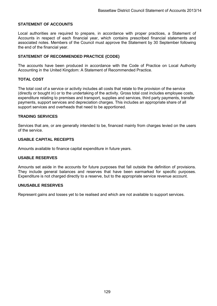### **STATEMENT OF ACCOUNTS**

Local authorities are required to prepare, in accordance with proper practices, a Statement of Accounts in respect of each financial year, which contains prescribed financial statements and associated notes. Members of the Council must approve the Statement by 30 September following the end of the financial year.

### **STATEMENT OF RECOMMENDED PRACTICE (CODE)**

The accounts have been produced in accordance with the Code of Practice on Local Authority Accounting in the United Kingdom: A Statement of Recommended Practice.

### **TOTAL COST**

The total cost of a service or activity includes all costs that relate to the provision of the service (directly or bought in) or to the undertaking of the activity. Gross total cost includes employee costs, expenditure relating to premises and transport, supplies and services, third party payments, transfer payments, support services and depreciation charges. This includes an appropriate share of all support services and overheads that need to be apportioned.

### **TRADING SERVICES**

Services that are, or are generally intended to be, financed mainly from charges levied on the users of the service.

### **USABLE CAPITAL RECEIPTS**

Amounts available to finance capital expenditure in future years.

### **USABLE RESERVES**

Amounts set aside in the accounts for future purposes that fall outside the definition of provisions. They include general balances and reserves that have been earmarked for specific purposes. Expenditure is not charged directly to a reserve, but to the appropriate service revenue account.

### **UNUSABLE RESERVES**

Represent gains and losses yet to be realised and which are not available to support services.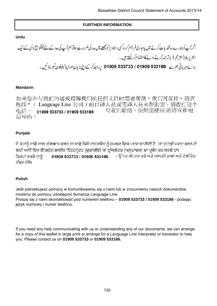## **FURTHER INFORMATION**

## **Urdu**

اگرآ پ کوہمارے ساتھ بات کرنے میں پاہماری فراہم کر دہ کسی دستاویز کو پیچھنے میں مدد کی سپ کی مدد کے لئے لینکو پج لائن کے ایک انٹر پریٹر(مترجم) پاتر جمہ کرنے والے کااہتمام کرسکتے ہیں۔ انٹر پریٹر(مترجم) یا تر جمہ کرنے والے کااہتمام کرسکتے ہیں۔<br>برائے مہربانی ہم سے 533186 533733 61909 533733 پرالطہ کر کے اپنی زبان اورا پناٹیلیفون نمبر ہتا ئیں۔

## **Mandarin**

如果您在与我们沟通或理解我们的任何文件时需要帮助,我们可安排"语言 热线"(Language Line 公司)的口译人员或笔译人员来帮助您。请拨打这个 与我们联络,说明您使用 的语言和电 电话~ 01909 533733 / 01909 533186 话号码。

## **Punjabi**

ਜੇ ਤਹਾਨੂੰ ਸਾਡੇ ਨਾਲ ਗੱਲਬਾਤ ਕਰਨ ਜਾਂ ਸਾਡੇ ਕਿਸੇ ਦਸਤਾਵੇਜ਼ ਨੂੰ ਸਮਝਣ ਵਿਚ ਮਦਦ ਚਾਹੀਦੀ ਹੈ, ਤਾਂ ਤਹਾਡੀ ਮਦਦ ਕਰਨ ਦੇ ਲਈ ਅਸੀਂ ਇਕ ਲੈੱਗਵੇਜ਼ ਲਾਈਨ ਇੰਟਰਪੇਟਰ (ਦਭਾਸ਼ੀਏ) ਜਾਂ ਟਾਂਸਲੇਟਰ (ਅਨਵਾਦਕ) ਦਾ ਪਬੰਧ ਕਰ ਸਕਦੇ ਹਾਂ। ਕਿਰਪਾ ਕਰਕੇ ਸਾਨੂੰ - 01909 533733 / 01909 533186 - ਉੱਪਰ ਸੰਪਰਕ ਕਰੋ ਅਤੇ ਆਪਣੀ ਭਾਸ਼ਾ ਅਤੇ ਟੇਲੀਫੋਨ ਨੰਬਰ ਦੱਸੋ।

## **Polish**

Jeśli potrzebujesz pomocy w komunikowaniu się z nami lub w zrozumieniu naszch dokumentów, możemy do pomocy udostępnić tłumacza Language Line. Proszę się z nami skontaktować pod numerem telefonu – **01909 533733 / 01909 533186** - podając język rozmowy i numer telefonu.

If you need any help communicating with us or understanding any of our documents, we can arrange for a copy of this leaflet in large print or arrange for a Language Line interpreter or translator to help you. Please contact us on **01909 533733** or **01909 533186.**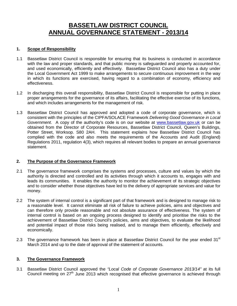# **BASSETLAW DISTRICT COUNCIL ANNUAL GOVERNANCE STATEMENT - 2013/14**

## **1. Scope of Responsibility**

- 1.1 Bassetlaw District Council is responsible for ensuring that its business is conducted in accordance with the law and proper standards, and that public money is safeguarded and properly accounted for, and used economically, efficiently and effectively. Bassetlaw District Council also has a duty under the Local Government Act 1999 to make arrangements to secure continuous improvement in the way in which its functions are exercised, having regard to a combination of economy, efficiency and effectiveness.
- 1.2 In discharging this overall responsibility, Bassetlaw District Council is responsible for putting in place proper arrangements for the governance of its affairs, facilitating the effective exercise of its functions, and which includes arrangements for the management of risk.
- 1.3 Bassetlaw District Council has approved and adopted a code of corporate governance, which is consistent with the principles of the CIPFA/SOLACE Framework *Delivering Good Governance in Local Government*. A copy of the authority's code is on our website at [www.bassetlaw.gov.uk](http://www.bassetlaw.gov.uk/) or can be obtained from the Director of Corporate Resources, Bassetlaw District Council, Queen's Buildings, Potter Street, Worksop. S80 2AH. This statement explains how Bassetlaw District Council has complied with the code and also meets the requirements of the Accounts and Audit (England) Regulations 2011, regulation 4(3), which requires all relevant bodies to prepare an annual governance statement.

## **2. The Purpose of the Governance Framework**

- 2.1 The governance framework comprises the systems and processes, culture and values by which the authority is directed and controlled and its activities through which it accounts to, engages with and leads its communities. It enables the authority to monitor the achievement of its strategic objectives and to consider whether those objectives have led to the delivery of appropriate services and value for money.
- 2.2 The system of internal control is a significant part of that framework and is designed to manage risk to a reasonable level. It cannot eliminate all risk of failure to achieve policies, aims and objectives and can therefore only provide reasonable and not absolute assurance of effectiveness. The system of internal control is based on an ongoing process designed to identify and prioritise the risks to the achievement of Bassetlaw District Council's policies, aims and objectives, to evaluate the likelihood and potential impact of those risks being realised, and to manage them efficiently, effectively and economically.
- 2.3 The governance framework has been in place at Bassetlaw District Council for the year ended  $31<sup>st</sup>$ March 2014 and up to the date of approval of the statement of accounts.

## **3. The Governance Framework**

3.1 Bassetlaw District Council approved the *"Local Code of Corporate Governance 2013/14"* at its full Council meeting on  $27<sup>th</sup>$  June 2013 which recognised that effective governance is achieved through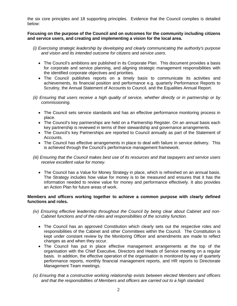the six core principles and 18 supporting principles. Evidence that the Council complies is detailed below:

**Focusing on the purpose of the Council and on outcomes for the community including citizens and service users, and creating and implementing a vision for the local area.** 

- *(i) Exercising strategic leadership by developing and clearly communicating the authority's purpose and vision and its intended outcome for citizens and service users.*
	- The Council's ambitions are published in its Corporate Plan. This document provides a basis for corporate and service planning, and aligning strategic management responsibilities with the identified corporate objectives and priorities.
	- The Council publishes reports on a timely basis to communicate its activities and achievements, its financial position and performance e.g. quarterly Performance Reports to Scrutiny, the Annual Statement of Accounts to Council, and the Equalities Annual Report.
- *(ii) Ensuring that users receive a high quality of service, whether directly or in partnership or by commissioning.*
	- The Council sets service standards and has an effective performance monitoring process in place.
	- The Council's key partnerships are held on a Partnership Register. On an annual basis each key partnership is reviewed in terms of their stewardship and governance arrangements.
	- The Council's key Partnerships are reported to Council annually as part of the Statement of Accounts.
	- The Council has effective arrangements in place to deal with failure in service delivery. This is achieved through the Council's performance management framework.
- *(iii) Ensuring that the Council makes best use of its resources and that taxpayers and service users receive excellent value for money.*
	- The Council has a Value for Money Strategy in place, which is refreshed on an annual basis. The Strategy includes how value for money is to be measured and ensures that it has the information needed to review value for money and performance effectively. It also provides an Action Plan for future areas of work.

#### **Members and officers working together to achieve a common purpose with clearly defined functions and roles.**

- *(iv) Ensuring effective leadership throughout the Council by being clear about Cabinet and non-Cabinet functions and of the roles and responsibilities of the scrutiny function.*
	- The Council has an approved Constitution which clearly sets out the respective roles and responsibilities of the Cabinet and other Committees within the Council. The Constitution is kept under constant review by the Monitoring Officer and amendments are made to reflect changes as and when they occur.
	- The Council has put in place effective management arrangements at the top of the organisation with the Chief Executive, Directors and Heads of Service meeting on a regular basis. In addition, the effective operation of the organisation is monitored by way of quarterly performance reports, monthly financial management reports, and HR reports to Directorate Management Team meetings.
- *(v) Ensuring that a constructive working relationship exists between elected Members and officers and that the responsibilities of Members and officers are carried out to a high standard.*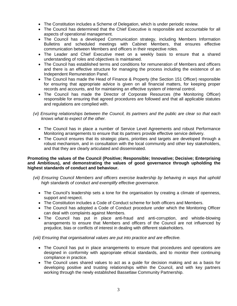- The Constitution includes a Scheme of Delegation, which is under periodic review.
- The Council has determined that the Chief Executive is responsible and accountable for all aspects of operational management.
- The Council has a developed Communication strategy, including Members Information Bulletins and scheduled meetings with Cabinet Members, that ensures effective communication between Members and officers in their respective roles.
- The Leader and Chief Executive meet on a weekly basis to ensure that a shared understanding of roles and objectives is maintained.
- The Council has established terms and conditions for remuneration of Members and officers and there is an effective structure for managing the process including the existence of an Independent Remuneration Panel.
- The Council has made the Head of Finance & Property (the Section 151 Officer) responsible for ensuring that appropriate advice is given on all financial matters, for keeping proper records and accounts, and for maintaining an effective system of internal control.
- The Council has made the Director of Corporate Resources (the Monitoring Officer) responsible for ensuring that agreed procedures are followed and that all applicable statutes and regulations are complied with.
- *(vi) Ensuring relationships between the Council, its partners and the public are clear so that each knows what to expect of the other.*
	- The Council has in place a number of Service Level Agreements and robust Performance Monitoring arrangements to ensure that its partners provide effective service delivery.
	- The Council ensures that its strategic plans, priorities and targets are developed through a robust mechanism, and in consultation with the local community and other key stakeholders, and that they are clearly articulated and disseminated.

#### **Promoting the values of the Council (Positive; Responsible; Innovative; Decisive; Enterprising and Ambitious), and demonstrating the values of good governance through upholding the highest standards of conduct and behaviour.**

- *(vii) Ensuring Council Members and officers exercise leadership by behaving in ways that uphold high standards of conduct and exemplify effective governance.*
	- The Council's leadership sets a tone for the organisation by creating a climate of openness, support and respect.
	- The Constitution includes a Code of Conduct scheme for both officers and Members.
	- The Council has adopted a Code of Conduct procedure under which the Monitoring Officer can deal with complaints against Members.
	- The Council has put in place anti-fraud and anti-corruption, and whistle-blowing arrangements to ensure that Members and officers of the Council are not influenced by prejudice, bias or conflicts of interest in dealing with different stakeholders.

*(viii) Ensuring that organisational values are put into practice and are effective.*

- The Council has put in place arrangements to ensure that procedures and operations are designed in conformity with appropriate ethical standards, and to monitor their continuing compliance in practice.
- The Council uses shared values to act as a guide for decision making and as a basis for developing positive and trusting relationships within the Council, and with key partners working through the newly established Bassetlaw Community Partnership.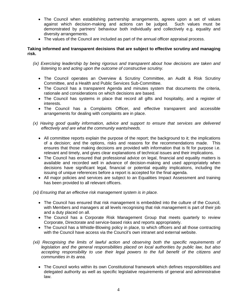- The Council when establishing partnership arrangements, agrees upon a set of values against which decision-making and actions can be judged. Such values must be demonstrated by partners' behaviour both individually and collectively e.g. equality and diversity arrangements.
- The values of the Council are included as part of the annual officer appraisal process.

### **Taking informed and transparent decisions that are subject to effective scrutiny and managing risk.**

- *(ix) Exercising leadership by being rigorous and transparent about how decisions are taken and listening to and acting upon the outcome of constructive scrutiny.*
	- The Council operates an Overview & Scrutiny Committee, an Audit & Risk Scrutiny Committee, and a Health and Public Services Sub-Committee.
	- The Council has a transparent Agenda and minutes system that documents the criteria, rationale and considerations on which decisions are based.
	- The Council has systems in place that record all gifts and hospitality, and a register of interests.
	- The Council has a Complaints Officer, and effective transparent and accessible arrangements for dealing with complaints are in place.
- *(x) Having good quality information, advice and support to ensure that services are delivered effectively and are what the community wants/needs.*
	- All committee reports explain the purpose of the report; the background to it; the implications of a decision; and the options, risks and reasons for the recommendations made. This ensures that those making decisions are provided with information that is fit for purpose i.e. relevant and timely, and gives clear explanations of technical issues and their implications.
	- The Council has ensured that professional advice on legal, financial and equality matters is available and recorded well in advance of decision-making and used appropriately when decisions have significant legal, financial or potential equality implications, including the issuing of unique references before a report is accepted for the final agenda.
	- All major policies and services are subject to an Equalities Impact Assessment and training has been provided to all relevant officers.

*(xi) Ensuring that an effective risk management system is in place.*

- The Council has ensured that risk management is embedded into the culture of the Council, with Members and managers at all levels recognising that risk management is part of their job and a duty placed on all.
- The Council has a Corporate Risk Management Group that meets quarterly to review Corporate, Directorate and service-based risks and reports appropriately.
- The Council has a Whistle-Blowing policy in place, to which officers and all those contracting with the Council have access via the Council's own intranet and external website.
- *(xii) Recognising the limits of lawful action and observing both the specific requirements of legislation and the general responsibilities placed on local authorities by public law, but also accepting responsibility to use their legal powers to the full benefit of the citizens and communities in its area.*
	- The Council works within its own Constitutional framework which defines responsibilities and delegated authority as well as specific legislative requirements of general and administrative law.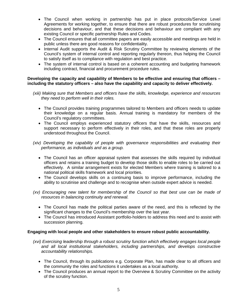- The Council when working in partnership has put in place protocols/Service Level Agreements for working together, to ensure that there are robust procedures for scrutinising decisions and behaviour, and that these decisions and behaviour are compliant with any existing Council or specific partnership Rules and Codes.
- The Council ensures that all committee papers are easily accessible and meetings are held in public unless there are good reasons for confidentiality.
- Internal Audit supports the Audit & Risk Scrutiny Committee by reviewing elements of the Council's system of internal control and reporting regularly thereon, thus helping the Council to satisfy itself as to compliance with regulation and best practice.
- The system of internal control is based on a coherent accounting and budgeting framework including contract, financial and procurement procedure rules.

#### **Developing the capacity and capability of Members to be effective and ensuring that officers – including the statutory officers – also have the capability and capacity to deliver effectively.**

*(xiii) Making sure that Members and officers have the skills, knowledge, experience and resources they need to perform well in their roles.*

- The Council provides training programmes tailored to Members and officers needs to update their knowledge on a regular basis. Annual training is mandatory for members of the Council's regulatory committees.
- The Council employs experienced statutory officers that have the skills, resources and support necessary to perform effectively in their roles, and that these roles are properly understood throughout the Council.
- *(xiv) Developing the capability of people with governance responsibilities and evaluating their performance, as individuals and as a group.* 
	- The Council has an officer appraisal system that assesses the skills required by individual officers and retains a training budget to develop those skills to enable roles to be carried out effectively. A similar arrangement exists for elected Members where training is tailored to a national political skills framework and local priorities.
	- The Council develops skills on a continuing basis to improve performance, including the ability to scrutinise and challenge and to recognise when outside expert advice is needed.
- *(xv) Encouraging new talent for membership of the Council so that best use can be made of resources in balancing continuity and renewal.*
	- The Council has made the political parties aware of the need, and this is reflected by the significant changes to the Council's membership over the last year.
	- The Council has introduced Assistant portfolio-holders to address this need and to assist with succession planning.

### **Engaging with local people and other stakeholders to ensure robust public accountability.**

- *(xvi) Exercising leadership through a robust scrutiny function which effectively engages local people and all local institutional stakeholders, including partnerships, and develops constructive accountability relationships.*
	- The Council, through its publications e.g. Corporate Plan, has made clear to all officers and the community the roles and functions it undertakes as a local authority.
	- The Council produces an annual report to the Overview & Scrutiny Committee on the activity of the scrutiny function.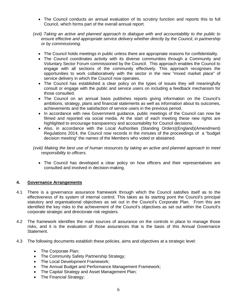- The Council conducts an annual evaluation of its scrutiny function and reports this to full Council, which forms part of the overall annual report.
- *(xvii) Taking an active and planned approach to dialogue with and accountability to the public to ensure effective and appropriate service delivery whether directly by the Council, in partnership or by commissioning.*
	- The Council holds meetings in public unless there are appropriate reasons for confidentiality.
	- The Council coordinates activity with its diverse communities through a Community and Voluntary Sector Forum commissioned by the Council. This approach enables the Council to engage with all sections of the community effectively. This approach recognises the opportunities to work collaboratively with the sector in the new "mixed market place" of service delivery in which the Council now operates.
	- The Council has established a clear policy on the types of issues they will meaningfully consult or engage with the public and service users on including a feedback mechanism for those consulted.
	- The Council on an annual basis publishes reports giving information on the Council's ambitions, strategy, plans and financial statements as well as information about its outcomes, achievements and the satisfaction of service users in the previous period.
	- In accordance with new Government guidance, public meetings of the Council can now be filmed and reported via social media. At the start of each meeting these new rights are highlighted to encourage transparency and accountability for Council decisions.
	- Also, in accordance with the Local Authorities (Standing Orders)(England)(Amendment) Regulations 2014, the Council now records in the minutes of the proceedings of a "budget decision meeting" the names of the Members who voted or abstained.

*(xviii) Making the best use of human resources by taking an active and planned approach to meet responsibility to officers.*

• The Council has developed a clear policy on how officers and their representatives are consulted and involved in decision-making.

### **4. Governance Arrangements**

- 4.1 There is a governance assurance framework through which the Council satisfies itself as to the effectiveness of its system of internal control. This takes as its starting point the Council's principal statutory and organisational objectives as set out in the Council's Corporate Plan. From this are identified the key risks to the achievement of the Council's objectives as set out within the Council's corporate strategic and directorate risk registers.
- 4.2 The framework identifies the main sources of assurance on the controls in place to manage those risks, and it is the evaluation of those assurances that is the basis of this Annual Governance Statement.
- 4.3 The following documents establish these policies, aims and objectives at a strategic level:
	- The Corporate Plan;
	- The Community Safety Partnership Strategy;
	- The Local Development Framework;
	- The Annual Budget and Performance Management Framework;
	- The Capital Strategy and Asset Management Plan;
	- The Financial Strategy;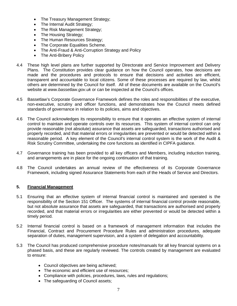- The Treasury Management Strategy;
- The Internal Audit Strategy;
- The Risk Management Strategy;
- The Housing Strategy;
- The Human Resources Strategy;
- The Corporate Equalities Scheme.
- The Anti-Fraud & Anti-Corruption Strategy and Policy
- The Anti-Bribery Policy
- 4.4 These high level plans are further supported by Directorate and Service Improvement and Delivery Plans. The Constitution provides clear guidance on how the Council operates, how decisions are made and the procedures and protocols to ensure that decisions and activities are efficient, transparent and accountable to local citizens. Some of these processes are required by law, whilst others are determined by the Council for itself. All of these documents are available on the Council's website at *[www.bassetlaw.gov.uk](http://www.bassetlaw.gov.uk/)* or can be inspected at the Council's offices.
- 4.5 Bassetlaw's Corporate Governance Framework defines the roles and responsibilities of the executive, non-executive, scrutiny and officer functions, and demonstrates how the Council meets defined standards of governance in relation to its policies, aims and objectives.
- 4.6 The Council acknowledges its responsibility to ensure that it operates an effective system of internal control to maintain and operate controls over its resources. This system of internal control can only provide reasonable (not absolute) assurance that assets are safeguarded, transactions authorised and properly recorded, and that material errors or irregularities are prevented or would be detected within a reasonable period. A key element of the Council's internal control system is the work of the Audit & Risk Scrutiny Committee, undertaking the core functions as identified in CIPFA guidance.
- 4.7 Governance training has been provided to all key officers and Members, including induction training, and arrangements are in place for the ongoing continuation of that training.
- 4.8 The Council undertakes an annual review of the effectiveness of its Corporate Governance Framework, including signed Assurance Statements from each of the Heads of Service and Directors.

## **5. Financial Management**

- 5.1 Ensuring that an effective system of internal financial control is maintained and operated is the responsibility of the Section 151 Officer. The systems of internal financial control provide reasonable, but not absolute assurance that assets are safeguarded, that transactions are authorised and properly recorded, and that material errors or irregularities are either prevented or would be detected within a timely period.
- 5.2 Internal financial control is based on a framework of management information that includes the Financial, Contract and Procurement Procedure Rules and administration procedures, adequate separation of duties, management supervision, and a system of delegation and accountability.
- 5.3 The Council has produced comprehensive procedure notes/manuals for all key financial systems on a phased basis, and these are regularly reviewed. The controls created by management are evaluated to ensure:
	- Council objectives are being achieved;
	- The economic and efficient use of resources;
	- Compliance with policies, procedures, laws, rules and regulations;
	- The safeguarding of Council assets;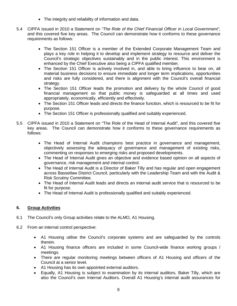- The integrity and reliability of information and data.
- 5.4 CIPFA issued in 2010 a Statement on *"The Role of the Chief Financial Officer in Local Government"*, and this covered five key areas. The Council can demonstrate how it conforms to these governance requirements as follows:
	- The Section 151 Officer is a member of the Extended Corporate Management Team and plays a key role in helping it to develop and implement strategy to resource and deliver the Council's strategic objectives sustainably and in the public interest. This environment is enhanced by the Chief Executive also being a CIPFA qualified member.
	- The Section 151 Officer is actively involved in, and able to bring influence to bear on, all material business decisions to ensure immediate and longer term implications, opportunities and risks are fully considered, and there is alignment with the Council's overall financial strategy.
	- The Section 151 Officer leads the promotion and delivery by the whole Council of good financial management so that public money is safeguarded at all times and used appropriately, economically, efficiently and effectively.
	- The Section 151 Officer leads and directs the finance function, which is resourced to be fit for purpose.
	- The Section 151 Officer is professionally qualified and suitably experienced.
- 5.5 CIPFA issued in 2010 a Statement on "The Role of the Head of Internal Audit", and this covered five key areas. The Council can demonstrate how it conforms to these governance requirements as follows:
	- The Head of Internal Audit champions best practice in governance and management, objectively assessing the adequacy of governance and management of existing risks, commenting on responses to emerging risks and proposed developments.
	- The Head of Internal Audit gives an objective and evidence based opinion on all aspects of governance, risk management and internal control.
	- The Head of Internal Audit is a Director of Baker Tilly and has regular and open engagement across Bassetlaw District Council, particularly with the Leadership Team and with the Audit & Risk Scrutiny Committee.
	- The Head of Internal Audit leads and directs an internal audit service that is resourced to be fit for purpose.
	- The Head of Internal Audit is professionally qualified and suitably experienced.

## **6. Group Activities**

- 6.1 The Council's only Group activities relate to the ALMO, A1 Housing.
- 6.2 From an internal control perspective:
	- A1 Housing utilise the Council's corporate systems and are safeguarded by the controls therein.
	- A1 Housing finance officers are included in some Council-wide finance working groups / meetings.
	- There are regular monitoring meetings between officers of A1 Housing and officers of the Council at a senior level.
	- A1 Housing has its own appointed external auditors.
	- Equally, A1 Housing is subject to examination by its internal auditors, Baker Tilly, which are also the Council's own Internal Auditors. Overall A1 Housing's internal audit assurances for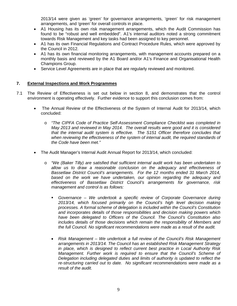2013/14 were given as 'green' for governance arrangements, 'green' for risk management arrangements, and 'green' for overall controls in place.

- A1 Housing has its own risk management arrangements, which the Audit Commission has found to be "robust and well embedded". A1's internal auditors noted a strong commitment towards Risk Management and key tasks had been assigned to key personnel.
- A1 has its own Financial Regulations and Contract Procedure Rules, which were approved by the Council in 2012.
- A1 has its own financial monitoring arrangements, with management accounts prepared on a monthly basis and reviewed by the A1 Board and/or A1's Finance and Organisational Health Champions Group.
- Service Level Agreements are in place that are regularly reviewed and monitored.

### **7. External Inspections and Work Programmes**

- 7.1 The Review of Effectiveness is set out below in section 8, and demonstrates that the control environment is operating effectively. Further evidence to support this conclusion comes from:
	- The Annual Review of the Effectiveness of the System of Internal Audit for 2013/14, which concluded:
		- o *"The CIPFA Code of Practice Self-Assessment Compliance Checklist was completed in May 2013 and reviewed in May 2014. The overall results were good and it is considered that the internal audit system is effective. The S151 Officer therefore concludes that when reviewing the effectiveness of the system of internal audit, the required standards of the Code have been met."*
	- The Audit Manager's Internal Audit Annual Report for 2013/14, which concluded:
		- o *"We (Baker Tilly) are satisfied that sufficient internal audit work has been undertaken to allow us to draw a reasonable conclusion on the adequacy and effectiveness of Bassetlaw District Council's arrangements. For the 12 months ended 31 March 2014, based on the work we have undertaken, our opinion regarding the adequacy and effectiveness of Bassetlaw District Council's arrangements for governance, risk management and control is as follows:*
			- *Governance – We undertook a specific review of Corporate Governance during 2013/14, which focused primarily on the Council's high level decision making processes. A formal scheme of delegation is included within the Council's Constitution and incorporates details of those responsibilities and decision making powers which have been delegated to Officers of the Council. The Council's Constitution also includes details of those decisions which remain the responsibility of Members and the full Council. No significant recommendations were made as a result of the audit.*
			- *Risk Management – We undertook a full review of the Council's Risk Management arrangements in 2013/14. The Council has an established Risk Management Strategy in place, which is designed to reflect current best practice in Local Authority Risk Management. Further work is required to ensure that the Council's Scheme of Delegation including delegated duties and limits of authority is updated to reflect the re-structuring carried out to date. No significant recommendations were made as a result of the audit.*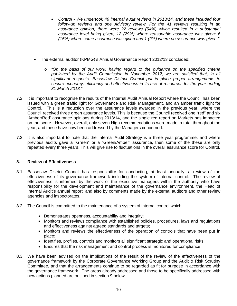- *Control - We undertook 46 internal audit reviews in 2013/14, and these included four follow-up reviews and one Advisory review. For the 41 reviews resulting in an assurance opinion, there were 22 reviews (54%) which resulted in a substantial assurance level being given; 12 (29%) where reasonable assurance was given; 6 (15%) where some assurance was given and 1 (2%) where no assurance was given."*
- The external auditor (KPMG)'s Annual Governance Report 2012/13 concluded:
	- o *"On the basis of our work, having regard to the guidance on the specified criteria published by the Audit Commission in November 2012, we are satisfied that, in all significant respects, Bassetlaw District Council put in place proper arrangements to secure economy, efficiency and effectiveness in its use of resources for the year ending 31 March 2013."*
- 7.2 It is important to recognise the results of the Internal Audit Annual Report where the Council has been issued with a green traffic light for Governance and Risk Management, and an amber traffic light for Control. This is a reduction over the assurance levels awarded in the previous year, where the Council received three green assurance levels. This is because the Council received one "red" and six 'Amber/Red' assurance opinions during 2013/14, and the single red report on Markets has impacted on the score. However, overall, only seven High recommendations were made in total throughout the year, and these have now been addressed by the Managers concerned.
- 7.3 It is also important to note that the Internal Audit Strategy is a three year programme, and where previous audits gave a "Green" or a "Green/Amber" assurance, then some of the these are only repeated every three years. This will give rise to fluctuations in the overall assurance score for Control.

## **8. Review of Effectiveness**

- 8.1 Bassetlaw District Council has responsibility for conducting, at least annually, a review of the effectiveness of its governance framework including the system of internal control. The review of effectiveness is informed by the work of the executive managers within the authority who have responsibility for the development and maintenance of the governance environment, the Head of Internal Audit's annual report, and also by comments made by the external auditors and other review agencies and inspectorates.
- 8.2 The Council is committed to the maintenance of a system of internal control which:
	- Demonstrates openness, accountability and integrity;
	- Monitors and reviews compliance with established policies, procedures, laws and regulations and effectiveness against agreed standards and targets;
	- Monitors and reviews the effectiveness of the operation of controls that have been put in place;
	- Identifies, profiles, controls and monitors all significant strategic and operational risks;
	- Ensures that the risk management and control process is monitored for compliance.
- 8.3 We have been advised on the implications of the result of the review of the effectiveness of the governance framework by the Corporate Governance Working Group and the Audit & Risk Scrutiny Committee, and that the arrangements continue to be regarded as fit for purpose in accordance with the governance framework. The areas already addressed and those to be specifically addressed with new actions planned are outlined in section 9 below.